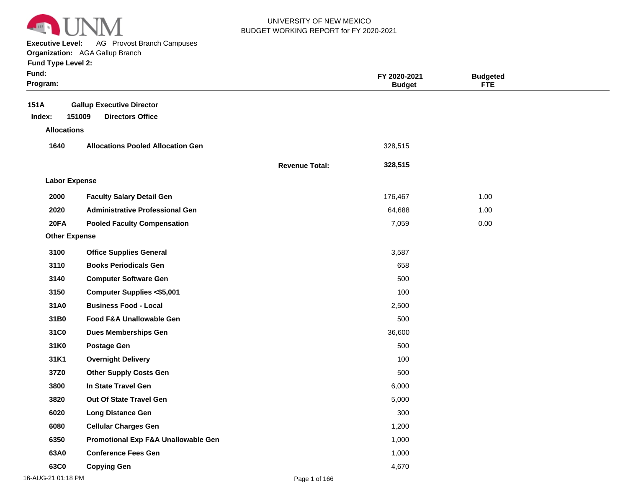

**Executive Level:** AG Provost Branch Campuses

#### **Organization:**  AGA Gallup Branch

|  | <b>Fund Type Level 2:</b> |  |  |
|--|---------------------------|--|--|
|--|---------------------------|--|--|

| Fund:<br>Program:    |                                          |                       | FY 2020-2021<br><b>Budget</b> | <b>Budgeted</b><br><b>FTE</b> |  |
|----------------------|------------------------------------------|-----------------------|-------------------------------|-------------------------------|--|
| 151A                 | <b>Gallup Executive Director</b>         |                       |                               |                               |  |
| Index:               | 151009<br><b>Directors Office</b>        |                       |                               |                               |  |
| <b>Allocations</b>   |                                          |                       |                               |                               |  |
| 1640                 | <b>Allocations Pooled Allocation Gen</b> |                       | 328,515                       |                               |  |
|                      |                                          | <b>Revenue Total:</b> | 328,515                       |                               |  |
| <b>Labor Expense</b> |                                          |                       |                               |                               |  |
| 2000                 | <b>Faculty Salary Detail Gen</b>         |                       | 176,467                       | 1.00                          |  |
| 2020                 | <b>Administrative Professional Gen</b>   |                       | 64,688                        | 1.00                          |  |
| 20FA                 | <b>Pooled Faculty Compensation</b>       |                       | 7,059                         | 0.00                          |  |
| <b>Other Expense</b> |                                          |                       |                               |                               |  |
| 3100                 | <b>Office Supplies General</b>           |                       | 3,587                         |                               |  |
| 3110                 | <b>Books Periodicals Gen</b>             |                       | 658                           |                               |  |
| 3140                 | <b>Computer Software Gen</b>             |                       | 500                           |                               |  |
| 3150                 | <b>Computer Supplies &lt;\$5,001</b>     |                       | 100                           |                               |  |
| 31A0                 | <b>Business Food - Local</b>             |                       | 2,500                         |                               |  |
| 31B0                 | Food F&A Unallowable Gen                 |                       | 500                           |                               |  |
| 31C0                 | <b>Dues Memberships Gen</b>              |                       | 36,600                        |                               |  |
| 31K0                 | <b>Postage Gen</b>                       |                       | 500                           |                               |  |
| 31K1                 | <b>Overnight Delivery</b>                |                       | 100                           |                               |  |
| 37Z0                 | <b>Other Supply Costs Gen</b>            |                       | 500                           |                               |  |
| 3800                 | In State Travel Gen                      |                       | 6,000                         |                               |  |
| 3820                 | Out Of State Travel Gen                  |                       | 5,000                         |                               |  |
| 6020                 | <b>Long Distance Gen</b>                 |                       | 300                           |                               |  |
| 6080                 | <b>Cellular Charges Gen</b>              |                       | 1,200                         |                               |  |
| 6350                 | Promotional Exp F&A Unallowable Gen      |                       | 1,000                         |                               |  |
| 63A0                 | <b>Conference Fees Gen</b>               |                       | 1,000                         |                               |  |
| 63C0                 | <b>Copying Gen</b>                       |                       | 4,670                         |                               |  |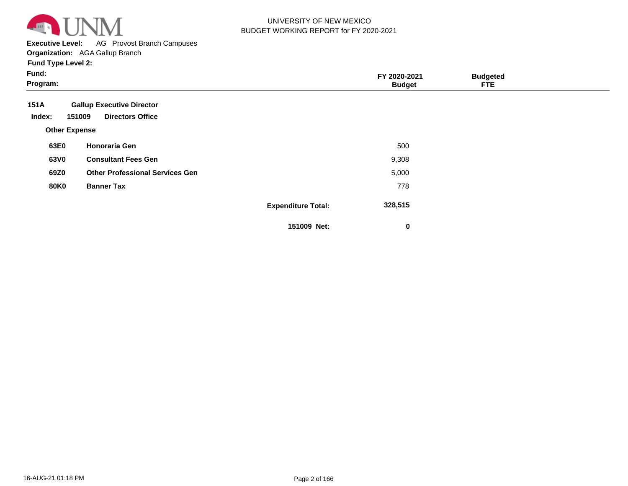

**Executive Level:** AG Provost Branch Campuses

#### **Organization:**  AGA Gallup Branch

|  |  | <b>Fund Type Level 2:</b> |  |
|--|--|---------------------------|--|
|--|--|---------------------------|--|

| Fund:<br>Program:                                                                       |                           | FY 2020-2021<br><b>Budget</b> | <b>Budgeted</b><br><b>FTE</b> |  |
|-----------------------------------------------------------------------------------------|---------------------------|-------------------------------|-------------------------------|--|
| 151A<br><b>Gallup Executive Director</b><br><b>Directors Office</b><br>151009<br>Index: |                           |                               |                               |  |
| <b>Other Expense</b>                                                                    |                           |                               |                               |  |
| <b>Honoraria Gen</b><br>63E0                                                            |                           | 500                           |                               |  |
| 63V0<br><b>Consultant Fees Gen</b>                                                      |                           | 9,308                         |                               |  |
| 69Z0<br><b>Other Professional Services Gen</b>                                          |                           | 5,000                         |                               |  |
| <b>80K0</b><br><b>Banner Tax</b>                                                        |                           | 778                           |                               |  |
|                                                                                         | <b>Expenditure Total:</b> | 328,515                       |                               |  |
|                                                                                         | 151009 Net:               | 0                             |                               |  |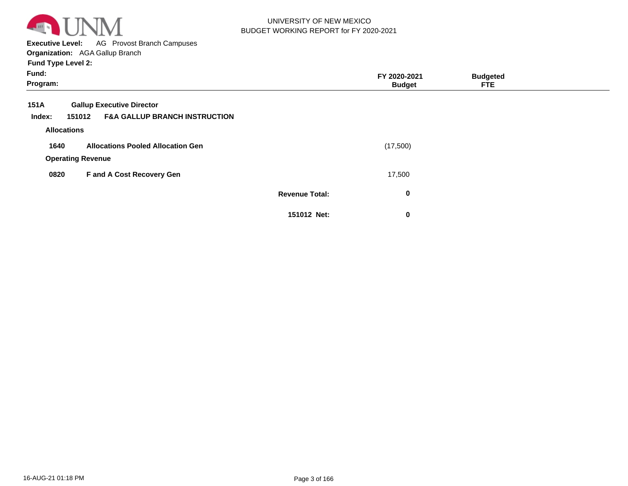

**Executive Level:** AG Provost Branch Campuses **Organization:**  AGA Gallup Branch

| Fund:<br>Program:  |                                                    |                       | FY 2020-2021<br><b>Budget</b> | <b>Budgeted</b><br><b>FTE</b> |  |
|--------------------|----------------------------------------------------|-----------------------|-------------------------------|-------------------------------|--|
| 151A               | <b>Gallup Executive Director</b>                   |                       |                               |                               |  |
| Index:             | <b>F&amp;A GALLUP BRANCH INSTRUCTION</b><br>151012 |                       |                               |                               |  |
| <b>Allocations</b> |                                                    |                       |                               |                               |  |
| 1640               | <b>Allocations Pooled Allocation Gen</b>           |                       | (17,500)                      |                               |  |
|                    | <b>Operating Revenue</b>                           |                       |                               |                               |  |
| 0820               | F and A Cost Recovery Gen                          |                       | 17,500                        |                               |  |
|                    |                                                    | <b>Revenue Total:</b> | $\bf{0}$                      |                               |  |
|                    |                                                    | 151012 Net:           | $\bf{0}$                      |                               |  |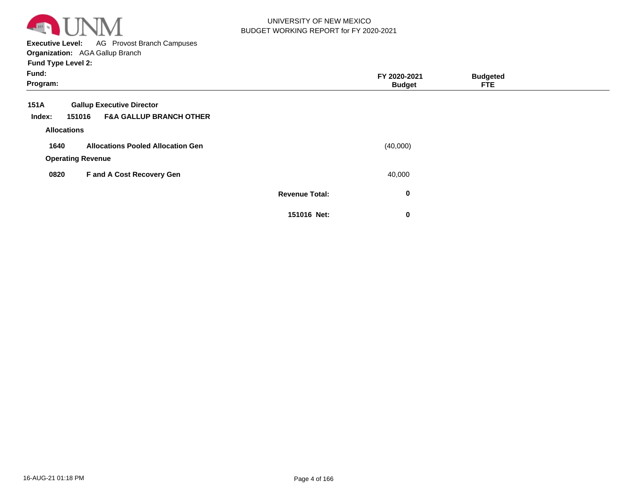

**Executive Level:** AG Provost Branch Campuses

| Fund:<br>Program:        |                                          |                       | FY 2020-2021<br><b>Budget</b> | <b>Budgeted</b><br><b>FTE</b> |  |
|--------------------------|------------------------------------------|-----------------------|-------------------------------|-------------------------------|--|
| 151A                     | <b>Gallup Executive Director</b>         |                       |                               |                               |  |
| 151016<br>Index:         | <b>F&amp;A GALLUP BRANCH OTHER</b>       |                       |                               |                               |  |
| <b>Allocations</b>       |                                          |                       |                               |                               |  |
| 1640                     | <b>Allocations Pooled Allocation Gen</b> |                       | (40,000)                      |                               |  |
| <b>Operating Revenue</b> |                                          |                       |                               |                               |  |
| 0820                     | F and A Cost Recovery Gen                |                       | 40,000                        |                               |  |
|                          |                                          | <b>Revenue Total:</b> | 0                             |                               |  |
|                          |                                          | 151016 Net:           | $\mathbf 0$                   |                               |  |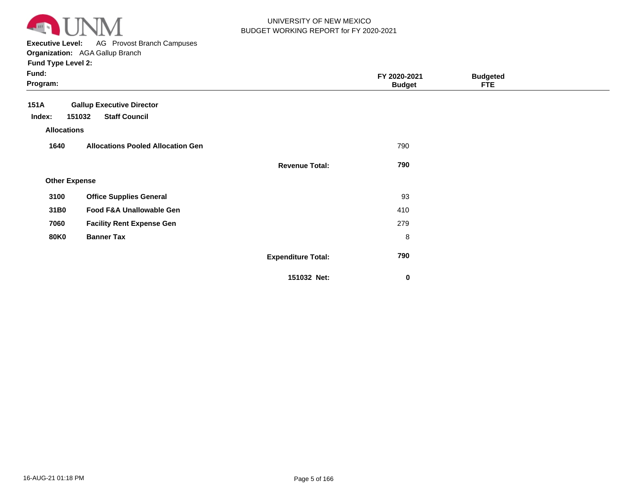

**Executive Level:** AG Provost Branch Campuses

| Fund:<br>Program:    |                                          |                           | FY 2020-2021<br><b>Budget</b> | <b>Budgeted</b><br><b>FTE</b> |  |
|----------------------|------------------------------------------|---------------------------|-------------------------------|-------------------------------|--|
| 151A                 | <b>Gallup Executive Director</b>         |                           |                               |                               |  |
| Index:               | <b>Staff Council</b><br>151032           |                           |                               |                               |  |
| <b>Allocations</b>   |                                          |                           |                               |                               |  |
| 1640                 | <b>Allocations Pooled Allocation Gen</b> |                           | 790                           |                               |  |
|                      |                                          | <b>Revenue Total:</b>     | 790                           |                               |  |
| <b>Other Expense</b> |                                          |                           |                               |                               |  |
| 3100                 | <b>Office Supplies General</b>           |                           | 93                            |                               |  |
| 31B0                 | Food F&A Unallowable Gen                 |                           | 410                           |                               |  |
| 7060                 | <b>Facility Rent Expense Gen</b>         |                           | 279                           |                               |  |
| <b>80K0</b>          | <b>Banner Tax</b>                        |                           | $\, 8$                        |                               |  |
|                      |                                          | <b>Expenditure Total:</b> | 790                           |                               |  |
|                      |                                          | 151032 Net:               | $\bf{0}$                      |                               |  |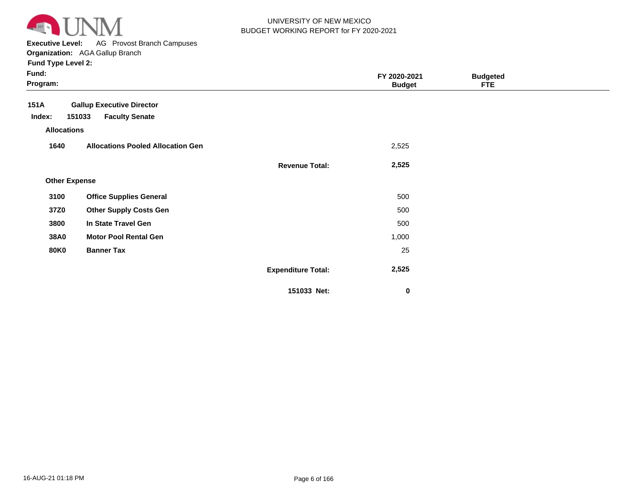

**Executive Level:** AG Provost Branch Campuses

#### **Organization:**  AGA Gallup Branch

| <b>Fund Type Level 2:</b>                       |                                          |                           |                               |                               |  |
|-------------------------------------------------|------------------------------------------|---------------------------|-------------------------------|-------------------------------|--|
| Fund:<br>Program:                               |                                          |                           | FY 2020-2021<br><b>Budget</b> | <b>Budgeted</b><br><b>FTE</b> |  |
| <b>Gallup Executive Director</b><br><b>151A</b> |                                          |                           |                               |                               |  |
| Index:<br>151033                                | <b>Faculty Senate</b>                    |                           |                               |                               |  |
| <b>Allocations</b>                              |                                          |                           |                               |                               |  |
| 1640                                            | <b>Allocations Pooled Allocation Gen</b> |                           | 2,525                         |                               |  |
|                                                 |                                          | <b>Revenue Total:</b>     | 2,525                         |                               |  |
| <b>Other Expense</b>                            |                                          |                           |                               |                               |  |
| 3100<br><b>Office Supplies General</b>          |                                          |                           | 500                           |                               |  |
| 37Z0<br><b>Other Supply Costs Gen</b>           |                                          |                           | 500                           |                               |  |
| In State Travel Gen<br>3800                     |                                          |                           | 500                           |                               |  |
| 38A0<br><b>Motor Pool Rental Gen</b>            |                                          |                           | 1,000                         |                               |  |
| <b>80K0</b><br><b>Banner Tax</b>                |                                          |                           | 25                            |                               |  |
|                                                 |                                          | <b>Expenditure Total:</b> | 2,525                         |                               |  |
|                                                 |                                          |                           |                               |                               |  |

**151033 Net:**

 **0**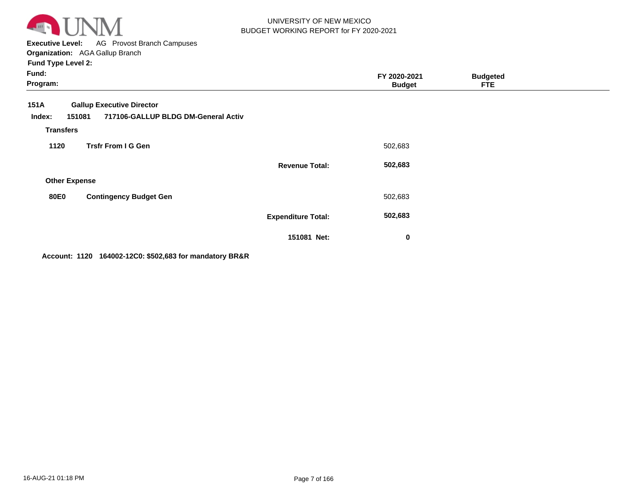

**Executive Level:** AG Provost Branch Campuses **Organization:**  AGA Gallup Branch

**Fund Type Level 2:**

| Fund:<br>Program:                                   |                                                                         |                           | FY 2020-2021<br><b>Budget</b> | <b>Budgeted</b><br><b>FTE</b> |  |
|-----------------------------------------------------|-------------------------------------------------------------------------|---------------------------|-------------------------------|-------------------------------|--|
| <b>151A</b><br>151081<br>Index:<br><b>Transfers</b> | <b>Gallup Executive Director</b><br>717106-GALLUP BLDG DM-General Activ |                           |                               |                               |  |
| 1120                                                | <b>Trsfr From I G Gen</b>                                               |                           | 502,683                       |                               |  |
|                                                     |                                                                         | <b>Revenue Total:</b>     | 502,683                       |                               |  |
| <b>Other Expense</b>                                |                                                                         |                           |                               |                               |  |
| <b>80E0</b>                                         | <b>Contingency Budget Gen</b>                                           |                           | 502,683                       |                               |  |
|                                                     |                                                                         | <b>Expenditure Total:</b> | 502,683                       |                               |  |
|                                                     |                                                                         | 151081 Net:               | $\bf{0}$                      |                               |  |

**Account: 1120 164002-12C0: \$502,683 for mandatory BR&R**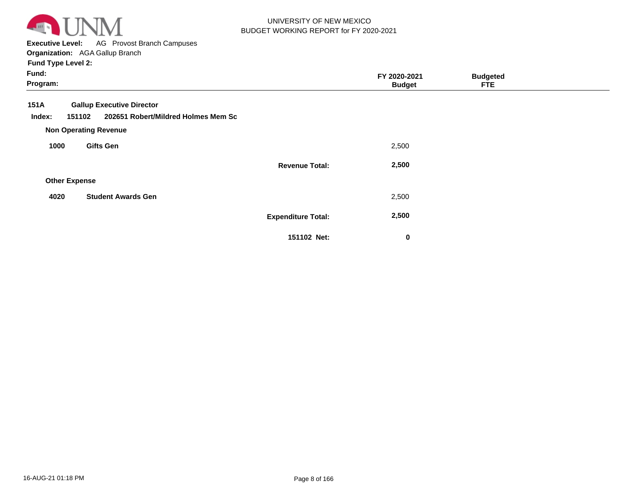

**Executive Level:** AG Provost Branch Campuses **Organization:**  AGA Gallup Branch

| Fund:<br>Program:                                                                                                                   |                           | FY 2020-2021<br><b>Budget</b> | <b>Budgeted</b><br><b>FTE</b> |  |
|-------------------------------------------------------------------------------------------------------------------------------------|---------------------------|-------------------------------|-------------------------------|--|
| 151A<br><b>Gallup Executive Director</b><br>202651 Robert/Mildred Holmes Mem Sc<br>151102<br>Index:<br><b>Non Operating Revenue</b> |                           |                               |                               |  |
| <b>Gifts Gen</b><br>1000                                                                                                            |                           | 2,500                         |                               |  |
| <b>Other Expense</b>                                                                                                                | <b>Revenue Total:</b>     | 2,500                         |                               |  |
| 4020<br><b>Student Awards Gen</b>                                                                                                   |                           | 2,500                         |                               |  |
|                                                                                                                                     | <b>Expenditure Total:</b> | 2,500                         |                               |  |
|                                                                                                                                     | 151102 Net:               | 0                             |                               |  |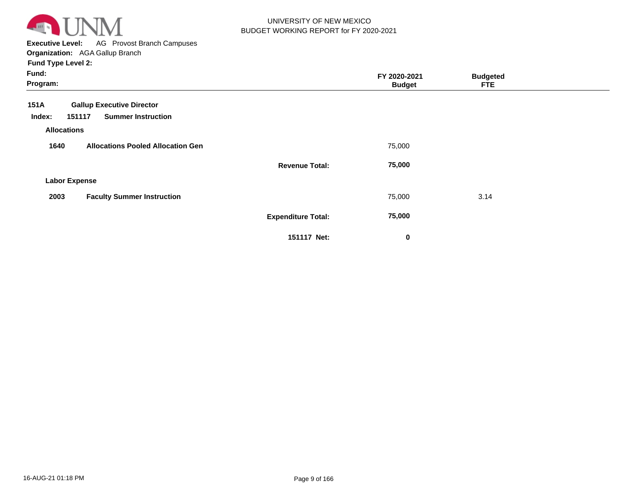

**Executive Level:** AG Provost Branch Campuses **Organization:**  AGA Gallup Branch

| Fund:<br>Program:                                |                           | FY 2020-2021<br><b>Budget</b> | <b>Budgeted</b><br><b>FTE</b> |  |
|--------------------------------------------------|---------------------------|-------------------------------|-------------------------------|--|
| 151A<br><b>Gallup Executive Director</b>         |                           |                               |                               |  |
| 151117<br><b>Summer Instruction</b><br>Index:    |                           |                               |                               |  |
| <b>Allocations</b>                               |                           |                               |                               |  |
| 1640<br><b>Allocations Pooled Allocation Gen</b> |                           | 75,000                        |                               |  |
|                                                  | <b>Revenue Total:</b>     | 75,000                        |                               |  |
| <b>Labor Expense</b>                             |                           |                               |                               |  |
| <b>Faculty Summer Instruction</b><br>2003        |                           | 75,000                        | 3.14                          |  |
|                                                  | <b>Expenditure Total:</b> | 75,000                        |                               |  |
|                                                  | 151117 Net:               | $\bf{0}$                      |                               |  |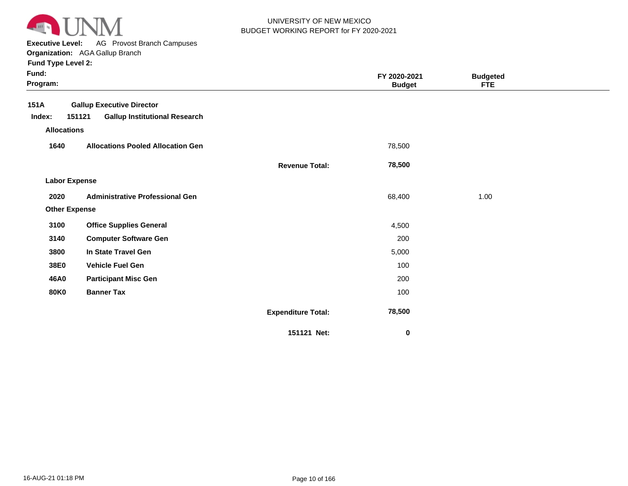

**Executive Level:** AG Provost Branch Campuses

**Organization:**  AGA Gallup Branch

| Fund:<br>Program:    |                                                |                           | FY 2020-2021<br><b>Budget</b> | <b>Budgeted</b><br><b>FTE</b> |  |
|----------------------|------------------------------------------------|---------------------------|-------------------------------|-------------------------------|--|
| 151A                 | <b>Gallup Executive Director</b>               |                           |                               |                               |  |
| Index:               | 151121<br><b>Gallup Institutional Research</b> |                           |                               |                               |  |
| <b>Allocations</b>   |                                                |                           |                               |                               |  |
| 1640                 | <b>Allocations Pooled Allocation Gen</b>       |                           | 78,500                        |                               |  |
|                      |                                                | <b>Revenue Total:</b>     | 78,500                        |                               |  |
| <b>Labor Expense</b> |                                                |                           |                               |                               |  |
| 2020                 | <b>Administrative Professional Gen</b>         |                           | 68,400                        | 1.00                          |  |
| <b>Other Expense</b> |                                                |                           |                               |                               |  |
| 3100                 | <b>Office Supplies General</b>                 |                           | 4,500                         |                               |  |
| 3140                 | <b>Computer Software Gen</b>                   |                           | 200                           |                               |  |
| 3800                 | In State Travel Gen                            |                           | 5,000                         |                               |  |
| 38E0                 | <b>Vehicle Fuel Gen</b>                        |                           | 100                           |                               |  |
| 46A0                 | <b>Participant Misc Gen</b>                    |                           | 200                           |                               |  |
| <b>80K0</b>          | <b>Banner Tax</b>                              |                           | 100                           |                               |  |
|                      |                                                | <b>Expenditure Total:</b> | 78,500                        |                               |  |
|                      |                                                | 151121 Net:               | 0                             |                               |  |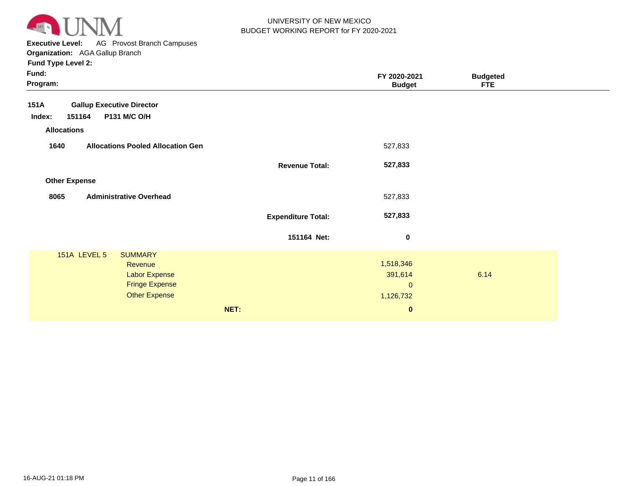

**Executive Level:** AG Provost Branch Campuses

| Fund:<br>Program:                                                                                                  |                           | FY 2020-2021<br><b>Budget</b>                                    | <b>Budgeted</b><br><b>FTE</b> |  |
|--------------------------------------------------------------------------------------------------------------------|---------------------------|------------------------------------------------------------------|-------------------------------|--|
| <b>Gallup Executive Director</b><br>151A<br>151164<br><b>P131 M/C O/H</b><br>Index:<br><b>Allocations</b>          |                           |                                                                  |                               |  |
| 1640<br><b>Allocations Pooled Allocation Gen</b>                                                                   |                           | 527,833                                                          |                               |  |
|                                                                                                                    | <b>Revenue Total:</b>     | 527,833                                                          |                               |  |
| <b>Other Expense</b>                                                                                               |                           |                                                                  |                               |  |
| 8065<br><b>Administrative Overhead</b>                                                                             |                           | 527,833                                                          |                               |  |
|                                                                                                                    | <b>Expenditure Total:</b> | 527,833                                                          |                               |  |
|                                                                                                                    | 151164 Net:               | $\bf{0}$                                                         |                               |  |
| 151A LEVEL 5<br><b>SUMMARY</b><br>Revenue<br><b>Labor Expense</b><br><b>Fringe Expense</b><br><b>Other Expense</b> | NET:                      | 1,518,346<br>391,614<br>$\mathbf{0}$<br>1,126,732<br>$\mathbf 0$ | 6.14                          |  |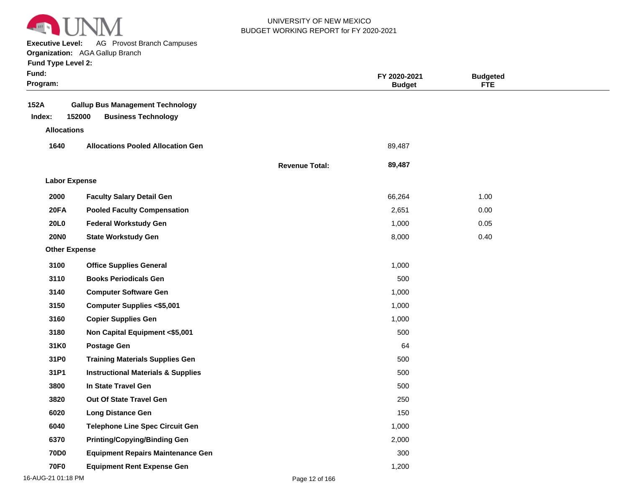

**Executive Level:** AG Provost Branch Campuses

**Organization:**  AGA Gallup Branch

| <b>Fund Type Level 2:</b> |  |
|---------------------------|--|

| Fund:<br>Program:        |                                                                       |                       | FY 2020-2021<br><b>Budget</b> | <b>Budgeted</b><br><b>FTE</b> |  |
|--------------------------|-----------------------------------------------------------------------|-----------------------|-------------------------------|-------------------------------|--|
| 152A<br>152000<br>Index: | <b>Gallup Bus Management Technology</b><br><b>Business Technology</b> |                       |                               |                               |  |
| <b>Allocations</b>       |                                                                       |                       |                               |                               |  |
| 1640                     | <b>Allocations Pooled Allocation Gen</b>                              |                       | 89,487                        |                               |  |
|                          |                                                                       | <b>Revenue Total:</b> | 89,487                        |                               |  |
| <b>Labor Expense</b>     |                                                                       |                       |                               |                               |  |
| 2000                     | <b>Faculty Salary Detail Gen</b>                                      |                       | 66,264                        | 1.00                          |  |
| 20FA                     | <b>Pooled Faculty Compensation</b>                                    |                       | 2,651                         | 0.00                          |  |
| <b>20L0</b>              | <b>Federal Workstudy Gen</b>                                          |                       | 1,000                         | 0.05                          |  |
| <b>20NO</b>              | <b>State Workstudy Gen</b>                                            |                       | 8,000                         | 0.40                          |  |
| <b>Other Expense</b>     |                                                                       |                       |                               |                               |  |
| 3100                     | <b>Office Supplies General</b>                                        |                       | 1,000                         |                               |  |
| 3110                     | <b>Books Periodicals Gen</b>                                          |                       | 500                           |                               |  |
| 3140                     | <b>Computer Software Gen</b>                                          |                       | 1,000                         |                               |  |
| 3150                     | <b>Computer Supplies &lt;\$5,001</b>                                  |                       | 1,000                         |                               |  |
| 3160                     | <b>Copier Supplies Gen</b>                                            |                       | 1,000                         |                               |  |
| 3180                     | Non Capital Equipment <\$5,001                                        |                       | 500                           |                               |  |
| 31K0                     | <b>Postage Gen</b>                                                    |                       | 64                            |                               |  |
| 31P0                     | <b>Training Materials Supplies Gen</b>                                |                       | 500                           |                               |  |
| 31P1                     | <b>Instructional Materials &amp; Supplies</b>                         |                       | 500                           |                               |  |
| 3800                     | In State Travel Gen                                                   |                       | 500                           |                               |  |
| 3820                     | Out Of State Travel Gen                                               |                       | 250                           |                               |  |
| 6020                     | <b>Long Distance Gen</b>                                              |                       | 150                           |                               |  |
| 6040                     | <b>Telephone Line Spec Circuit Gen</b>                                |                       | 1,000                         |                               |  |
| 6370                     | <b>Printing/Copying/Binding Gen</b>                                   |                       | 2,000                         |                               |  |
| <b>70D0</b>              | <b>Equipment Repairs Maintenance Gen</b>                              |                       | 300                           |                               |  |
| <b>70F0</b>              | <b>Equipment Rent Expense Gen</b>                                     |                       | 1,200                         |                               |  |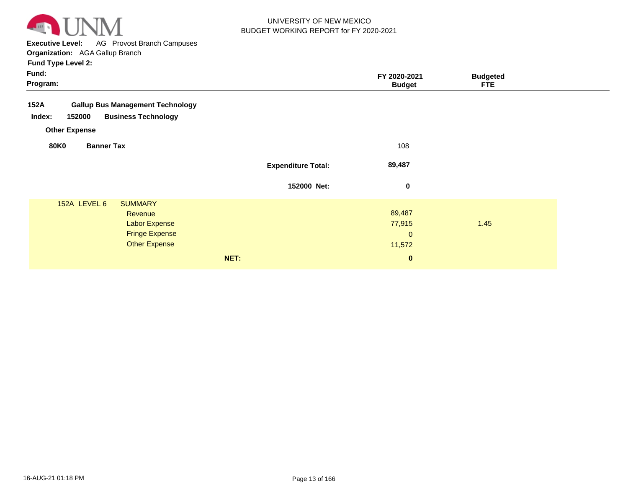

**Executive Level:** AG Provost Branch Campuses

| Fund:<br>Program:                                |                                                                                                    |                           | FY 2020-2021<br><b>Budget</b>             | <b>Budgeted</b><br><b>FTE</b> |
|--------------------------------------------------|----------------------------------------------------------------------------------------------------|---------------------------|-------------------------------------------|-------------------------------|
| 152A<br>152000<br>Index:<br><b>Other Expense</b> | <b>Gallup Bus Management Technology</b><br><b>Business Technology</b>                              |                           |                                           |                               |
| <b>80K0</b><br><b>Banner Tax</b>                 |                                                                                                    |                           | 108                                       |                               |
|                                                  |                                                                                                    | <b>Expenditure Total:</b> | 89,487                                    |                               |
|                                                  |                                                                                                    | 152000 Net:               | $\mathbf 0$                               |                               |
| 152A LEVEL 6                                     | <b>SUMMARY</b><br>Revenue<br><b>Labor Expense</b><br><b>Fringe Expense</b><br><b>Other Expense</b> |                           | 89,487<br>77,915<br>$\mathbf 0$<br>11,572 | 1.45                          |
|                                                  | NET:                                                                                               |                           | $\mathbf 0$                               |                               |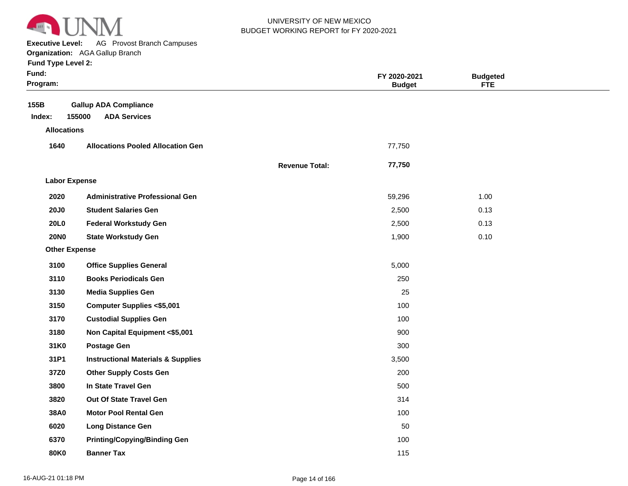

**Executive Level:** AG Provost Branch Campuses

#### **Organization:**  AGA Gallup Branch

| <b>Fund Type Level 2:</b> |  |
|---------------------------|--|
|---------------------------|--|

| Fund:<br>Program:    |                                                               |                       | FY 2020-2021<br><b>Budget</b> | <b>Budgeted</b><br><b>FTE</b> |  |
|----------------------|---------------------------------------------------------------|-----------------------|-------------------------------|-------------------------------|--|
| 155B<br>Index:       | <b>Gallup ADA Compliance</b><br><b>ADA Services</b><br>155000 |                       |                               |                               |  |
| <b>Allocations</b>   |                                                               |                       |                               |                               |  |
| 1640                 | <b>Allocations Pooled Allocation Gen</b>                      |                       | 77,750                        |                               |  |
|                      |                                                               | <b>Revenue Total:</b> | 77,750                        |                               |  |
| <b>Labor Expense</b> |                                                               |                       |                               |                               |  |
| 2020                 | <b>Administrative Professional Gen</b>                        |                       | 59,296                        | 1.00                          |  |
| <b>20J0</b>          | <b>Student Salaries Gen</b>                                   |                       | 2,500                         | 0.13                          |  |
| <b>20L0</b>          | <b>Federal Workstudy Gen</b>                                  |                       | 2,500                         | 0.13                          |  |
| <b>20NO</b>          | <b>State Workstudy Gen</b>                                    |                       | 1,900                         | 0.10                          |  |
| <b>Other Expense</b> |                                                               |                       |                               |                               |  |
| 3100                 | <b>Office Supplies General</b>                                |                       | 5,000                         |                               |  |
| 3110                 | <b>Books Periodicals Gen</b>                                  |                       | 250                           |                               |  |
| 3130                 | <b>Media Supplies Gen</b>                                     |                       | 25                            |                               |  |
| 3150                 | <b>Computer Supplies &lt;\$5,001</b>                          |                       | 100                           |                               |  |
| 3170                 | <b>Custodial Supplies Gen</b>                                 |                       | 100                           |                               |  |
| 3180                 | Non Capital Equipment <\$5,001                                |                       | 900                           |                               |  |
| 31K0                 | <b>Postage Gen</b>                                            |                       | 300                           |                               |  |
| 31P1                 | <b>Instructional Materials &amp; Supplies</b>                 |                       | 3,500                         |                               |  |
| 37Z0                 | <b>Other Supply Costs Gen</b>                                 |                       | 200                           |                               |  |
| 3800                 | In State Travel Gen                                           |                       | 500                           |                               |  |
| 3820                 | Out Of State Travel Gen                                       |                       | 314                           |                               |  |
| 38A0                 | <b>Motor Pool Rental Gen</b>                                  |                       | 100                           |                               |  |
| 6020                 | <b>Long Distance Gen</b>                                      |                       | 50                            |                               |  |
| 6370                 | <b>Printing/Copying/Binding Gen</b>                           |                       | 100                           |                               |  |

**80K0 Banner Tax** 115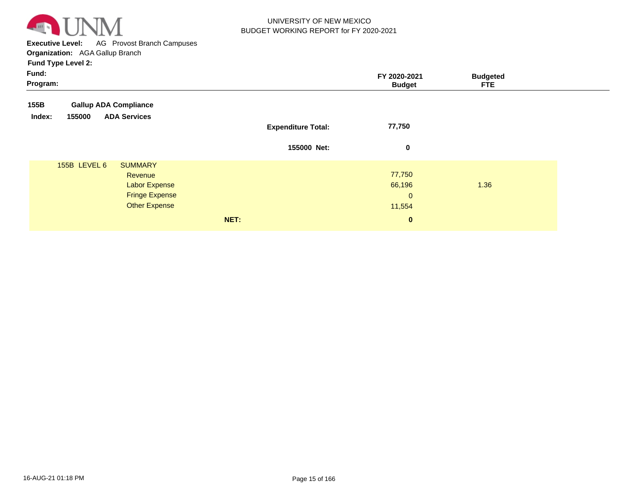

**Executive Level:** AG Provost Branch Campuses **Organization:**  AGA Gallup Branch

| Fund:<br>Program: |                              |                                        |      |                           | FY 2020-2021<br><b>Budget</b> | <b>Budgeted</b><br><b>FTE</b> |
|-------------------|------------------------------|----------------------------------------|------|---------------------------|-------------------------------|-------------------------------|
| 155B              | <b>Gallup ADA Compliance</b> |                                        |      |                           |                               |                               |
| Index:            | 155000                       | <b>ADA Services</b>                    |      | <b>Expenditure Total:</b> | 77,750                        |                               |
|                   |                              |                                        |      | 155000 Net:               | 0                             |                               |
|                   | <b>155B LEVEL 6</b>          | <b>SUMMARY</b><br>Revenue              |      |                           | 77,750                        |                               |
|                   |                              | <b>Labor Expense</b>                   |      |                           | 66,196                        | 1.36                          |
|                   |                              | <b>Fringe Expense</b><br>Other Expense |      |                           | $\mathbf{0}$<br>11,554        |                               |
|                   |                              |                                        | NET: |                           | $\mathbf{0}$                  |                               |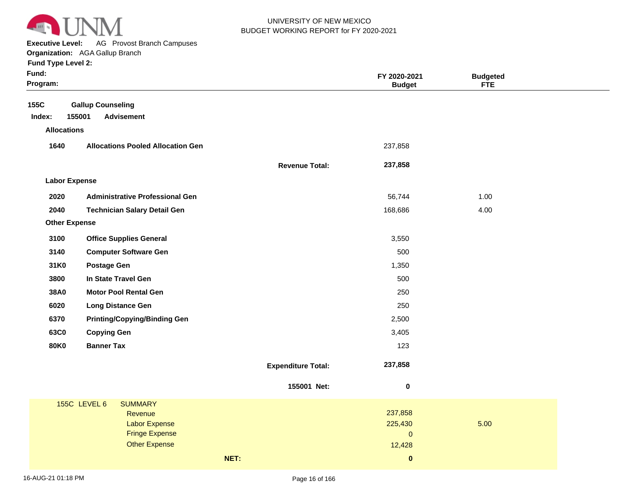

**Executive Level:** AG Provost Branch Campuses

**Organization:**  AGA Gallup Branch

|  | <b>Fund Type Level 2:</b> |  |
|--|---------------------------|--|
|  |                           |  |

| 155C<br><b>Gallup Counseling</b><br>155001<br><b>Advisement</b><br>Index:<br><b>Allocations</b><br>1640<br><b>Allocations Pooled Allocation Gen</b><br>237,858<br>237,858<br><b>Revenue Total:</b><br><b>Labor Expense</b><br>2020<br><b>Administrative Professional Gen</b><br>56,744<br>1.00<br>2040<br><b>Technician Salary Detail Gen</b><br>168,686<br>4.00 |  |
|------------------------------------------------------------------------------------------------------------------------------------------------------------------------------------------------------------------------------------------------------------------------------------------------------------------------------------------------------------------|--|
|                                                                                                                                                                                                                                                                                                                                                                  |  |
|                                                                                                                                                                                                                                                                                                                                                                  |  |
|                                                                                                                                                                                                                                                                                                                                                                  |  |
|                                                                                                                                                                                                                                                                                                                                                                  |  |
|                                                                                                                                                                                                                                                                                                                                                                  |  |
|                                                                                                                                                                                                                                                                                                                                                                  |  |
|                                                                                                                                                                                                                                                                                                                                                                  |  |
|                                                                                                                                                                                                                                                                                                                                                                  |  |
| <b>Other Expense</b>                                                                                                                                                                                                                                                                                                                                             |  |
| 3100<br><b>Office Supplies General</b><br>3,550                                                                                                                                                                                                                                                                                                                  |  |
| 3140<br><b>Computer Software Gen</b><br>500                                                                                                                                                                                                                                                                                                                      |  |
| 31K0<br><b>Postage Gen</b><br>1,350                                                                                                                                                                                                                                                                                                                              |  |
| 3800<br>In State Travel Gen<br>500                                                                                                                                                                                                                                                                                                                               |  |
| 38A0<br><b>Motor Pool Rental Gen</b><br>250                                                                                                                                                                                                                                                                                                                      |  |
| 6020<br>250<br><b>Long Distance Gen</b>                                                                                                                                                                                                                                                                                                                          |  |
| 6370<br><b>Printing/Copying/Binding Gen</b><br>2,500                                                                                                                                                                                                                                                                                                             |  |
| 63C0<br><b>Copying Gen</b><br>3,405                                                                                                                                                                                                                                                                                                                              |  |
| <b>80K0</b><br><b>Banner Tax</b><br>123                                                                                                                                                                                                                                                                                                                          |  |
| 237,858<br><b>Expenditure Total:</b>                                                                                                                                                                                                                                                                                                                             |  |
| 155001 Net:<br>$\pmb{0}$                                                                                                                                                                                                                                                                                                                                         |  |
| <b>155C LEVEL 6</b><br><b>SUMMARY</b>                                                                                                                                                                                                                                                                                                                            |  |
| 237,858<br>Revenue                                                                                                                                                                                                                                                                                                                                               |  |
| 225,430<br>5.00<br><b>Labor Expense</b><br><b>Fringe Expense</b><br>$\mathbf 0$                                                                                                                                                                                                                                                                                  |  |
| <b>Other Expense</b><br>12,428                                                                                                                                                                                                                                                                                                                                   |  |
| NET:<br>$\pmb{0}$                                                                                                                                                                                                                                                                                                                                                |  |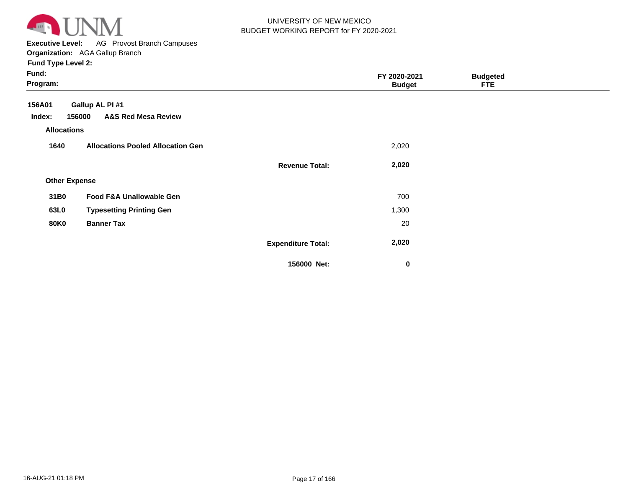

**Executive Level:** AG Provost Branch Campuses **Organization:**  AGA Gallup Branch

| Fund:<br>Program:    |                                          |                           | FY 2020-2021<br><b>Budget</b> | <b>Budgeted</b><br><b>FTE</b> |  |
|----------------------|------------------------------------------|---------------------------|-------------------------------|-------------------------------|--|
| 156A01               | Gallup AL PI #1                          |                           |                               |                               |  |
| Index:               | <b>A&amp;S Red Mesa Review</b><br>156000 |                           |                               |                               |  |
| <b>Allocations</b>   |                                          |                           |                               |                               |  |
| 1640                 | <b>Allocations Pooled Allocation Gen</b> |                           | 2,020                         |                               |  |
|                      |                                          | <b>Revenue Total:</b>     | 2,020                         |                               |  |
| <b>Other Expense</b> |                                          |                           |                               |                               |  |
| 31B0                 | Food F&A Unallowable Gen                 |                           | 700                           |                               |  |
| 63L0                 | <b>Typesetting Printing Gen</b>          |                           | 1,300                         |                               |  |
| <b>80K0</b>          | <b>Banner Tax</b>                        |                           | 20                            |                               |  |
|                      |                                          | <b>Expenditure Total:</b> | 2,020                         |                               |  |
|                      |                                          | 156000 Net:               | $\mathbf 0$                   |                               |  |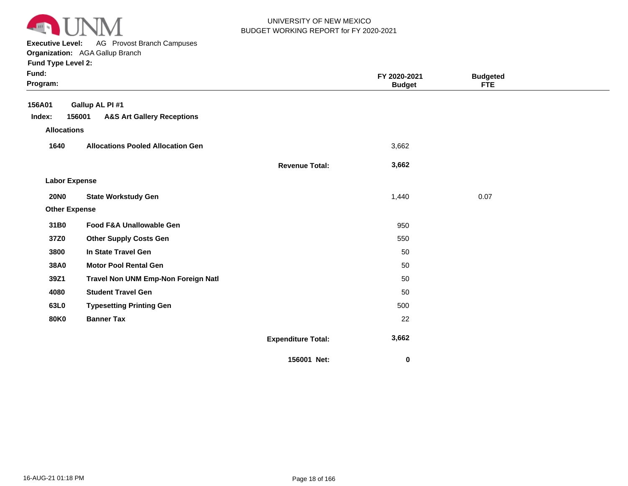

**Executive Level:** AG Provost Branch Campuses

**Organization:**  AGA Gallup Branch

| Fund:<br>Program:    |                                                 |                           | FY 2020-2021<br><b>Budget</b> | <b>Budgeted</b><br>FTE |  |
|----------------------|-------------------------------------------------|---------------------------|-------------------------------|------------------------|--|
| 156A01               | Gallup AL PI #1                                 |                           |                               |                        |  |
| Index:               | <b>A&amp;S Art Gallery Receptions</b><br>156001 |                           |                               |                        |  |
| <b>Allocations</b>   |                                                 |                           |                               |                        |  |
| 1640                 | <b>Allocations Pooled Allocation Gen</b>        |                           | 3,662                         |                        |  |
|                      |                                                 | <b>Revenue Total:</b>     | 3,662                         |                        |  |
| <b>Labor Expense</b> |                                                 |                           |                               |                        |  |
| <b>20NO</b>          | <b>State Workstudy Gen</b>                      |                           | 1,440                         | 0.07                   |  |
| <b>Other Expense</b> |                                                 |                           |                               |                        |  |
| 31B0                 | Food F&A Unallowable Gen                        |                           | 950                           |                        |  |
| 37Z0                 | <b>Other Supply Costs Gen</b>                   |                           | 550                           |                        |  |
| 3800                 | In State Travel Gen                             |                           | 50                            |                        |  |
| 38A0                 | <b>Motor Pool Rental Gen</b>                    |                           | 50                            |                        |  |
| 39Z1                 | Travel Non UNM Emp-Non Foreign Natl             |                           | 50                            |                        |  |
| 4080                 | <b>Student Travel Gen</b>                       |                           | 50                            |                        |  |
| 63L0                 | <b>Typesetting Printing Gen</b>                 |                           | 500                           |                        |  |
| <b>80K0</b>          | <b>Banner Tax</b>                               |                           | 22                            |                        |  |
|                      |                                                 | <b>Expenditure Total:</b> | 3,662                         |                        |  |
|                      |                                                 | 156001 Net:               | $\pmb{0}$                     |                        |  |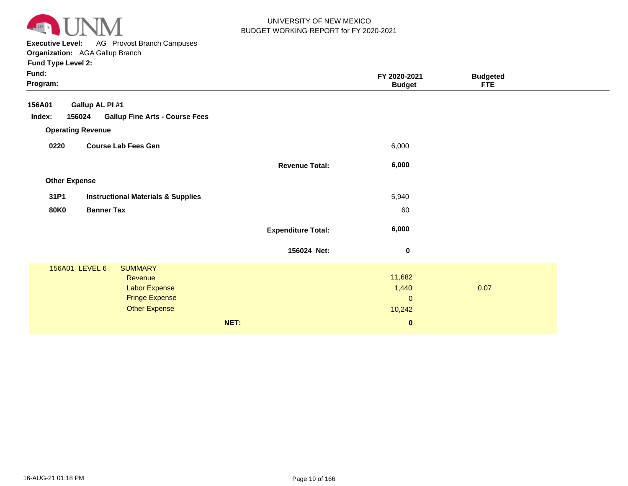

**Executive Level:** AG Provost Branch Campuses **Organization:**  AGA Gallup Branch

| Fund:<br>Program:    |                                                 |                           | FY 2020-2021<br><b>Budget</b> | <b>Budgeted</b><br><b>FTE</b> |  |
|----------------------|-------------------------------------------------|---------------------------|-------------------------------|-------------------------------|--|
| 156A01               | Gallup AL PI #1                                 |                           |                               |                               |  |
| Index:               | 156024<br><b>Gallup Fine Arts - Course Fees</b> |                           |                               |                               |  |
|                      | <b>Operating Revenue</b>                        |                           |                               |                               |  |
| 0220                 | <b>Course Lab Fees Gen</b>                      |                           | 6,000                         |                               |  |
|                      |                                                 | <b>Revenue Total:</b>     | 6,000                         |                               |  |
| <b>Other Expense</b> |                                                 |                           |                               |                               |  |
| 31P1                 | <b>Instructional Materials &amp; Supplies</b>   |                           | 5,940                         |                               |  |
| <b>80K0</b>          | <b>Banner Tax</b>                               |                           | 60                            |                               |  |
|                      |                                                 | <b>Expenditure Total:</b> | 6,000                         |                               |  |
|                      |                                                 | 156024 Net:               | $\boldsymbol{0}$              |                               |  |
|                      | 156A01 LEVEL 6<br><b>SUMMARY</b>                |                           |                               |                               |  |
|                      | Revenue                                         |                           | 11,682                        |                               |  |
|                      | <b>Labor Expense</b><br><b>Fringe Expense</b>   |                           | 1,440<br>$\mathbf{0}$         | 0.07                          |  |
|                      | <b>Other Expense</b>                            |                           | 10,242                        |                               |  |
|                      |                                                 |                           |                               |                               |  |
|                      |                                                 | NET:                      | $\bf{0}$                      |                               |  |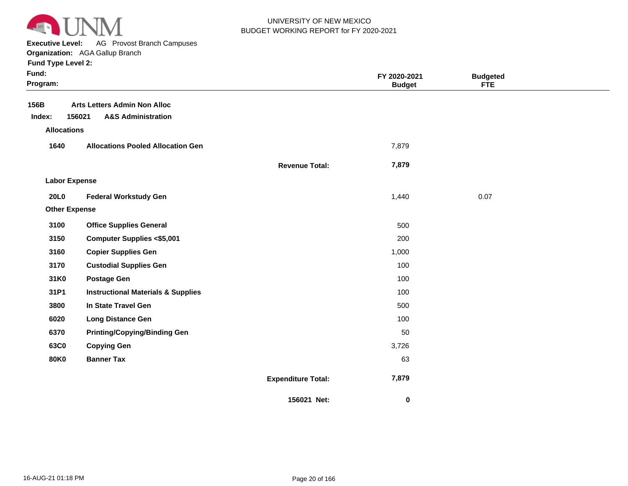

**Executive Level:** AG Provost Branch Campuses

**Organization:**  AGA Gallup Branch

| Fund:<br>Program:    |                                                                                |                           | FY 2020-2021<br><b>Budget</b> | <b>Budgeted</b><br><b>FTE</b> |  |
|----------------------|--------------------------------------------------------------------------------|---------------------------|-------------------------------|-------------------------------|--|
| 156B<br>Index:       | <b>Arts Letters Admin Non Alloc</b><br>156021<br><b>A&amp;S Administration</b> |                           |                               |                               |  |
| <b>Allocations</b>   |                                                                                |                           |                               |                               |  |
| 1640                 | <b>Allocations Pooled Allocation Gen</b>                                       |                           | 7,879                         |                               |  |
|                      |                                                                                | <b>Revenue Total:</b>     | 7,879                         |                               |  |
| <b>Labor Expense</b> |                                                                                |                           |                               |                               |  |
| <b>20L0</b>          | <b>Federal Workstudy Gen</b>                                                   |                           | 1,440                         | 0.07                          |  |
| <b>Other Expense</b> |                                                                                |                           |                               |                               |  |
| 3100                 | <b>Office Supplies General</b>                                                 |                           | 500                           |                               |  |
| 3150                 | <b>Computer Supplies &lt;\$5,001</b>                                           |                           | 200                           |                               |  |
| 3160                 | <b>Copier Supplies Gen</b>                                                     |                           | 1,000                         |                               |  |
| 3170                 | <b>Custodial Supplies Gen</b>                                                  |                           | 100                           |                               |  |
| 31K0                 | <b>Postage Gen</b>                                                             |                           | 100                           |                               |  |
| 31P1                 | <b>Instructional Materials &amp; Supplies</b>                                  |                           | 100                           |                               |  |
| 3800                 | In State Travel Gen                                                            |                           | 500                           |                               |  |
| 6020                 | <b>Long Distance Gen</b>                                                       |                           | 100                           |                               |  |
| 6370                 | <b>Printing/Copying/Binding Gen</b>                                            |                           | 50                            |                               |  |
| 63C0                 | <b>Copying Gen</b>                                                             |                           | 3,726                         |                               |  |
| <b>80K0</b>          | <b>Banner Tax</b>                                                              |                           | 63                            |                               |  |
|                      |                                                                                | <b>Expenditure Total:</b> | 7,879                         |                               |  |
|                      |                                                                                | 156021 Net:               | 0                             |                               |  |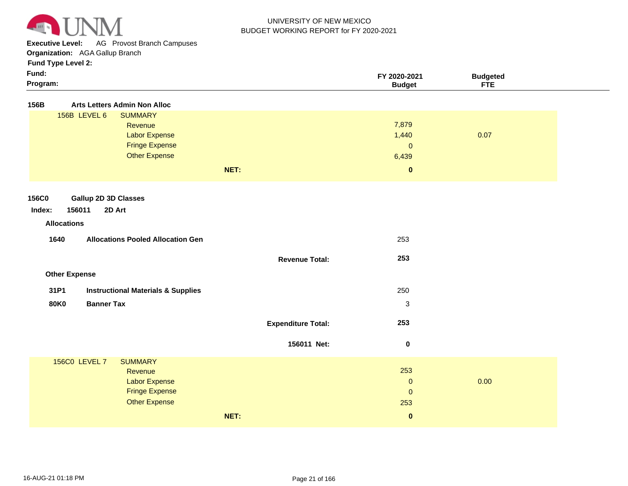

**Executive Level:** AG Provost Branch Campuses

**Organization:**  AGA Gallup Branch

| × | × |  |
|---|---|--|
|   |   |  |

| Fund:<br>Program:                                     |                           | FY 2020-2021<br><b>Budget</b> | <b>Budgeted</b><br><b>FTE</b> |
|-------------------------------------------------------|---------------------------|-------------------------------|-------------------------------|
| 156B<br><b>Arts Letters Admin Non Alloc</b>           |                           |                               |                               |
| 156B LEVEL 6<br><b>SUMMARY</b>                        |                           |                               |                               |
| Revenue                                               |                           | 7,879                         |                               |
| <b>Labor Expense</b>                                  |                           | 1,440                         | 0.07                          |
| <b>Fringe Expense</b>                                 |                           | $\pmb{0}$                     |                               |
| <b>Other Expense</b>                                  |                           | 6,439                         |                               |
|                                                       | NET:                      | $\pmb{0}$                     |                               |
|                                                       |                           |                               |                               |
| <b>Gallup 2D 3D Classes</b><br>156C0                  |                           |                               |                               |
| 156011<br>2D Art<br>Index:                            |                           |                               |                               |
| <b>Allocations</b>                                    |                           |                               |                               |
|                                                       |                           |                               |                               |
| 1640<br><b>Allocations Pooled Allocation Gen</b>      |                           | 253                           |                               |
|                                                       | <b>Revenue Total:</b>     | 253                           |                               |
|                                                       |                           |                               |                               |
| <b>Other Expense</b>                                  |                           |                               |                               |
| 31P1<br><b>Instructional Materials &amp; Supplies</b> |                           | 250                           |                               |
| <b>Banner Tax</b><br><b>80K0</b>                      |                           | $\ensuremath{\mathsf{3}}$     |                               |
|                                                       |                           |                               |                               |
|                                                       | <b>Expenditure Total:</b> | 253                           |                               |
|                                                       |                           |                               |                               |
|                                                       | 156011 Net:               | $\bf{0}$                      |                               |
| <b>156C0 LEVEL 7</b><br><b>SUMMARY</b>                |                           |                               |                               |
| Revenue                                               |                           | 253                           |                               |
| <b>Labor Expense</b>                                  |                           | $\pmb{0}$                     | 0.00                          |
| <b>Fringe Expense</b>                                 |                           | $\pmb{0}$                     |                               |
| <b>Other Expense</b>                                  |                           | 253                           |                               |
|                                                       | NET:                      | $\mathbf{0}$                  |                               |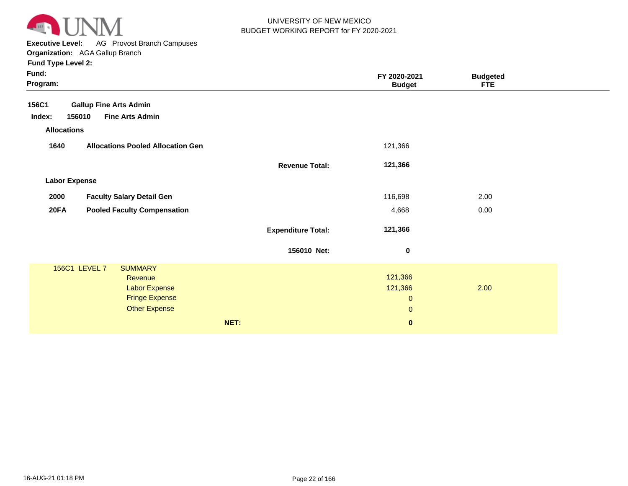

**Executive Level:** AG Provost Branch Campuses

**Organization:**  AGA Gallup Branch

| Fund:<br>Program:    |                                               |                           | FY 2020-2021<br><b>Budget</b> | <b>Budgeted</b><br><b>FTE</b> |  |
|----------------------|-----------------------------------------------|---------------------------|-------------------------------|-------------------------------|--|
| 156C1                | <b>Gallup Fine Arts Admin</b>                 |                           |                               |                               |  |
| Index:               | <b>Fine Arts Admin</b><br>156010              |                           |                               |                               |  |
| <b>Allocations</b>   |                                               |                           |                               |                               |  |
| 1640                 | <b>Allocations Pooled Allocation Gen</b>      |                           | 121,366                       |                               |  |
|                      |                                               | <b>Revenue Total:</b>     | 121,366                       |                               |  |
| <b>Labor Expense</b> |                                               |                           |                               |                               |  |
| 2000                 | <b>Faculty Salary Detail Gen</b>              |                           | 116,698                       | 2.00                          |  |
| <b>20FA</b>          | <b>Pooled Faculty Compensation</b>            |                           | 4,668                         | 0.00                          |  |
|                      |                                               | <b>Expenditure Total:</b> | 121,366                       |                               |  |
|                      |                                               | 156010 Net:               | 0                             |                               |  |
|                      | 156C1 LEVEL 7<br><b>SUMMARY</b>               |                           |                               |                               |  |
|                      | Revenue                                       |                           | 121,366                       |                               |  |
|                      | <b>Labor Expense</b><br><b>Fringe Expense</b> |                           | 121,366<br>$\pmb{0}$          | 2.00                          |  |
|                      | <b>Other Expense</b>                          |                           | $\pmb{0}$                     |                               |  |
|                      |                                               |                           |                               |                               |  |
|                      |                                               | NET:                      | $\mathbf{0}$                  |                               |  |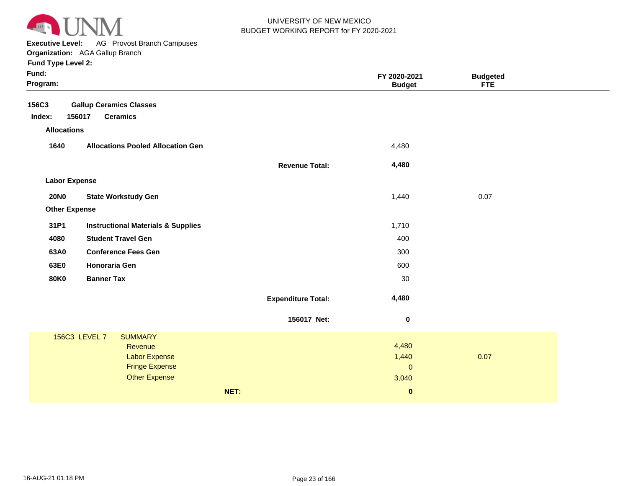

**Executive Level:** AG Provost Branch Campuses

|  | runu i ype Levei Z: |  |
|--|---------------------|--|
|  |                     |  |

| Fund:<br>Program:                     |                                                                                                                     |                           | FY 2020-2021<br><b>Budget</b>        | <b>Budgeted</b><br><b>FTE</b> |  |
|---------------------------------------|---------------------------------------------------------------------------------------------------------------------|---------------------------|--------------------------------------|-------------------------------|--|
| 156C3<br>Index:<br><b>Allocations</b> | <b>Gallup Ceramics Classes</b><br>156017<br><b>Ceramics</b>                                                         |                           |                                      |                               |  |
| 1640                                  | <b>Allocations Pooled Allocation Gen</b>                                                                            |                           | 4,480                                |                               |  |
|                                       |                                                                                                                     |                           |                                      |                               |  |
|                                       |                                                                                                                     | <b>Revenue Total:</b>     | 4,480                                |                               |  |
| <b>Labor Expense</b>                  |                                                                                                                     |                           |                                      |                               |  |
| <b>20NO</b>                           | <b>State Workstudy Gen</b>                                                                                          |                           | 1,440                                | 0.07                          |  |
| <b>Other Expense</b>                  |                                                                                                                     |                           |                                      |                               |  |
| 31P1                                  | <b>Instructional Materials &amp; Supplies</b>                                                                       |                           | 1,710                                |                               |  |
| 4080                                  | <b>Student Travel Gen</b>                                                                                           |                           | 400                                  |                               |  |
| 63A0                                  | <b>Conference Fees Gen</b>                                                                                          |                           | 300                                  |                               |  |
| 63E0                                  | Honoraria Gen                                                                                                       |                           | 600                                  |                               |  |
| <b>80K0</b>                           | <b>Banner Tax</b>                                                                                                   |                           | 30                                   |                               |  |
|                                       |                                                                                                                     | <b>Expenditure Total:</b> | 4,480                                |                               |  |
|                                       |                                                                                                                     | 156017 Net:               | 0                                    |                               |  |
|                                       | <b>SUMMARY</b><br>156C3 LEVEL 7<br>Revenue<br><b>Labor Expense</b><br><b>Fringe Expense</b><br><b>Other Expense</b> |                           | 4,480<br>1,440<br>$\pmb{0}$<br>3,040 | 0.07                          |  |
|                                       | NET:                                                                                                                |                           | $\mathbf 0$                          |                               |  |
|                                       |                                                                                                                     |                           |                                      |                               |  |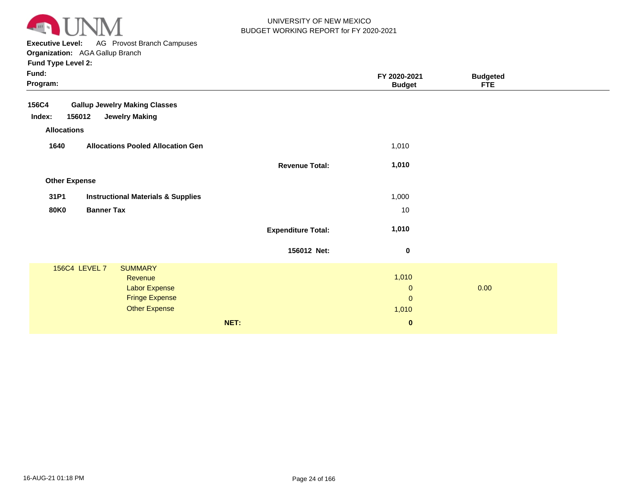

**Executive Level:** AG Provost Branch Campuses **Organization:**  AGA Gallup Branch

| Fund:<br>Program:                                     |                           | FY 2020-2021<br><b>Budget</b> | <b>Budgeted</b><br><b>FTE</b> |  |
|-------------------------------------------------------|---------------------------|-------------------------------|-------------------------------|--|
| <b>156C4</b><br><b>Gallup Jewelry Making Classes</b>  |                           |                               |                               |  |
| Index:<br>156012<br><b>Jewelry Making</b>             |                           |                               |                               |  |
| <b>Allocations</b>                                    |                           |                               |                               |  |
| 1640<br><b>Allocations Pooled Allocation Gen</b>      |                           | 1,010                         |                               |  |
|                                                       | <b>Revenue Total:</b>     | 1,010                         |                               |  |
| <b>Other Expense</b>                                  |                           |                               |                               |  |
| 31P1<br><b>Instructional Materials &amp; Supplies</b> |                           | 1,000                         |                               |  |
| <b>80K0</b><br><b>Banner Tax</b>                      |                           | 10                            |                               |  |
|                                                       | <b>Expenditure Total:</b> | 1,010                         |                               |  |
|                                                       | 156012 Net:               | $\bf{0}$                      |                               |  |
| 156C4 LEVEL 7<br><b>SUMMARY</b>                       |                           |                               |                               |  |
| Revenue                                               |                           | 1,010                         |                               |  |
| <b>Labor Expense</b>                                  |                           | $\mathbf 0$                   | 0.00                          |  |
| <b>Fringe Expense</b>                                 |                           | $\mathbf{0}$                  |                               |  |
| <b>Other Expense</b>                                  |                           | 1,010                         |                               |  |
|                                                       | NET:                      | $\bf{0}$                      |                               |  |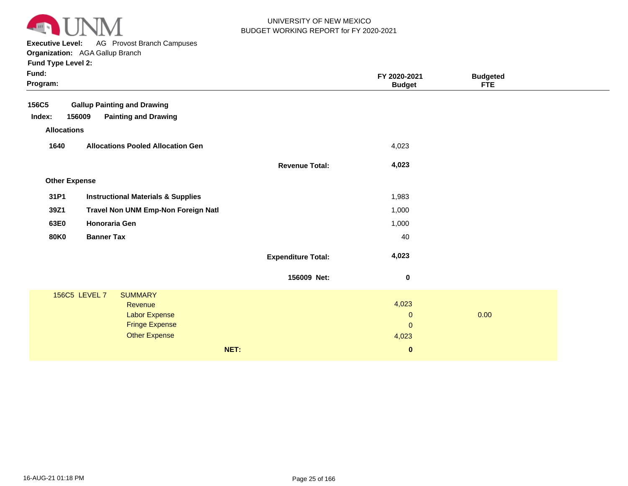

**Executive Level:** AG Provost Branch Campuses

| Fund:<br>Program:    |                                               |                           | FY 2020-2021<br><b>Budget</b> | <b>Budgeted</b><br><b>FTE</b> |
|----------------------|-----------------------------------------------|---------------------------|-------------------------------|-------------------------------|
| 156C5                | <b>Gallup Painting and Drawing</b>            |                           |                               |                               |
| Index:<br>156009     | <b>Painting and Drawing</b>                   |                           |                               |                               |
| <b>Allocations</b>   |                                               |                           |                               |                               |
| 1640                 | <b>Allocations Pooled Allocation Gen</b>      |                           | 4,023                         |                               |
|                      |                                               | <b>Revenue Total:</b>     | 4,023                         |                               |
| <b>Other Expense</b> |                                               |                           |                               |                               |
| 31P1                 | <b>Instructional Materials &amp; Supplies</b> |                           | 1,983                         |                               |
|                      |                                               |                           |                               |                               |
| 39Z1                 | Travel Non UNM Emp-Non Foreign Natl           |                           | 1,000                         |                               |
| 63E0                 | <b>Honoraria Gen</b>                          |                           | 1,000                         |                               |
| <b>80K0</b>          | <b>Banner Tax</b>                             |                           | 40                            |                               |
|                      |                                               | <b>Expenditure Total:</b> | 4,023                         |                               |
|                      |                                               | 156009 Net:               | $\bf{0}$                      |                               |
| 156C5 LEVEL 7        | <b>SUMMARY</b>                                |                           |                               |                               |
|                      | Revenue                                       |                           | 4,023                         |                               |
|                      | Labor Expense                                 |                           | $\mathbf{0}$                  | 0.00                          |
|                      | <b>Fringe Expense</b>                         |                           | $\mathbf{0}$                  |                               |
|                      | <b>Other Expense</b>                          |                           | 4,023                         |                               |
|                      |                                               | NET:                      | $\bf{0}$                      |                               |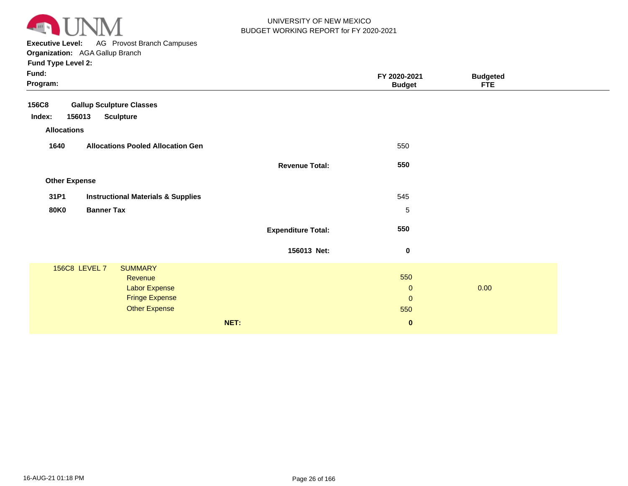

**Executive Level:** AG Provost Branch Campuses **Organization:**  AGA Gallup Branch

| Fund:<br>Program:    |                                               |                           | FY 2020-2021<br><b>Budget</b> | <b>Budgeted</b><br><b>FTE</b> |  |
|----------------------|-----------------------------------------------|---------------------------|-------------------------------|-------------------------------|--|
| <b>156C8</b>         | <b>Gallup Sculpture Classes</b>               |                           |                               |                               |  |
| 156013<br>Index:     | <b>Sculpture</b>                              |                           |                               |                               |  |
| <b>Allocations</b>   |                                               |                           |                               |                               |  |
| 1640                 | <b>Allocations Pooled Allocation Gen</b>      |                           | 550                           |                               |  |
|                      |                                               | <b>Revenue Total:</b>     | 550                           |                               |  |
| <b>Other Expense</b> |                                               |                           |                               |                               |  |
| 31P1                 | <b>Instructional Materials &amp; Supplies</b> |                           | 545                           |                               |  |
| <b>80K0</b>          | <b>Banner Tax</b>                             |                           | $\sqrt{5}$                    |                               |  |
|                      |                                               | <b>Expenditure Total:</b> | 550                           |                               |  |
|                      |                                               | 156013 Net:               | $\bf{0}$                      |                               |  |
| 156C8 LEVEL 7        | <b>SUMMARY</b>                                |                           |                               |                               |  |
|                      | Revenue                                       |                           | 550                           |                               |  |
|                      | <b>Labor Expense</b>                          |                           | $\mathbf{0}$                  | 0.00                          |  |
|                      | <b>Fringe Expense</b>                         |                           | $\mathbf{0}$                  |                               |  |
|                      | <b>Other Expense</b>                          |                           | 550                           |                               |  |
|                      |                                               | NET:                      | $\bf{0}$                      |                               |  |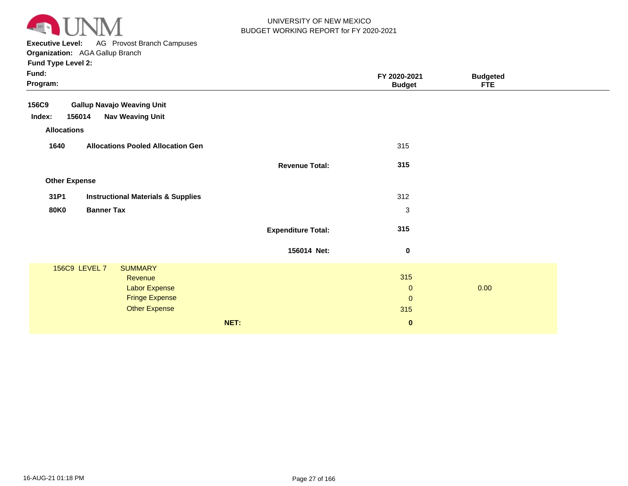

**Executive Level:** AG Provost Branch Campuses

| Fund:<br>Program:    |                                               |                           | FY 2020-2021<br><b>Budget</b> | <b>Budgeted</b><br><b>FTE</b> |  |
|----------------------|-----------------------------------------------|---------------------------|-------------------------------|-------------------------------|--|
| 156C9                | <b>Gallup Navajo Weaving Unit</b>             |                           |                               |                               |  |
| 156014<br>Index:     | <b>Nav Weaving Unit</b>                       |                           |                               |                               |  |
| <b>Allocations</b>   |                                               |                           |                               |                               |  |
| 1640                 | <b>Allocations Pooled Allocation Gen</b>      |                           | 315                           |                               |  |
|                      |                                               | <b>Revenue Total:</b>     | 315                           |                               |  |
| <b>Other Expense</b> |                                               |                           |                               |                               |  |
| 31P1                 | <b>Instructional Materials &amp; Supplies</b> |                           | 312                           |                               |  |
| <b>80K0</b>          | <b>Banner Tax</b>                             |                           | 3                             |                               |  |
|                      |                                               | <b>Expenditure Total:</b> | 315                           |                               |  |
|                      |                                               | 156014 Net:               | $\bf{0}$                      |                               |  |
| 156C9 LEVEL 7        | <b>SUMMARY</b>                                |                           |                               |                               |  |
|                      | Revenue                                       |                           | 315                           |                               |  |
|                      | <b>Labor Expense</b>                          |                           | $\mathbf 0$                   | 0.00                          |  |
|                      | <b>Fringe Expense</b>                         |                           | $\mathbf{0}$                  |                               |  |
|                      | <b>Other Expense</b>                          |                           | 315                           |                               |  |
|                      |                                               | NET:                      | $\bf{0}$                      |                               |  |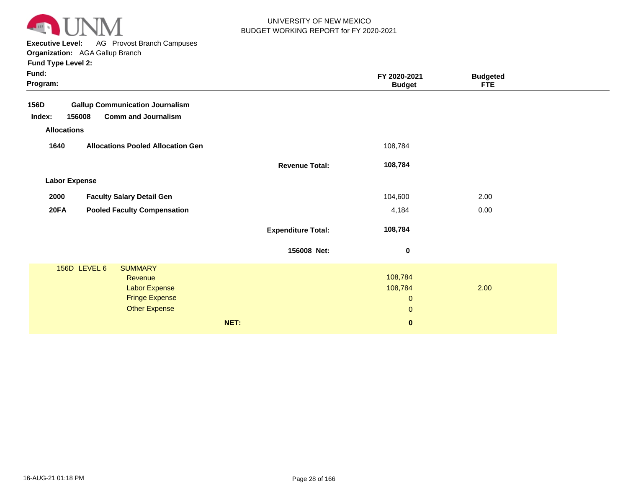

**Executive Level:** AG Provost Branch Campuses

**Organization:**  AGA Gallup Branch

|                      | Urganization. AGA Gallup Dianun           |                           |               |                 |  |
|----------------------|-------------------------------------------|---------------------------|---------------|-----------------|--|
| Fund Type Level 2:   |                                           |                           |               |                 |  |
| Fund:                |                                           |                           | FY 2020-2021  | <b>Budgeted</b> |  |
| Program:             |                                           |                           | <b>Budget</b> | <b>FTE</b>      |  |
| 156D                 | <b>Gallup Communication Journalism</b>    |                           |               |                 |  |
| Index:               | <b>Comm and Journalism</b><br>156008      |                           |               |                 |  |
| <b>Allocations</b>   |                                           |                           |               |                 |  |
|                      |                                           |                           |               |                 |  |
| 1640                 | <b>Allocations Pooled Allocation Gen</b>  |                           | 108,784       |                 |  |
|                      |                                           | <b>Revenue Total:</b>     | 108,784       |                 |  |
|                      |                                           |                           |               |                 |  |
| <b>Labor Expense</b> |                                           |                           |               |                 |  |
| 2000                 | <b>Faculty Salary Detail Gen</b>          |                           | 104,600       | 2.00            |  |
| 20FA                 | <b>Pooled Faculty Compensation</b>        |                           | 4,184         | 0.00            |  |
|                      |                                           |                           |               |                 |  |
|                      |                                           | <b>Expenditure Total:</b> | 108,784       |                 |  |
|                      |                                           | 156008 Net:               | $\pmb{0}$     |                 |  |
|                      |                                           |                           |               |                 |  |
|                      | 156D LEVEL 6<br><b>SUMMARY</b><br>Revenue |                           | 108,784       |                 |  |
|                      | <b>Labor Expense</b>                      |                           | 108,784       | 2.00            |  |
|                      | <b>Fringe Expense</b>                     |                           | $\mathbf 0$   |                 |  |
|                      | <b>Other Expense</b>                      |                           | $\mathbf 0$   |                 |  |
|                      |                                           |                           |               |                 |  |

**NET: 0**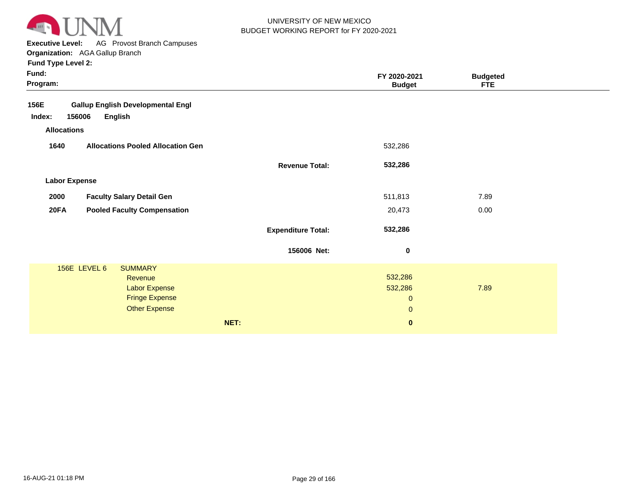

**Executive Level:** AG Provost Branch Campuses **Organization:**  AGA Gallup Branch

| Fund:<br>Program:    |                                          |                           | FY 2020-2021<br><b>Budget</b> | <b>Budgeted</b><br><b>FTE</b> |  |
|----------------------|------------------------------------------|---------------------------|-------------------------------|-------------------------------|--|
| 156E                 | <b>Gallup English Developmental Engl</b> |                           |                               |                               |  |
| Index:<br>156006     | <b>English</b>                           |                           |                               |                               |  |
| <b>Allocations</b>   |                                          |                           |                               |                               |  |
| 1640                 | <b>Allocations Pooled Allocation Gen</b> |                           | 532,286                       |                               |  |
|                      |                                          | <b>Revenue Total:</b>     | 532,286                       |                               |  |
| <b>Labor Expense</b> |                                          |                           |                               |                               |  |
| 2000                 | <b>Faculty Salary Detail Gen</b>         |                           | 511,813                       | 7.89                          |  |
| <b>20FA</b>          | <b>Pooled Faculty Compensation</b>       |                           | 20,473                        | 0.00                          |  |
|                      |                                          | <b>Expenditure Total:</b> | 532,286                       |                               |  |
|                      |                                          | 156006 Net:               | $\boldsymbol{0}$              |                               |  |
|                      | 156E LEVEL 6<br><b>SUMMARY</b>           |                           |                               |                               |  |
|                      | Revenue                                  |                           | 532,286                       |                               |  |
|                      | <b>Labor Expense</b>                     |                           | 532,286                       | 7.89                          |  |
|                      | <b>Fringe Expense</b>                    |                           | $\mathbf{0}$                  |                               |  |
|                      | <b>Other Expense</b>                     |                           | $\pmb{0}$                     |                               |  |
|                      |                                          | NET:                      | $\pmb{0}$                     |                               |  |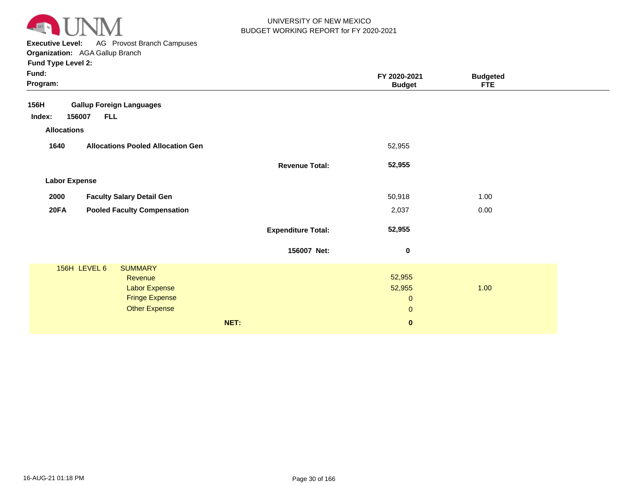

**Executive Level:** AG Provost Branch Campuses **Organization:**  AGA Gallup Branch

| Fund:<br>Program:                                 |                           | FY 2020-2021<br><b>Budget</b> | <b>Budgeted</b><br><b>FTE</b> |  |
|---------------------------------------------------|---------------------------|-------------------------------|-------------------------------|--|
| <b>Gallup Foreign Languages</b><br>156H           |                           |                               |                               |  |
| <b>FLL</b><br>Index:<br>156007                    |                           |                               |                               |  |
| <b>Allocations</b>                                |                           |                               |                               |  |
| 1640<br><b>Allocations Pooled Allocation Gen</b>  |                           | 52,955                        |                               |  |
|                                                   | <b>Revenue Total:</b>     | 52,955                        |                               |  |
| <b>Labor Expense</b>                              |                           |                               |                               |  |
| <b>Faculty Salary Detail Gen</b><br>2000          |                           | 50,918                        | 1.00                          |  |
| <b>Pooled Faculty Compensation</b><br><b>20FA</b> |                           | 2,037                         | 0.00                          |  |
|                                                   | <b>Expenditure Total:</b> | 52,955                        |                               |  |
|                                                   | 156007 Net:               | $\pmb{0}$                     |                               |  |
| 156H LEVEL 6<br><b>SUMMARY</b>                    |                           |                               |                               |  |
| Revenue                                           |                           | 52,955                        |                               |  |
| <b>Labor Expense</b>                              |                           | 52,955                        | 1.00                          |  |
| <b>Fringe Expense</b>                             |                           | $\mathbf{0}$                  |                               |  |
| <b>Other Expense</b>                              |                           | $\mathbf{0}$                  |                               |  |
|                                                   | NET:                      | $\mathbf 0$                   |                               |  |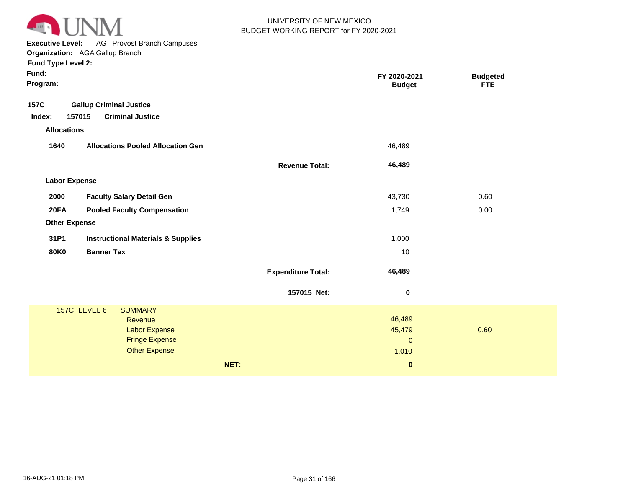

**Executive Level:** AG Provost Branch Campuses

| Fund:<br>Program:    |                                               |                           | FY 2020-2021<br><b>Budget</b> | <b>Budgeted</b><br><b>FTE</b> |  |
|----------------------|-----------------------------------------------|---------------------------|-------------------------------|-------------------------------|--|
| 157C                 | <b>Gallup Criminal Justice</b>                |                           |                               |                               |  |
| Index:               | <b>Criminal Justice</b><br>157015             |                           |                               |                               |  |
| <b>Allocations</b>   |                                               |                           |                               |                               |  |
| 1640                 | <b>Allocations Pooled Allocation Gen</b>      |                           | 46,489                        |                               |  |
|                      |                                               | <b>Revenue Total:</b>     | 46,489                        |                               |  |
| <b>Labor Expense</b> |                                               |                           |                               |                               |  |
| 2000                 | <b>Faculty Salary Detail Gen</b>              |                           | 43,730                        | 0.60                          |  |
| 20FA                 | <b>Pooled Faculty Compensation</b>            |                           | 1,749                         | 0.00                          |  |
| <b>Other Expense</b> |                                               |                           |                               |                               |  |
| 31P1                 | <b>Instructional Materials &amp; Supplies</b> |                           | 1,000                         |                               |  |
| <b>80K0</b>          | <b>Banner Tax</b>                             |                           | 10                            |                               |  |
|                      |                                               | <b>Expenditure Total:</b> | 46,489                        |                               |  |
|                      |                                               | 157015 Net:               | $\pmb{0}$                     |                               |  |
|                      | 157C LEVEL 6<br><b>SUMMARY</b>                |                           |                               |                               |  |
|                      | Revenue                                       |                           | 46,489                        |                               |  |
|                      | Labor Expense<br><b>Fringe Expense</b>        |                           | 45,479<br>$\mathbf 0$         | 0.60                          |  |
|                      | <b>Other Expense</b>                          |                           | 1,010                         |                               |  |
|                      |                                               | NET:                      | $\pmb{0}$                     |                               |  |
|                      |                                               |                           |                               |                               |  |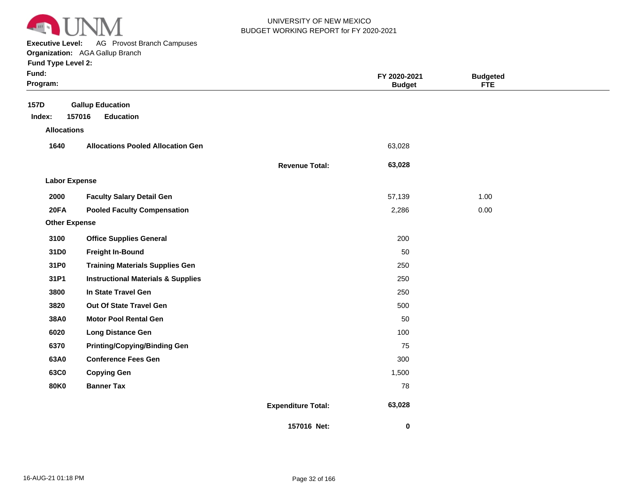

**Executive Level:** AG Provost Branch Campuses

| Fund:<br>Program:                    |                                                       |                           | FY 2020-2021<br><b>Budget</b> | <b>Budgeted</b><br><b>FTE</b> |  |
|--------------------------------------|-------------------------------------------------------|---------------------------|-------------------------------|-------------------------------|--|
| 157D<br>Index:<br><b>Allocations</b> | <b>Gallup Education</b><br>157016<br><b>Education</b> |                           |                               |                               |  |
| 1640                                 | <b>Allocations Pooled Allocation Gen</b>              |                           | 63,028                        |                               |  |
|                                      |                                                       | <b>Revenue Total:</b>     | 63,028                        |                               |  |
| <b>Labor Expense</b>                 |                                                       |                           |                               |                               |  |
| 2000                                 | <b>Faculty Salary Detail Gen</b>                      |                           | 57,139                        | 1.00                          |  |
| 20FA                                 | <b>Pooled Faculty Compensation</b>                    |                           | 2,286                         | 0.00                          |  |
| <b>Other Expense</b>                 |                                                       |                           |                               |                               |  |
| 3100                                 | <b>Office Supplies General</b>                        |                           | 200                           |                               |  |
| 31D0                                 | <b>Freight In-Bound</b>                               |                           | 50                            |                               |  |
| 31P0                                 | <b>Training Materials Supplies Gen</b>                |                           | 250                           |                               |  |
| 31P1                                 | <b>Instructional Materials &amp; Supplies</b>         |                           | 250                           |                               |  |
| 3800                                 | In State Travel Gen                                   |                           | 250                           |                               |  |
| 3820                                 | Out Of State Travel Gen                               |                           | 500                           |                               |  |
| 38A0                                 | <b>Motor Pool Rental Gen</b>                          |                           | 50                            |                               |  |
| 6020                                 | <b>Long Distance Gen</b>                              |                           | 100                           |                               |  |
| 6370                                 | <b>Printing/Copying/Binding Gen</b>                   |                           | 75                            |                               |  |
| 63A0                                 | <b>Conference Fees Gen</b>                            |                           | 300                           |                               |  |
| 63C0                                 | <b>Copying Gen</b>                                    |                           | 1,500                         |                               |  |
| <b>80K0</b>                          | <b>Banner Tax</b>                                     |                           | 78                            |                               |  |
|                                      |                                                       | <b>Expenditure Total:</b> | 63,028                        |                               |  |
|                                      |                                                       | 157016 Net:               | 0                             |                               |  |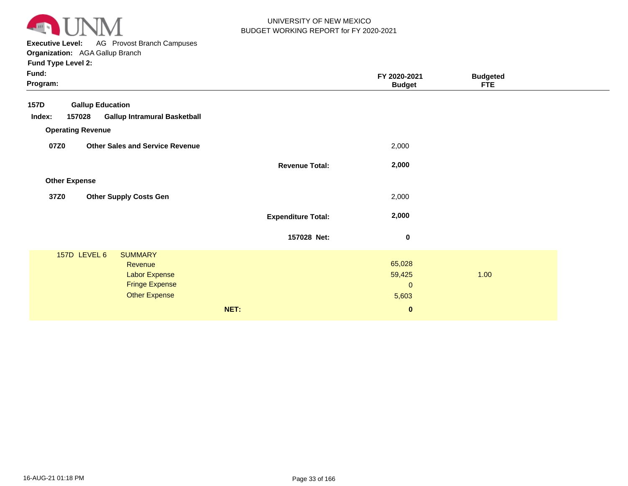

**Executive Level:** AG Provost Branch Campuses **Organization:**  AGA Gallup Branch

| Fund:<br>Program:                                                                                                  |                           | FY 2020-2021<br><b>Budget</b>                        | <b>Budgeted</b><br><b>FTE</b> |  |
|--------------------------------------------------------------------------------------------------------------------|---------------------------|------------------------------------------------------|-------------------------------|--|
| <b>Gallup Education</b><br><b>157D</b><br><b>Gallup Intramural Basketball</b><br>Index:<br>157028                  |                           |                                                      |                               |  |
| <b>Operating Revenue</b>                                                                                           |                           |                                                      |                               |  |
| 07Z0<br><b>Other Sales and Service Revenue</b>                                                                     |                           | 2,000                                                |                               |  |
|                                                                                                                    | <b>Revenue Total:</b>     | 2,000                                                |                               |  |
| <b>Other Expense</b>                                                                                               |                           |                                                      |                               |  |
| <b>Other Supply Costs Gen</b><br>37Z0                                                                              |                           | 2,000                                                |                               |  |
|                                                                                                                    | <b>Expenditure Total:</b> | 2,000                                                |                               |  |
|                                                                                                                    | 157028 Net:               | 0                                                    |                               |  |
| 157D LEVEL 6<br><b>SUMMARY</b><br>Revenue<br><b>Labor Expense</b><br><b>Fringe Expense</b><br><b>Other Expense</b> | NET:                      | 65,028<br>59,425<br>$\mathbf 0$<br>5,603<br>$\bf{0}$ | 1.00                          |  |
|                                                                                                                    |                           |                                                      |                               |  |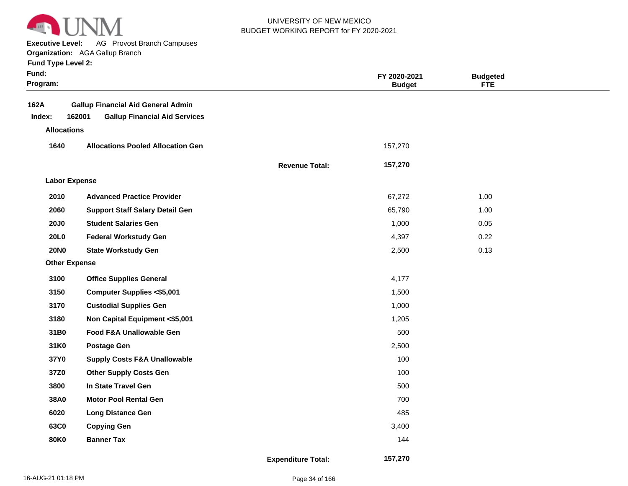

**Executive Level:** AG Provost Branch Campuses

**Organization:**  AGA Gallup Branch

|  | <b>Fund Type Level 2:</b> |  |
|--|---------------------------|--|
|  |                           |  |

| Fund:<br>Program:    |                                                                                             |                           | FY 2020-2021<br><b>Budget</b> | <b>Budgeted</b><br><b>FTE</b> |  |
|----------------------|---------------------------------------------------------------------------------------------|---------------------------|-------------------------------|-------------------------------|--|
| 162A<br>Index:       | <b>Gallup Financial Aid General Admin</b><br>162001<br><b>Gallup Financial Aid Services</b> |                           |                               |                               |  |
| <b>Allocations</b>   |                                                                                             |                           |                               |                               |  |
| 1640                 | <b>Allocations Pooled Allocation Gen</b>                                                    |                           | 157,270                       |                               |  |
|                      |                                                                                             | <b>Revenue Total:</b>     | 157,270                       |                               |  |
| <b>Labor Expense</b> |                                                                                             |                           |                               |                               |  |
| 2010                 | <b>Advanced Practice Provider</b>                                                           |                           | 67,272                        | 1.00                          |  |
| 2060                 | <b>Support Staff Salary Detail Gen</b>                                                      |                           | 65,790                        | 1.00                          |  |
| <b>20J0</b>          | <b>Student Salaries Gen</b>                                                                 |                           | 1,000                         | 0.05                          |  |
| 20L0                 | <b>Federal Workstudy Gen</b>                                                                |                           | 4,397                         | 0.22                          |  |
| <b>20NO</b>          | <b>State Workstudy Gen</b>                                                                  |                           | 2,500                         | 0.13                          |  |
| <b>Other Expense</b> |                                                                                             |                           |                               |                               |  |
| 3100                 | <b>Office Supplies General</b>                                                              |                           | 4,177                         |                               |  |
| 3150                 | <b>Computer Supplies &lt;\$5,001</b>                                                        |                           | 1,500                         |                               |  |
| 3170                 | <b>Custodial Supplies Gen</b>                                                               |                           | 1,000                         |                               |  |
| 3180                 | Non Capital Equipment <\$5,001                                                              |                           | 1,205                         |                               |  |
| 31B0                 | Food F&A Unallowable Gen                                                                    |                           | 500                           |                               |  |
| 31K0                 | <b>Postage Gen</b>                                                                          |                           | 2,500                         |                               |  |
| 37Y0                 | <b>Supply Costs F&amp;A Unallowable</b>                                                     |                           | 100                           |                               |  |
| 37Z0                 | <b>Other Supply Costs Gen</b>                                                               |                           | 100                           |                               |  |
| 3800                 | In State Travel Gen                                                                         |                           | 500                           |                               |  |
| 38A0                 | <b>Motor Pool Rental Gen</b>                                                                |                           | 700                           |                               |  |
| 6020                 | <b>Long Distance Gen</b>                                                                    |                           | 485                           |                               |  |
| 63C0                 | <b>Copying Gen</b>                                                                          |                           | 3,400                         |                               |  |
| <b>80K0</b>          | <b>Banner Tax</b>                                                                           |                           | 144                           |                               |  |
|                      |                                                                                             | <b>Expenditure Total:</b> | 157,270                       |                               |  |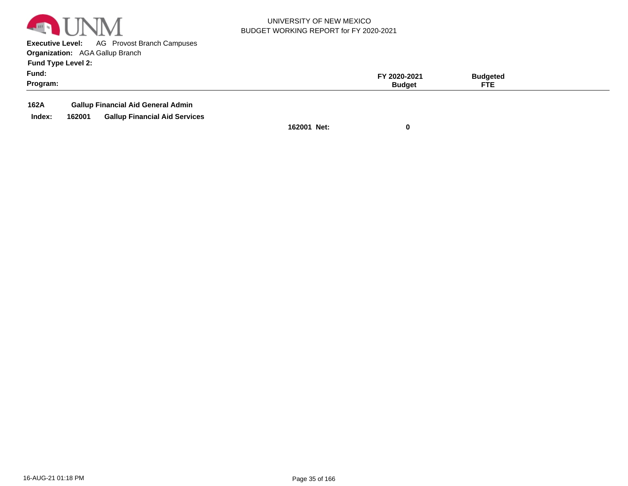

**Executive Level:** AG Provost Branch Campuses **Organization:**  AGA Gallup Branch

**Fund Type Level 2:**

| Fund:    | 2020-2021 | 3udgeted           |  |
|----------|-----------|--------------------|--|
| Program: | Budaet    | <b>CTI</b><br>- 16 |  |
|          |           |                    |  |

**162A Gallup Financial Aid General Admin**

**Index: 162001 Gallup Financial Aid Services**

**162001 Net: 0**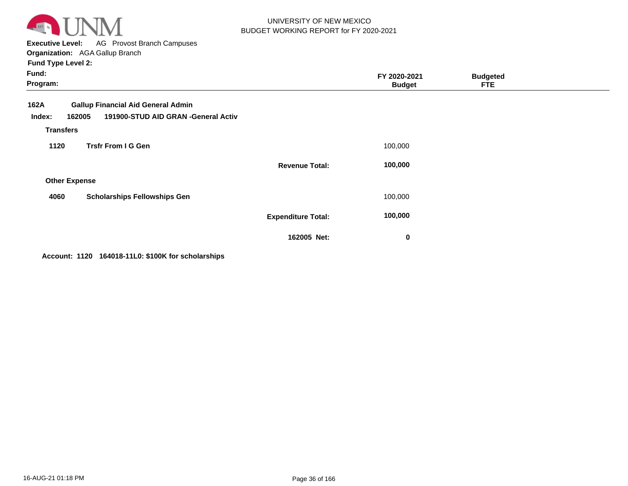

**Executive Level:** AG Provost Branch Campuses **Organization:**  AGA Gallup Branch

| <b>Fund Type Level 2:</b> |  |
|---------------------------|--|
|---------------------------|--|

| Fund:<br>Program:                            |                                                                                  |                           | FY 2020-2021<br><b>Budget</b> | <b>Budgeted</b><br><b>FTE</b> |  |
|----------------------------------------------|----------------------------------------------------------------------------------|---------------------------|-------------------------------|-------------------------------|--|
| 162A<br>162005<br>Index:<br><b>Transfers</b> | <b>Gallup Financial Aid General Admin</b><br>191900-STUD AID GRAN -General Activ |                           |                               |                               |  |
| 1120                                         | <b>Trsfr From I G Gen</b>                                                        |                           | 100,000                       |                               |  |
|                                              |                                                                                  | <b>Revenue Total:</b>     | 100,000                       |                               |  |
| <b>Other Expense</b>                         |                                                                                  |                           |                               |                               |  |
| 4060                                         | <b>Scholarships Fellowships Gen</b>                                              |                           | 100,000                       |                               |  |
|                                              |                                                                                  | <b>Expenditure Total:</b> | 100,000                       |                               |  |
|                                              |                                                                                  | 162005 Net:               | 0                             |                               |  |

**Account: 1120 164018-11L0: \$100K for scholarships**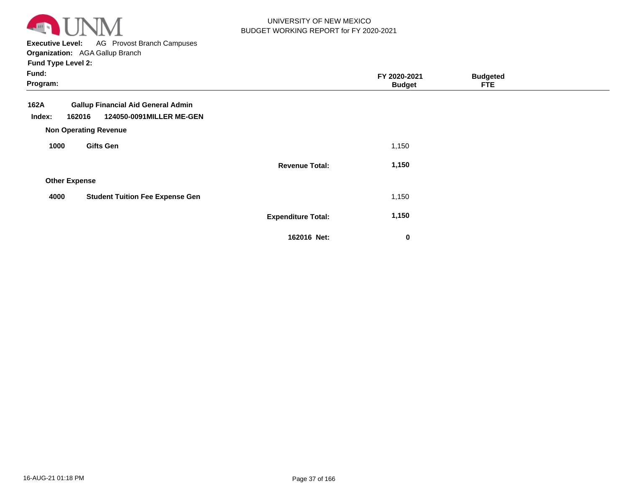

**Executive Level:** AG Provost Branch Campuses **Organization:**  AGA Gallup Branch

| Fund:<br>Program:                                                                                                                 |                           | FY 2020-2021<br><b>Budget</b> | <b>Budgeted</b><br><b>FTE</b> |  |
|-----------------------------------------------------------------------------------------------------------------------------------|---------------------------|-------------------------------|-------------------------------|--|
| <b>Gallup Financial Aid General Admin</b><br>162A<br>124050-0091MILLER ME-GEN<br>Index:<br>162016<br><b>Non Operating Revenue</b> |                           |                               |                               |  |
| <b>Gifts Gen</b><br>1000                                                                                                          |                           | 1,150                         |                               |  |
|                                                                                                                                   | <b>Revenue Total:</b>     | 1,150                         |                               |  |
| <b>Other Expense</b>                                                                                                              |                           |                               |                               |  |
| <b>Student Tuition Fee Expense Gen</b><br>4000                                                                                    |                           | 1,150                         |                               |  |
|                                                                                                                                   | <b>Expenditure Total:</b> | 1,150                         |                               |  |
|                                                                                                                                   | 162016 Net:               | $\bf{0}$                      |                               |  |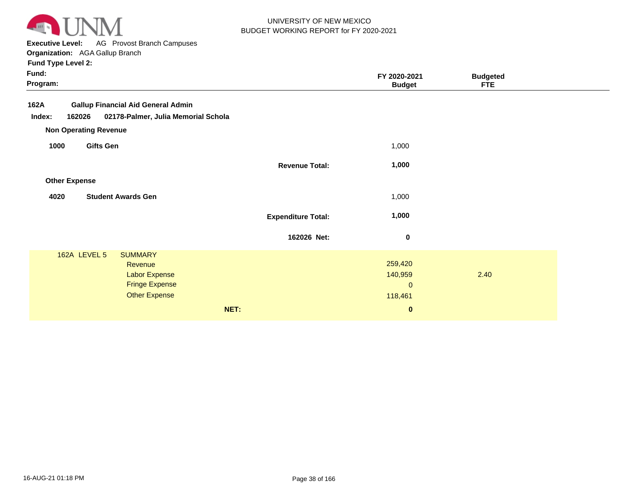

**Executive Level:** AG Provost Branch Campuses **Organization:**  AGA Gallup Branch

|                           | FY 2020-2021<br><b>Budget</b>                                | <b>Budgeted</b><br><b>FTE</b> |  |
|---------------------------|--------------------------------------------------------------|-------------------------------|--|
|                           |                                                              |                               |  |
|                           | 1,000                                                        |                               |  |
| <b>Revenue Total:</b>     | 1,000                                                        |                               |  |
|                           |                                                              |                               |  |
|                           | 1,000                                                        |                               |  |
| <b>Expenditure Total:</b> | 1,000                                                        |                               |  |
| 162026 Net:               | $\bf{0}$                                                     |                               |  |
| NET:                      | 259,420<br>140,959<br>$\mathbf{0}$<br>118,461<br>$\mathbf 0$ | 2.40                          |  |
|                           |                                                              |                               |  |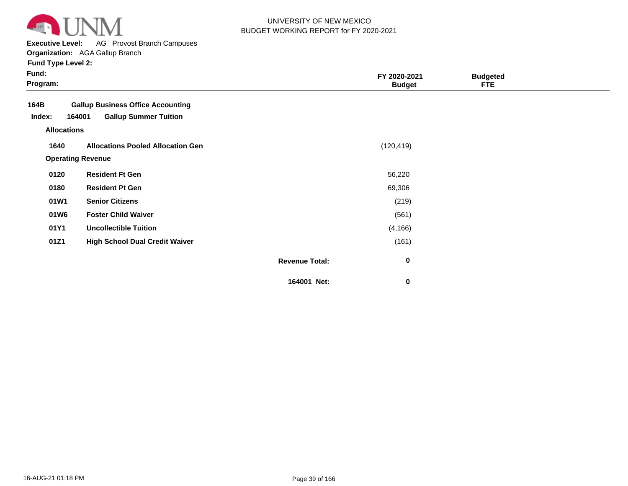

**Executive Level:** AG Provost Branch Campuses

| <b>Fund Type Level 2:</b> |  |
|---------------------------|--|
|---------------------------|--|

| × | × |  |  |
|---|---|--|--|

| Fund:<br>Program:                    |                                                                                    |                       | FY 2020-2021<br><b>Budget</b> | <b>Budgeted</b><br><b>FTE</b> |  |
|--------------------------------------|------------------------------------------------------------------------------------|-----------------------|-------------------------------|-------------------------------|--|
| 164B<br>Index:<br><b>Allocations</b> | <b>Gallup Business Office Accounting</b><br><b>Gallup Summer Tuition</b><br>164001 |                       |                               |                               |  |
| 1640                                 | <b>Allocations Pooled Allocation Gen</b><br><b>Operating Revenue</b>               |                       | (120, 419)                    |                               |  |
| 0120                                 | <b>Resident Ft Gen</b>                                                             |                       | 56,220                        |                               |  |
| 0180                                 | <b>Resident Pt Gen</b>                                                             |                       | 69,306                        |                               |  |
| 01W1                                 | <b>Senior Citizens</b>                                                             |                       | (219)                         |                               |  |
| 01W6                                 | <b>Foster Child Waiver</b>                                                         |                       | (561)                         |                               |  |
| 01Y1                                 | <b>Uncollectible Tuition</b>                                                       |                       | (4, 166)                      |                               |  |
| 01Z1                                 | <b>High School Dual Credit Waiver</b>                                              |                       | (161)                         |                               |  |
|                                      |                                                                                    | <b>Revenue Total:</b> | 0                             |                               |  |
|                                      |                                                                                    | 164001 Net:           | 0                             |                               |  |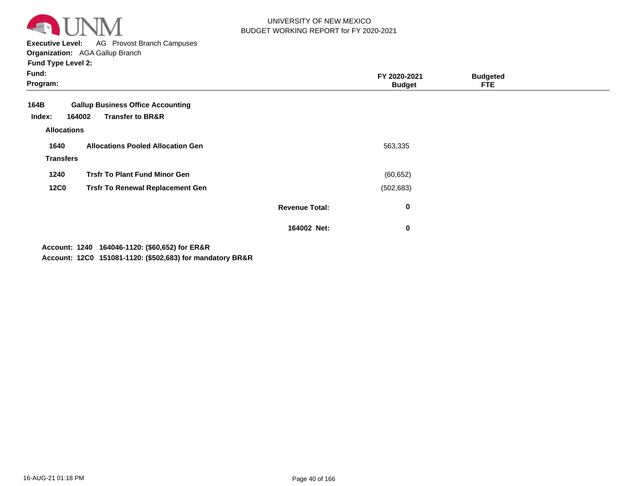

**Executive Level:** AG Provost Branch Campuses **Organization:**  AGA Gallup Branch

**Fund Type Level 2:**

| Fund:<br>Program:        |                                                                                   |                       | FY 2020-2021<br><b>Budget</b> | <b>Budgeted</b><br><b>FTE</b> |  |
|--------------------------|-----------------------------------------------------------------------------------|-----------------------|-------------------------------|-------------------------------|--|
| 164B<br>Index:           | <b>Gallup Business Office Accounting</b><br><b>Transfer to BR&amp;R</b><br>164002 |                       |                               |                               |  |
| <b>Allocations</b>       |                                                                                   |                       |                               |                               |  |
| 1640<br><b>Transfers</b> | <b>Allocations Pooled Allocation Gen</b>                                          |                       | 563,335                       |                               |  |
| 1240                     | <b>Trsfr To Plant Fund Minor Gen</b>                                              |                       | (60, 652)                     |                               |  |
| <b>12C0</b>              | <b>Trsfr To Renewal Replacement Gen</b>                                           |                       | (502, 683)                    |                               |  |
|                          |                                                                                   | <b>Revenue Total:</b> | 0                             |                               |  |
|                          |                                                                                   | 164002 Net:           | 0                             |                               |  |
|                          |                                                                                   |                       |                               |                               |  |

**1240 164046-1120: (\$60,652) for ER&R Account:**

**12C0 151081-1120: (\$502,683) for mandatory BR&R Account:**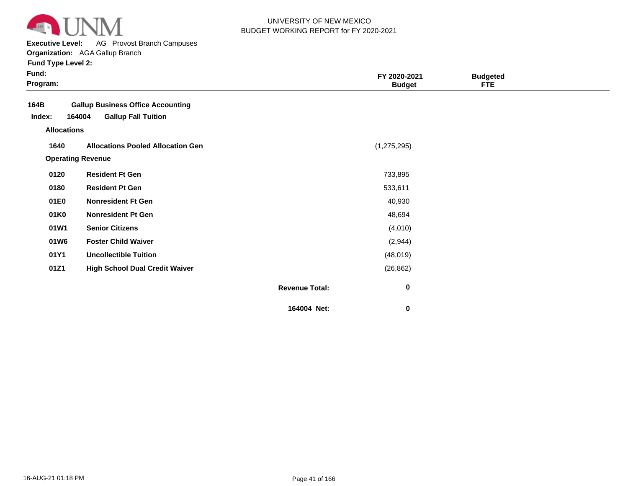

**Executive Level:** AG Provost Branch Campuses

| Fund:<br>Program:  |                                          |                       | FY 2020-2021<br><b>Budget</b> | <b>Budgeted</b><br><b>FTE</b> |  |
|--------------------|------------------------------------------|-----------------------|-------------------------------|-------------------------------|--|
| 164B               | <b>Gallup Business Office Accounting</b> |                       |                               |                               |  |
| Index:             | <b>Gallup Fall Tuition</b><br>164004     |                       |                               |                               |  |
| <b>Allocations</b> |                                          |                       |                               |                               |  |
| 1640               | <b>Allocations Pooled Allocation Gen</b> |                       | (1, 275, 295)                 |                               |  |
|                    | <b>Operating Revenue</b>                 |                       |                               |                               |  |
| 0120               | <b>Resident Ft Gen</b>                   |                       | 733,895                       |                               |  |
| 0180               | <b>Resident Pt Gen</b>                   |                       | 533,611                       |                               |  |
| 01E0               | <b>Nonresident Ft Gen</b>                |                       | 40,930                        |                               |  |
| 01K0               | <b>Nonresident Pt Gen</b>                |                       | 48,694                        |                               |  |
| 01W1               | <b>Senior Citizens</b>                   |                       | (4,010)                       |                               |  |
| 01W6               | <b>Foster Child Waiver</b>               |                       | (2,944)                       |                               |  |
| 01Y1               | <b>Uncollectible Tuition</b>             |                       | (48, 019)                     |                               |  |
| 01Z1               | <b>High School Dual Credit Waiver</b>    |                       | (26, 862)                     |                               |  |
|                    |                                          | <b>Revenue Total:</b> | $\pmb{0}$                     |                               |  |
|                    |                                          | 164004 Net:           | $\bf{0}$                      |                               |  |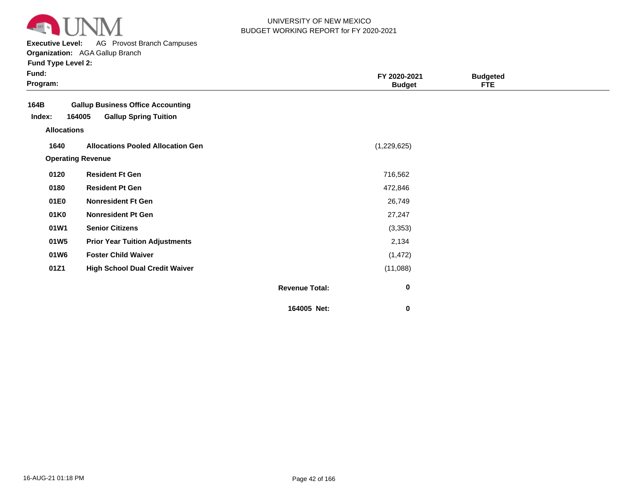

**Executive Level:** AG Provost Branch Campuses

|  | <b>Fund Type Level 2:</b> |  |  |  |  |
|--|---------------------------|--|--|--|--|
|--|---------------------------|--|--|--|--|

| Fund:<br>Program:  |                                          |                       | FY 2020-2021<br><b>Budget</b> | <b>Budgeted</b><br><b>FTE</b> |  |
|--------------------|------------------------------------------|-----------------------|-------------------------------|-------------------------------|--|
| 164B               | <b>Gallup Business Office Accounting</b> |                       |                               |                               |  |
| Index:             | 164005<br><b>Gallup Spring Tuition</b>   |                       |                               |                               |  |
| <b>Allocations</b> |                                          |                       |                               |                               |  |
| 1640               | <b>Allocations Pooled Allocation Gen</b> |                       | (1,229,625)                   |                               |  |
|                    | <b>Operating Revenue</b>                 |                       |                               |                               |  |
| 0120               | <b>Resident Ft Gen</b>                   |                       | 716,562                       |                               |  |
| 0180               | <b>Resident Pt Gen</b>                   |                       | 472,846                       |                               |  |
| 01E0               | <b>Nonresident Ft Gen</b>                |                       | 26,749                        |                               |  |
| 01K0               | <b>Nonresident Pt Gen</b>                |                       | 27,247                        |                               |  |
| 01W1               | <b>Senior Citizens</b>                   |                       | (3, 353)                      |                               |  |
| 01W <sub>5</sub>   | <b>Prior Year Tuition Adjustments</b>    |                       | 2,134                         |                               |  |
| 01W6               | <b>Foster Child Waiver</b>               |                       | (1, 472)                      |                               |  |
| 01Z1               | <b>High School Dual Credit Waiver</b>    |                       | (11,088)                      |                               |  |
|                    |                                          | <b>Revenue Total:</b> | $\bf{0}$                      |                               |  |
|                    |                                          | 164005 Net:           | 0                             |                               |  |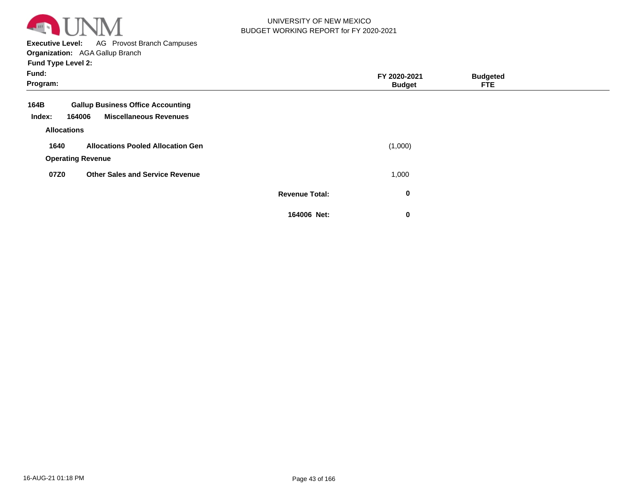

**Executive Level:** AG Provost Branch Campuses

**Organization:**  AGA Gallup Branch

| Fund:<br>Program:  |                                                                                     |                       | FY 2020-2021<br><b>Budget</b> | <b>Budgeted</b><br><b>FTE</b> |  |
|--------------------|-------------------------------------------------------------------------------------|-----------------------|-------------------------------|-------------------------------|--|
| 164B<br>Index:     | <b>Gallup Business Office Accounting</b><br><b>Miscellaneous Revenues</b><br>164006 |                       |                               |                               |  |
| <b>Allocations</b> |                                                                                     |                       |                               |                               |  |
| 1640               | <b>Allocations Pooled Allocation Gen</b><br><b>Operating Revenue</b>                |                       | (1,000)                       |                               |  |
| 07Z0               | <b>Other Sales and Service Revenue</b>                                              |                       | 1,000                         |                               |  |
|                    |                                                                                     | <b>Revenue Total:</b> | 0                             |                               |  |
|                    |                                                                                     | 164006 Net:           | 0                             |                               |  |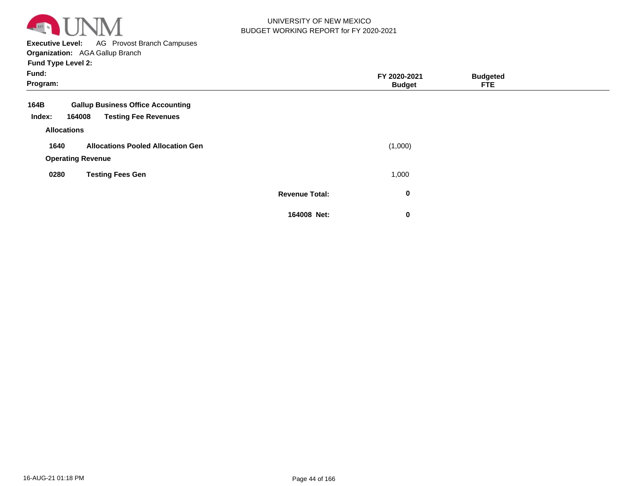

**Executive Level:** AG Provost Branch Campuses

**Organization:**  AGA Gallup Branch

| Fund:<br>Program: |                          |                                          |                       | FY 2020-2021<br><b>Budget</b> | <b>Budgeted</b><br><b>FTE</b> |  |
|-------------------|--------------------------|------------------------------------------|-----------------------|-------------------------------|-------------------------------|--|
| 164B              |                          | <b>Gallup Business Office Accounting</b> |                       |                               |                               |  |
| Index:            | 164008                   | <b>Testing Fee Revenues</b>              |                       |                               |                               |  |
|                   | <b>Allocations</b>       |                                          |                       |                               |                               |  |
| 1640              |                          | <b>Allocations Pooled Allocation Gen</b> |                       | (1,000)                       |                               |  |
|                   | <b>Operating Revenue</b> |                                          |                       |                               |                               |  |
| 0280              |                          | <b>Testing Fees Gen</b>                  |                       | 1,000                         |                               |  |
|                   |                          |                                          | <b>Revenue Total:</b> | $\bf{0}$                      |                               |  |
|                   |                          |                                          | 164008 Net:           | $\bf{0}$                      |                               |  |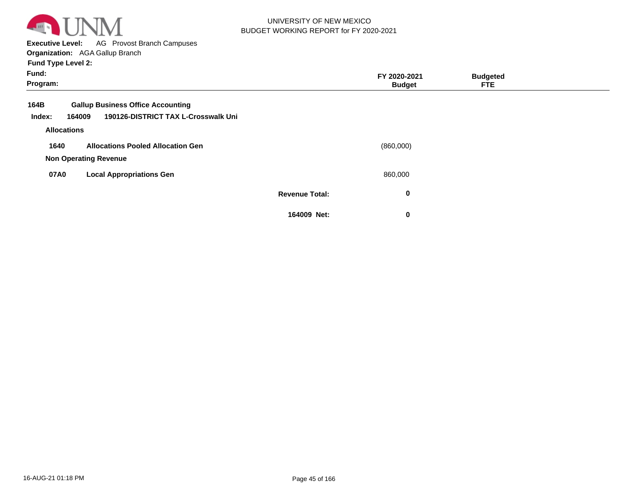

**Executive Level:** AG Provost Branch Campuses

**Organization:**  AGA Gallup Branch

| Fund:<br>Program: |                              |                                          |                       | FY 2020-2021<br><b>Budget</b> | <b>Budgeted</b><br>FTE. |  |
|-------------------|------------------------------|------------------------------------------|-----------------------|-------------------------------|-------------------------|--|
| 164B              |                              | <b>Gallup Business Office Accounting</b> |                       |                               |                         |  |
| Index:            | 164009                       | 190126-DISTRICT TAX L-Crosswalk Uni      |                       |                               |                         |  |
|                   | <b>Allocations</b>           |                                          |                       |                               |                         |  |
| 1640              |                              | <b>Allocations Pooled Allocation Gen</b> |                       | (860,000)                     |                         |  |
|                   | <b>Non Operating Revenue</b> |                                          |                       |                               |                         |  |
| 07A0              |                              | <b>Local Appropriations Gen</b>          |                       | 860,000                       |                         |  |
|                   |                              |                                          | <b>Revenue Total:</b> | $\bf{0}$                      |                         |  |
|                   |                              |                                          | 164009 Net:           | 0                             |                         |  |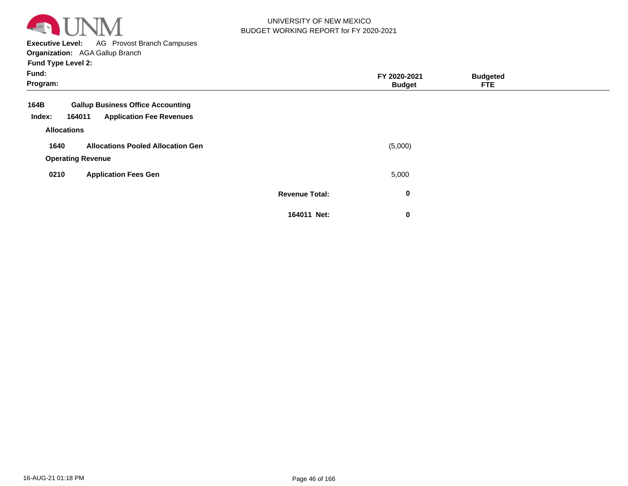

**Executive Level:** AG Provost Branch Campuses

**Organization:**  AGA Gallup Branch

| Fund:<br>Program:  |                                           |                       | FY 2020-2021<br><b>Budget</b> | <b>Budgeted</b><br><b>FTE</b> |  |
|--------------------|-------------------------------------------|-----------------------|-------------------------------|-------------------------------|--|
| 164B               | <b>Gallup Business Office Accounting</b>  |                       |                               |                               |  |
| Index:             | <b>Application Fee Revenues</b><br>164011 |                       |                               |                               |  |
| <b>Allocations</b> |                                           |                       |                               |                               |  |
| 1640               | <b>Allocations Pooled Allocation Gen</b>  |                       | (5,000)                       |                               |  |
|                    | <b>Operating Revenue</b>                  |                       |                               |                               |  |
| 0210               | <b>Application Fees Gen</b>               |                       | 5,000                         |                               |  |
|                    |                                           | <b>Revenue Total:</b> | 0                             |                               |  |
|                    |                                           | 164011 Net:           | 0                             |                               |  |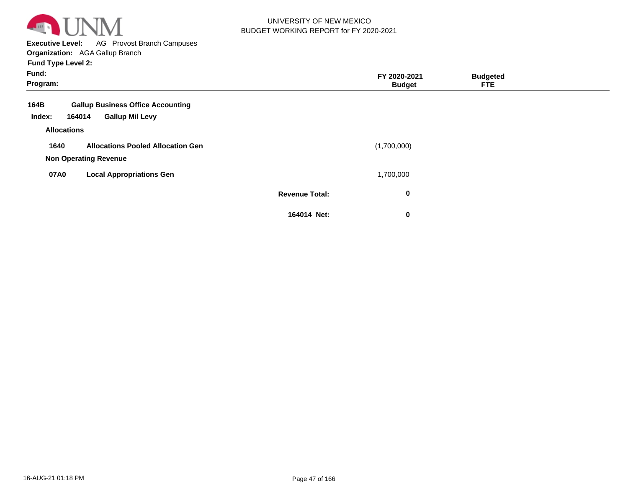

**Executive Level:** AG Provost Branch Campuses **Organization:**  AGA Gallup Branch

| Fund:<br>Program:                                                                              |                       | FY 2020-2021<br><b>Budget</b> | <b>Budgeted</b><br><b>FTE</b> |  |
|------------------------------------------------------------------------------------------------|-----------------------|-------------------------------|-------------------------------|--|
| <b>Gallup Business Office Accounting</b><br>164B<br><b>Gallup Mil Levy</b><br>Index:<br>164014 |                       |                               |                               |  |
| <b>Allocations</b>                                                                             |                       |                               |                               |  |
| <b>Allocations Pooled Allocation Gen</b><br>1640<br><b>Non Operating Revenue</b>               |                       | (1,700,000)                   |                               |  |
| 07A0<br><b>Local Appropriations Gen</b>                                                        |                       | 1,700,000                     |                               |  |
|                                                                                                | <b>Revenue Total:</b> | 0                             |                               |  |
|                                                                                                | 164014 Net:           | $\bf{0}$                      |                               |  |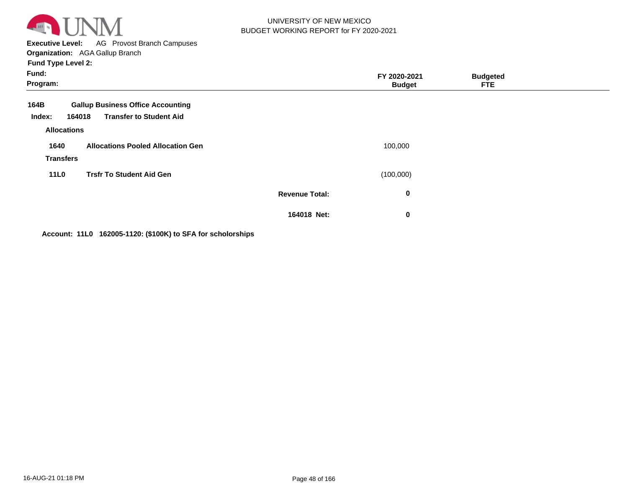

**Executive Level:** AG Provost Branch Campuses **Organization:**  AGA Gallup Branch

**Fund Type Level 2:**

| Fund:<br>Program:                    |                                                                                      |                       | FY 2020-2021<br><b>Budget</b> | <b>Budgeted</b><br><b>FTE</b> |  |
|--------------------------------------|--------------------------------------------------------------------------------------|-----------------------|-------------------------------|-------------------------------|--|
| 164B<br>Index:<br><b>Allocations</b> | <b>Gallup Business Office Accounting</b><br><b>Transfer to Student Aid</b><br>164018 |                       |                               |                               |  |
| 1640<br><b>Transfers</b>             | <b>Allocations Pooled Allocation Gen</b>                                             |                       | 100,000                       |                               |  |
| <b>11L0</b>                          | <b>Trsfr To Student Aid Gen</b>                                                      |                       | (100,000)                     |                               |  |
|                                      |                                                                                      | <b>Revenue Total:</b> | 0                             |                               |  |
|                                      |                                                                                      | 164018 Net:           | $\bf{0}$                      |                               |  |

**Account: 11L0 162005-1120: (\$100K) to SFA for scholorships**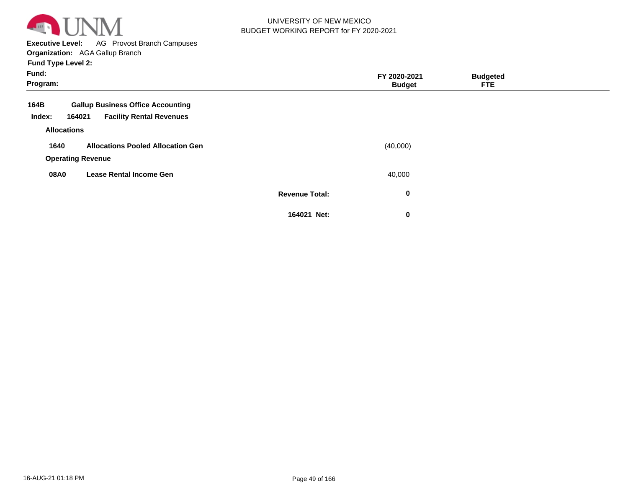

**Executive Level:** AG Provost Branch Campuses

**Organization:**  AGA Gallup Branch

| Fund:<br>Program:  |                                           |                       | FY 2020-2021<br><b>Budget</b> | <b>Budgeted</b><br><b>FTE</b> |  |
|--------------------|-------------------------------------------|-----------------------|-------------------------------|-------------------------------|--|
| 164B               | <b>Gallup Business Office Accounting</b>  |                       |                               |                               |  |
| Index:             | <b>Facility Rental Revenues</b><br>164021 |                       |                               |                               |  |
| <b>Allocations</b> |                                           |                       |                               |                               |  |
| 1640               | <b>Allocations Pooled Allocation Gen</b>  |                       | (40,000)                      |                               |  |
|                    | <b>Operating Revenue</b>                  |                       |                               |                               |  |
| 08A0               | <b>Lease Rental Income Gen</b>            |                       | 40,000                        |                               |  |
|                    |                                           | <b>Revenue Total:</b> | $\bf{0}$                      |                               |  |
|                    |                                           | 164021 Net:           | $\mathbf 0$                   |                               |  |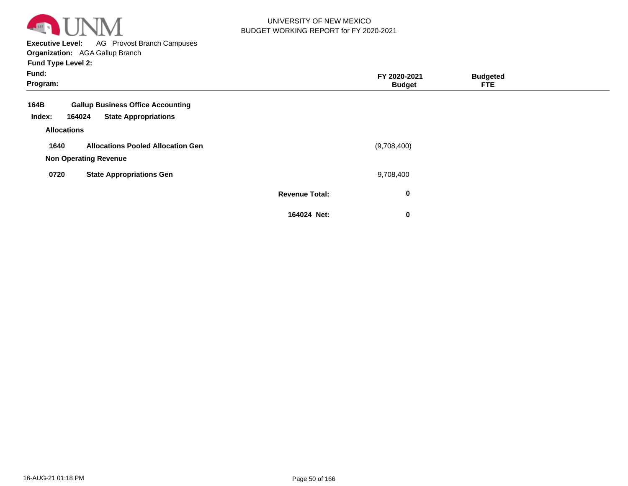

**Executive Level:** AG Provost Branch Campuses **Organization:**  AGA Gallup Branch

| Fund:<br>Program:  |                                                                                   |                       | FY 2020-2021<br><b>Budget</b> | <b>Budgeted</b><br><b>FTE</b> |  |
|--------------------|-----------------------------------------------------------------------------------|-----------------------|-------------------------------|-------------------------------|--|
| 164B<br>Index:     | <b>Gallup Business Office Accounting</b><br><b>State Appropriations</b><br>164024 |                       |                               |                               |  |
| <b>Allocations</b> |                                                                                   |                       |                               |                               |  |
| 1640               | <b>Allocations Pooled Allocation Gen</b>                                          |                       | (9,708,400)                   |                               |  |
|                    | <b>Non Operating Revenue</b>                                                      |                       |                               |                               |  |
| 0720               | <b>State Appropriations Gen</b>                                                   |                       | 9,708,400                     |                               |  |
|                    |                                                                                   | <b>Revenue Total:</b> | $\bf{0}$                      |                               |  |
|                    |                                                                                   | 164024 Net:           | 0                             |                               |  |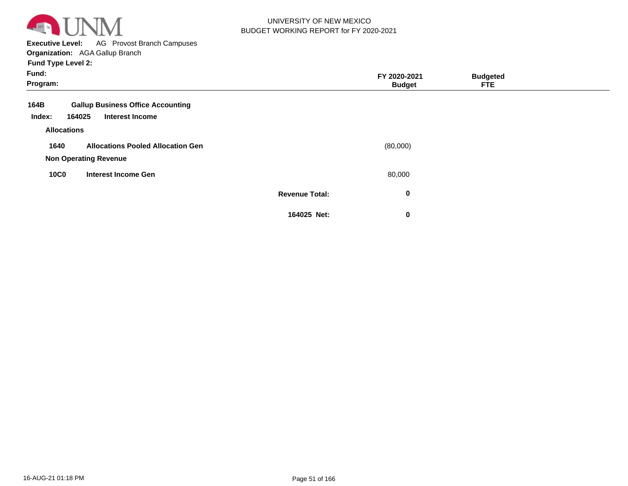

**Executive Level:** AG Provost Branch Campuses **Organization:**  AGA Gallup Branch

| Fund:<br>Program:        |                                                                    |                       | FY 2020-2021<br><b>Budget</b> | <b>Budgeted</b><br>FTE. |  |
|--------------------------|--------------------------------------------------------------------|-----------------------|-------------------------------|-------------------------|--|
| 164B<br>164025<br>Index: | <b>Gallup Business Office Accounting</b><br><b>Interest Income</b> |                       |                               |                         |  |
| <b>Allocations</b>       |                                                                    |                       |                               |                         |  |
| 1640                     | <b>Allocations Pooled Allocation Gen</b>                           |                       | (80,000)                      |                         |  |
|                          | <b>Non Operating Revenue</b>                                       |                       |                               |                         |  |
| <b>10C0</b>              | <b>Interest Income Gen</b>                                         |                       | 80,000                        |                         |  |
|                          |                                                                    | <b>Revenue Total:</b> | $\bf{0}$                      |                         |  |
|                          |                                                                    | 164025 Net:           | 0                             |                         |  |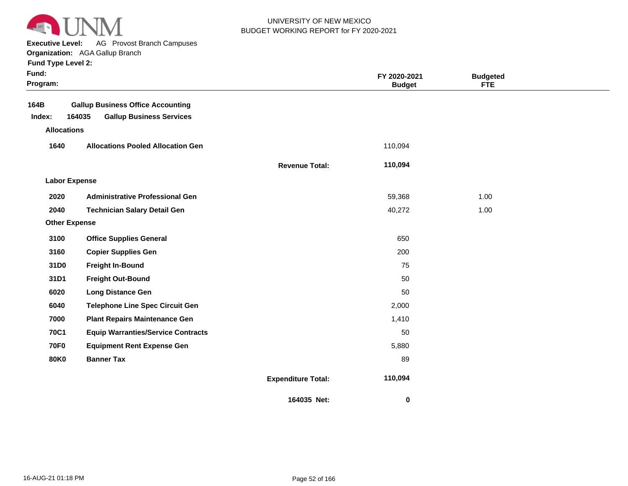

**Executive Level:** AG Provost Branch Campuses

|  | <b>Fund Type Level 2:</b> |  |  |
|--|---------------------------|--|--|
|  |                           |  |  |

| Fund:<br>Program:                    |                                                                                       |                           | FY 2020-2021<br><b>Budget</b> | <b>Budgeted</b><br><b>FTE</b> |  |
|--------------------------------------|---------------------------------------------------------------------------------------|---------------------------|-------------------------------|-------------------------------|--|
| 164B<br>Index:<br><b>Allocations</b> | <b>Gallup Business Office Accounting</b><br>164035<br><b>Gallup Business Services</b> |                           |                               |                               |  |
| 1640                                 | <b>Allocations Pooled Allocation Gen</b>                                              |                           | 110,094                       |                               |  |
|                                      |                                                                                       | <b>Revenue Total:</b>     | 110,094                       |                               |  |
| <b>Labor Expense</b>                 |                                                                                       |                           |                               |                               |  |
| 2020                                 | <b>Administrative Professional Gen</b>                                                |                           | 59,368                        | 1.00                          |  |
| 2040                                 | <b>Technician Salary Detail Gen</b>                                                   |                           | 40,272                        | 1.00                          |  |
| <b>Other Expense</b>                 |                                                                                       |                           |                               |                               |  |
| 3100                                 | <b>Office Supplies General</b>                                                        |                           | 650                           |                               |  |
| 3160                                 | <b>Copier Supplies Gen</b>                                                            |                           | 200                           |                               |  |
| 31D0                                 | <b>Freight In-Bound</b>                                                               |                           | 75                            |                               |  |
| 31D1                                 | <b>Freight Out-Bound</b>                                                              |                           | 50                            |                               |  |
| 6020                                 | <b>Long Distance Gen</b>                                                              |                           | 50                            |                               |  |
| 6040                                 | <b>Telephone Line Spec Circuit Gen</b>                                                |                           | 2,000                         |                               |  |
| 7000                                 | <b>Plant Repairs Maintenance Gen</b>                                                  |                           | 1,410                         |                               |  |
| <b>70C1</b>                          | <b>Equip Warranties/Service Contracts</b>                                             |                           | 50                            |                               |  |
| <b>70F0</b>                          | <b>Equipment Rent Expense Gen</b>                                                     |                           | 5,880                         |                               |  |
| <b>80K0</b>                          | <b>Banner Tax</b>                                                                     |                           | 89                            |                               |  |
|                                      |                                                                                       | <b>Expenditure Total:</b> | 110,094                       |                               |  |
|                                      |                                                                                       | 164035 Net:               | 0                             |                               |  |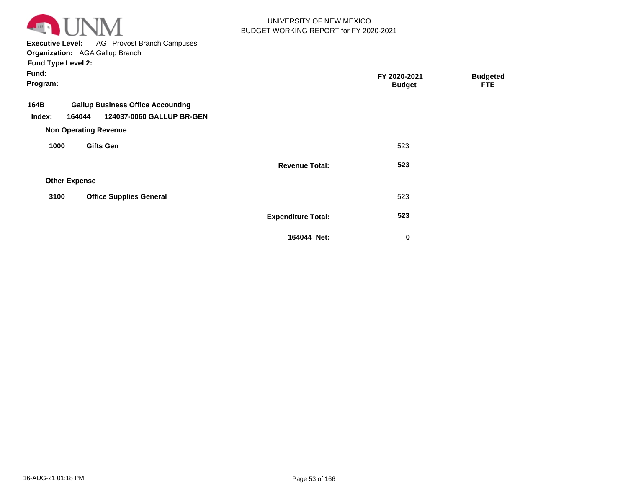

**Executive Level:** AG Provost Branch Campuses

**Organization:**  AGA Gallup Branch **Fund Type Level 2:**

| Fund:<br>Program:        |                                                                                                       |                           | FY 2020-2021<br><b>Budget</b> | <b>Budgeted</b><br><b>FTE</b> |  |
|--------------------------|-------------------------------------------------------------------------------------------------------|---------------------------|-------------------------------|-------------------------------|--|
| 164B<br>164044<br>Index: | <b>Gallup Business Office Accounting</b><br>124037-0060 GALLUP BR-GEN<br><b>Non Operating Revenue</b> |                           |                               |                               |  |
| 1000                     | <b>Gifts Gen</b>                                                                                      |                           | 523                           |                               |  |
|                          |                                                                                                       | <b>Revenue Total:</b>     | 523                           |                               |  |
| <b>Other Expense</b>     |                                                                                                       |                           |                               |                               |  |
| 3100                     | <b>Office Supplies General</b>                                                                        |                           | 523                           |                               |  |
|                          |                                                                                                       | <b>Expenditure Total:</b> | 523                           |                               |  |
|                          |                                                                                                       | 164044 Net:               | $\bf{0}$                      |                               |  |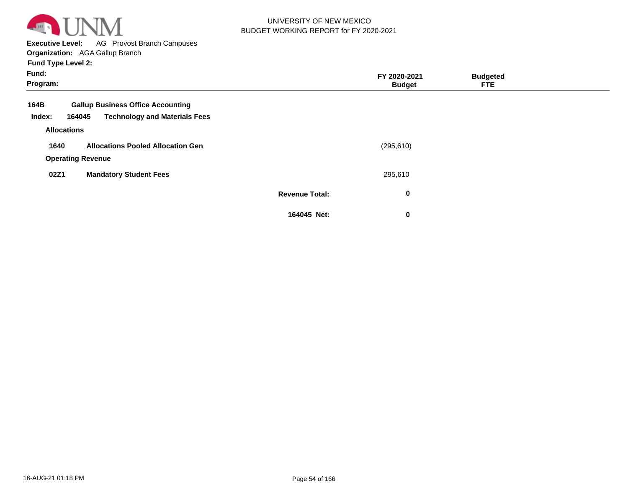

**Executive Level:** AG Provost Branch Campuses

| <b>Fund Type Level 2:</b> |  |
|---------------------------|--|
|---------------------------|--|

| Fund:<br>Program:  |                                                |                       | FY 2020-2021<br><b>Budget</b> | <b>Budgeted</b><br><b>FTE</b> |  |
|--------------------|------------------------------------------------|-----------------------|-------------------------------|-------------------------------|--|
| 164B               | <b>Gallup Business Office Accounting</b>       |                       |                               |                               |  |
| Index:             | <b>Technology and Materials Fees</b><br>164045 |                       |                               |                               |  |
| <b>Allocations</b> |                                                |                       |                               |                               |  |
| 1640               | <b>Allocations Pooled Allocation Gen</b>       |                       | (295, 610)                    |                               |  |
|                    | <b>Operating Revenue</b>                       |                       |                               |                               |  |
| 02Z1               | <b>Mandatory Student Fees</b>                  |                       | 295,610                       |                               |  |
|                    |                                                | <b>Revenue Total:</b> | 0                             |                               |  |
|                    |                                                | 164045 Net:           | 0                             |                               |  |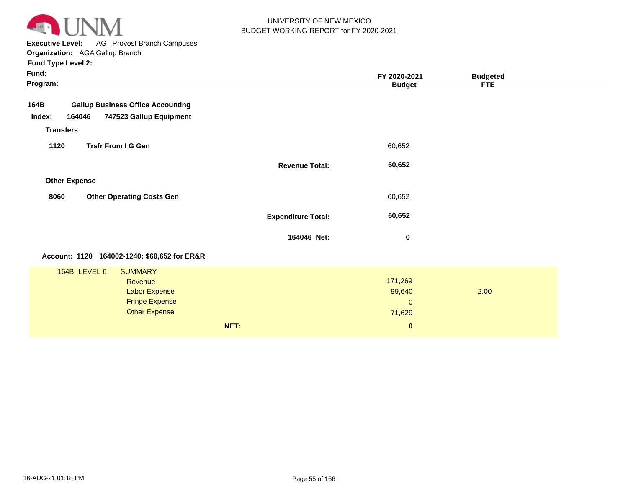

**Executive Level:** AG Provost Branch Campuses **Organization:**  AGA Gallup Branch

| Fund:<br>Program:                                                                                                  |                           | FY 2020-2021<br><b>Budget</b>                           | <b>Budgeted</b><br><b>FTE</b> |
|--------------------------------------------------------------------------------------------------------------------|---------------------------|---------------------------------------------------------|-------------------------------|
| 164B<br><b>Gallup Business Office Accounting</b><br>164046<br>747523 Gallup Equipment<br>Index:                    |                           |                                                         |                               |
| <b>Transfers</b><br><b>Trsfr From I G Gen</b><br>1120                                                              |                           | 60,652                                                  |                               |
|                                                                                                                    | <b>Revenue Total:</b>     | 60,652                                                  |                               |
| <b>Other Expense</b><br><b>Other Operating Costs Gen</b><br>8060                                                   |                           | 60,652                                                  |                               |
|                                                                                                                    | <b>Expenditure Total:</b> | 60,652                                                  |                               |
|                                                                                                                    | 164046 Net:               | $\bf{0}$                                                |                               |
| Account: 1120 164002-1240: \$60,652 for ER&R                                                                       |                           |                                                         |                               |
| 164B LEVEL 6<br><b>SUMMARY</b><br>Revenue<br><b>Labor Expense</b><br><b>Fringe Expense</b><br><b>Other Expense</b> | NET:                      | 171,269<br>99,640<br>$\mathbf{0}$<br>71,629<br>$\bf{0}$ | 2.00                          |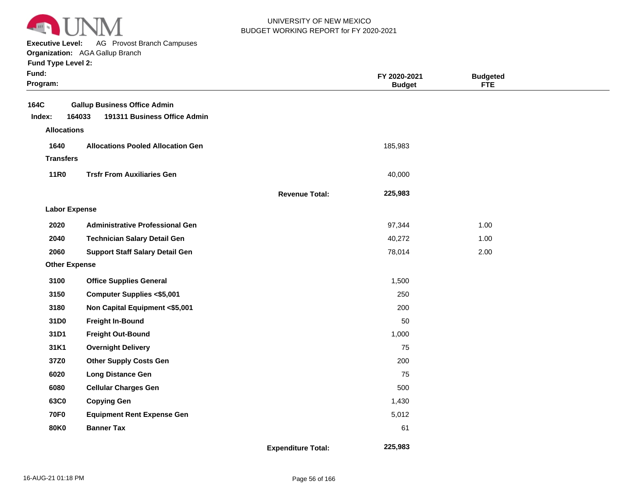

**Executive Level:** AG Provost Branch Campuses

**Organization:**  AGA Gallup Branch

| Fund:<br>Program:    |                                                                               |                           | FY 2020-2021<br><b>Budget</b> | <b>Budgeted</b><br><b>FTE</b> |  |
|----------------------|-------------------------------------------------------------------------------|---------------------------|-------------------------------|-------------------------------|--|
| 164C<br>Index:       | <b>Gallup Business Office Admin</b><br>164033<br>191311 Business Office Admin |                           |                               |                               |  |
| <b>Allocations</b>   |                                                                               |                           |                               |                               |  |
| 1640                 | <b>Allocations Pooled Allocation Gen</b>                                      |                           | 185,983                       |                               |  |
| <b>Transfers</b>     |                                                                               |                           |                               |                               |  |
| <b>11R0</b>          | <b>Trsfr From Auxiliaries Gen</b>                                             |                           | 40,000                        |                               |  |
|                      |                                                                               | <b>Revenue Total:</b>     | 225,983                       |                               |  |
| <b>Labor Expense</b> |                                                                               |                           |                               |                               |  |
| 2020                 | <b>Administrative Professional Gen</b>                                        |                           | 97,344                        | 1.00                          |  |
| 2040                 | <b>Technician Salary Detail Gen</b>                                           |                           | 40,272                        | 1.00                          |  |
| 2060                 | <b>Support Staff Salary Detail Gen</b>                                        |                           | 78,014                        | 2.00                          |  |
| <b>Other Expense</b> |                                                                               |                           |                               |                               |  |
| 3100                 | <b>Office Supplies General</b>                                                |                           | 1,500                         |                               |  |
| 3150                 | <b>Computer Supplies &lt;\$5,001</b>                                          |                           | 250                           |                               |  |
| 3180                 | Non Capital Equipment <\$5,001                                                |                           | 200                           |                               |  |
| 31D0                 | <b>Freight In-Bound</b>                                                       |                           | 50                            |                               |  |
| 31D1                 | <b>Freight Out-Bound</b>                                                      |                           | 1,000                         |                               |  |
| 31K1                 | <b>Overnight Delivery</b>                                                     |                           | 75                            |                               |  |
| 37Z0                 | <b>Other Supply Costs Gen</b>                                                 |                           | 200                           |                               |  |
| 6020                 | Long Distance Gen                                                             |                           | 75                            |                               |  |
| 6080                 | <b>Cellular Charges Gen</b>                                                   |                           | 500                           |                               |  |
| 63C0                 | <b>Copying Gen</b>                                                            |                           | 1,430                         |                               |  |
| <b>70F0</b>          | <b>Equipment Rent Expense Gen</b>                                             |                           | 5,012                         |                               |  |
| <b>80K0</b>          | <b>Banner Tax</b>                                                             |                           | 61                            |                               |  |
|                      |                                                                               | <b>Expenditure Total:</b> | 225,983                       |                               |  |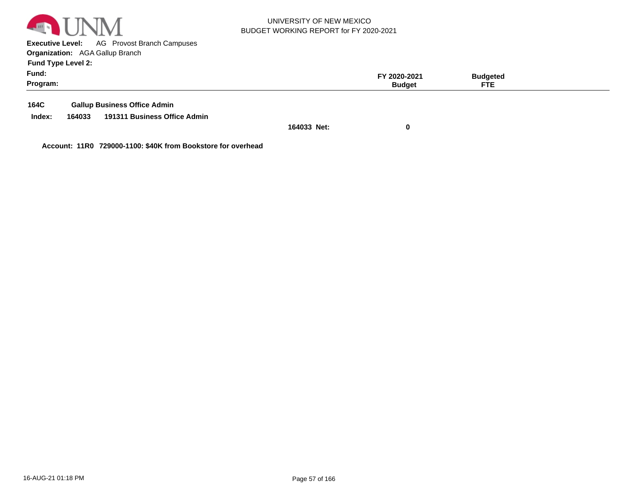

**Executive Level:** AG Provost Branch Campuses **Organization:**  AGA Gallup Branch **Fund Type Level 2:**

| .<br>Fund:<br>Program: |        |                                     |             | FY 2020-2021<br><b>Budget</b> | <b>Budgeted</b><br><b>FTE</b> |  |
|------------------------|--------|-------------------------------------|-------------|-------------------------------|-------------------------------|--|
| 164C                   |        | <b>Gallup Business Office Admin</b> |             |                               |                               |  |
| Index:                 | 164033 | 191311 Business Office Admin        |             |                               |                               |  |
|                        |        |                                     | 164033 Net: |                               |                               |  |

**Account: 11R0 729000-1100: \$40K from Bookstore for overhead**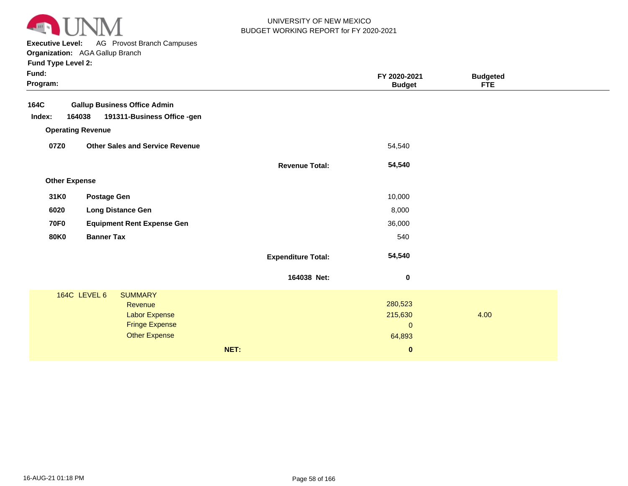

**Executive Level:** AG Provost Branch Campuses

| <b>Fund Type Level 2:</b> |  |
|---------------------------|--|
|---------------------------|--|

| Fund:<br>Program: |                          |                                        |      |                           | FY 2020-2021<br><b>Budget</b> | <b>Budgeted</b><br><b>FTE</b> |  |
|-------------------|--------------------------|----------------------------------------|------|---------------------------|-------------------------------|-------------------------------|--|
| 164C              |                          | <b>Gallup Business Office Admin</b>    |      |                           |                               |                               |  |
| Index:            | 164038                   | 191311-Business Office -gen            |      |                           |                               |                               |  |
|                   | <b>Operating Revenue</b> |                                        |      |                           |                               |                               |  |
| 07Z0              |                          | <b>Other Sales and Service Revenue</b> |      |                           | 54,540                        |                               |  |
|                   |                          |                                        |      | <b>Revenue Total:</b>     | 54,540                        |                               |  |
|                   | <b>Other Expense</b>     |                                        |      |                           |                               |                               |  |
| 31K0              | <b>Postage Gen</b>       |                                        |      |                           | 10,000                        |                               |  |
| 6020              |                          | <b>Long Distance Gen</b>               |      |                           | 8,000                         |                               |  |
| <b>70F0</b>       |                          | <b>Equipment Rent Expense Gen</b>      |      |                           | 36,000                        |                               |  |
| <b>80K0</b>       | <b>Banner Tax</b>        |                                        |      |                           | 540                           |                               |  |
|                   |                          |                                        |      | <b>Expenditure Total:</b> | 54,540                        |                               |  |
|                   |                          |                                        |      | 164038 Net:               | $\bf{0}$                      |                               |  |
|                   | 164C LEVEL 6             | <b>SUMMARY</b>                         |      |                           |                               |                               |  |
|                   |                          | <b>Revenue</b>                         |      |                           | 280,523                       |                               |  |
|                   |                          | Labor Expense                          |      |                           | 215,630                       | 4.00                          |  |
|                   |                          | <b>Fringe Expense</b>                  |      |                           | $\mathbf 0$                   |                               |  |
|                   |                          | <b>Other Expense</b>                   |      |                           | 64,893                        |                               |  |
|                   |                          |                                        | NET: |                           | $\bf{0}$                      |                               |  |
|                   |                          |                                        |      |                           |                               |                               |  |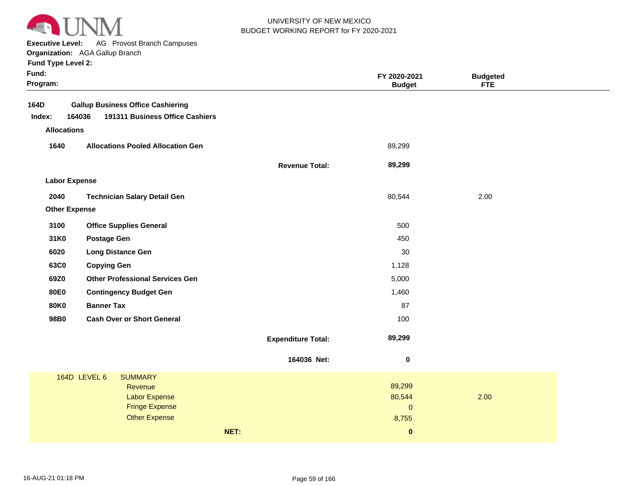

**Executive Level:** AG Provost Branch Campuses

|  |  | <b>Fund Type Level 2:</b> |  |
|--|--|---------------------------|--|
|--|--|---------------------------|--|

| Fund:<br>Program:    |                                               |                           | FY 2020-2021<br><b>Budget</b> | <b>Budgeted</b><br><b>FTE</b> |  |
|----------------------|-----------------------------------------------|---------------------------|-------------------------------|-------------------------------|--|
| 164D                 | <b>Gallup Business Office Cashiering</b>      |                           |                               |                               |  |
| Index:               | 191311 Business Office Cashiers<br>164036     |                           |                               |                               |  |
| <b>Allocations</b>   |                                               |                           |                               |                               |  |
| 1640                 | <b>Allocations Pooled Allocation Gen</b>      |                           | 89,299                        |                               |  |
|                      |                                               | <b>Revenue Total:</b>     | 89,299                        |                               |  |
| <b>Labor Expense</b> |                                               |                           |                               |                               |  |
| 2040                 | <b>Technician Salary Detail Gen</b>           |                           | 80,544                        | 2.00                          |  |
| <b>Other Expense</b> |                                               |                           |                               |                               |  |
| 3100                 | <b>Office Supplies General</b>                |                           | 500                           |                               |  |
| 31K0                 | <b>Postage Gen</b>                            |                           | 450                           |                               |  |
| 6020                 | <b>Long Distance Gen</b>                      |                           | 30                            |                               |  |
| 63C0                 | <b>Copying Gen</b>                            |                           | 1,128                         |                               |  |
| 69Z0                 | <b>Other Professional Services Gen</b>        |                           | 5,000                         |                               |  |
| <b>80E0</b>          | <b>Contingency Budget Gen</b>                 |                           | 1,460                         |                               |  |
| <b>80K0</b>          | <b>Banner Tax</b>                             |                           | 87                            |                               |  |
| 98B0                 | <b>Cash Over or Short General</b>             |                           | 100                           |                               |  |
|                      |                                               | <b>Expenditure Total:</b> | 89,299                        |                               |  |
|                      |                                               | 164036 Net:               | $\pmb{0}$                     |                               |  |
|                      | <b>164D LEVEL 6</b><br><b>SUMMARY</b>         |                           |                               |                               |  |
|                      | Revenue                                       |                           | 89,299                        |                               |  |
|                      | <b>Labor Expense</b><br><b>Fringe Expense</b> |                           | 80,544<br>$\pmb{0}$           | 2.00                          |  |
|                      | <b>Other Expense</b>                          |                           | 8,755                         |                               |  |
|                      |                                               | NET:                      | $\bf{0}$                      |                               |  |
|                      |                                               |                           |                               |                               |  |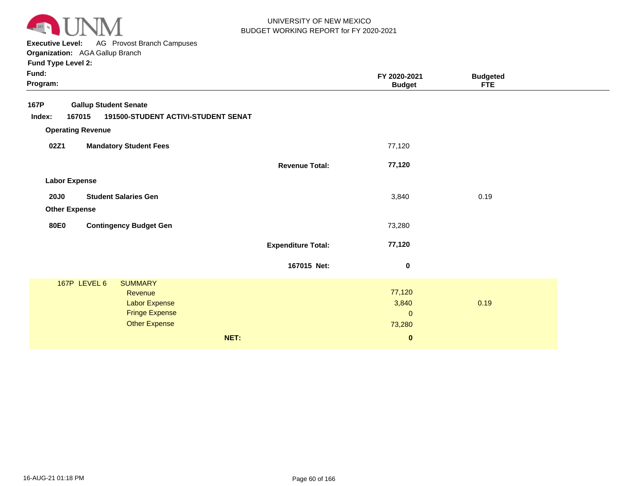

**Executive Level:** AG Provost Branch Campuses

**Organization:**  AGA Gallup Branch

| <b>Gallup Student Senate</b><br>167015<br>191500-STUDENT ACTIVI-STUDENT SENAT<br><b>Operating Revenue</b><br>02Z1<br><b>Mandatory Student Fees</b><br>77,120<br>77,120<br><b>Revenue Total:</b><br><b>Labor Expense</b><br>0.19<br><b>Student Salaries Gen</b><br>3,840<br><b>20J0</b><br><b>Other Expense</b><br><b>Contingency Budget Gen</b><br>73,280<br><b>80E0</b><br>77,120<br><b>Expenditure Total:</b><br>167015 Net:<br>$\bf{0}$<br>167P LEVEL 6<br><b>SUMMARY</b><br>77,120<br>Revenue<br>0.19<br>Labor Expense<br>3,840<br><b>Fringe Expense</b><br>$\mathbf 0$<br><b>Other Expense</b><br>73,280<br>NET:<br>$\boldsymbol{0}$ | Fund:<br>Program: | FY 2020-2021<br><b>Budget</b> | <b>Budgeted</b><br><b>FTE</b> |  |
|-------------------------------------------------------------------------------------------------------------------------------------------------------------------------------------------------------------------------------------------------------------------------------------------------------------------------------------------------------------------------------------------------------------------------------------------------------------------------------------------------------------------------------------------------------------------------------------------------------------------------------------------|-------------------|-------------------------------|-------------------------------|--|
|                                                                                                                                                                                                                                                                                                                                                                                                                                                                                                                                                                                                                                           | 167P              |                               |                               |  |
|                                                                                                                                                                                                                                                                                                                                                                                                                                                                                                                                                                                                                                           | Index:            |                               |                               |  |
|                                                                                                                                                                                                                                                                                                                                                                                                                                                                                                                                                                                                                                           |                   |                               |                               |  |
|                                                                                                                                                                                                                                                                                                                                                                                                                                                                                                                                                                                                                                           |                   |                               |                               |  |
|                                                                                                                                                                                                                                                                                                                                                                                                                                                                                                                                                                                                                                           |                   |                               |                               |  |
|                                                                                                                                                                                                                                                                                                                                                                                                                                                                                                                                                                                                                                           |                   |                               |                               |  |
|                                                                                                                                                                                                                                                                                                                                                                                                                                                                                                                                                                                                                                           |                   |                               |                               |  |
|                                                                                                                                                                                                                                                                                                                                                                                                                                                                                                                                                                                                                                           |                   |                               |                               |  |
|                                                                                                                                                                                                                                                                                                                                                                                                                                                                                                                                                                                                                                           |                   |                               |                               |  |
|                                                                                                                                                                                                                                                                                                                                                                                                                                                                                                                                                                                                                                           |                   |                               |                               |  |
|                                                                                                                                                                                                                                                                                                                                                                                                                                                                                                                                                                                                                                           |                   |                               |                               |  |
|                                                                                                                                                                                                                                                                                                                                                                                                                                                                                                                                                                                                                                           |                   |                               |                               |  |
|                                                                                                                                                                                                                                                                                                                                                                                                                                                                                                                                                                                                                                           |                   |                               |                               |  |
|                                                                                                                                                                                                                                                                                                                                                                                                                                                                                                                                                                                                                                           |                   |                               |                               |  |
|                                                                                                                                                                                                                                                                                                                                                                                                                                                                                                                                                                                                                                           |                   |                               |                               |  |
|                                                                                                                                                                                                                                                                                                                                                                                                                                                                                                                                                                                                                                           |                   |                               |                               |  |
|                                                                                                                                                                                                                                                                                                                                                                                                                                                                                                                                                                                                                                           |                   |                               |                               |  |
|                                                                                                                                                                                                                                                                                                                                                                                                                                                                                                                                                                                                                                           |                   |                               |                               |  |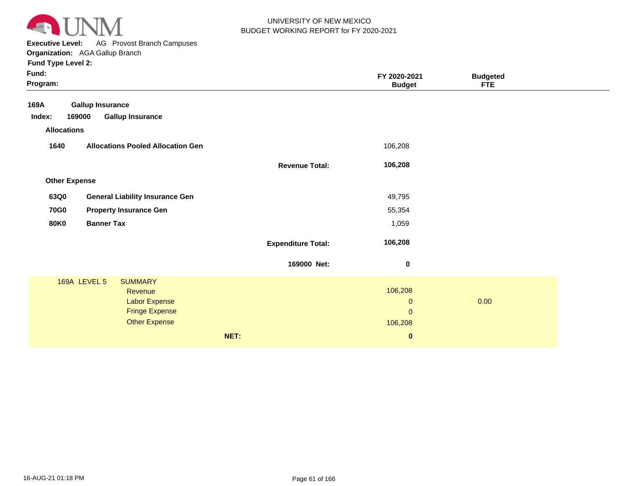

**Executive Level:** AG Provost Branch Campuses **Organization:**  AGA Gallup Branch

| <b>Gallup Insurance</b><br>169000<br><b>Gallup Insurance</b><br>Index:<br><b>Allocations</b><br>1640<br><b>Allocations Pooled Allocation Gen</b><br>106,208<br>106,208<br><b>Revenue Total:</b><br><b>Other Expense</b><br>63Q0<br><b>General Liability Insurance Gen</b><br>49,795<br><b>70G0</b><br><b>Property Insurance Gen</b><br>55,354<br><b>Banner Tax</b><br><b>80K0</b><br>1,059<br>106,208<br><b>Expenditure Total:</b><br>169000 Net:<br>$\bf{0}$<br><b>169A LEVEL 5</b><br><b>SUMMARY</b><br>106,208<br>Revenue<br>0.00<br>Labor Expense<br>$\mathbf 0$<br><b>Fringe Expense</b><br>$\mathbf{0}$<br>Other Expense<br>106,208<br>NET:<br>$\bf{0}$ | Fund:<br>Program: |  | FY 2020-2021<br><b>Budget</b> | <b>Budgeted</b><br><b>FTE</b> |  |
|---------------------------------------------------------------------------------------------------------------------------------------------------------------------------------------------------------------------------------------------------------------------------------------------------------------------------------------------------------------------------------------------------------------------------------------------------------------------------------------------------------------------------------------------------------------------------------------------------------------------------------------------------------------|-------------------|--|-------------------------------|-------------------------------|--|
|                                                                                                                                                                                                                                                                                                                                                                                                                                                                                                                                                                                                                                                               | 169A              |  |                               |                               |  |
|                                                                                                                                                                                                                                                                                                                                                                                                                                                                                                                                                                                                                                                               |                   |  |                               |                               |  |
|                                                                                                                                                                                                                                                                                                                                                                                                                                                                                                                                                                                                                                                               |                   |  |                               |                               |  |
|                                                                                                                                                                                                                                                                                                                                                                                                                                                                                                                                                                                                                                                               |                   |  |                               |                               |  |
|                                                                                                                                                                                                                                                                                                                                                                                                                                                                                                                                                                                                                                                               |                   |  |                               |                               |  |
|                                                                                                                                                                                                                                                                                                                                                                                                                                                                                                                                                                                                                                                               |                   |  |                               |                               |  |
|                                                                                                                                                                                                                                                                                                                                                                                                                                                                                                                                                                                                                                                               |                   |  |                               |                               |  |
|                                                                                                                                                                                                                                                                                                                                                                                                                                                                                                                                                                                                                                                               |                   |  |                               |                               |  |
|                                                                                                                                                                                                                                                                                                                                                                                                                                                                                                                                                                                                                                                               |                   |  |                               |                               |  |
|                                                                                                                                                                                                                                                                                                                                                                                                                                                                                                                                                                                                                                                               |                   |  |                               |                               |  |
|                                                                                                                                                                                                                                                                                                                                                                                                                                                                                                                                                                                                                                                               |                   |  |                               |                               |  |
|                                                                                                                                                                                                                                                                                                                                                                                                                                                                                                                                                                                                                                                               |                   |  |                               |                               |  |
|                                                                                                                                                                                                                                                                                                                                                                                                                                                                                                                                                                                                                                                               |                   |  |                               |                               |  |
|                                                                                                                                                                                                                                                                                                                                                                                                                                                                                                                                                                                                                                                               |                   |  |                               |                               |  |
|                                                                                                                                                                                                                                                                                                                                                                                                                                                                                                                                                                                                                                                               |                   |  |                               |                               |  |
|                                                                                                                                                                                                                                                                                                                                                                                                                                                                                                                                                                                                                                                               |                   |  |                               |                               |  |
|                                                                                                                                                                                                                                                                                                                                                                                                                                                                                                                                                                                                                                                               |                   |  |                               |                               |  |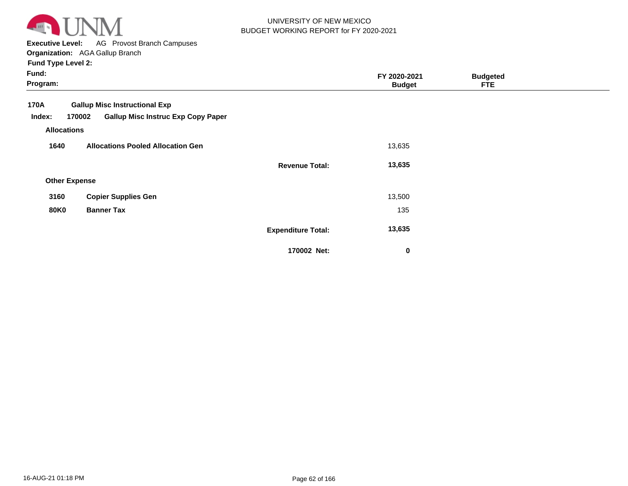

**Executive Level:** AG Provost Branch Campuses

**Organization:**  AGA Gallup Branch **Fund Type Level 2:**

| Fund:<br>Program:                                                                      |                                           | FY 2020-2021<br><b>Budget</b> | <b>Budgeted</b><br><b>FTE</b> |  |
|----------------------------------------------------------------------------------------|-------------------------------------------|-------------------------------|-------------------------------|--|
| <b>Gallup Misc Instructional Exp</b><br>170A<br>170002<br>Index:<br><b>Allocations</b> | <b>Gallup Misc Instruc Exp Copy Paper</b> |                               |                               |  |
| 1640                                                                                   | <b>Allocations Pooled Allocation Gen</b>  | 13,635                        |                               |  |
|                                                                                        | <b>Revenue Total:</b>                     | 13,635                        |                               |  |
| <b>Other Expense</b>                                                                   |                                           |                               |                               |  |
| <b>Copier Supplies Gen</b><br>3160                                                     |                                           | 13,500                        |                               |  |
| <b>80K0</b><br><b>Banner Tax</b>                                                       |                                           | 135                           |                               |  |
|                                                                                        | <b>Expenditure Total:</b>                 | 13,635                        |                               |  |
|                                                                                        | 170002 Net:                               | 0                             |                               |  |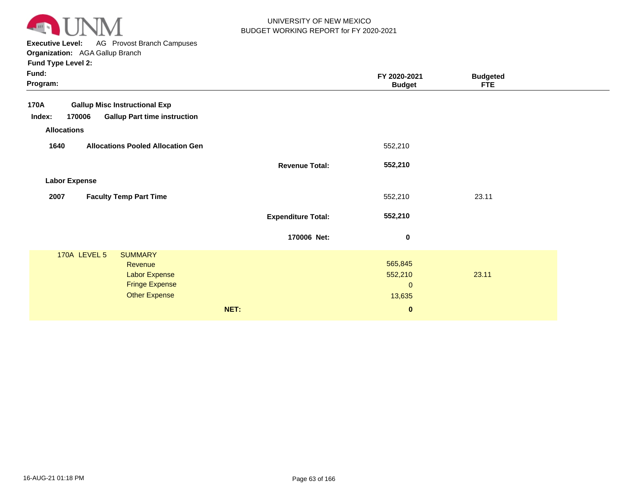

**Executive Level:** AG Provost Branch Campuses

| <b>Fund Type Level 2:</b> |  |  |  |
|---------------------------|--|--|--|
|                           |  |  |  |

| <b>Gallup Misc Instructional Exp</b><br>170A                                                                       |                                                |       |
|--------------------------------------------------------------------------------------------------------------------|------------------------------------------------|-------|
| <b>Gallup Part time instruction</b><br>170006<br>Index:                                                            |                                                |       |
| <b>Allocations</b>                                                                                                 |                                                |       |
| 1640<br><b>Allocations Pooled Allocation Gen</b>                                                                   | 552,210                                        |       |
| <b>Revenue Total:</b>                                                                                              | 552,210                                        |       |
| <b>Labor Expense</b>                                                                                               |                                                |       |
| <b>Faculty Temp Part Time</b><br>2007                                                                              | 552,210                                        | 23.11 |
| <b>Expenditure Total:</b>                                                                                          | 552,210                                        |       |
| 170006 Net:                                                                                                        | $\bf{0}$                                       |       |
| 170A LEVEL 5<br><b>SUMMARY</b><br>Revenue<br><b>Labor Expense</b><br><b>Fringe Expense</b><br><b>Other Expense</b> | 565,845<br>552,210<br>$\overline{0}$<br>13,635 | 23.11 |
| NET:                                                                                                               | $\pmb{0}$                                      |       |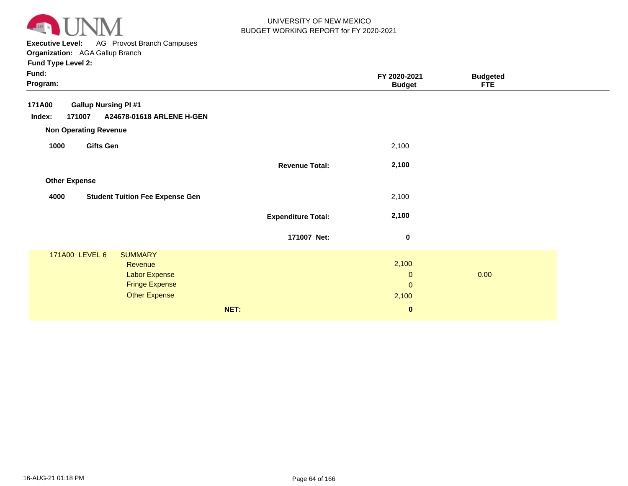

**Executive Level:** AG Provost Branch Campuses

**Organization:**  AGA Gallup Branch **Fund Type Level 2:**

| Fund:<br>Program:                                                                                                      |                           | FY 2020-2021<br><b>Budget</b>                         | <b>Budgeted</b><br><b>FTE</b> |  |
|------------------------------------------------------------------------------------------------------------------------|---------------------------|-------------------------------------------------------|-------------------------------|--|
| <b>Gallup Nursing PI #1</b><br>171A00<br>Index:<br>A24678-01618 ARLENE H-GEN<br>171007<br><b>Non Operating Revenue</b> |                           |                                                       |                               |  |
| <b>Gifts Gen</b><br>1000                                                                                               |                           | 2,100                                                 |                               |  |
|                                                                                                                        | <b>Revenue Total:</b>     | 2,100                                                 |                               |  |
| <b>Other Expense</b>                                                                                                   |                           |                                                       |                               |  |
| <b>Student Tuition Fee Expense Gen</b><br>4000                                                                         |                           | 2,100                                                 |                               |  |
|                                                                                                                        | <b>Expenditure Total:</b> | 2,100                                                 |                               |  |
|                                                                                                                        | 171007 Net:               | $\mathbf 0$                                           |                               |  |
| 171A00 LEVEL 6<br><b>SUMMARY</b><br>Revenue<br>Labor Expense<br><b>Fringe Expense</b><br><b>Other Expense</b>          | NET:                      | 2,100<br>$\pmb{0}$<br>$\pmb{0}$<br>2,100<br>$\pmb{0}$ | 0.00                          |  |
|                                                                                                                        |                           |                                                       |                               |  |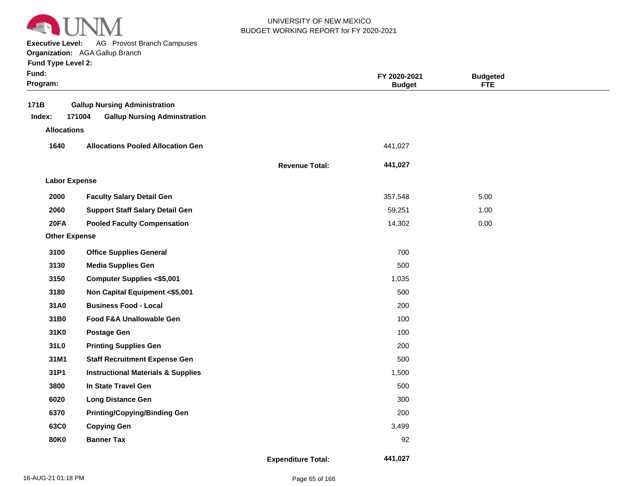

**Executive Level:** AG Provost Branch Campuses

**Organization:**  AGA Gallup Branch

| Fund:<br>Program: |                                                                                       |                           | FY 2020-2021<br><b>Budget</b> | <b>Budgeted</b><br><b>FTE</b> |  |
|-------------------|---------------------------------------------------------------------------------------|---------------------------|-------------------------------|-------------------------------|--|
| 171B<br>Index:    | <b>Gallup Nursing Administration</b><br>171004<br><b>Gallup Nursing Adminstration</b> |                           |                               |                               |  |
|                   | <b>Allocations</b>                                                                    |                           |                               |                               |  |
| 1640              | <b>Allocations Pooled Allocation Gen</b>                                              |                           | 441,027                       |                               |  |
|                   |                                                                                       | <b>Revenue Total:</b>     | 441,027                       |                               |  |
|                   | <b>Labor Expense</b>                                                                  |                           |                               |                               |  |
| 2000              | <b>Faculty Salary Detail Gen</b>                                                      |                           | 357,548                       | 5.00                          |  |
| 2060              | <b>Support Staff Salary Detail Gen</b>                                                |                           | 59,251                        | 1.00                          |  |
| 20FA              | <b>Pooled Faculty Compensation</b>                                                    |                           | 14,302                        | 0.00                          |  |
|                   | <b>Other Expense</b>                                                                  |                           |                               |                               |  |
| 3100              | <b>Office Supplies General</b>                                                        |                           | 700                           |                               |  |
| 3130              | <b>Media Supplies Gen</b>                                                             |                           | 500                           |                               |  |
| 3150              | <b>Computer Supplies &lt;\$5,001</b>                                                  |                           | 1,035                         |                               |  |
| 3180              | Non Capital Equipment <\$5,001                                                        |                           | 500                           |                               |  |
| 31A0              | <b>Business Food - Local</b>                                                          |                           | 200                           |                               |  |
| 31B0              | Food F&A Unallowable Gen                                                              |                           | 100                           |                               |  |
| 31K0              | <b>Postage Gen</b>                                                                    |                           | 100                           |                               |  |
| 31L0              | <b>Printing Supplies Gen</b>                                                          |                           | 200                           |                               |  |
| 31M1              | <b>Staff Recruitment Expense Gen</b>                                                  |                           | 500                           |                               |  |
| 31P1              | <b>Instructional Materials &amp; Supplies</b>                                         |                           | 1,500                         |                               |  |
| 3800              | In State Travel Gen                                                                   |                           | 500                           |                               |  |
| 6020              | <b>Long Distance Gen</b>                                                              |                           | 300                           |                               |  |
| 6370              | <b>Printing/Copying/Binding Gen</b>                                                   |                           | 200                           |                               |  |
| 63C0              | <b>Copying Gen</b>                                                                    |                           | 3,499                         |                               |  |
| <b>80K0</b>       | <b>Banner Tax</b>                                                                     |                           | 92                            |                               |  |
|                   |                                                                                       | <b>Expenditure Total:</b> | 441,027                       |                               |  |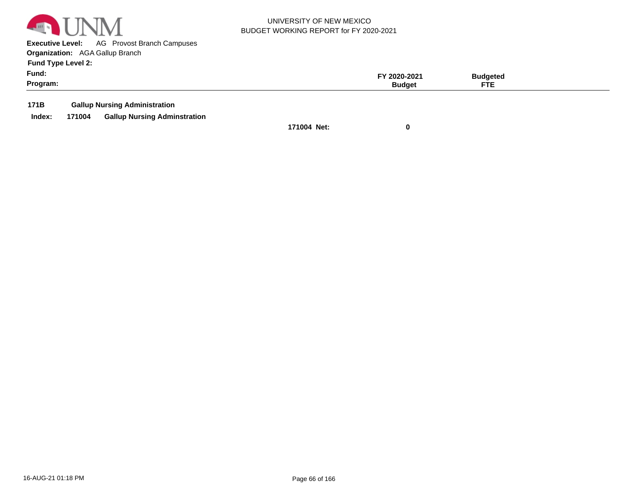

**Executive Level:** AG Provost Branch Campuses **Organization:**  AGA Gallup Branch

**Fund Type Level 2:**

| Fund:<br>Program: | $.0 - 202$ | 'aetec<br>ETE<br>. |  |
|-------------------|------------|--------------------|--|
|                   |            |                    |  |

**171B Gallup Nursing Administration**

**Index: 171004 Gallup Nursing Adminstration**

**171004 Net: 0**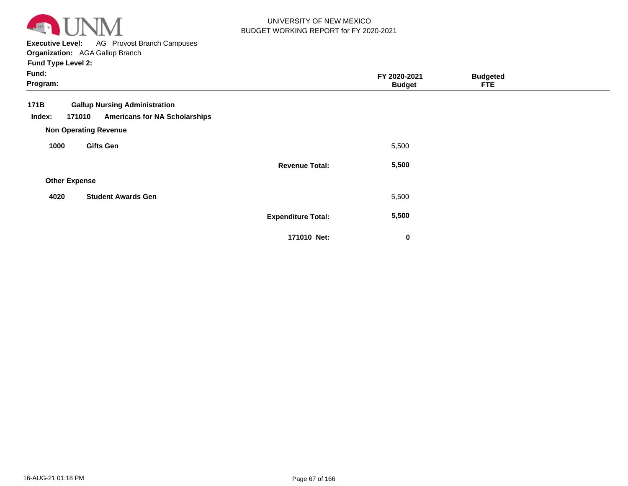

**Executive Level:** AG Provost Branch Campuses

**Organization:**  AGA Gallup Branch **Fund Type Level 2:**

| Fund:<br>Program:        |                                                                              |                           | FY 2020-2021<br><b>Budget</b> | <b>Budgeted</b><br><b>FTE</b> |  |
|--------------------------|------------------------------------------------------------------------------|---------------------------|-------------------------------|-------------------------------|--|
| 171B<br>171010<br>Index: | <b>Gallup Nursing Administration</b><br><b>Americans for NA Scholarships</b> |                           |                               |                               |  |
|                          | <b>Non Operating Revenue</b>                                                 |                           |                               |                               |  |
| 1000                     | <b>Gifts Gen</b>                                                             |                           | 5,500                         |                               |  |
|                          |                                                                              | <b>Revenue Total:</b>     | 5,500                         |                               |  |
| <b>Other Expense</b>     |                                                                              |                           |                               |                               |  |
| 4020                     | <b>Student Awards Gen</b>                                                    |                           | 5,500                         |                               |  |
|                          |                                                                              | <b>Expenditure Total:</b> | 5,500                         |                               |  |
|                          |                                                                              | 171010 Net:               | $\pmb{0}$                     |                               |  |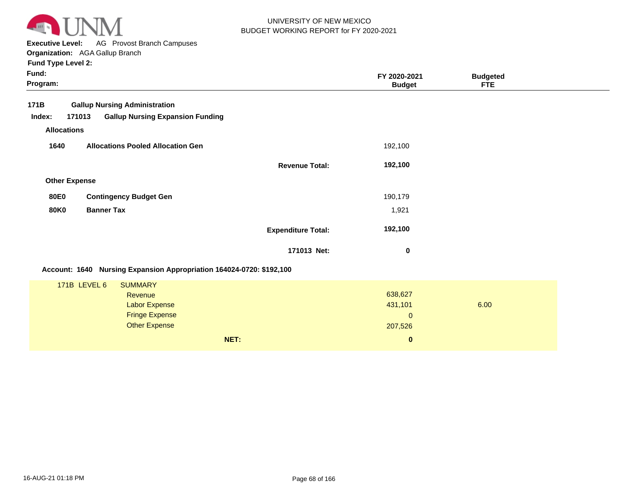

**Executive Level:** AG Provost Branch Campuses **Organization:**  AGA Gallup Branch

| Fund:<br>Program: |                      |                                                                      |                           | FY 2020-2021<br><b>Budget</b> | <b>Budgeted</b><br><b>FTE</b> |  |
|-------------------|----------------------|----------------------------------------------------------------------|---------------------------|-------------------------------|-------------------------------|--|
| 171B              |                      | <b>Gallup Nursing Administration</b>                                 |                           |                               |                               |  |
| Index:            | 171013               | <b>Gallup Nursing Expansion Funding</b>                              |                           |                               |                               |  |
|                   | <b>Allocations</b>   |                                                                      |                           |                               |                               |  |
| 1640              |                      | <b>Allocations Pooled Allocation Gen</b>                             |                           | 192,100                       |                               |  |
|                   |                      |                                                                      | <b>Revenue Total:</b>     | 192,100                       |                               |  |
|                   | <b>Other Expense</b> |                                                                      |                           |                               |                               |  |
| <b>80E0</b>       |                      | <b>Contingency Budget Gen</b>                                        |                           | 190,179                       |                               |  |
| <b>80K0</b>       | <b>Banner Tax</b>    |                                                                      |                           | 1,921                         |                               |  |
|                   |                      |                                                                      | <b>Expenditure Total:</b> | 192,100                       |                               |  |
|                   |                      |                                                                      | 171013 Net:               | 0                             |                               |  |
|                   |                      | Account: 1640 Nursing Expansion Appropriation 164024-0720: \$192,100 |                           |                               |                               |  |
|                   | 171B LEVEL 6         | <b>SUMMARY</b>                                                       |                           |                               |                               |  |
|                   |                      | <b>Revenue</b>                                                       |                           | 638,627                       |                               |  |
|                   |                      | <b>Labor Expense</b>                                                 |                           | 431,101                       | 6.00                          |  |
|                   |                      | <b>Fringe Expense</b>                                                |                           | $\mathbf{0}$                  |                               |  |
|                   |                      | <b>Other Expense</b>                                                 |                           | 207,526                       |                               |  |
|                   |                      |                                                                      | NET:                      | $\bf{0}$                      |                               |  |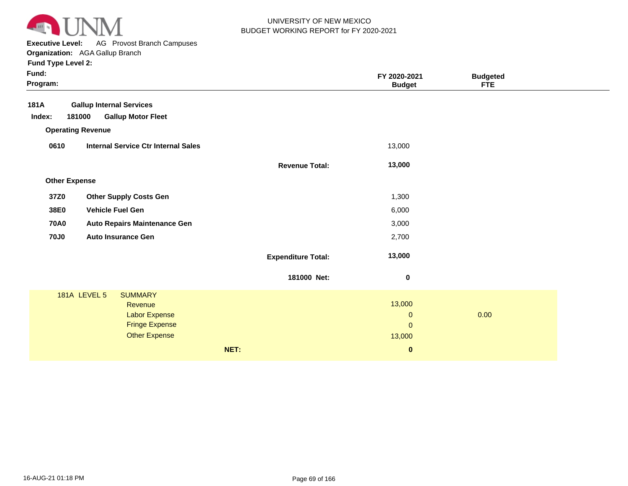

**Executive Level:** AG Provost Branch Campuses

**Organization:**  AGA Gallup Branch **Fund Type Level 2:**

| Fund:<br>Program:    |                                            |                           | FY 2020-2021<br><b>Budget</b> | <b>Budgeted</b><br><b>FTE</b> |  |
|----------------------|--------------------------------------------|---------------------------|-------------------------------|-------------------------------|--|
| 181A                 | <b>Gallup Internal Services</b>            |                           |                               |                               |  |
| Index:               | 181000<br><b>Gallup Motor Fleet</b>        |                           |                               |                               |  |
|                      | <b>Operating Revenue</b>                   |                           |                               |                               |  |
| 0610                 | <b>Internal Service Ctr Internal Sales</b> |                           | 13,000                        |                               |  |
|                      |                                            | <b>Revenue Total:</b>     | 13,000                        |                               |  |
| <b>Other Expense</b> |                                            |                           |                               |                               |  |
| 37Z0                 | <b>Other Supply Costs Gen</b>              |                           | 1,300                         |                               |  |
| 38E0                 | <b>Vehicle Fuel Gen</b>                    |                           | 6,000                         |                               |  |
| <b>70A0</b>          | <b>Auto Repairs Maintenance Gen</b>        |                           | 3,000                         |                               |  |
| <b>70J0</b>          | <b>Auto Insurance Gen</b>                  |                           | 2,700                         |                               |  |
|                      |                                            |                           |                               |                               |  |
|                      |                                            | <b>Expenditure Total:</b> | 13,000                        |                               |  |
|                      |                                            | 181000 Net:               | $\mathbf 0$                   |                               |  |
|                      | <b>181A LEVEL 5</b><br><b>SUMMARY</b>      |                           |                               |                               |  |
|                      | Revenue                                    |                           | 13,000                        |                               |  |
|                      | Labor Expense<br><b>Fringe Expense</b>     |                           | $\mathbf{O}$<br>$\pmb{0}$     | 0.00                          |  |
|                      | <b>Other Expense</b>                       |                           | 13,000                        |                               |  |
|                      |                                            | NET:                      | $\bf{0}$                      |                               |  |
|                      |                                            |                           |                               |                               |  |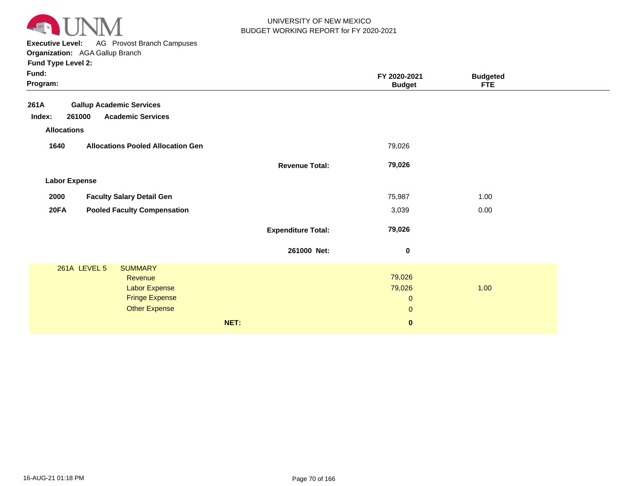

**Executive Level:** AG Provost Branch Campuses

**Organization:**  AGA Gallup Branch

| Fund:<br>Program:                                 |                           | FY 2020-2021<br><b>Budget</b> | <b>Budgeted</b><br><b>FTE</b> |  |
|---------------------------------------------------|---------------------------|-------------------------------|-------------------------------|--|
| <b>Gallup Academic Services</b><br>261A           |                           |                               |                               |  |
| 261000<br><b>Academic Services</b><br>Index:      |                           |                               |                               |  |
| <b>Allocations</b>                                |                           |                               |                               |  |
| <b>Allocations Pooled Allocation Gen</b><br>1640  |                           | 79,026                        |                               |  |
|                                                   | <b>Revenue Total:</b>     | 79,026                        |                               |  |
| <b>Labor Expense</b>                              |                           |                               |                               |  |
| 2000<br><b>Faculty Salary Detail Gen</b>          |                           | 75,987                        | 1.00                          |  |
| <b>20FA</b><br><b>Pooled Faculty Compensation</b> |                           | 3,039                         | 0.00                          |  |
|                                                   | <b>Expenditure Total:</b> | 79,026                        |                               |  |
|                                                   | 261000 Net:               | $\bf{0}$                      |                               |  |
| <b>261A LEVEL 5</b><br><b>SUMMARY</b>             |                           |                               |                               |  |
| Revenue                                           |                           | 79,026                        | 1.00                          |  |
| Labor Expense<br><b>Fringe Expense</b>            |                           | 79,026<br>$\mathbf{0}$        |                               |  |
| <b>Other Expense</b>                              |                           | $\mathbf{0}$                  |                               |  |
|                                                   |                           |                               |                               |  |
| NET:                                              |                           | $\pmb{0}$                     |                               |  |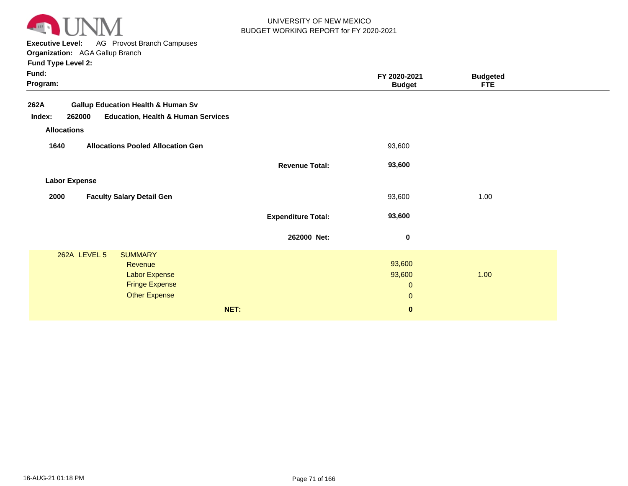

**Executive Level:** AG Provost Branch Campuses

|          | <b>Fund Type Level 2:</b> |                                               |                 |               |                 |
|----------|---------------------------|-----------------------------------------------|-----------------|---------------|-----------------|
| Fund:    |                           |                                               |                 | FY 2020-2021  | <b>Budgeted</b> |
| Program: |                           |                                               |                 | <b>Budget</b> | <b>FTE</b>      |
| 262A     |                           | <b>Gallup Education Health &amp; Human Sv</b> |                 |               |                 |
| Index:   | 262000                    | <b>Education, Health &amp; Human Services</b> |                 |               |                 |
|          | <b>Allocations</b>        |                                               |                 |               |                 |
| 1640     |                           | <b>Allocations Pooled Allocation Gen</b>      |                 | 93,600        |                 |
|          |                           |                                               | Barramos Tatall | na chn        |                 |

| und:<br>rogram:      |                                               |                           | FY 2020-2021<br><b>Budget</b> | <b>Budgeted</b><br><b>FTE</b> |  |
|----------------------|-----------------------------------------------|---------------------------|-------------------------------|-------------------------------|--|
| 82A                  | <b>Gallup Education Health &amp; Human Sv</b> |                           |                               |                               |  |
| 262000<br>Index:     | <b>Education, Health &amp; Human Services</b> |                           |                               |                               |  |
| <b>Allocations</b>   |                                               |                           |                               |                               |  |
| 1640                 | <b>Allocations Pooled Allocation Gen</b>      |                           | 93,600                        |                               |  |
|                      |                                               | <b>Revenue Total:</b>     | 93,600                        |                               |  |
| <b>Labor Expense</b> |                                               |                           |                               |                               |  |
| 2000                 | <b>Faculty Salary Detail Gen</b>              |                           | 93,600                        | 1.00                          |  |
|                      |                                               | <b>Expenditure Total:</b> | 93,600                        |                               |  |
|                      |                                               | 262000 Net:               | $\bf{0}$                      |                               |  |
| 262A LEVEL 5         | <b>SUMMARY</b>                                |                           |                               |                               |  |
|                      | Revenue                                       |                           | 93,600                        |                               |  |
|                      | <b>Labor Expense</b>                          |                           | 93,600                        | 1.00                          |  |
|                      | <b>Fringe Expense</b>                         |                           | $\mathbf 0$                   |                               |  |
|                      | <b>Other Expense</b>                          |                           | $\mathbf{0}$                  |                               |  |
|                      | NET:                                          |                           | $\mathbf{0}$                  |                               |  |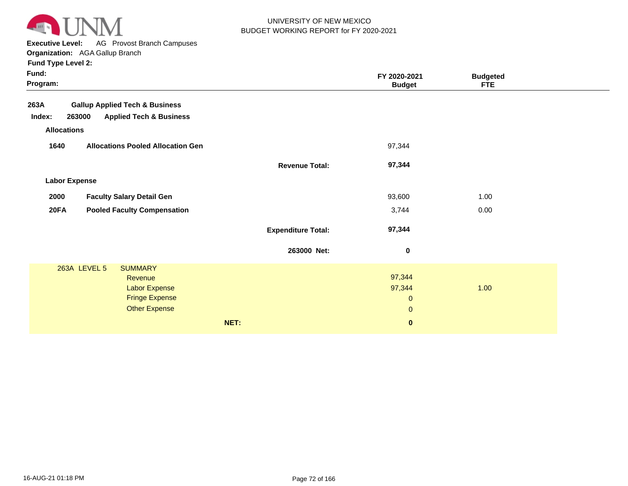

**Executive Level:** AG Provost Branch Campuses

**Organization:**  AGA Gallup Branch

|                           | Organization. AGA Galiup Dianuli             |                           |                               |                         |
|---------------------------|----------------------------------------------|---------------------------|-------------------------------|-------------------------|
| <b>Fund Type Level 2:</b> |                                              |                           |                               |                         |
| Fund:<br>Program:         |                                              |                           | FY 2020-2021<br><b>Budget</b> | <b>Budgeted</b><br>FTE. |
| 263A                      | <b>Gallup Applied Tech &amp; Business</b>    |                           |                               |                         |
| Index:                    | 263000<br><b>Applied Tech &amp; Business</b> |                           |                               |                         |
| <b>Allocations</b>        |                                              |                           |                               |                         |
| 1640                      | <b>Allocations Pooled Allocation Gen</b>     |                           | 97,344                        |                         |
|                           |                                              | <b>Revenue Total:</b>     | 97,344                        |                         |
| <b>Labor Expense</b>      |                                              |                           |                               |                         |
| 2000                      | <b>Faculty Salary Detail Gen</b>             |                           | 93,600                        | 1.00                    |
| <b>20FA</b>               | <b>Pooled Faculty Compensation</b>           |                           | 3,744                         | 0.00                    |
|                           |                                              | <b>Expenditure Total:</b> | 97,344                        |                         |
|                           |                                              | 263000 Net:               | $\pmb{0}$                     |                         |
|                           | 263A LEVEL 5<br><b>SUMMARY</b>               |                           |                               |                         |
|                           | Revenue                                      |                           | 97,344                        |                         |
|                           | <b>Labor Expense</b>                         |                           | 97,344                        | 1.00                    |
|                           | <b>Fringe Expense</b>                        |                           | $\mathbf{0}$                  |                         |
|                           | <b>Other Expense</b>                         |                           | $\mathbf{0}$                  |                         |

**NET: 0**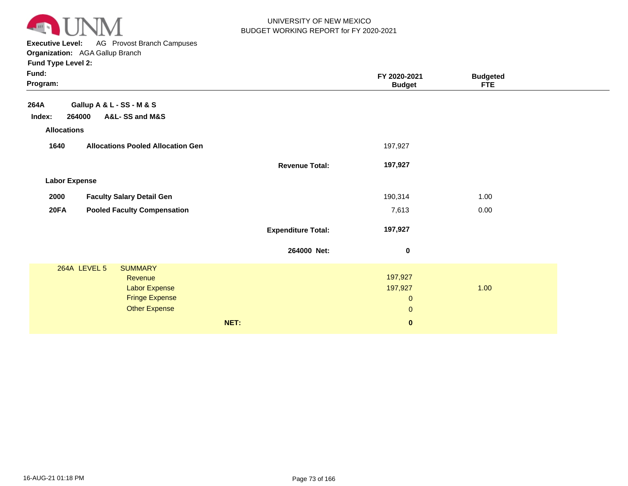

**Executive Level:** AG Provost Branch Campuses

**Organization:**  AGA Gallup Branch

| Fund:<br>Program:                                 |                                          |                           | FY 2020-2021<br><b>Budget</b> | <b>Budgeted</b><br><b>FTE</b> |  |
|---------------------------------------------------|------------------------------------------|---------------------------|-------------------------------|-------------------------------|--|
| 264A                                              | Gallup A & L - SS - M & S                |                           |                               |                               |  |
| Index:                                            | 264000<br>A&L-SS and M&S                 |                           |                               |                               |  |
| <b>Allocations</b>                                |                                          |                           |                               |                               |  |
| 1640                                              | <b>Allocations Pooled Allocation Gen</b> |                           | 197,927                       |                               |  |
|                                                   |                                          | <b>Revenue Total:</b>     | 197,927                       |                               |  |
| <b>Labor Expense</b>                              |                                          |                           |                               |                               |  |
| 2000                                              | <b>Faculty Salary Detail Gen</b>         |                           | 190,314                       | 1.00                          |  |
| <b>20FA</b><br><b>Pooled Faculty Compensation</b> |                                          |                           | 7,613                         | 0.00                          |  |
|                                                   |                                          | <b>Expenditure Total:</b> | 197,927                       |                               |  |
|                                                   |                                          | 264000 Net:               | 0                             |                               |  |
|                                                   | 264A LEVEL 5<br><b>SUMMARY</b>           |                           |                               |                               |  |
|                                                   | Revenue                                  |                           | 197,927                       | 1.00                          |  |
|                                                   | Labor Expense<br><b>Fringe Expense</b>   |                           | 197,927                       |                               |  |
|                                                   | <b>Other Expense</b>                     |                           | $\mathbf 0$                   |                               |  |
|                                                   |                                          |                           | $\mathbf 0$                   |                               |  |
|                                                   |                                          | NET:                      | $\bf{0}$                      |                               |  |
|                                                   |                                          |                           |                               |                               |  |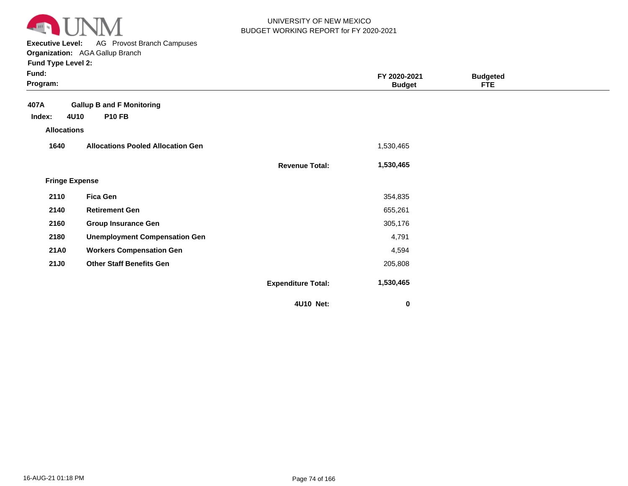

**Executive Level:** AG Provost Branch Campuses **Organization:**  AGA Gallup Branch

| Fund:<br>Program:                    |                                          |                           | FY 2020-2021<br><b>Budget</b> | <b>Budgeted</b><br><b>FTE</b> |  |
|--------------------------------------|------------------------------------------|---------------------------|-------------------------------|-------------------------------|--|
| 407A                                 | <b>Gallup B and F Monitoring</b>         |                           |                               |                               |  |
| 4U10<br>Index:<br><b>Allocations</b> | <b>P10 FB</b>                            |                           |                               |                               |  |
|                                      |                                          |                           |                               |                               |  |
| 1640                                 | <b>Allocations Pooled Allocation Gen</b> |                           | 1,530,465                     |                               |  |
|                                      |                                          | <b>Revenue Total:</b>     | 1,530,465                     |                               |  |
| <b>Fringe Expense</b>                |                                          |                           |                               |                               |  |
| 2110                                 | <b>Fica Gen</b>                          |                           | 354,835                       |                               |  |
| 2140                                 | <b>Retirement Gen</b>                    |                           | 655,261                       |                               |  |
| 2160                                 | <b>Group Insurance Gen</b>               |                           | 305,176                       |                               |  |
| 2180                                 | <b>Unemployment Compensation Gen</b>     |                           | 4,791                         |                               |  |
| <b>21A0</b>                          | <b>Workers Compensation Gen</b>          |                           | 4,594                         |                               |  |
| <b>21J0</b>                          | <b>Other Staff Benefits Gen</b>          |                           | 205,808                       |                               |  |
|                                      |                                          | <b>Expenditure Total:</b> | 1,530,465                     |                               |  |
|                                      |                                          | 4U10 Net:                 | 0                             |                               |  |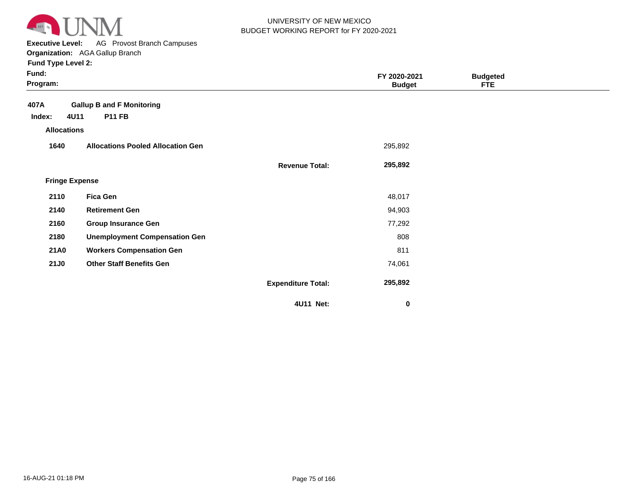

**Executive Level:** AG Provost Branch Campuses **Organization:**  AGA Gallup Branch

| Fund:<br>Program:     |                                          |                           | FY 2020-2021<br><b>Budget</b> | <b>Budgeted</b><br><b>FTE</b> |  |
|-----------------------|------------------------------------------|---------------------------|-------------------------------|-------------------------------|--|
| 407A                  | <b>Gallup B and F Monitoring</b>         |                           |                               |                               |  |
| 4U11<br>Index:        | <b>P11 FB</b>                            |                           |                               |                               |  |
| <b>Allocations</b>    |                                          |                           |                               |                               |  |
| 1640                  | <b>Allocations Pooled Allocation Gen</b> |                           | 295,892                       |                               |  |
|                       |                                          | <b>Revenue Total:</b>     | 295,892                       |                               |  |
| <b>Fringe Expense</b> |                                          |                           |                               |                               |  |
| 2110                  | <b>Fica Gen</b>                          |                           | 48,017                        |                               |  |
| 2140                  | <b>Retirement Gen</b>                    |                           | 94,903                        |                               |  |
| 2160                  | <b>Group Insurance Gen</b>               |                           | 77,292                        |                               |  |
| 2180                  | <b>Unemployment Compensation Gen</b>     |                           | 808                           |                               |  |
| <b>21A0</b>           | <b>Workers Compensation Gen</b>          |                           | 811                           |                               |  |
| <b>21J0</b>           | <b>Other Staff Benefits Gen</b>          |                           | 74,061                        |                               |  |
|                       |                                          | <b>Expenditure Total:</b> | 295,892                       |                               |  |
|                       |                                          | 4U11 Net:                 | 0                             |                               |  |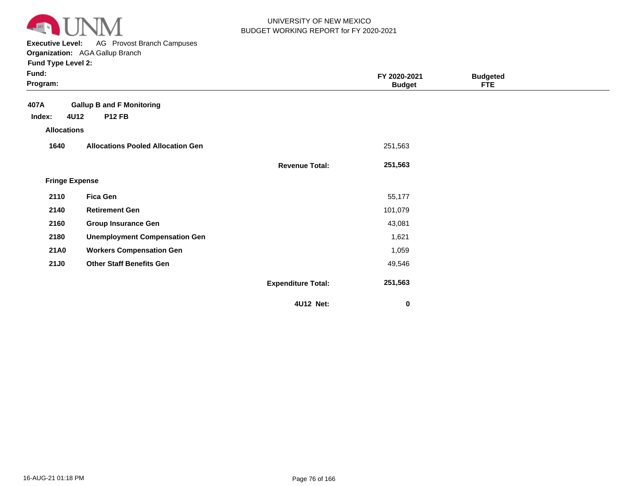

**Executive Level:** AG Provost Branch Campuses

**Organization:**  AGA Gallup Branch **Fund Type Level 2:**

| Fund:<br>Program:     |                                          |                           | FY 2020-2021<br><b>Budget</b> | <b>Budgeted</b><br><b>FTE</b> |  |
|-----------------------|------------------------------------------|---------------------------|-------------------------------|-------------------------------|--|
| 407A                  | <b>Gallup B and F Monitoring</b>         |                           |                               |                               |  |
| 4U12<br>Index:        | <b>P12 FB</b>                            |                           |                               |                               |  |
| <b>Allocations</b>    |                                          |                           |                               |                               |  |
| 1640                  | <b>Allocations Pooled Allocation Gen</b> |                           | 251,563                       |                               |  |
|                       |                                          | <b>Revenue Total:</b>     | 251,563                       |                               |  |
| <b>Fringe Expense</b> |                                          |                           |                               |                               |  |
| 2110                  | <b>Fica Gen</b>                          |                           | 55,177                        |                               |  |
| 2140                  | <b>Retirement Gen</b>                    |                           | 101,079                       |                               |  |
| 2160                  | <b>Group Insurance Gen</b>               |                           | 43,081                        |                               |  |
| 2180                  | <b>Unemployment Compensation Gen</b>     |                           | 1,621                         |                               |  |
| <b>21A0</b>           | <b>Workers Compensation Gen</b>          |                           | 1,059                         |                               |  |
| <b>21J0</b>           | <b>Other Staff Benefits Gen</b>          |                           | 49,546                        |                               |  |
|                       |                                          | <b>Expenditure Total:</b> | 251,563                       |                               |  |
|                       |                                          | 4U12 Net:                 | 0                             |                               |  |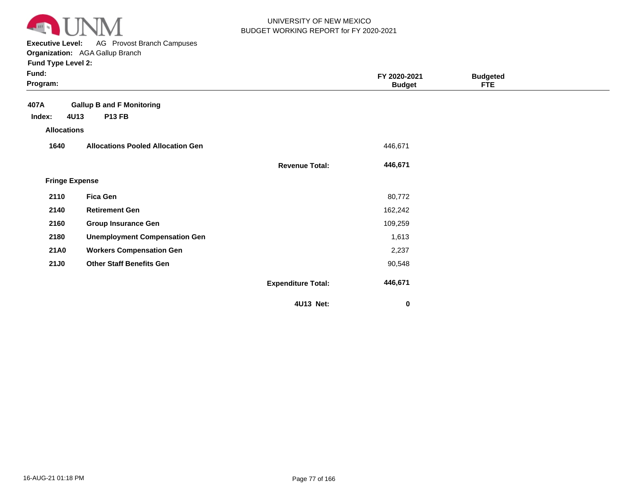

**Executive Level:** AG Provost Branch Campuses **Organization:**  AGA Gallup Branch

| Fund:<br>Program:     |                                          |                           | FY 2020-2021<br><b>Budget</b> | <b>Budgeted</b><br><b>FTE</b> |  |
|-----------------------|------------------------------------------|---------------------------|-------------------------------|-------------------------------|--|
| 407A                  | <b>Gallup B and F Monitoring</b>         |                           |                               |                               |  |
| 4U13<br>Index:        | <b>P13 FB</b>                            |                           |                               |                               |  |
| <b>Allocations</b>    |                                          |                           |                               |                               |  |
| 1640                  | <b>Allocations Pooled Allocation Gen</b> |                           | 446,671                       |                               |  |
|                       |                                          | <b>Revenue Total:</b>     | 446,671                       |                               |  |
| <b>Fringe Expense</b> |                                          |                           |                               |                               |  |
| 2110                  | <b>Fica Gen</b>                          |                           | 80,772                        |                               |  |
| 2140                  | <b>Retirement Gen</b>                    |                           | 162,242                       |                               |  |
| 2160                  | <b>Group Insurance Gen</b>               |                           | 109,259                       |                               |  |
| 2180                  | <b>Unemployment Compensation Gen</b>     |                           | 1,613                         |                               |  |
| <b>21A0</b>           | <b>Workers Compensation Gen</b>          |                           | 2,237                         |                               |  |
| <b>21J0</b>           | <b>Other Staff Benefits Gen</b>          |                           | 90,548                        |                               |  |
|                       |                                          | <b>Expenditure Total:</b> | 446,671                       |                               |  |
|                       |                                          | 4U13 Net:                 | $\bf{0}$                      |                               |  |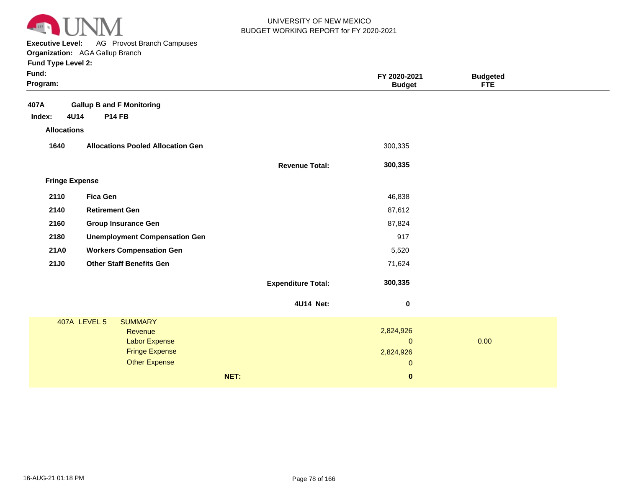

**Executive Level:** AG Provost Branch Campuses **Organization:**  AGA Gallup Branch

| Fund:<br>Program:     |                                          |                           | FY 2020-2021<br><b>Budget</b> | <b>Budgeted</b><br><b>FTE</b> |
|-----------------------|------------------------------------------|---------------------------|-------------------------------|-------------------------------|
| 407A                  | <b>Gallup B and F Monitoring</b>         |                           |                               |                               |
| 4U14<br>Index:        | <b>P14 FB</b>                            |                           |                               |                               |
| <b>Allocations</b>    |                                          |                           |                               |                               |
| 1640                  | <b>Allocations Pooled Allocation Gen</b> |                           | 300,335                       |                               |
|                       |                                          | <b>Revenue Total:</b>     | 300,335                       |                               |
| <b>Fringe Expense</b> |                                          |                           |                               |                               |
| 2110                  | <b>Fica Gen</b>                          |                           | 46,838                        |                               |
| 2140                  | <b>Retirement Gen</b>                    |                           | 87,612                        |                               |
| 2160                  | <b>Group Insurance Gen</b>               |                           | 87,824                        |                               |
| 2180                  | <b>Unemployment Compensation Gen</b>     |                           | 917                           |                               |
| <b>21A0</b>           | <b>Workers Compensation Gen</b>          |                           | 5,520                         |                               |
| <b>21J0</b>           | <b>Other Staff Benefits Gen</b>          |                           | 71,624                        |                               |
|                       |                                          | <b>Expenditure Total:</b> | 300,335                       |                               |
|                       |                                          | 4U14 Net:                 | $\pmb{0}$                     |                               |
|                       | 407A LEVEL 5<br><b>SUMMARY</b>           |                           |                               |                               |
|                       | Revenue                                  |                           | 2,824,926                     |                               |
|                       | <b>Labor Expense</b>                     |                           | $\mathbf{0}$                  | 0.00                          |
|                       | <b>Fringe Expense</b>                    |                           | 2,824,926                     |                               |
|                       | <b>Other Expense</b>                     |                           | $\mathbf 0$                   |                               |
|                       |                                          | NET:                      | $\bf{0}$                      |                               |
|                       |                                          |                           |                               |                               |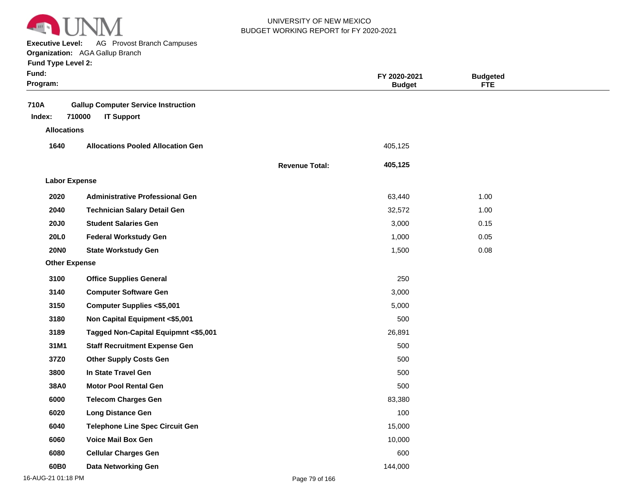

**Executive Level:** AG Provost Branch Campuses **Organization:**  AGA Gallup Branch

| Fund:<br>Program:    |                                                                           |                       | FY 2020-2021<br><b>Budget</b> | <b>Budgeted</b><br><b>FTE</b> |  |
|----------------------|---------------------------------------------------------------------------|-----------------------|-------------------------------|-------------------------------|--|
| 710A<br>Index:       | <b>Gallup Computer Service Instruction</b><br>710000<br><b>IT Support</b> |                       |                               |                               |  |
| <b>Allocations</b>   |                                                                           |                       |                               |                               |  |
| 1640                 | <b>Allocations Pooled Allocation Gen</b>                                  |                       | 405,125                       |                               |  |
|                      |                                                                           | <b>Revenue Total:</b> | 405,125                       |                               |  |
| <b>Labor Expense</b> |                                                                           |                       |                               |                               |  |
| 2020                 | <b>Administrative Professional Gen</b>                                    |                       | 63,440                        | 1.00                          |  |
| 2040                 | <b>Technician Salary Detail Gen</b>                                       |                       | 32,572                        | 1.00                          |  |
| <b>20J0</b>          | <b>Student Salaries Gen</b>                                               |                       | 3,000                         | 0.15                          |  |
| <b>20L0</b>          | <b>Federal Workstudy Gen</b>                                              |                       | 1,000                         | 0.05                          |  |
| <b>20NO</b>          | <b>State Workstudy Gen</b>                                                |                       | 1,500                         | 0.08                          |  |
| <b>Other Expense</b> |                                                                           |                       |                               |                               |  |
| 3100                 | <b>Office Supplies General</b>                                            |                       | 250                           |                               |  |
| 3140                 | <b>Computer Software Gen</b>                                              |                       | 3,000                         |                               |  |
| 3150                 | <b>Computer Supplies &lt;\$5,001</b>                                      |                       | 5,000                         |                               |  |
| 3180                 | Non Capital Equipment <\$5,001                                            |                       | 500                           |                               |  |
| 3189                 | Tagged Non-Capital Equipmnt <\$5,001                                      |                       | 26,891                        |                               |  |
| 31M1                 | <b>Staff Recruitment Expense Gen</b>                                      |                       | 500                           |                               |  |
| 37Z0                 | <b>Other Supply Costs Gen</b>                                             |                       | 500                           |                               |  |
| 3800                 | In State Travel Gen                                                       |                       | 500                           |                               |  |
| 38A0                 | <b>Motor Pool Rental Gen</b>                                              |                       | 500                           |                               |  |
| 6000                 | <b>Telecom Charges Gen</b>                                                |                       | 83,380                        |                               |  |
| 6020                 | <b>Long Distance Gen</b>                                                  |                       | 100                           |                               |  |
| 6040                 | <b>Telephone Line Spec Circuit Gen</b>                                    |                       | 15,000                        |                               |  |
| 6060                 | <b>Voice Mail Box Gen</b>                                                 |                       | 10,000                        |                               |  |
| 6080                 | <b>Cellular Charges Gen</b>                                               |                       | 600                           |                               |  |
| 60B0                 | <b>Data Networking Gen</b>                                                |                       | 144,000                       |                               |  |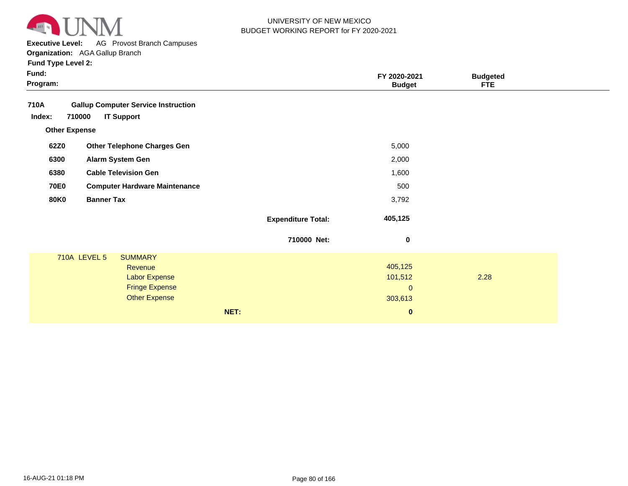

**Executive Level:** AG Provost Branch Campuses

**Organization:**  AGA Gallup Branch

| Fund:<br>Program: |                                                     |  |                                                                                                           |      |                           | FY 2020-2021<br><b>Budget</b>                | <b>Budgeted</b><br><b>FTE</b> |  |
|-------------------|-----------------------------------------------------|--|-----------------------------------------------------------------------------------------------------------|------|---------------------------|----------------------------------------------|-------------------------------|--|
| 710A              |                                                     |  | <b>Gallup Computer Service Instruction</b>                                                                |      |                           |                                              |                               |  |
| Index:            | 710000                                              |  | <b>IT Support</b>                                                                                         |      |                           |                                              |                               |  |
|                   | <b>Other Expense</b>                                |  |                                                                                                           |      |                           |                                              |                               |  |
| 62Z0              |                                                     |  | <b>Other Telephone Charges Gen</b>                                                                        |      |                           | 5,000                                        |                               |  |
| 6300              |                                                     |  | Alarm System Gen                                                                                          |      |                           | 2,000                                        |                               |  |
|                   | <b>Cable Television Gen</b><br>6380                 |  | 1,600                                                                                                     |      |                           |                                              |                               |  |
|                   | <b>70E0</b><br><b>Computer Hardware Maintenance</b> |  | 500                                                                                                       |      |                           |                                              |                               |  |
|                   | <b>Banner Tax</b><br><b>80K0</b>                    |  |                                                                                                           |      | 3,792                     |                                              |                               |  |
|                   |                                                     |  |                                                                                                           |      | <b>Expenditure Total:</b> | 405,125                                      |                               |  |
|                   |                                                     |  |                                                                                                           |      | 710000 Net:               | $\pmb{0}$                                    |                               |  |
|                   | <b>710A LEVEL 5</b>                                 |  | <b>SUMMARY</b><br><b>Revenue</b><br><b>Labor Expense</b><br><b>Fringe Expense</b><br><b>Other Expense</b> |      |                           | 405,125<br>101,512<br>$\mathbf 0$<br>303,613 | 2.28                          |  |
|                   |                                                     |  |                                                                                                           | NET: |                           | $\boldsymbol{0}$                             |                               |  |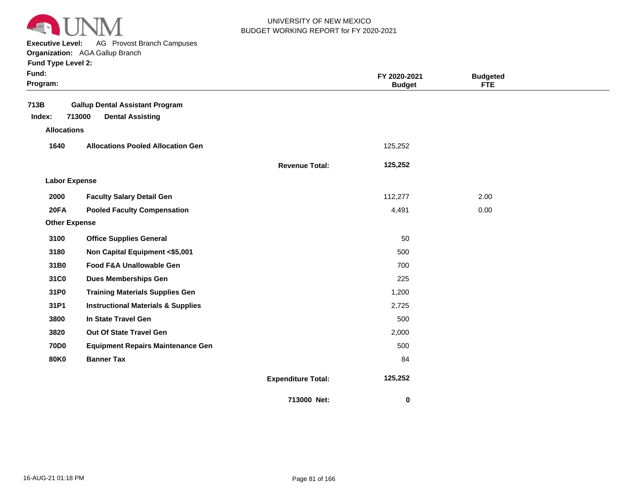

**Executive Level:** AG Provost Branch Campuses

**Organization:**  AGA Gallup Branch **Fund Type Level 2:**

| Fund:<br>Program:    |                                                                             |                           | FY 2020-2021<br><b>Budget</b> | <b>Budgeted</b><br><b>FTE</b> |  |
|----------------------|-----------------------------------------------------------------------------|---------------------------|-------------------------------|-------------------------------|--|
| 713B<br>Index:       | <b>Gallup Dental Assistant Program</b><br>713000<br><b>Dental Assisting</b> |                           |                               |                               |  |
| <b>Allocations</b>   |                                                                             |                           |                               |                               |  |
| 1640                 |                                                                             |                           |                               |                               |  |
|                      | <b>Allocations Pooled Allocation Gen</b>                                    |                           | 125,252                       |                               |  |
|                      |                                                                             | <b>Revenue Total:</b>     | 125,252                       |                               |  |
| <b>Labor Expense</b> |                                                                             |                           |                               |                               |  |
| 2000                 | <b>Faculty Salary Detail Gen</b>                                            |                           | 112,277                       | 2.00                          |  |
| <b>20FA</b>          | <b>Pooled Faculty Compensation</b>                                          |                           | 4,491                         | 0.00                          |  |
| <b>Other Expense</b> |                                                                             |                           |                               |                               |  |
| 3100                 | <b>Office Supplies General</b>                                              |                           | 50                            |                               |  |
| 3180                 | Non Capital Equipment <\$5,001                                              |                           | 500                           |                               |  |
| 31B0                 | Food F&A Unallowable Gen                                                    |                           | 700                           |                               |  |
| 31C0                 | <b>Dues Memberships Gen</b>                                                 |                           | 225                           |                               |  |
| 31P0                 | <b>Training Materials Supplies Gen</b>                                      |                           | 1,200                         |                               |  |
| 31P1                 | <b>Instructional Materials &amp; Supplies</b>                               |                           | 2,725                         |                               |  |
| 3800                 | In State Travel Gen                                                         |                           | 500                           |                               |  |
| 3820                 | Out Of State Travel Gen                                                     |                           | 2,000                         |                               |  |
| <b>70D0</b>          | <b>Equipment Repairs Maintenance Gen</b>                                    |                           | 500                           |                               |  |
| <b>80K0</b>          | <b>Banner Tax</b>                                                           |                           | 84                            |                               |  |
|                      |                                                                             | <b>Expenditure Total:</b> | 125,252                       |                               |  |
|                      |                                                                             | 713000 Net:               | 0                             |                               |  |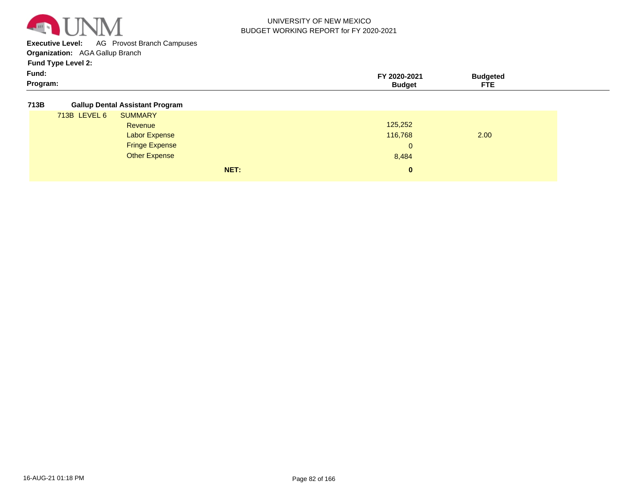

**Executive Level:** AG Provost Branch Campuses

**Organization:**  AGA Gallup Branch

**Fund Type Level 2:**

| Fund:    | 2020-2021     | <b>Ruddetec</b>  |  |
|----------|---------------|------------------|--|
| Program: | <b>Budget</b> | <b>CERS</b><br>. |  |

**713B Gallup Dental Assistant Program**

| . |              |                       |      |              |      |  |
|---|--------------|-----------------------|------|--------------|------|--|
|   | 713B LEVEL 6 | <b>SUMMARY</b>        |      |              |      |  |
|   |              | Revenue               |      | 125,252      |      |  |
|   |              | <b>Labor Expense</b>  |      | 116,768      | 2.00 |  |
|   |              | <b>Fringe Expense</b> |      | $\mathbf{0}$ |      |  |
|   |              | <b>Other Expense</b>  |      | 8,484        |      |  |
|   |              |                       | NET: | $\bf{0}$     |      |  |
|   |              |                       |      |              |      |  |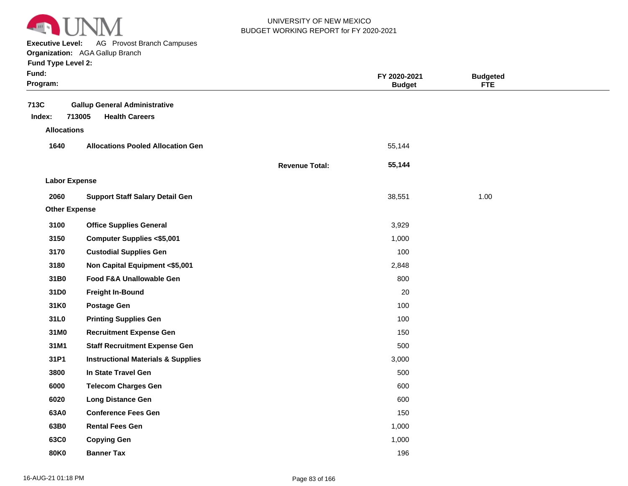

**Executive Level:** AG Provost Branch Campuses

**Organization:**  AGA Gallup Branch **Fund Type Level 2:**

| Funa Type Level 2: |  |
|--------------------|--|
|--------------------|--|

| Fund:<br>Program:    |                                                                         |                       | FY 2020-2021<br><b>Budget</b> | <b>Budgeted</b><br><b>FTE</b> |  |
|----------------------|-------------------------------------------------------------------------|-----------------------|-------------------------------|-------------------------------|--|
| 713C<br>Index:       | <b>Gallup General Administrative</b><br>713005<br><b>Health Careers</b> |                       |                               |                               |  |
| <b>Allocations</b>   |                                                                         |                       |                               |                               |  |
| 1640                 | <b>Allocations Pooled Allocation Gen</b>                                |                       | 55,144                        |                               |  |
|                      |                                                                         | <b>Revenue Total:</b> | 55,144                        |                               |  |
| <b>Labor Expense</b> |                                                                         |                       |                               |                               |  |
| 2060                 | <b>Support Staff Salary Detail Gen</b>                                  |                       | 38,551                        | 1.00                          |  |
| <b>Other Expense</b> |                                                                         |                       |                               |                               |  |
| 3100                 | <b>Office Supplies General</b>                                          |                       | 3,929                         |                               |  |
| 3150                 | <b>Computer Supplies &lt;\$5,001</b>                                    |                       | 1,000                         |                               |  |
| 3170                 | <b>Custodial Supplies Gen</b>                                           |                       | 100                           |                               |  |
| 3180                 | Non Capital Equipment <\$5,001                                          |                       | 2,848                         |                               |  |
| 31B0                 | Food F&A Unallowable Gen                                                |                       | 800                           |                               |  |
| 31D0                 | <b>Freight In-Bound</b>                                                 |                       | 20                            |                               |  |
| 31K0                 | <b>Postage Gen</b>                                                      |                       | 100                           |                               |  |
| 31L0                 | <b>Printing Supplies Gen</b>                                            |                       | 100                           |                               |  |
| 31M0                 | <b>Recruitment Expense Gen</b>                                          |                       | 150                           |                               |  |
| 31M1                 | <b>Staff Recruitment Expense Gen</b>                                    |                       | 500                           |                               |  |
| 31P1                 | <b>Instructional Materials &amp; Supplies</b>                           |                       | 3,000                         |                               |  |
| 3800                 | In State Travel Gen                                                     |                       | 500                           |                               |  |
| 6000                 | <b>Telecom Charges Gen</b>                                              |                       | 600                           |                               |  |
| 6020                 | <b>Long Distance Gen</b>                                                |                       | 600                           |                               |  |
| 63A0                 | <b>Conference Fees Gen</b>                                              |                       | 150                           |                               |  |
| 63B0                 | <b>Rental Fees Gen</b>                                                  |                       | 1,000                         |                               |  |
| 63C0                 | <b>Copying Gen</b>                                                      |                       | 1,000                         |                               |  |
| 80K0                 | <b>Banner Tax</b>                                                       |                       | 196                           |                               |  |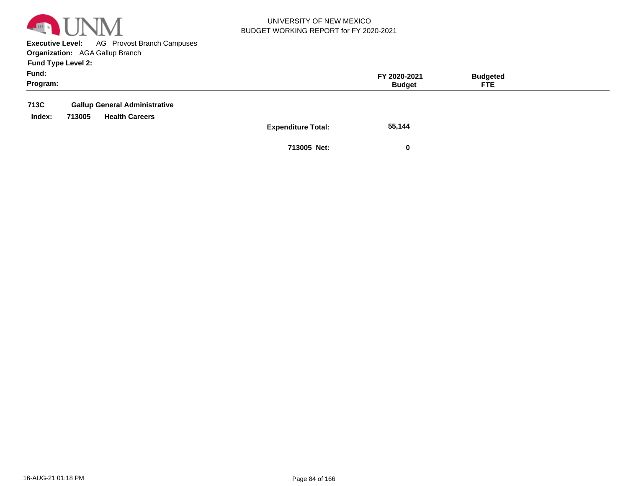

**Executive Level:** AG Provost Branch Campuses **Organization:**  AGA Gallup Branch

**Fund Type Level 2:**

| Fund:<br>Program: |        |                                                               |                           | FY 2020-2021<br><b>Budget</b> | <b>Budgeted</b><br>FTE. |  |
|-------------------|--------|---------------------------------------------------------------|---------------------------|-------------------------------|-------------------------|--|
| 713C<br>Index:    | 713005 | <b>Gallup General Administrative</b><br><b>Health Careers</b> | <b>Expenditure Total:</b> | 55,144                        |                         |  |

**713005 Net: 0**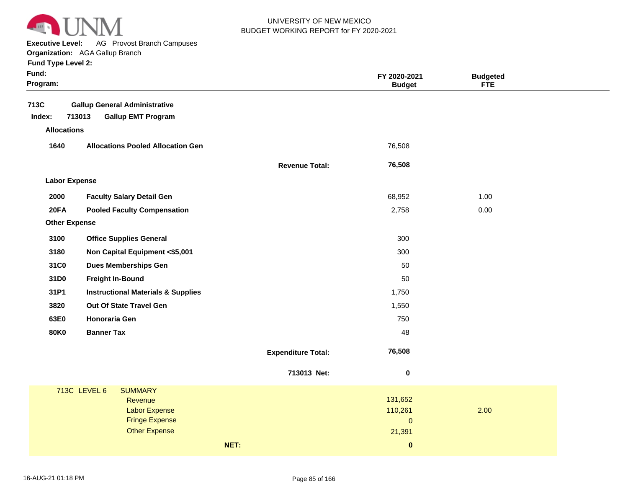

**Executive Level:** AG Provost Branch Campuses

| <b>Fund Type Level 2:</b> |  |  |  |
|---------------------------|--|--|--|
|---------------------------|--|--|--|

| Fund:<br>Program:    |                                                                             |                           | FY 2020-2021<br><b>Budget</b> | <b>Budgeted</b><br>FTE |
|----------------------|-----------------------------------------------------------------------------|---------------------------|-------------------------------|------------------------|
| 713C<br>Index:       | <b>Gallup General Administrative</b><br>713013<br><b>Gallup EMT Program</b> |                           |                               |                        |
| <b>Allocations</b>   |                                                                             |                           |                               |                        |
| 1640                 | <b>Allocations Pooled Allocation Gen</b>                                    |                           | 76,508                        |                        |
|                      |                                                                             | <b>Revenue Total:</b>     | 76,508                        |                        |
| <b>Labor Expense</b> |                                                                             |                           |                               |                        |
| 2000                 | <b>Faculty Salary Detail Gen</b>                                            |                           | 68,952                        | 1.00                   |
| 20FA                 | <b>Pooled Faculty Compensation</b>                                          |                           | 2,758                         | 0.00                   |
| <b>Other Expense</b> |                                                                             |                           |                               |                        |
| 3100                 | <b>Office Supplies General</b>                                              |                           | 300                           |                        |
| 3180                 | Non Capital Equipment <\$5,001                                              |                           | 300                           |                        |
| 31C0                 | <b>Dues Memberships Gen</b>                                                 |                           | 50                            |                        |
| 31D0                 | <b>Freight In-Bound</b>                                                     |                           | 50                            |                        |
| 31P1                 | <b>Instructional Materials &amp; Supplies</b>                               |                           | 1,750                         |                        |
| 3820                 | Out Of State Travel Gen                                                     |                           | 1,550                         |                        |
| 63E0                 | <b>Honoraria Gen</b>                                                        |                           | 750                           |                        |
| <b>80K0</b>          | <b>Banner Tax</b>                                                           |                           | 48                            |                        |
|                      |                                                                             | <b>Expenditure Total:</b> | 76,508                        |                        |
|                      |                                                                             | 713013 Net:               | $\pmb{0}$                     |                        |
|                      | 713C LEVEL 6<br><b>SUMMARY</b>                                              |                           |                               |                        |
|                      | Revenue<br><b>Labor Expense</b>                                             |                           | 131,652<br>110,261            | 2.00                   |
|                      | <b>Fringe Expense</b>                                                       |                           | $\mathbf 0$                   |                        |
|                      | <b>Other Expense</b>                                                        |                           | 21,391                        |                        |
|                      |                                                                             | NET:                      | $\pmb{0}$                     |                        |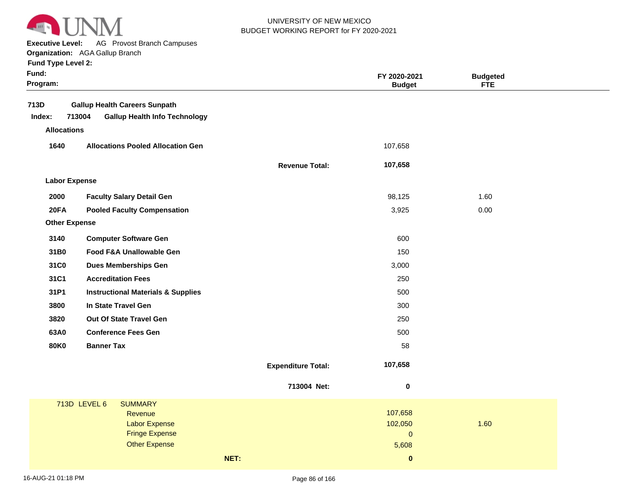

**Executive Level:** AG Provost Branch Campuses

| <b>Fund Type Level 2:</b> |  |  |  |
|---------------------------|--|--|--|
|---------------------------|--|--|--|

| Fund:<br>Program:    |                                                                                        |                           | FY 2020-2021<br><b>Budget</b> | <b>Budgeted</b><br><b>FTE</b> |  |
|----------------------|----------------------------------------------------------------------------------------|---------------------------|-------------------------------|-------------------------------|--|
| 713D                 |                                                                                        |                           |                               |                               |  |
| Index:               | <b>Gallup Health Careers Sunpath</b><br>713004<br><b>Gallup Health Info Technology</b> |                           |                               |                               |  |
| <b>Allocations</b>   |                                                                                        |                           |                               |                               |  |
|                      |                                                                                        |                           |                               |                               |  |
| 1640                 | <b>Allocations Pooled Allocation Gen</b>                                               |                           | 107,658                       |                               |  |
|                      |                                                                                        | <b>Revenue Total:</b>     | 107,658                       |                               |  |
| <b>Labor Expense</b> |                                                                                        |                           |                               |                               |  |
| 2000                 | <b>Faculty Salary Detail Gen</b>                                                       |                           | 98,125                        | 1.60                          |  |
| <b>20FA</b>          | <b>Pooled Faculty Compensation</b>                                                     |                           | 3,925                         | 0.00                          |  |
| <b>Other Expense</b> |                                                                                        |                           |                               |                               |  |
| 3140                 | <b>Computer Software Gen</b>                                                           |                           | 600                           |                               |  |
| 31B0                 | <b>Food F&amp;A Unallowable Gen</b>                                                    |                           | 150                           |                               |  |
| 31C0                 | <b>Dues Memberships Gen</b>                                                            |                           | 3,000                         |                               |  |
| 31C1                 | <b>Accreditation Fees</b>                                                              |                           | 250                           |                               |  |
| 31P1                 | <b>Instructional Materials &amp; Supplies</b>                                          |                           | 500                           |                               |  |
| 3800                 | In State Travel Gen                                                                    |                           | 300                           |                               |  |
| 3820                 | <b>Out Of State Travel Gen</b>                                                         |                           | 250                           |                               |  |
| 63A0                 | <b>Conference Fees Gen</b>                                                             |                           | 500                           |                               |  |
| <b>80K0</b>          | <b>Banner Tax</b>                                                                      |                           | 58                            |                               |  |
|                      |                                                                                        | <b>Expenditure Total:</b> | 107,658                       |                               |  |
|                      |                                                                                        | 713004 Net:               | $\pmb{0}$                     |                               |  |
|                      | 713D LEVEL 6<br><b>SUMMARY</b>                                                         |                           |                               |                               |  |
|                      | Revenue                                                                                |                           | 107,658                       |                               |  |
|                      | <b>Labor Expense</b><br><b>Fringe Expense</b>                                          |                           | 102,050<br>$\mathbf{0}$       | 1.60                          |  |
|                      | <b>Other Expense</b>                                                                   |                           | 5,608                         |                               |  |
|                      |                                                                                        | NET:                      | $\mathbf 0$                   |                               |  |
|                      |                                                                                        |                           |                               |                               |  |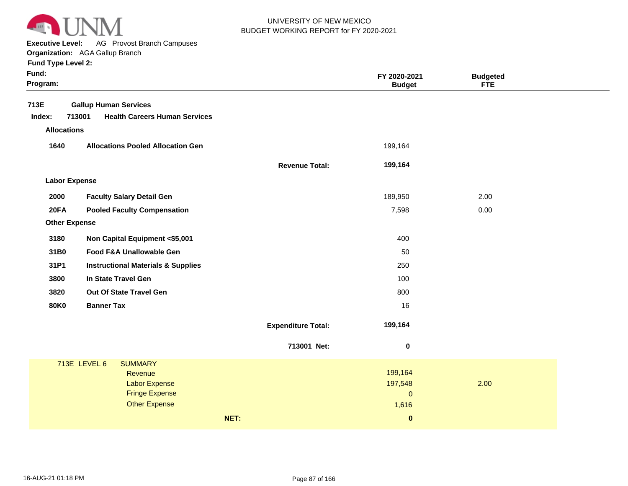

**Executive Level:** AG Provost Branch Campuses

| <b>Fund Type Level 2:</b> |  |  |  |
|---------------------------|--|--|--|
|---------------------------|--|--|--|

| Fund:<br>Program:    |                                                |                           | FY 2020-2021<br><b>Budget</b> | <b>Budgeted</b><br><b>FTE</b> |  |
|----------------------|------------------------------------------------|---------------------------|-------------------------------|-------------------------------|--|
| 713E                 | <b>Gallup Human Services</b>                   |                           |                               |                               |  |
| Index:               | 713001<br><b>Health Careers Human Services</b> |                           |                               |                               |  |
| <b>Allocations</b>   |                                                |                           |                               |                               |  |
| 1640                 | <b>Allocations Pooled Allocation Gen</b>       |                           | 199,164                       |                               |  |
|                      |                                                | <b>Revenue Total:</b>     | 199,164                       |                               |  |
| <b>Labor Expense</b> |                                                |                           |                               |                               |  |
| 2000                 | <b>Faculty Salary Detail Gen</b>               |                           | 189,950                       | 2.00                          |  |
| <b>20FA</b>          | <b>Pooled Faculty Compensation</b>             |                           | 7,598                         | 0.00                          |  |
| <b>Other Expense</b> |                                                |                           |                               |                               |  |
| 3180                 | Non Capital Equipment <\$5,001                 |                           | 400                           |                               |  |
| 31B0                 | Food F&A Unallowable Gen                       |                           | 50                            |                               |  |
| 31P1                 | <b>Instructional Materials &amp; Supplies</b>  |                           | 250                           |                               |  |
| 3800                 | In State Travel Gen                            |                           | 100                           |                               |  |
| 3820                 | Out Of State Travel Gen                        |                           | 800                           |                               |  |
| <b>80K0</b>          | <b>Banner Tax</b>                              |                           | 16                            |                               |  |
|                      |                                                | <b>Expenditure Total:</b> | 199,164                       |                               |  |
|                      |                                                | 713001 Net:               | $\pmb{0}$                     |                               |  |
|                      | 713E LEVEL 6<br><b>SUMMARY</b>                 |                           |                               |                               |  |
|                      | Revenue                                        |                           | 199,164                       |                               |  |
|                      | <b>Labor Expense</b><br><b>Fringe Expense</b>  |                           | 197,548<br>$\mathbf{0}$       | 2.00                          |  |
|                      | <b>Other Expense</b>                           |                           | 1,616                         |                               |  |
|                      |                                                | NET:                      | $\mathbf{0}$                  |                               |  |
|                      |                                                |                           |                               |                               |  |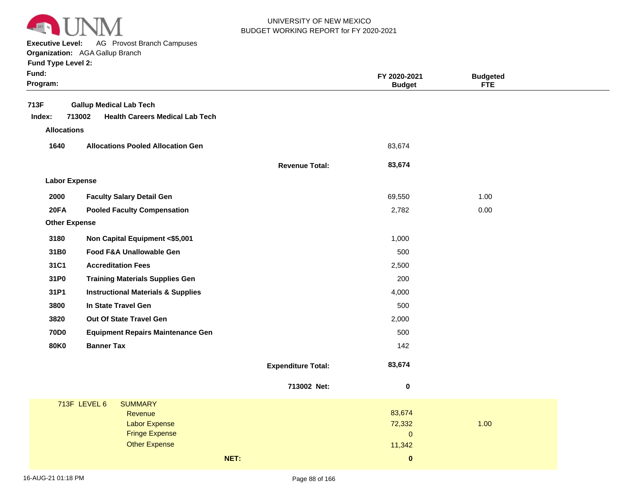

**Executive Level:** AG Provost Branch Campuses

**Organization:**  AGA Gallup Branch

| Fund:<br>Program:    |                                                  |                           | FY 2020-2021<br><b>Budget</b> | <b>Budgeted</b><br><b>FTE</b> |  |
|----------------------|--------------------------------------------------|---------------------------|-------------------------------|-------------------------------|--|
| 713F                 | <b>Gallup Medical Lab Tech</b>                   |                           |                               |                               |  |
| Index:               | 713002<br><b>Health Careers Medical Lab Tech</b> |                           |                               |                               |  |
| <b>Allocations</b>   |                                                  |                           |                               |                               |  |
| 1640                 | <b>Allocations Pooled Allocation Gen</b>         |                           | 83,674                        |                               |  |
|                      |                                                  | <b>Revenue Total:</b>     | 83,674                        |                               |  |
| <b>Labor Expense</b> |                                                  |                           |                               |                               |  |
| 2000                 | <b>Faculty Salary Detail Gen</b>                 |                           | 69,550                        | 1.00                          |  |
| 20FA                 | <b>Pooled Faculty Compensation</b>               |                           | 2,782                         | 0.00                          |  |
| <b>Other Expense</b> |                                                  |                           |                               |                               |  |
| 3180                 | Non Capital Equipment <\$5,001                   |                           | 1,000                         |                               |  |
| 31B0                 | Food F&A Unallowable Gen                         |                           | 500                           |                               |  |
| 31C1                 | <b>Accreditation Fees</b>                        |                           | 2,500                         |                               |  |
| 31P0                 | <b>Training Materials Supplies Gen</b>           |                           | 200                           |                               |  |
| 31P1                 | <b>Instructional Materials &amp; Supplies</b>    |                           | 4,000                         |                               |  |
| 3800                 | In State Travel Gen                              |                           | 500                           |                               |  |
| 3820                 | Out Of State Travel Gen                          |                           | 2,000                         |                               |  |
| <b>70D0</b>          | <b>Equipment Repairs Maintenance Gen</b>         |                           | 500                           |                               |  |
| <b>80K0</b>          | <b>Banner Tax</b>                                |                           | 142                           |                               |  |
|                      |                                                  | <b>Expenditure Total:</b> | 83,674                        |                               |  |
|                      |                                                  | 713002 Net:               | $\pmb{0}$                     |                               |  |
|                      | 713F LEVEL 6<br><b>SUMMARY</b>                   |                           |                               |                               |  |
|                      | Revenue                                          |                           | 83,674                        |                               |  |
|                      | <b>Labor Expense</b><br><b>Fringe Expense</b>    |                           | 72,332<br>$\overline{0}$      | 1.00                          |  |
|                      | <b>Other Expense</b>                             |                           | 11,342                        |                               |  |
|                      | NET:                                             |                           | $\pmb{0}$                     |                               |  |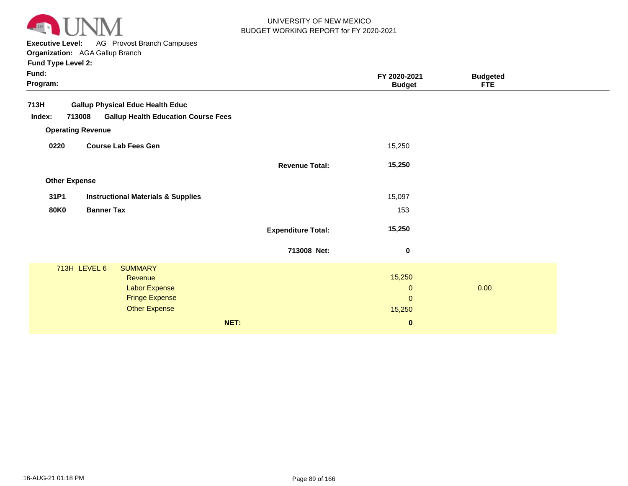

**Executive Level:** AG Provost Branch Campuses

**Organization:**  AGA Gallup Branch

| Fund:<br>Program:    |                                                      |                           | FY 2020-2021<br><b>Budget</b> | <b>Budgeted</b><br><b>FTE</b> |
|----------------------|------------------------------------------------------|---------------------------|-------------------------------|-------------------------------|
| 713H                 | <b>Gallup Physical Educ Health Educ</b>              |                           |                               |                               |
| Index:               | <b>Gallup Health Education Course Fees</b><br>713008 |                           |                               |                               |
|                      | <b>Operating Revenue</b>                             |                           |                               |                               |
| 0220                 | <b>Course Lab Fees Gen</b>                           |                           | 15,250                        |                               |
|                      |                                                      | <b>Revenue Total:</b>     | 15,250                        |                               |
| <b>Other Expense</b> |                                                      |                           |                               |                               |
| 31P1                 | <b>Instructional Materials &amp; Supplies</b>        |                           | 15,097                        |                               |
| <b>80K0</b>          | <b>Banner Tax</b>                                    |                           | 153                           |                               |
|                      |                                                      | <b>Expenditure Total:</b> | 15,250                        |                               |
|                      |                                                      | 713008 Net:               | $\bf{0}$                      |                               |
|                      | 713H LEVEL 6<br><b>SUMMARY</b>                       |                           |                               |                               |
|                      | Revenue                                              |                           | 15,250                        |                               |
|                      | <b>Labor Expense</b>                                 |                           | $\mathbf{0}$                  | 0.00                          |
|                      | <b>Fringe Expense</b>                                |                           | $\mathbf{0}$                  |                               |
|                      | <b>Other Expense</b>                                 |                           | 15,250                        |                               |
|                      | NET:                                                 |                           | $\bf{0}$                      |                               |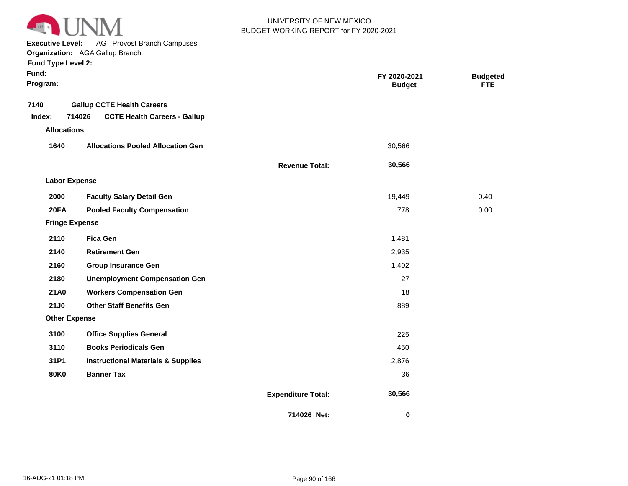

**Executive Level:** AG Provost Branch Campuses

#### **Organization:**  AGA Gallup Branch

| Fund:<br>Program:     |                                               |                           | FY 2020-2021<br><b>Budget</b> | <b>Budgeted</b><br><b>FTE</b> |  |
|-----------------------|-----------------------------------------------|---------------------------|-------------------------------|-------------------------------|--|
| 7140                  | <b>Gallup CCTE Health Careers</b>             |                           |                               |                               |  |
| Index:                | 714026<br><b>CCTE Health Careers - Gallup</b> |                           |                               |                               |  |
| <b>Allocations</b>    |                                               |                           |                               |                               |  |
| 1640                  | <b>Allocations Pooled Allocation Gen</b>      |                           | 30,566                        |                               |  |
|                       |                                               | <b>Revenue Total:</b>     | 30,566                        |                               |  |
| <b>Labor Expense</b>  |                                               |                           |                               |                               |  |
| 2000                  | <b>Faculty Salary Detail Gen</b>              |                           | 19,449                        | 0.40                          |  |
| <b>20FA</b>           | <b>Pooled Faculty Compensation</b>            |                           | 778                           | 0.00                          |  |
| <b>Fringe Expense</b> |                                               |                           |                               |                               |  |
| 2110                  | <b>Fica Gen</b>                               |                           | 1,481                         |                               |  |
| 2140                  | <b>Retirement Gen</b>                         |                           | 2,935                         |                               |  |
| 2160                  | <b>Group Insurance Gen</b>                    |                           | 1,402                         |                               |  |
| 2180                  | <b>Unemployment Compensation Gen</b>          |                           | 27                            |                               |  |
| 21A0                  | <b>Workers Compensation Gen</b>               |                           | 18                            |                               |  |
| 21J0                  | <b>Other Staff Benefits Gen</b>               |                           | 889                           |                               |  |
| <b>Other Expense</b>  |                                               |                           |                               |                               |  |
| 3100                  | <b>Office Supplies General</b>                |                           | 225                           |                               |  |
| 3110                  | <b>Books Periodicals Gen</b>                  |                           | 450                           |                               |  |
| 31P1                  | <b>Instructional Materials &amp; Supplies</b> |                           | 2,876                         |                               |  |
| <b>80K0</b>           | <b>Banner Tax</b>                             |                           | 36                            |                               |  |
|                       |                                               | <b>Expenditure Total:</b> | 30,566                        |                               |  |
|                       |                                               | 714026 Net:               | $\mathbf 0$                   |                               |  |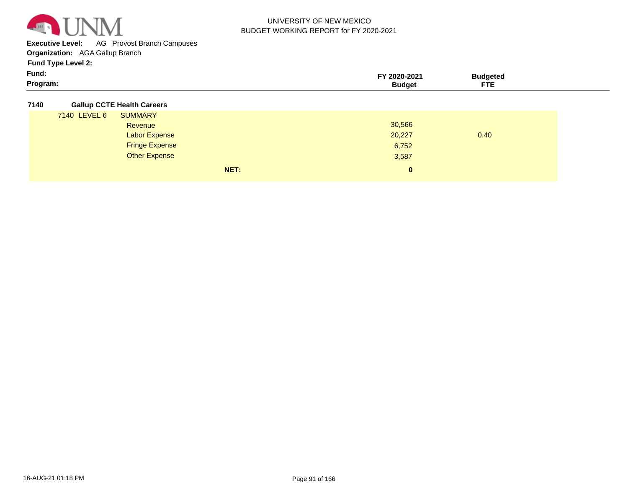

**Executive Level:** AG Provost Branch Campuses

**Organization:**  AGA Gallup Branch

**Fund Type Level 2:**

| - -<br>Fund: | 2020-2021     | 'udaeteo_ |  |
|--------------|---------------|-----------|--|
| Program:     | <b>Rudaet</b> | ---       |  |

#### **7140 Gallup CCTE Health Careers**

|              | NET:                  | 0      |      |
|--------------|-----------------------|--------|------|
|              | <b>Other Expense</b>  | 3,587  |      |
|              | <b>Fringe Expense</b> | 6,752  |      |
|              | <b>Labor Expense</b>  | 20,227 | 0.40 |
|              | Revenue               | 30,566 |      |
| 7140 LEVEL 6 | <b>SUMMARY</b>        |        |      |
|              | .                     |        |      |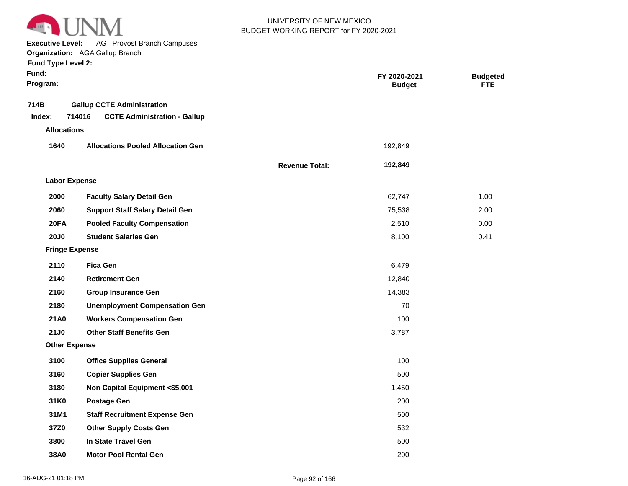

**Executive Level:** AG Provost Branch Campuses

|  |  | <b>Fund Type Level 2:</b> |  |
|--|--|---------------------------|--|
|--|--|---------------------------|--|

| Fund:<br>Program:                    |                                                                                    |                       | FY 2020-2021<br><b>Budget</b> | <b>Budgeted</b><br><b>FTE</b> |  |
|--------------------------------------|------------------------------------------------------------------------------------|-----------------------|-------------------------------|-------------------------------|--|
| 714B<br>Index:<br><b>Allocations</b> | <b>Gallup CCTE Administration</b><br>714016<br><b>CCTE Administration - Gallup</b> |                       |                               |                               |  |
| 1640                                 | <b>Allocations Pooled Allocation Gen</b>                                           |                       | 192,849                       |                               |  |
|                                      |                                                                                    | <b>Revenue Total:</b> | 192,849                       |                               |  |
| <b>Labor Expense</b>                 |                                                                                    |                       |                               |                               |  |
| 2000                                 | <b>Faculty Salary Detail Gen</b>                                                   |                       | 62,747                        | 1.00                          |  |
| 2060                                 | <b>Support Staff Salary Detail Gen</b>                                             |                       | 75,538                        | 2.00                          |  |
| 20FA                                 | <b>Pooled Faculty Compensation</b>                                                 |                       | 2,510                         | 0.00                          |  |
| <b>20J0</b>                          | <b>Student Salaries Gen</b>                                                        |                       | 8,100                         | 0.41                          |  |
| <b>Fringe Expense</b>                |                                                                                    |                       |                               |                               |  |
| 2110                                 | <b>Fica Gen</b>                                                                    |                       | 6,479                         |                               |  |
| 2140                                 | <b>Retirement Gen</b>                                                              |                       | 12,840                        |                               |  |
| 2160                                 | <b>Group Insurance Gen</b>                                                         |                       | 14,383                        |                               |  |
| 2180                                 | <b>Unemployment Compensation Gen</b>                                               |                       | 70                            |                               |  |
| <b>21A0</b>                          | <b>Workers Compensation Gen</b>                                                    |                       | 100                           |                               |  |
| <b>21J0</b>                          | <b>Other Staff Benefits Gen</b>                                                    |                       | 3,787                         |                               |  |
| <b>Other Expense</b>                 |                                                                                    |                       |                               |                               |  |
| 3100                                 | <b>Office Supplies General</b>                                                     |                       | 100                           |                               |  |
| 3160                                 | <b>Copier Supplies Gen</b>                                                         |                       | 500                           |                               |  |
| 3180                                 | Non Capital Equipment <\$5,001                                                     |                       | 1,450                         |                               |  |
| 31K0                                 | <b>Postage Gen</b>                                                                 |                       | 200                           |                               |  |
| 31M1                                 | <b>Staff Recruitment Expense Gen</b>                                               |                       | 500                           |                               |  |
| 37Z0                                 | <b>Other Supply Costs Gen</b>                                                      |                       | 532                           |                               |  |
| 3800                                 | In State Travel Gen                                                                |                       | 500                           |                               |  |
| 38A0                                 | <b>Motor Pool Rental Gen</b>                                                       |                       | 200                           |                               |  |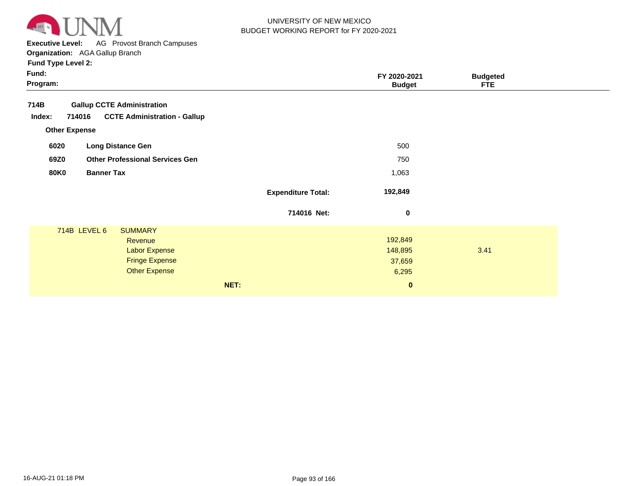

**Executive Level:** AG Provost Branch Campuses

**Organization:**  AGA Gallup Branch

|                                                                                                            | <b>Budgeted</b><br><b>FTE</b>            |                                                                                                                                      |
|------------------------------------------------------------------------------------------------------------|------------------------------------------|--------------------------------------------------------------------------------------------------------------------------------------|
| <b>Gallup CCTE Administration</b><br><b>CCTE Administration - Gallup</b>                                   |                                          |                                                                                                                                      |
| <b>Long Distance Gen</b>                                                                                   |                                          |                                                                                                                                      |
| <b>Other Professional Services Gen</b>                                                                     |                                          |                                                                                                                                      |
|                                                                                                            |                                          |                                                                                                                                      |
|                                                                                                            |                                          |                                                                                                                                      |
|                                                                                                            |                                          |                                                                                                                                      |
| <b>SUMMARY</b><br>Revenue<br><b>Labor Expense</b><br><b>Fringe Expense</b><br><b>Other Expense</b><br>NET: | 3.41                                     |                                                                                                                                      |
|                                                                                                            | <b>Expenditure Total:</b><br>714016 Net: | FY 2020-2021<br><b>Budget</b><br>500<br>750<br>1,063<br>192,849<br>$\mathbf 0$<br>192,849<br>148,895<br>37,659<br>6,295<br>$\pmb{0}$ |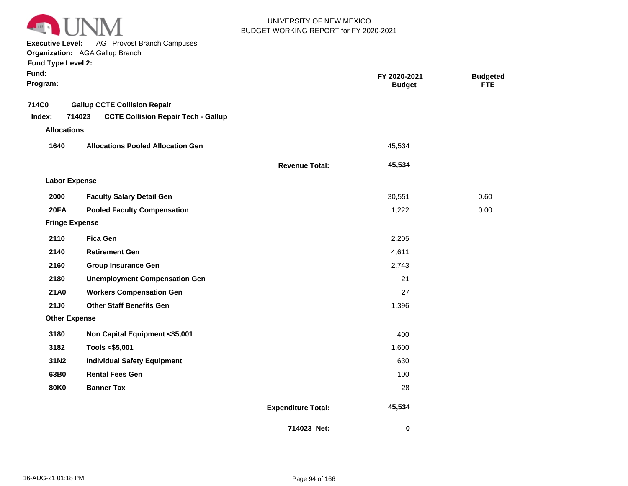

**Executive Level:** AG Provost Branch Campuses

#### **Organization:**  AGA Gallup Branch

| Fund:<br>Program:     |                                                      |                           | FY 2020-2021<br><b>Budget</b> | <b>Budgeted</b><br><b>FTE</b> |  |
|-----------------------|------------------------------------------------------|---------------------------|-------------------------------|-------------------------------|--|
| 714C0                 | <b>Gallup CCTE Collision Repair</b>                  |                           |                               |                               |  |
| Index:                | <b>CCTE Collision Repair Tech - Gallup</b><br>714023 |                           |                               |                               |  |
| <b>Allocations</b>    |                                                      |                           |                               |                               |  |
| 1640                  | <b>Allocations Pooled Allocation Gen</b>             |                           | 45,534                        |                               |  |
|                       |                                                      | <b>Revenue Total:</b>     | 45,534                        |                               |  |
| <b>Labor Expense</b>  |                                                      |                           |                               |                               |  |
| 2000                  | <b>Faculty Salary Detail Gen</b>                     |                           | 30,551                        | 0.60                          |  |
| 20FA                  | <b>Pooled Faculty Compensation</b>                   |                           | 1,222                         | 0.00                          |  |
| <b>Fringe Expense</b> |                                                      |                           |                               |                               |  |
| 2110                  | <b>Fica Gen</b>                                      |                           | 2,205                         |                               |  |
| 2140                  | <b>Retirement Gen</b>                                |                           | 4,611                         |                               |  |
| 2160                  | <b>Group Insurance Gen</b>                           |                           | 2,743                         |                               |  |
| 2180                  | <b>Unemployment Compensation Gen</b>                 |                           | 21                            |                               |  |
| <b>21A0</b>           | <b>Workers Compensation Gen</b>                      |                           | 27                            |                               |  |
| 21J0                  | <b>Other Staff Benefits Gen</b>                      |                           | 1,396                         |                               |  |
| <b>Other Expense</b>  |                                                      |                           |                               |                               |  |
| 3180                  | Non Capital Equipment <\$5,001                       |                           | 400                           |                               |  |
| 3182                  | Tools <\$5,001                                       |                           | 1,600                         |                               |  |
| 31N2                  | <b>Individual Safety Equipment</b>                   |                           | 630                           |                               |  |
| 63B0                  | <b>Rental Fees Gen</b>                               |                           | 100                           |                               |  |
| <b>80K0</b>           | <b>Banner Tax</b>                                    |                           | 28                            |                               |  |
|                       |                                                      | <b>Expenditure Total:</b> | 45,534                        |                               |  |
|                       |                                                      | 714023 Net:               | 0                             |                               |  |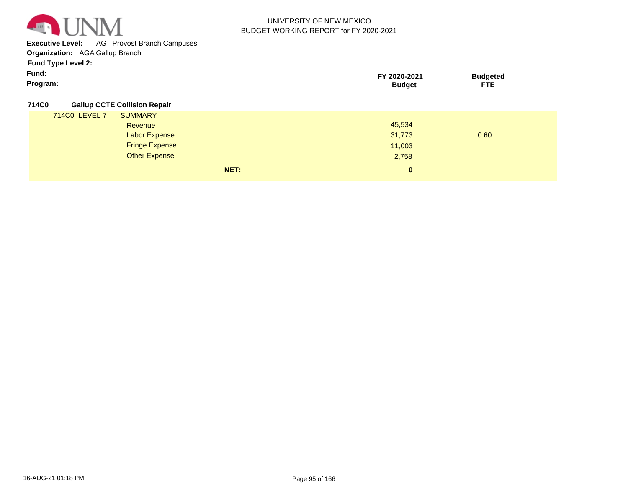

**Executive Level:** AG Provost Branch Campuses

**Organization:**  AGA Gallup Branch

**Fund Type Level 2:**

| Fund:    | -2021 | ™daeteu                              |  |
|----------|-------|--------------------------------------|--|
| Program: |       | $\sim$ $\sim$<br>---<br>$\mathbf{H}$ |  |

**714C0 Gallup CCTE Collision Repair**

| . |               |                       |      |        |      |
|---|---------------|-----------------------|------|--------|------|
|   | 714C0 LEVEL 7 | <b>SUMMARY</b>        |      |        |      |
|   |               | Revenue               |      | 45,534 |      |
|   |               | <b>Labor Expense</b>  |      | 31,773 | 0.60 |
|   |               | <b>Fringe Expense</b> |      | 11,003 |      |
|   |               | <b>Other Expense</b>  |      | 2,758  |      |
|   |               |                       | NET: | 0      |      |
|   |               |                       |      |        |      |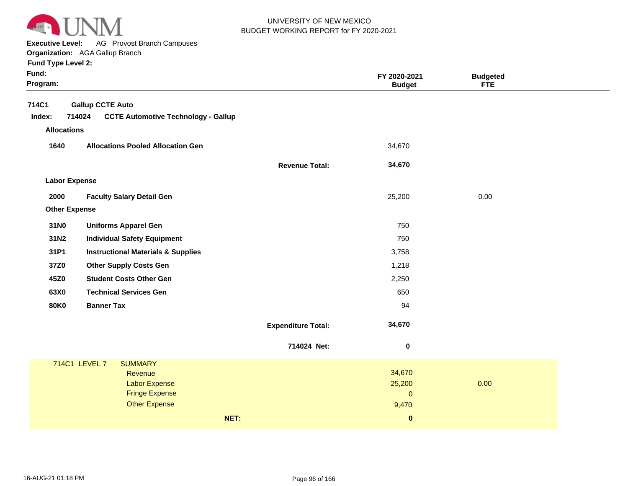

**Executive Level:** AG Provost Branch Campuses **Organization:**  AGA Gallup Branch

| Fund:<br>Program:                     |                                                                                 |                           | FY 2020-2021<br><b>Budget</b> | <b>Budgeted</b><br><b>FTE</b> |  |
|---------------------------------------|---------------------------------------------------------------------------------|---------------------------|-------------------------------|-------------------------------|--|
| 714C1<br>Index:<br><b>Allocations</b> | <b>Gallup CCTE Auto</b><br>714024<br><b>CCTE Automotive Technology - Gallup</b> |                           |                               |                               |  |
| 1640                                  | <b>Allocations Pooled Allocation Gen</b>                                        |                           | 34,670                        |                               |  |
|                                       |                                                                                 | <b>Revenue Total:</b>     | 34,670                        |                               |  |
| <b>Labor Expense</b>                  |                                                                                 |                           |                               |                               |  |
| 2000                                  | <b>Faculty Salary Detail Gen</b>                                                |                           | 25,200                        | 0.00                          |  |
| <b>Other Expense</b>                  |                                                                                 |                           |                               |                               |  |
| 31N0                                  | <b>Uniforms Apparel Gen</b>                                                     |                           | 750                           |                               |  |
| 31N2                                  | <b>Individual Safety Equipment</b>                                              |                           | 750                           |                               |  |
| 31P1                                  | <b>Instructional Materials &amp; Supplies</b>                                   |                           | 3,758                         |                               |  |
| 37Z0                                  | <b>Other Supply Costs Gen</b>                                                   |                           | 1,218                         |                               |  |
| 45Z0                                  | <b>Student Costs Other Gen</b>                                                  |                           | 2,250                         |                               |  |
| 63X0                                  | <b>Technical Services Gen</b>                                                   |                           | 650                           |                               |  |
| <b>80K0</b>                           | <b>Banner Tax</b>                                                               |                           | 94                            |                               |  |
|                                       |                                                                                 | <b>Expenditure Total:</b> | 34,670                        |                               |  |
|                                       |                                                                                 | 714024 Net:               | $\pmb{0}$                     |                               |  |
|                                       | 714C1 LEVEL 7<br><b>SUMMARY</b>                                                 |                           |                               |                               |  |
|                                       | Revenue<br><b>Labor Expense</b>                                                 |                           | 34,670<br>25,200              | 0.00                          |  |
|                                       | <b>Fringe Expense</b>                                                           |                           | $\mathbf{0}$                  |                               |  |
|                                       | <b>Other Expense</b>                                                            |                           | 9,470                         |                               |  |
|                                       |                                                                                 | NET:                      | $\bf{0}$                      |                               |  |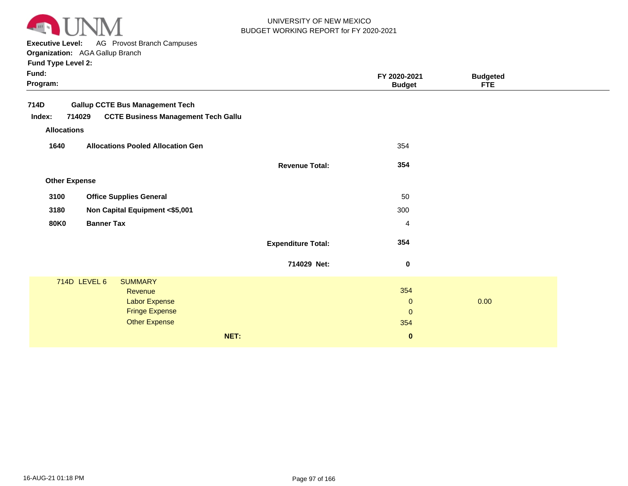

**Executive Level:** AG Provost Branch Campuses

|  | <b>Fund Type Level 2:</b> |  |
|--|---------------------------|--|
|  |                           |  |

| Fund:<br>Program:  |                      |                                            |      |                           | FY 2020-2021<br><b>Budget</b> | <b>Budgeted</b><br><b>FTE</b> |  |
|--------------------|----------------------|--------------------------------------------|------|---------------------------|-------------------------------|-------------------------------|--|
| 714D               |                      | <b>Gallup CCTE Bus Management Tech</b>     |      |                           |                               |                               |  |
| Index:             | 714029               | <b>CCTE Business Management Tech Gallu</b> |      |                           |                               |                               |  |
| <b>Allocations</b> |                      |                                            |      |                           |                               |                               |  |
| 1640               |                      | <b>Allocations Pooled Allocation Gen</b>   |      |                           | 354                           |                               |  |
|                    |                      |                                            |      | <b>Revenue Total:</b>     | 354                           |                               |  |
|                    | <b>Other Expense</b> |                                            |      |                           |                               |                               |  |
| 3100               |                      | <b>Office Supplies General</b>             |      |                           | 50                            |                               |  |
| 3180               |                      | Non Capital Equipment <\$5,001             |      |                           | 300                           |                               |  |
| <b>80K0</b>        | <b>Banner Tax</b>    |                                            |      |                           | $\overline{4}$                |                               |  |
|                    |                      |                                            |      | <b>Expenditure Total:</b> | 354                           |                               |  |
|                    |                      |                                            |      | 714029 Net:               | $\boldsymbol{0}$              |                               |  |
|                    | 714D LEVEL 6         | <b>SUMMARY</b>                             |      |                           |                               |                               |  |
|                    |                      | Revenue                                    |      |                           | 354                           | 0.00                          |  |
|                    |                      | Labor Expense<br><b>Fringe Expense</b>     |      |                           | $\mathbf 0$<br>$\mathbf{0}$   |                               |  |
|                    |                      | <b>Other Expense</b>                       |      |                           | 354                           |                               |  |
|                    |                      |                                            | NET: |                           | $\bf{0}$                      |                               |  |
|                    |                      |                                            |      |                           |                               |                               |  |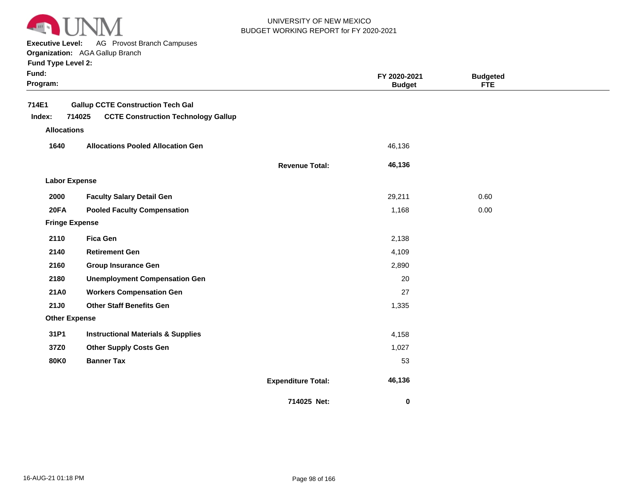

**Executive Level:** AG Provost Branch Campuses

**Organization:**  AGA Gallup Branch

| Fund:<br>Program: |                       |                                                                                        |                           | FY 2020-2021<br><b>Budget</b> | <b>Budgeted</b><br><b>FTE</b> |  |
|-------------------|-----------------------|----------------------------------------------------------------------------------------|---------------------------|-------------------------------|-------------------------------|--|
| 714E1<br>Index:   | 714025                | <b>Gallup CCTE Construction Tech Gal</b><br><b>CCTE Construction Technology Gallup</b> |                           |                               |                               |  |
|                   | <b>Allocations</b>    |                                                                                        |                           |                               |                               |  |
| 1640              |                       | <b>Allocations Pooled Allocation Gen</b>                                               |                           | 46,136                        |                               |  |
|                   |                       |                                                                                        | <b>Revenue Total:</b>     | 46,136                        |                               |  |
|                   | <b>Labor Expense</b>  |                                                                                        |                           |                               |                               |  |
| 2000              |                       | <b>Faculty Salary Detail Gen</b>                                                       |                           | 29,211                        | 0.60                          |  |
| <b>20FA</b>       |                       | <b>Pooled Faculty Compensation</b>                                                     |                           | 1,168                         | 0.00                          |  |
|                   | <b>Fringe Expense</b> |                                                                                        |                           |                               |                               |  |
| 2110              |                       | <b>Fica Gen</b>                                                                        |                           | 2,138                         |                               |  |
| 2140              |                       | <b>Retirement Gen</b>                                                                  |                           | 4,109                         |                               |  |
| 2160              |                       | <b>Group Insurance Gen</b>                                                             |                           | 2,890                         |                               |  |
| 2180              |                       | <b>Unemployment Compensation Gen</b>                                                   |                           | 20                            |                               |  |
| <b>21A0</b>       |                       | <b>Workers Compensation Gen</b>                                                        |                           | 27                            |                               |  |
| 21J0              |                       | <b>Other Staff Benefits Gen</b>                                                        |                           | 1,335                         |                               |  |
|                   | <b>Other Expense</b>  |                                                                                        |                           |                               |                               |  |
| 31P1              |                       | <b>Instructional Materials &amp; Supplies</b>                                          |                           | 4,158                         |                               |  |
| 37Z0              |                       | <b>Other Supply Costs Gen</b>                                                          |                           | 1,027                         |                               |  |
| <b>80K0</b>       |                       | <b>Banner Tax</b>                                                                      |                           | 53                            |                               |  |
|                   |                       |                                                                                        | <b>Expenditure Total:</b> | 46,136                        |                               |  |
|                   |                       |                                                                                        | 714025 Net:               | $\bf{0}$                      |                               |  |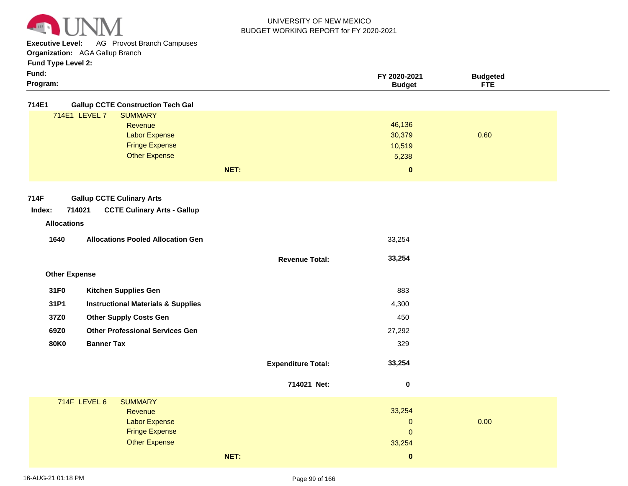

**Executive Level:** AG Provost Branch Campuses

**Organization:**  AGA Gallup Branch

|  | <b>Fund Type Level 2:</b> |  |
|--|---------------------------|--|

| Fund:        |                                           | FY 2020-2021  | <b>Budgeted</b> |  |
|--------------|-------------------------------------------|---------------|-----------------|--|
| Program:     |                                           | <b>Budget</b> | <b>FTE</b>      |  |
| <b>714F1</b> | <b>Gallun CCTE Construction Tech Gall</b> |               |                 |  |

**714E1 Gallup CCTE Construction Tech Gal**

| <b>SUMMARY</b><br>714E1 LEVEL 7 |      |          |      |
|---------------------------------|------|----------|------|
| Revenue                         |      | 46,136   |      |
| <b>Labor Expense</b>            |      | 30,379   | 0.60 |
| <b>Fringe Expense</b>           |      | 10,519   |      |
| <b>Other Expense</b>            |      | 5,238    |      |
|                                 | NET: | $\bf{0}$ |      |

**Revenue Total:**

 **33,254** 

#### **714F Gallup CCTE Culinary Arts**

| Index: | 714021 | <b>CCTE Culinary Arts - Gallup</b> |
|--------|--------|------------------------------------|
|--------|--------|------------------------------------|

# **Revenue Allocations**

| 1640 | <b>Allocations Pooled Allocation Gen</b> | 33.254 |
|------|------------------------------------------|--------|
|      |                                          |        |

# **Other Expense**

| 31F0 | <b>Kitchen Supplies Gen</b>                   | 883    |
|------|-----------------------------------------------|--------|
| 31P1 | <b>Instructional Materials &amp; Supplies</b> | 4,300  |
| 37Z0 | <b>Other Supply Costs Gen</b>                 | 450    |
| 69Z0 | <b>Other Professional Services Gen</b>        | 27,292 |
| 80K0 | <b>Banner Tax</b>                             | 329    |
|      |                                               |        |

# **Expenditure Total: 33,254**

|              |                                                                                                    | 714021 Net: | 0                                                |      |  |
|--------------|----------------------------------------------------------------------------------------------------|-------------|--------------------------------------------------|------|--|
| 714F LEVEL 6 | <b>SUMMARY</b><br>Revenue<br><b>Labor Expense</b><br><b>Fringe Expense</b><br><b>Other Expense</b> |             | 33,254<br>$\mathbf{0}$<br>$\mathbf{0}$<br>33,254 | 0.00 |  |
|              | NET:                                                                                               |             | $\bf{0}$                                         |      |  |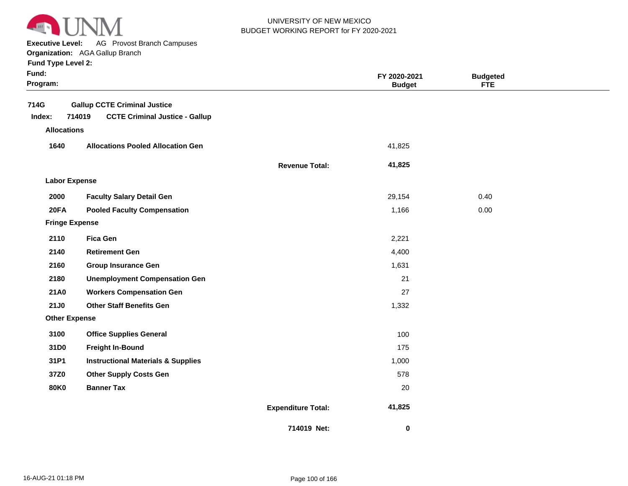

**Executive Level:** AG Provost Branch Campuses

**Organization:**  AGA Gallup Branch

|  | <b>Fund Type Level 2:</b> |
|--|---------------------------|
|--|---------------------------|

| Fund:<br>Program:     |                                                 |                           | FY 2020-2021<br><b>Budget</b> | <b>Budgeted</b><br><b>FTE</b> |
|-----------------------|-------------------------------------------------|---------------------------|-------------------------------|-------------------------------|
| 714G                  | <b>Gallup CCTE Criminal Justice</b>             |                           |                               |                               |
| Index:                | 714019<br><b>CCTE Criminal Justice - Gallup</b> |                           |                               |                               |
| <b>Allocations</b>    |                                                 |                           |                               |                               |
| 1640                  | <b>Allocations Pooled Allocation Gen</b>        |                           | 41,825                        |                               |
|                       |                                                 | <b>Revenue Total:</b>     | 41,825                        |                               |
| <b>Labor Expense</b>  |                                                 |                           |                               |                               |
| 2000                  | <b>Faculty Salary Detail Gen</b>                |                           | 29,154                        | 0.40                          |
| 20FA                  | <b>Pooled Faculty Compensation</b>              |                           | 1,166                         | 0.00                          |
| <b>Fringe Expense</b> |                                                 |                           |                               |                               |
| 2110                  | <b>Fica Gen</b>                                 |                           | 2,221                         |                               |
| 2140                  | <b>Retirement Gen</b>                           |                           | 4,400                         |                               |
| 2160                  | <b>Group Insurance Gen</b>                      |                           | 1,631                         |                               |
| 2180                  | <b>Unemployment Compensation Gen</b>            |                           | 21                            |                               |
| 21A0                  | <b>Workers Compensation Gen</b>                 |                           | 27                            |                               |
| <b>21J0</b>           | <b>Other Staff Benefits Gen</b>                 |                           | 1,332                         |                               |
| <b>Other Expense</b>  |                                                 |                           |                               |                               |
| 3100                  | <b>Office Supplies General</b>                  |                           | 100                           |                               |
| 31D0                  | <b>Freight In-Bound</b>                         |                           | 175                           |                               |
| 31P1                  | <b>Instructional Materials &amp; Supplies</b>   |                           | 1,000                         |                               |
| 37Z0                  | <b>Other Supply Costs Gen</b>                   |                           | 578                           |                               |
| <b>80K0</b>           | <b>Banner Tax</b>                               |                           | 20                            |                               |
|                       |                                                 | <b>Expenditure Total:</b> | 41,825                        |                               |

 **0**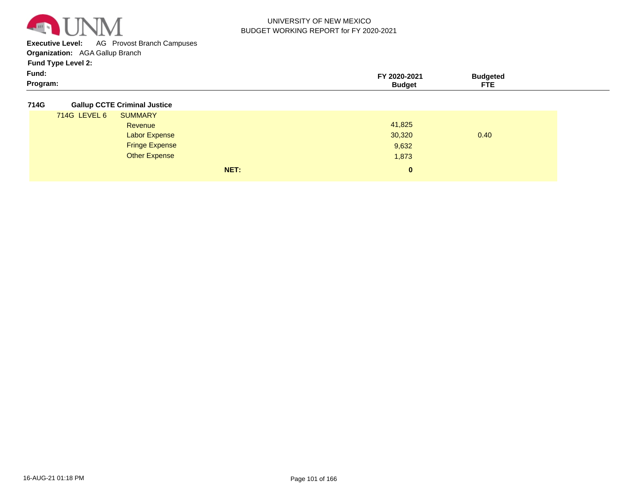

**Executive Level:** AG Provost Branch Campuses

**Organization:**  AGA Gallup Branch

**Fund Type Level 2:**

| Fund:    | 2020-202 | 'udaetec          |  |
|----------|----------|-------------------|--|
| Program: | udaet    | ___<br>---<br>. . |  |

**714G Gallup CCTE Criminal Justice**

| . |              |                       |      |              |      |
|---|--------------|-----------------------|------|--------------|------|
|   | 714G LEVEL 6 | <b>SUMMARY</b>        |      |              |      |
|   |              | Revenue               |      | 41,825       |      |
|   |              | <b>Labor Expense</b>  |      | 30,320       | 0.40 |
|   |              | <b>Fringe Expense</b> |      | 9,632        |      |
|   |              | <b>Other Expense</b>  |      | 1,873        |      |
|   |              |                       | NET: | $\mathbf{0}$ |      |
|   |              |                       |      |              |      |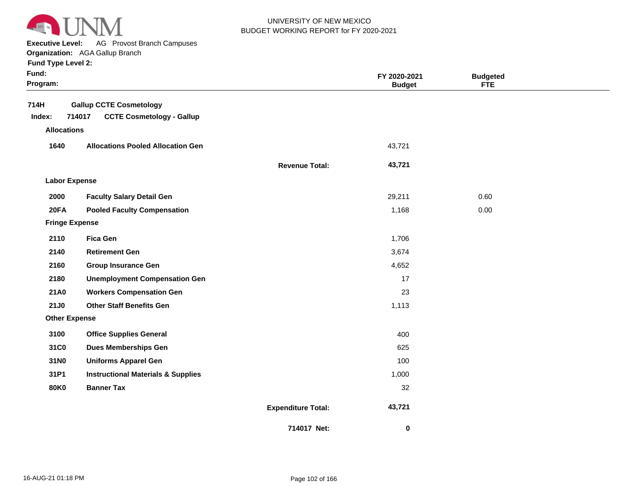

**Executive Level:** AG Provost Branch Campuses

| <b>Fund Type Level 2:</b> |  |  |  |
|---------------------------|--|--|--|
|---------------------------|--|--|--|

| Fund:<br>Program:     |                                               |                           | FY 2020-2021<br><b>Budget</b> | <b>Budgeted</b><br><b>FTE</b> |  |
|-----------------------|-----------------------------------------------|---------------------------|-------------------------------|-------------------------------|--|
| 714H                  | <b>Gallup CCTE Cosmetology</b>                |                           |                               |                               |  |
| Index:                | 714017<br><b>CCTE Cosmetology - Gallup</b>    |                           |                               |                               |  |
| <b>Allocations</b>    |                                               |                           |                               |                               |  |
| 1640                  | <b>Allocations Pooled Allocation Gen</b>      |                           | 43,721                        |                               |  |
|                       |                                               | <b>Revenue Total:</b>     | 43,721                        |                               |  |
| <b>Labor Expense</b>  |                                               |                           |                               |                               |  |
| 2000                  | <b>Faculty Salary Detail Gen</b>              |                           | 29,211                        | 0.60                          |  |
| 20FA                  | <b>Pooled Faculty Compensation</b>            |                           | 1,168                         | 0.00                          |  |
| <b>Fringe Expense</b> |                                               |                           |                               |                               |  |
| 2110                  | <b>Fica Gen</b>                               |                           | 1,706                         |                               |  |
| 2140                  | <b>Retirement Gen</b>                         |                           | 3,674                         |                               |  |
| 2160                  | <b>Group Insurance Gen</b>                    |                           | 4,652                         |                               |  |
| 2180                  | <b>Unemployment Compensation Gen</b>          |                           | 17                            |                               |  |
| <b>21A0</b>           | <b>Workers Compensation Gen</b>               |                           | 23                            |                               |  |
| 21J0                  | <b>Other Staff Benefits Gen</b>               |                           | 1,113                         |                               |  |
| <b>Other Expense</b>  |                                               |                           |                               |                               |  |
| 3100                  | <b>Office Supplies General</b>                |                           | 400                           |                               |  |
| 31C0                  | <b>Dues Memberships Gen</b>                   |                           | 625                           |                               |  |
| 31N0                  | <b>Uniforms Apparel Gen</b>                   |                           | 100                           |                               |  |
| 31P1                  | <b>Instructional Materials &amp; Supplies</b> |                           | 1,000                         |                               |  |
| <b>80K0</b>           | <b>Banner Tax</b>                             |                           | 32                            |                               |  |
|                       |                                               | <b>Expenditure Total:</b> | 43,721                        |                               |  |
|                       |                                               | 714017 Net:               | $\bf{0}$                      |                               |  |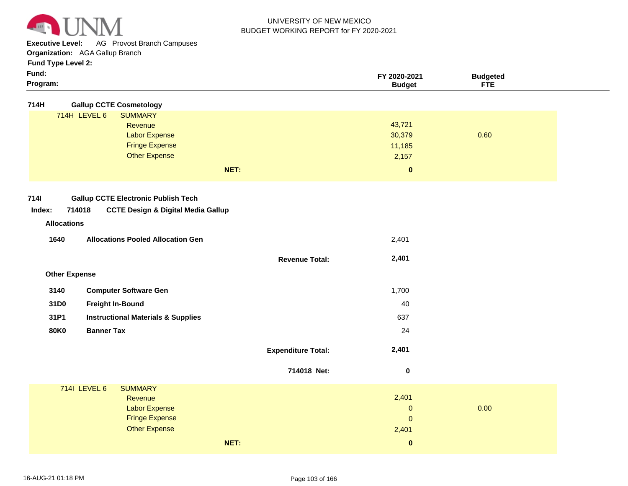

**Executive Level:** AG Provost Branch Campuses

**Organization:**  AGA Gallup Branch

| Program:            | <b>Budget</b> | <b>FTE</b> |  |
|---------------------|---------------|------------|--|
| Fund:               | FY 2020-2021  | 3udaeted   |  |
| $\cdots$ . $\cdots$ |               |            |  |

| 714H<br><b>Gallup CCTE Cosmetology</b>                                                                                         |                           |                                                    |      |
|--------------------------------------------------------------------------------------------------------------------------------|---------------------------|----------------------------------------------------|------|
| 714H LEVEL 6<br><b>SUMMARY</b><br>Revenue<br><b>Labor Expense</b><br><b>Fringe Expense</b><br><b>Other Expense</b><br>NET:     |                           | 43,721<br>30,379<br>11,185<br>2,157<br>$\mathbf 0$ | 0.60 |
| <b>7141</b><br><b>Gallup CCTE Electronic Publish Tech</b><br>714018<br><b>CCTE Design &amp; Digital Media Gallup</b><br>Index: |                           |                                                    |      |
| <b>Allocations</b><br>1640<br><b>Allocations Pooled Allocation Gen</b>                                                         |                           | 2,401                                              |      |
|                                                                                                                                | <b>Revenue Total:</b>     | 2,401                                              |      |
| <b>Other Expense</b>                                                                                                           |                           |                                                    |      |
| 3140<br><b>Computer Software Gen</b>                                                                                           |                           | 1,700                                              |      |
| 31D0<br><b>Freight In-Bound</b>                                                                                                |                           | 40                                                 |      |
| 31P1<br><b>Instructional Materials &amp; Supplies</b>                                                                          |                           | 637                                                |      |
| <b>Banner Tax</b><br><b>80K0</b>                                                                                               |                           | 24                                                 |      |
|                                                                                                                                | <b>Expenditure Total:</b> | 2,401                                              |      |
|                                                                                                                                | 714018 Net:               | $\pmb{0}$                                          |      |
| 7141 LEVEL 6<br><b>SUMMARY</b>                                                                                                 |                           |                                                    |      |
| Revenue                                                                                                                        |                           | 2,401<br>$\pmb{0}$                                 |      |
| <b>Labor Expense</b><br><b>Fringe Expense</b>                                                                                  |                           |                                                    | 0.00 |
|                                                                                                                                |                           |                                                    |      |
| <b>Other Expense</b>                                                                                                           |                           | $\mathbf{0}$<br>2,401                              |      |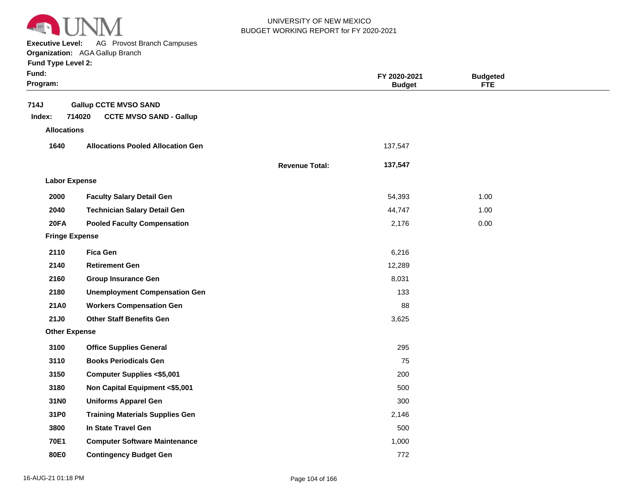

**Executive Level:** AG Provost Branch Campuses

#### **Organization:**  AGA Gallup Branch

| Fund:<br>Program:     |                                                                          |                       | FY 2020-2021<br><b>Budget</b> | <b>Budgeted</b><br><b>FTE</b> |  |
|-----------------------|--------------------------------------------------------------------------|-----------------------|-------------------------------|-------------------------------|--|
| 714J<br>Index:        | <b>Gallup CCTE MVSO SAND</b><br>714020<br><b>CCTE MVSO SAND - Gallup</b> |                       |                               |                               |  |
| <b>Allocations</b>    |                                                                          |                       |                               |                               |  |
| 1640                  | <b>Allocations Pooled Allocation Gen</b>                                 |                       | 137,547                       |                               |  |
|                       |                                                                          | <b>Revenue Total:</b> | 137,547                       |                               |  |
| <b>Labor Expense</b>  |                                                                          |                       |                               |                               |  |
| 2000                  | <b>Faculty Salary Detail Gen</b>                                         |                       | 54,393                        | 1.00                          |  |
| 2040                  | <b>Technician Salary Detail Gen</b>                                      |                       | 44,747                        | 1.00                          |  |
| 20FA                  | <b>Pooled Faculty Compensation</b>                                       |                       | 2,176                         | 0.00                          |  |
| <b>Fringe Expense</b> |                                                                          |                       |                               |                               |  |
| 2110                  | <b>Fica Gen</b>                                                          |                       | 6,216                         |                               |  |
| 2140                  | <b>Retirement Gen</b>                                                    |                       | 12,289                        |                               |  |
| 2160                  | <b>Group Insurance Gen</b>                                               |                       | 8,031                         |                               |  |
| 2180                  | <b>Unemployment Compensation Gen</b>                                     |                       | 133                           |                               |  |
| 21A0                  | <b>Workers Compensation Gen</b>                                          |                       | 88                            |                               |  |
| 21J0                  | <b>Other Staff Benefits Gen</b>                                          |                       | 3,625                         |                               |  |
| <b>Other Expense</b>  |                                                                          |                       |                               |                               |  |
| 3100                  | <b>Office Supplies General</b>                                           |                       | 295                           |                               |  |
| 3110                  | <b>Books Periodicals Gen</b>                                             |                       | 75                            |                               |  |
| 3150                  | <b>Computer Supplies &lt;\$5,001</b>                                     |                       | 200                           |                               |  |
| 3180                  | Non Capital Equipment <\$5,001                                           |                       | 500                           |                               |  |
| 31N0                  | <b>Uniforms Apparel Gen</b>                                              |                       | 300                           |                               |  |
| 31P0                  | <b>Training Materials Supplies Gen</b>                                   |                       | 2,146                         |                               |  |
| 3800                  | In State Travel Gen                                                      |                       | 500                           |                               |  |
| <b>70E1</b>           | <b>Computer Software Maintenance</b>                                     |                       | 1,000                         |                               |  |
| 80E0                  | <b>Contingency Budget Gen</b>                                            |                       | 772                           |                               |  |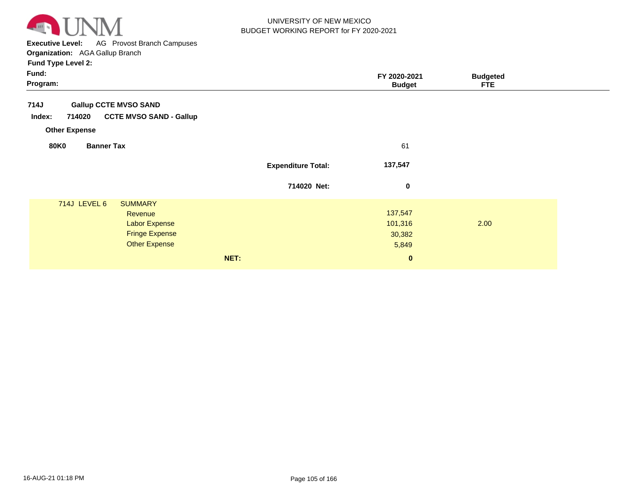

**Executive Level:** AG Provost Branch Campuses

#### **Organization:**  AGA Gallup Branch **Fund Type Level 2:**

| . .<br>Fund:<br>Program:                                                                                           |                           | FY 2020-2021<br><b>Budget</b>         | <b>Budgeted</b><br><b>FTE</b> |
|--------------------------------------------------------------------------------------------------------------------|---------------------------|---------------------------------------|-------------------------------|
| 714J<br><b>Gallup CCTE MVSO SAND</b><br><b>CCTE MVSO SAND - Gallup</b><br>714020<br>Index:<br><b>Other Expense</b> |                           |                                       |                               |
| <b>80K0</b><br><b>Banner Tax</b>                                                                                   |                           | 61                                    |                               |
|                                                                                                                    | <b>Expenditure Total:</b> | 137,547                               |                               |
|                                                                                                                    | 714020 Net:               | $\bf{0}$                              |                               |
| 714J LEVEL 6<br><b>SUMMARY</b><br>Revenue<br><b>Labor Expense</b><br><b>Fringe Expense</b><br><b>Other Expense</b> |                           | 137,547<br>101,316<br>30,382<br>5,849 | 2.00                          |
|                                                                                                                    | NET:                      | $\bf{0}$                              |                               |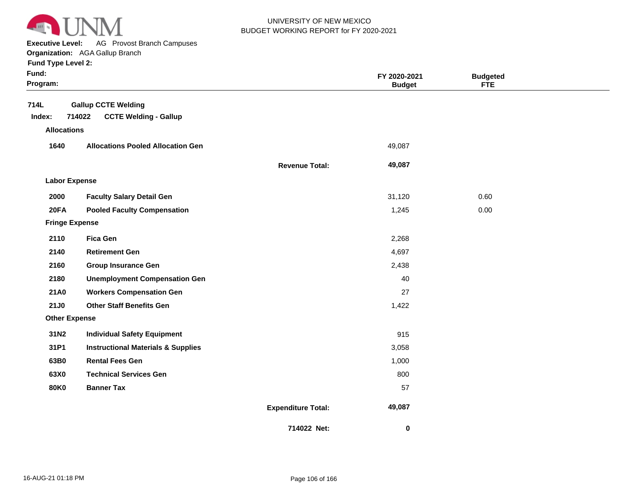

**Executive Level:** AG Provost Branch Campuses

|  |  | <b>Fund Type Level 2:</b> |  |
|--|--|---------------------------|--|
|--|--|---------------------------|--|

| Fund:<br>Program:     |                                                                      |                           | FY 2020-2021<br><b>Budget</b> | <b>Budgeted</b><br><b>FTE</b> |  |
|-----------------------|----------------------------------------------------------------------|---------------------------|-------------------------------|-------------------------------|--|
| 714L<br>Index:        | <b>Gallup CCTE Welding</b><br>714022<br><b>CCTE Welding - Gallup</b> |                           |                               |                               |  |
| <b>Allocations</b>    |                                                                      |                           |                               |                               |  |
| 1640                  | <b>Allocations Pooled Allocation Gen</b>                             |                           | 49,087                        |                               |  |
|                       |                                                                      | <b>Revenue Total:</b>     | 49,087                        |                               |  |
| <b>Labor Expense</b>  |                                                                      |                           |                               |                               |  |
| 2000                  | <b>Faculty Salary Detail Gen</b>                                     |                           | 31,120                        | 0.60                          |  |
| <b>20FA</b>           | <b>Pooled Faculty Compensation</b>                                   |                           | 1,245                         | 0.00                          |  |
| <b>Fringe Expense</b> |                                                                      |                           |                               |                               |  |
| 2110                  | <b>Fica Gen</b>                                                      |                           | 2,268                         |                               |  |
| 2140                  | <b>Retirement Gen</b>                                                |                           | 4,697                         |                               |  |
| 2160                  | <b>Group Insurance Gen</b>                                           |                           | 2,438                         |                               |  |
| 2180                  | <b>Unemployment Compensation Gen</b>                                 |                           | 40                            |                               |  |
| 21A0                  | <b>Workers Compensation Gen</b>                                      |                           | 27                            |                               |  |
| <b>21J0</b>           | <b>Other Staff Benefits Gen</b>                                      |                           | 1,422                         |                               |  |
| <b>Other Expense</b>  |                                                                      |                           |                               |                               |  |
| 31N2                  | <b>Individual Safety Equipment</b>                                   |                           | 915                           |                               |  |
| 31P1                  | <b>Instructional Materials &amp; Supplies</b>                        |                           | 3,058                         |                               |  |
| 63B0                  | <b>Rental Fees Gen</b>                                               |                           | 1,000                         |                               |  |
| 63X0                  | <b>Technical Services Gen</b>                                        |                           | 800                           |                               |  |
| <b>80K0</b>           | <b>Banner Tax</b>                                                    |                           | 57                            |                               |  |
|                       |                                                                      | <b>Expenditure Total:</b> | 49,087                        |                               |  |
|                       |                                                                      | 714022 Net:               | 0                             |                               |  |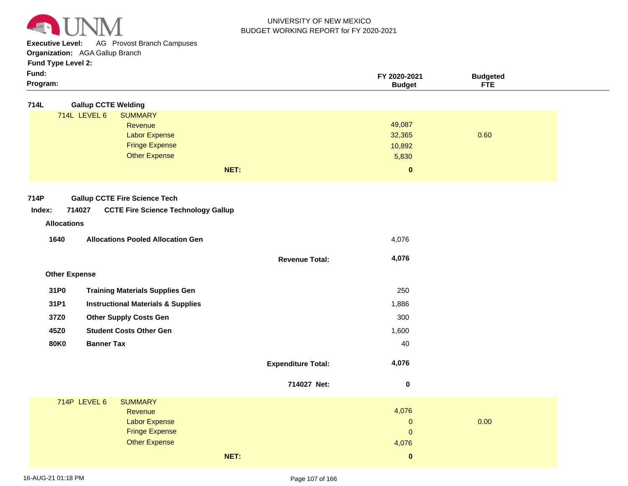

**Executive Level:** AG Provost Branch Campuses

**Organization:**  AGA Gallup Branch

**Fund Type Level 2:**

| × | × |  |
|---|---|--|
|   |   |  |

| Fund:<br>Program:    |                                                      |                           | FY 2020-2021<br><b>Budget</b> | <b>Budgeted</b><br><b>FTE</b> |  |
|----------------------|------------------------------------------------------|---------------------------|-------------------------------|-------------------------------|--|
|                      |                                                      |                           |                               |                               |  |
| 714L                 | <b>Gallup CCTE Welding</b>                           |                           |                               |                               |  |
|                      | 714L LEVEL 6<br><b>SUMMARY</b>                       |                           | 49,087                        |                               |  |
|                      | Revenue                                              |                           | 32,365                        | 0.60                          |  |
|                      | <b>Labor Expense</b><br><b>Fringe Expense</b>        |                           |                               |                               |  |
|                      | <b>Other Expense</b>                                 |                           | 10,892                        |                               |  |
|                      |                                                      |                           | 5,830                         |                               |  |
|                      | NET:                                                 |                           | $\pmb{0}$                     |                               |  |
|                      |                                                      |                           |                               |                               |  |
| 714P                 | <b>Gallup CCTE Fire Science Tech</b>                 |                           |                               |                               |  |
| Index:               | 714027<br><b>CCTE Fire Science Technology Gallup</b> |                           |                               |                               |  |
| <b>Allocations</b>   |                                                      |                           |                               |                               |  |
| 1640                 | <b>Allocations Pooled Allocation Gen</b>             |                           | 4,076                         |                               |  |
|                      |                                                      |                           |                               |                               |  |
|                      |                                                      | <b>Revenue Total:</b>     | 4,076                         |                               |  |
| <b>Other Expense</b> |                                                      |                           |                               |                               |  |
| 31P0                 | <b>Training Materials Supplies Gen</b>               |                           | 250                           |                               |  |
| 31P1                 | <b>Instructional Materials &amp; Supplies</b>        |                           | 1,886                         |                               |  |
| 37Z0                 | <b>Other Supply Costs Gen</b>                        |                           | 300                           |                               |  |
| 45Z0                 | <b>Student Costs Other Gen</b>                       |                           | 1,600                         |                               |  |
| <b>80K0</b>          | <b>Banner Tax</b>                                    |                           | 40                            |                               |  |
|                      |                                                      | <b>Expenditure Total:</b> | 4,076                         |                               |  |
|                      |                                                      | 714027 Net:               | $\pmb{0}$                     |                               |  |
|                      | 714P LEVEL 6<br><b>SUMMARY</b>                       |                           |                               |                               |  |
|                      | Revenue                                              |                           | 4,076                         |                               |  |
|                      | <b>Labor Expense</b>                                 |                           | $\mathbf 0$                   | 0.00                          |  |
|                      | <b>Fringe Expense</b>                                |                           | $\mathbf 0$                   |                               |  |
|                      | <b>Other Expense</b>                                 |                           | 4,076                         |                               |  |

**NET:**

 **0**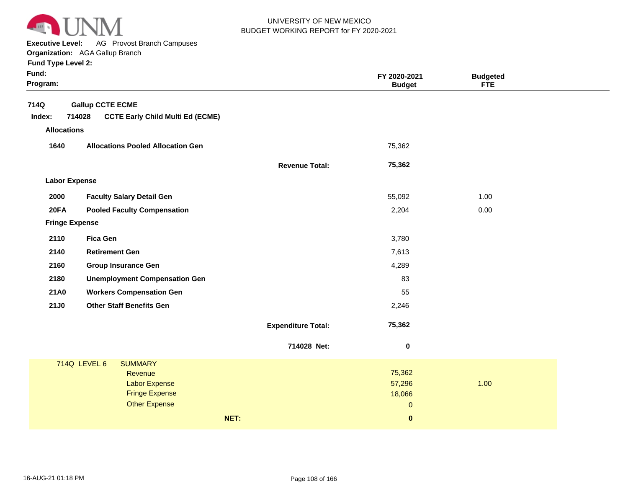

**Executive Level:** AG Provost Branch Campuses

**Organization:**  AGA Gallup Branch

| Fund:<br>Program:     |                                                   |                           | FY 2020-2021<br><b>Budget</b> | <b>Budgeted</b><br><b>FTE</b> |  |
|-----------------------|---------------------------------------------------|---------------------------|-------------------------------|-------------------------------|--|
| 714Q                  | <b>Gallup CCTE ECME</b>                           |                           |                               |                               |  |
| Index:                | <b>CCTE Early Child Multi Ed (ECME)</b><br>714028 |                           |                               |                               |  |
| <b>Allocations</b>    |                                                   |                           |                               |                               |  |
| 1640                  | <b>Allocations Pooled Allocation Gen</b>          |                           | 75,362                        |                               |  |
|                       |                                                   | <b>Revenue Total:</b>     | 75,362                        |                               |  |
| <b>Labor Expense</b>  |                                                   |                           |                               |                               |  |
| 2000                  | <b>Faculty Salary Detail Gen</b>                  |                           | 55,092                        | 1.00                          |  |
| 20FA                  | <b>Pooled Faculty Compensation</b>                |                           | 2,204                         | 0.00                          |  |
| <b>Fringe Expense</b> |                                                   |                           |                               |                               |  |
| 2110                  | <b>Fica Gen</b>                                   |                           | 3,780                         |                               |  |
| 2140                  | <b>Retirement Gen</b>                             |                           | 7,613                         |                               |  |
| 2160                  | <b>Group Insurance Gen</b>                        |                           | 4,289                         |                               |  |
| 2180                  | <b>Unemployment Compensation Gen</b>              |                           | 83                            |                               |  |
| 21A0                  | <b>Workers Compensation Gen</b>                   |                           | 55                            |                               |  |
| <b>21J0</b>           | <b>Other Staff Benefits Gen</b>                   |                           | 2,246                         |                               |  |
|                       |                                                   | <b>Expenditure Total:</b> | 75,362                        |                               |  |
|                       |                                                   | 714028 Net:               | $\pmb{0}$                     |                               |  |
|                       | <b>714Q LEVEL 6</b><br><b>SUMMARY</b>             |                           |                               |                               |  |
|                       | <b>Revenue</b>                                    |                           | 75,362                        |                               |  |
|                       | <b>Labor Expense</b><br><b>Fringe Expense</b>     |                           | 57,296<br>18,066              | 1.00                          |  |
|                       | <b>Other Expense</b>                              |                           | $\overline{0}$                |                               |  |
|                       | NET:                                              |                           | $\pmb{0}$                     |                               |  |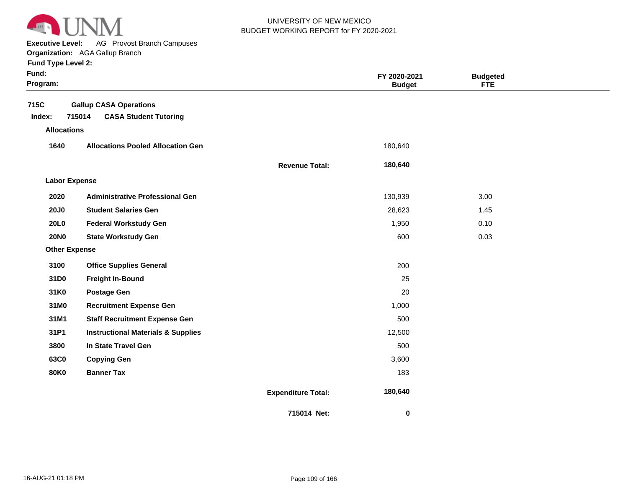

**Executive Level:** AG Provost Branch Campuses

**Organization:**  AGA Gallup Branch **Fund Type Level 2:**

| Fund:<br>Program:            |                                               |                           | FY 2020-2021<br><b>Budget</b> | <b>Budgeted</b><br><b>FTE</b> |  |
|------------------------------|-----------------------------------------------|---------------------------|-------------------------------|-------------------------------|--|
| 715C                         | <b>Gallup CASA Operations</b><br>715014       |                           |                               |                               |  |
| Index:<br><b>Allocations</b> | <b>CASA Student Tutoring</b>                  |                           |                               |                               |  |
|                              |                                               |                           |                               |                               |  |
| 1640                         | <b>Allocations Pooled Allocation Gen</b>      |                           | 180,640                       |                               |  |
|                              |                                               | <b>Revenue Total:</b>     | 180,640                       |                               |  |
| <b>Labor Expense</b>         |                                               |                           |                               |                               |  |
| 2020                         | <b>Administrative Professional Gen</b>        |                           | 130,939                       | 3.00                          |  |
| <b>20J0</b>                  | <b>Student Salaries Gen</b>                   |                           | 28,623                        | 1.45                          |  |
| 20L0                         | <b>Federal Workstudy Gen</b>                  |                           | 1,950                         | 0.10                          |  |
| <b>20NO</b>                  | <b>State Workstudy Gen</b>                    |                           | 600                           | 0.03                          |  |
| <b>Other Expense</b>         |                                               |                           |                               |                               |  |
| 3100                         | <b>Office Supplies General</b>                |                           | 200                           |                               |  |
| 31D0                         | <b>Freight In-Bound</b>                       |                           | 25                            |                               |  |
| 31K0                         | <b>Postage Gen</b>                            |                           | 20                            |                               |  |
| 31M0                         | <b>Recruitment Expense Gen</b>                |                           | 1,000                         |                               |  |
| 31M1                         | <b>Staff Recruitment Expense Gen</b>          |                           | 500                           |                               |  |
| 31P1                         | <b>Instructional Materials &amp; Supplies</b> |                           | 12,500                        |                               |  |
| 3800                         | In State Travel Gen                           |                           | 500                           |                               |  |
| 63C0                         | <b>Copying Gen</b>                            |                           | 3,600                         |                               |  |
| <b>80K0</b>                  | <b>Banner Tax</b>                             |                           | 183                           |                               |  |
|                              |                                               | <b>Expenditure Total:</b> | 180,640                       |                               |  |
|                              |                                               | 715014 Net:               | 0                             |                               |  |

Page 109 of 166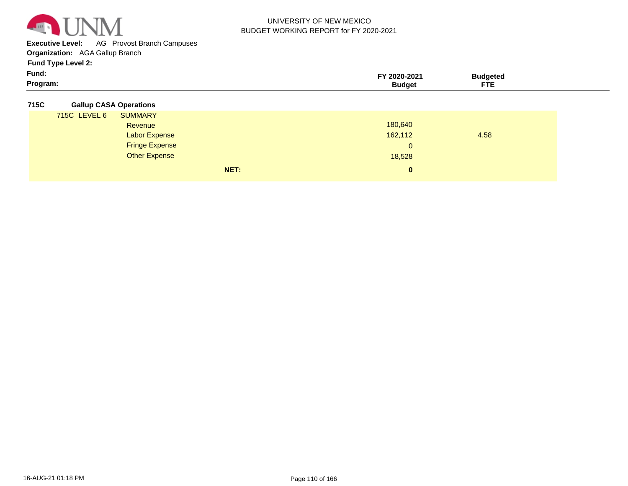

**Executive Level:** AG Provost Branch Campuses

**Organization:**  AGA Gallup Branch

**Fund Type Level 2:**

| Fund:    | 2020-2021 | `'Idaeteo |  |
|----------|-----------|-----------|--|
| Program: | 3udaet    | ---<br>.  |  |

#### **715C Gallup CASA Operations**

|              | NET:                  | $\mathbf{0}$ |      |
|--------------|-----------------------|--------------|------|
|              | <b>Other Expense</b>  | 18,528       |      |
|              | <b>Fringe Expense</b> | $\mathbf{0}$ |      |
|              | <b>Labor Expense</b>  | 162,112      | 4.58 |
|              | Revenue               | 180,640      |      |
| 715C LEVEL 6 | <b>SUMMARY</b>        |              |      |
|              |                       |              |      |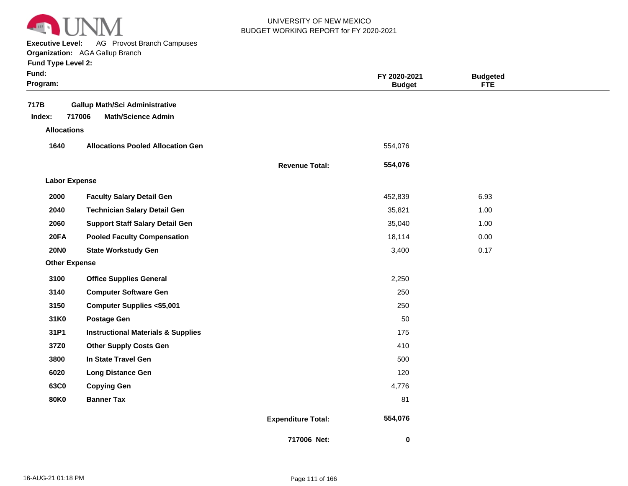

**Executive Level:** AG Provost Branch Campuses

**Organization:**  AGA Gallup Branch

| <b>Fund Type Level 2:</b> |                                               |                           |                               |                               |  |
|---------------------------|-----------------------------------------------|---------------------------|-------------------------------|-------------------------------|--|
| Fund:<br>Program:         |                                               |                           | FY 2020-2021<br><b>Budget</b> | <b>Budgeted</b><br><b>FTE</b> |  |
| 717B                      | <b>Gallup Math/Sci Administrative</b>         |                           |                               |                               |  |
| Index:                    | 717006<br><b>Math/Science Admin</b>           |                           |                               |                               |  |
| <b>Allocations</b>        |                                               |                           |                               |                               |  |
| 1640                      | <b>Allocations Pooled Allocation Gen</b>      |                           | 554,076                       |                               |  |
|                           |                                               | <b>Revenue Total:</b>     | 554,076                       |                               |  |
| <b>Labor Expense</b>      |                                               |                           |                               |                               |  |
| 2000                      | <b>Faculty Salary Detail Gen</b>              |                           | 452,839                       | 6.93                          |  |
| 2040                      | <b>Technician Salary Detail Gen</b>           |                           | 35,821                        | 1.00                          |  |
| 2060                      | <b>Support Staff Salary Detail Gen</b>        |                           | 35,040                        | 1.00                          |  |
| 20FA                      | <b>Pooled Faculty Compensation</b>            |                           | 18,114                        | 0.00                          |  |
| <b>20NO</b>               | <b>State Workstudy Gen</b>                    |                           | 3,400                         | 0.17                          |  |
| <b>Other Expense</b>      |                                               |                           |                               |                               |  |
| 3100                      | <b>Office Supplies General</b>                |                           | 2,250                         |                               |  |
| 3140                      | <b>Computer Software Gen</b>                  |                           | 250                           |                               |  |
| 3150                      | <b>Computer Supplies &lt;\$5,001</b>          |                           | 250                           |                               |  |
| 31K0                      | <b>Postage Gen</b>                            |                           | 50                            |                               |  |
| 31P1                      | <b>Instructional Materials &amp; Supplies</b> |                           | 175                           |                               |  |
| 37Z0                      | <b>Other Supply Costs Gen</b>                 |                           | 410                           |                               |  |
| 3800                      | In State Travel Gen                           |                           | 500                           |                               |  |
| 6020                      | <b>Long Distance Gen</b>                      |                           | 120                           |                               |  |
| 63C0                      | <b>Copying Gen</b>                            |                           | 4,776                         |                               |  |
| <b>80K0</b>               | <b>Banner Tax</b>                             |                           | 81                            |                               |  |
|                           |                                               | <b>Expenditure Total:</b> | 554,076                       |                               |  |

**717006 Net:**

 **0**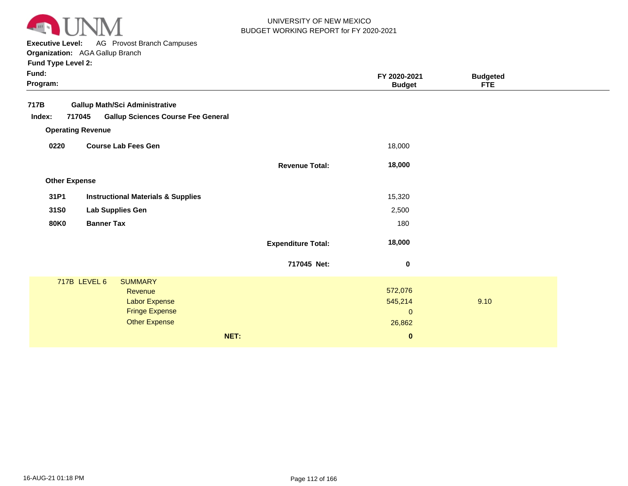

**Executive Level:** AG Provost Branch Campuses

| Fund:<br>Program: |                          |                                               |      |                           | FY 2020-2021<br><b>Budget</b> | <b>Budgeted</b><br>FTE. |  |
|-------------------|--------------------------|-----------------------------------------------|------|---------------------------|-------------------------------|-------------------------|--|
| 717B              |                          | <b>Gallup Math/Sci Administrative</b>         |      |                           |                               |                         |  |
| Index:            | 717045                   | <b>Gallup Sciences Course Fee General</b>     |      |                           |                               |                         |  |
|                   | <b>Operating Revenue</b> |                                               |      |                           |                               |                         |  |
| 0220              |                          | <b>Course Lab Fees Gen</b>                    |      |                           | 18,000                        |                         |  |
|                   |                          |                                               |      | <b>Revenue Total:</b>     | 18,000                        |                         |  |
|                   | <b>Other Expense</b>     |                                               |      |                           |                               |                         |  |
| 31P1              |                          | <b>Instructional Materials &amp; Supplies</b> |      |                           | 15,320                        |                         |  |
| 31S0              |                          | Lab Supplies Gen                              |      |                           | 2,500                         |                         |  |
| <b>80K0</b>       | <b>Banner Tax</b>        |                                               |      |                           | 180                           |                         |  |
|                   |                          |                                               |      | <b>Expenditure Total:</b> | 18,000                        |                         |  |
|                   |                          |                                               |      | 717045 Net:               | $\bf{0}$                      |                         |  |
|                   | 717B LEVEL 6             | <b>SUMMARY</b>                                |      |                           |                               |                         |  |
|                   |                          | Revenue                                       |      |                           | 572,076                       |                         |  |
|                   |                          | <b>Labor Expense</b>                          |      |                           | 545,214                       | 9.10                    |  |
|                   |                          | <b>Fringe Expense</b><br><b>Other Expense</b> |      |                           | $\mathbf 0$                   |                         |  |
|                   |                          |                                               |      |                           | 26,862                        |                         |  |
|                   |                          |                                               | NET: |                           | $\pmb{0}$                     |                         |  |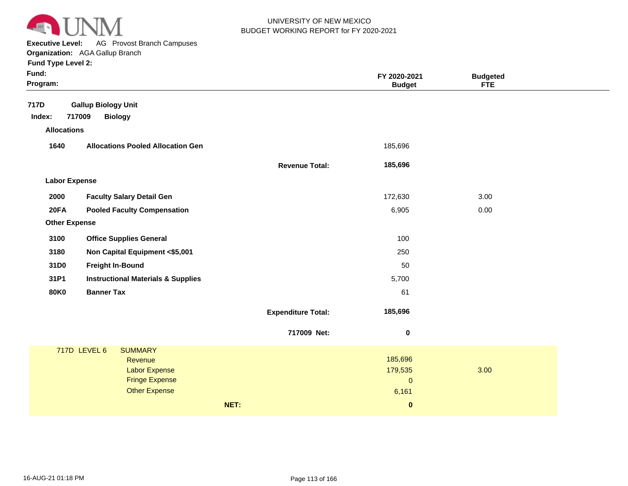

**Executive Level:** AG Provost Branch Campuses

| Fund:<br>Program:                    |                                                                                                                    |                           | FY 2020-2021<br><b>Budget</b>                            | <b>Budgeted</b><br><b>FTE</b> |  |
|--------------------------------------|--------------------------------------------------------------------------------------------------------------------|---------------------------|----------------------------------------------------------|-------------------------------|--|
| 717D<br>Index:<br><b>Allocations</b> | <b>Gallup Biology Unit</b><br>717009<br><b>Biology</b>                                                             |                           |                                                          |                               |  |
| 1640                                 | <b>Allocations Pooled Allocation Gen</b>                                                                           |                           | 185,696                                                  |                               |  |
|                                      |                                                                                                                    | <b>Revenue Total:</b>     | 185,696                                                  |                               |  |
| <b>Labor Expense</b>                 |                                                                                                                    |                           |                                                          |                               |  |
| 2000                                 | <b>Faculty Salary Detail Gen</b>                                                                                   |                           | 172,630                                                  | 3.00                          |  |
| 20FA                                 | <b>Pooled Faculty Compensation</b>                                                                                 |                           | 6,905                                                    | 0.00                          |  |
| <b>Other Expense</b>                 |                                                                                                                    |                           |                                                          |                               |  |
| 3100                                 | <b>Office Supplies General</b>                                                                                     |                           | 100                                                      |                               |  |
| 3180                                 | Non Capital Equipment <\$5,001                                                                                     |                           | 250                                                      |                               |  |
| 31D0                                 | <b>Freight In-Bound</b>                                                                                            |                           | 50                                                       |                               |  |
| 31P1                                 | <b>Instructional Materials &amp; Supplies</b>                                                                      |                           | 5,700                                                    |                               |  |
| <b>80K0</b>                          | <b>Banner Tax</b>                                                                                                  |                           | 61                                                       |                               |  |
|                                      |                                                                                                                    | <b>Expenditure Total:</b> | 185,696                                                  |                               |  |
|                                      |                                                                                                                    | 717009 Net:               | $\pmb{0}$                                                |                               |  |
|                                      | 717D LEVEL 6<br><b>SUMMARY</b><br>Revenue<br><b>Labor Expense</b><br><b>Fringe Expense</b><br><b>Other Expense</b> | NET:                      | 185,696<br>179,535<br>$\mathbf{0}$<br>6,161<br>$\pmb{0}$ | 3.00                          |  |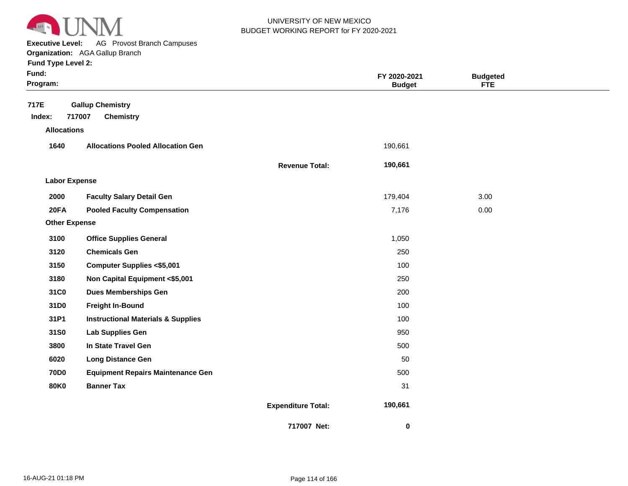

**Executive Level:** AG Provost Branch Campuses

| Fund:<br>Program:                    |                                                       |                           | FY 2020-2021<br><b>Budget</b> | <b>Budgeted</b><br><b>FTE</b> |  |
|--------------------------------------|-------------------------------------------------------|---------------------------|-------------------------------|-------------------------------|--|
| 717E<br>Index:<br><b>Allocations</b> | <b>Gallup Chemistry</b><br>717007<br><b>Chemistry</b> |                           |                               |                               |  |
| 1640                                 | <b>Allocations Pooled Allocation Gen</b>              |                           | 190,661                       |                               |  |
|                                      |                                                       | <b>Revenue Total:</b>     | 190,661                       |                               |  |
| <b>Labor Expense</b>                 |                                                       |                           |                               |                               |  |
| 2000                                 | <b>Faculty Salary Detail Gen</b>                      |                           | 179,404                       | 3.00                          |  |
| <b>20FA</b>                          | <b>Pooled Faculty Compensation</b>                    |                           | 7,176                         | 0.00                          |  |
| <b>Other Expense</b>                 |                                                       |                           |                               |                               |  |
| 3100                                 | <b>Office Supplies General</b>                        |                           | 1,050                         |                               |  |
| 3120                                 | <b>Chemicals Gen</b>                                  |                           | 250                           |                               |  |
| 3150                                 | <b>Computer Supplies &lt;\$5,001</b>                  |                           | 100                           |                               |  |
| 3180                                 | Non Capital Equipment <\$5,001                        |                           | 250                           |                               |  |
| 31C0                                 | <b>Dues Memberships Gen</b>                           |                           | 200                           |                               |  |
| 31D0                                 | <b>Freight In-Bound</b>                               |                           | 100                           |                               |  |
| 31P1                                 | <b>Instructional Materials &amp; Supplies</b>         |                           | 100                           |                               |  |
| 31S0                                 | Lab Supplies Gen                                      |                           | 950                           |                               |  |
| 3800                                 | In State Travel Gen                                   |                           | 500                           |                               |  |
| 6020                                 | <b>Long Distance Gen</b>                              |                           | 50                            |                               |  |
| <b>70D0</b>                          | <b>Equipment Repairs Maintenance Gen</b>              |                           | 500                           |                               |  |
| <b>80K0</b>                          | <b>Banner Tax</b>                                     |                           | 31                            |                               |  |
|                                      |                                                       | <b>Expenditure Total:</b> | 190,661                       |                               |  |
|                                      |                                                       | 717007 Net:               | 0                             |                               |  |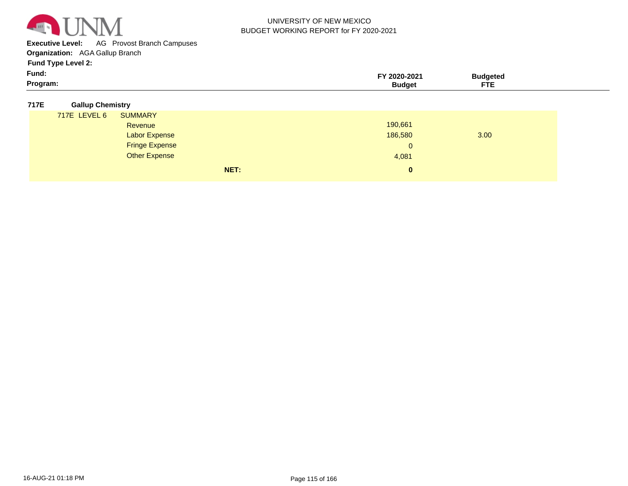

**Executive Level:** AG Provost Branch Campuses

**Organization:**  AGA Gallup Branch

**Fund Type Level 2:**

| Fund:    | -2021<br>70Z | 'Iddeter |  |
|----------|--------------|----------|--|
| Program: | sudaet       | ---      |  |

#### **717E Gallup Chemistry**

| 190,661<br>186,580<br>$\mathbf{0}$ | 3.00         |
|------------------------------------|--------------|
|                                    |              |
|                                    |              |
|                                    |              |
|                                    |              |
| 4,081                              |              |
|                                    |              |
|                                    | $\mathbf{0}$ |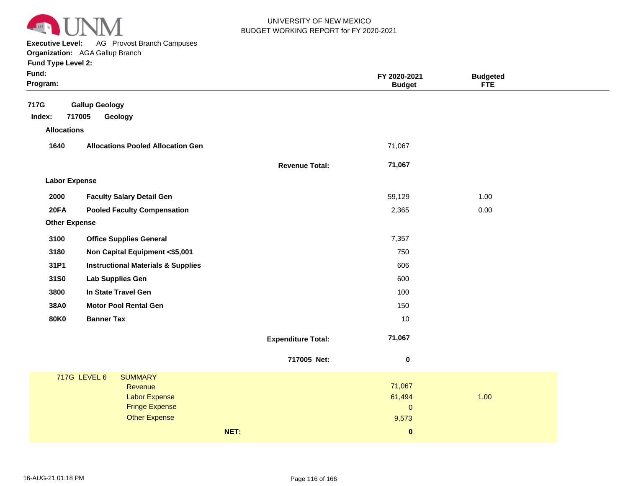

**Executive Level:** AG Provost Branch Campuses **Organization:**  AGA Gallup Branch

| Fund:<br>Program:                                     |                           | FY 2020-2021<br><b>Budget</b> | <b>Budgeted</b><br><b>FTE</b> |
|-------------------------------------------------------|---------------------------|-------------------------------|-------------------------------|
| 717G<br><b>Gallup Geology</b>                         |                           |                               |                               |
| 717005<br>Index:<br>Geology                           |                           |                               |                               |
| <b>Allocations</b>                                    |                           |                               |                               |
| 1640<br><b>Allocations Pooled Allocation Gen</b>      |                           | 71,067                        |                               |
|                                                       | <b>Revenue Total:</b>     | 71,067                        |                               |
| <b>Labor Expense</b>                                  |                           |                               |                               |
| 2000<br><b>Faculty Salary Detail Gen</b>              |                           | 59,129                        | 1.00                          |
| <b>20FA</b><br><b>Pooled Faculty Compensation</b>     |                           | 2,365                         | 0.00                          |
| <b>Other Expense</b>                                  |                           |                               |                               |
| 3100<br><b>Office Supplies General</b>                |                           | 7,357                         |                               |
| 3180<br>Non Capital Equipment <\$5,001                |                           | 750                           |                               |
| 31P1<br><b>Instructional Materials &amp; Supplies</b> |                           | 606                           |                               |
| 31S0<br><b>Lab Supplies Gen</b>                       |                           | 600                           |                               |
| 3800<br>In State Travel Gen                           |                           | 100                           |                               |
| 38A0<br><b>Motor Pool Rental Gen</b>                  |                           | 150                           |                               |
| <b>80K0</b><br><b>Banner Tax</b>                      |                           | 10                            |                               |
|                                                       | <b>Expenditure Total:</b> | 71,067                        |                               |
|                                                       | 717005 Net:               | $\bf{0}$                      |                               |
| 717G LEVEL 6<br><b>SUMMARY</b>                        |                           |                               |                               |
| Revenue                                               |                           | 71,067                        |                               |
| <b>Labor Expense</b><br><b>Fringe Expense</b>         |                           | 61,494<br>$\pmb{0}$           | 1.00                          |
| <b>Other Expense</b>                                  |                           | 9,573                         |                               |
| NET:                                                  |                           | $\pmb{0}$                     |                               |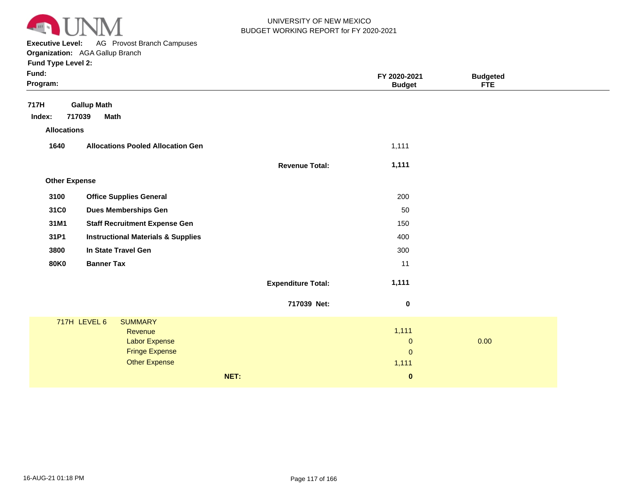

**Executive Level:** AG Provost Branch Campuses **Organization:**  AGA Gallup Branch

| Fund Type Level 2:   |                                                                                                             |                           |                                             |                 |  |
|----------------------|-------------------------------------------------------------------------------------------------------------|---------------------------|---------------------------------------------|-----------------|--|
| Fund:                |                                                                                                             |                           | FY 2020-2021                                | <b>Budgeted</b> |  |
| Program:             |                                                                                                             |                           | <b>Budget</b>                               | <b>FTE</b>      |  |
| 717H                 | <b>Gallup Math</b>                                                                                          |                           |                                             |                 |  |
| Index:               | 717039<br><b>Math</b>                                                                                       |                           |                                             |                 |  |
| <b>Allocations</b>   |                                                                                                             |                           |                                             |                 |  |
| 1640                 | <b>Allocations Pooled Allocation Gen</b>                                                                    |                           | 1,111                                       |                 |  |
|                      |                                                                                                             | <b>Revenue Total:</b>     | 1,111                                       |                 |  |
| <b>Other Expense</b> |                                                                                                             |                           |                                             |                 |  |
| 3100                 | <b>Office Supplies General</b>                                                                              |                           | 200                                         |                 |  |
| 31C0                 | <b>Dues Memberships Gen</b>                                                                                 |                           | 50                                          |                 |  |
| 31M1                 | <b>Staff Recruitment Expense Gen</b>                                                                        |                           | 150                                         |                 |  |
| 31P1                 | <b>Instructional Materials &amp; Supplies</b>                                                               |                           | 400                                         |                 |  |
| 3800                 | In State Travel Gen                                                                                         |                           | 300                                         |                 |  |
| <b>80K0</b>          | <b>Banner Tax</b>                                                                                           |                           | 11                                          |                 |  |
|                      |                                                                                                             | <b>Expenditure Total:</b> | 1,111                                       |                 |  |
|                      |                                                                                                             | 717039 Net:               | $\boldsymbol{0}$                            |                 |  |
|                      | 717H LEVEL 6<br><b>SUMMARY</b><br>Revenue<br>Labor Expense<br><b>Fringe Expense</b><br><b>Other Expense</b> |                           | 1,111<br>$\pmb{0}$<br>$\mathbf{0}$<br>1,111 | 0.00            |  |
|                      |                                                                                                             | NET:                      | $\pmb{0}$                                   |                 |  |
|                      |                                                                                                             |                           |                                             |                 |  |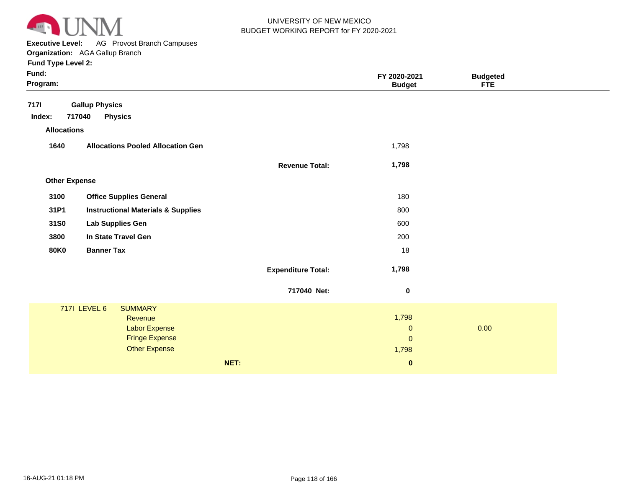

**Executive Level:** AG Provost Branch Campuses **Organization:**  AGA Gallup Branch

| Fund:<br>Program:    |                                               |                           | FY 2020-2021<br><b>Budget</b> | <b>Budgeted</b><br><b>FTE</b> |  |
|----------------------|-----------------------------------------------|---------------------------|-------------------------------|-------------------------------|--|
| <b>7171</b>          | <b>Gallup Physics</b>                         |                           |                               |                               |  |
| Index:               | 717040<br><b>Physics</b>                      |                           |                               |                               |  |
| <b>Allocations</b>   |                                               |                           |                               |                               |  |
| 1640                 | <b>Allocations Pooled Allocation Gen</b>      |                           | 1,798                         |                               |  |
|                      |                                               | <b>Revenue Total:</b>     | 1,798                         |                               |  |
| <b>Other Expense</b> |                                               |                           |                               |                               |  |
| 3100                 | <b>Office Supplies General</b>                |                           | 180                           |                               |  |
| 31P1                 | <b>Instructional Materials &amp; Supplies</b> |                           | 800                           |                               |  |
| 31S0                 | <b>Lab Supplies Gen</b>                       |                           | 600                           |                               |  |
| 3800                 | In State Travel Gen                           |                           | 200                           |                               |  |
| <b>80K0</b>          | <b>Banner Tax</b>                             |                           | 18                            |                               |  |
|                      |                                               | <b>Expenditure Total:</b> | 1,798                         |                               |  |
|                      |                                               | 717040 Net:               | $\pmb{0}$                     |                               |  |
|                      | <b>717I LEVEL 6</b><br><b>SUMMARY</b>         |                           |                               |                               |  |
|                      | Revenue                                       |                           | 1,798                         |                               |  |
|                      | <b>Labor Expense</b>                          |                           | $\mathbf 0$                   | 0.00                          |  |
|                      | <b>Fringe Expense</b>                         |                           | $\mathbf{0}$                  |                               |  |
|                      | <b>Other Expense</b>                          |                           | 1,798                         |                               |  |
|                      |                                               | NET:                      | $\bf{0}$                      |                               |  |
|                      |                                               |                           |                               |                               |  |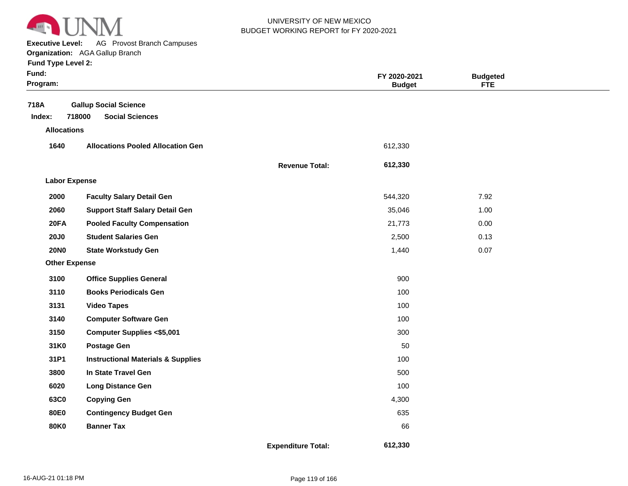

 7.92 1.00 0.00 0.13 0.07

 **612,330** 

**Executive Level:** AG Provost Branch Campuses

#### **Organization:**  AGA Gallup Branch

|                       | <b>Budget</b> | <b>FTE</b> |
|-----------------------|---------------|------------|
|                       |               |            |
|                       | 612,330       |            |
| <b>Revenue Total:</b> | 612,330       |            |
|                       |               |            |

#### **Other Expense 2000 2060 20FA 20J0 20N0 3100 3110 3131 3140 3150 31K0 31P1 3800 6020 63C0 80E0 80K0 Faculty Salary Detail Gen Support Staff Salary Detail Gen Pooled Faculty Compensation Student Salaries Gen State Workstudy Gen Office Supplies General Books Periodicals Gen Video Tapes Computer Software Gen Computer Supplies <\$5,001 Postage Gen Instructional Materials & Supplies In State Travel Gen Long Distance Gen Copying Gen Contingency Budget Gen Banner Tax** 544,320 35,046 21,773 2,500 1,440 900 100 100 100 300 50 100 500 100 4,300 635 66

**Expenditure Total:**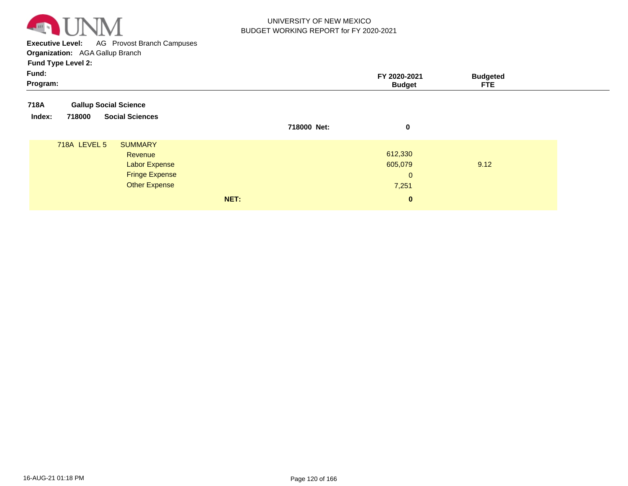

**Executive Level:** AG Provost Branch Campuses **Organization:**  AGA Gallup Branch

| Fund:<br>Program:                          |                                                                       |             | FY 2020-2021<br><b>Budget</b>               | <b>Budgeted</b><br><b>FTE</b> |
|--------------------------------------------|-----------------------------------------------------------------------|-------------|---------------------------------------------|-------------------------------|
| 718A<br><b>Gallup Social Science</b>       |                                                                       |             |                                             |                               |
| <b>Social Sciences</b><br>Index:<br>718000 |                                                                       | 718000 Net: | 0                                           |                               |
| 718A LEVEL 5<br><b>SUMMARY</b><br>Revenue  | <b>Labor Expense</b><br><b>Fringe Expense</b><br><b>Other Expense</b> |             | 612,330<br>605,079<br>$\mathbf{0}$<br>7,251 | 9.12                          |
|                                            | NET:                                                                  |             | $\mathbf{0}$                                |                               |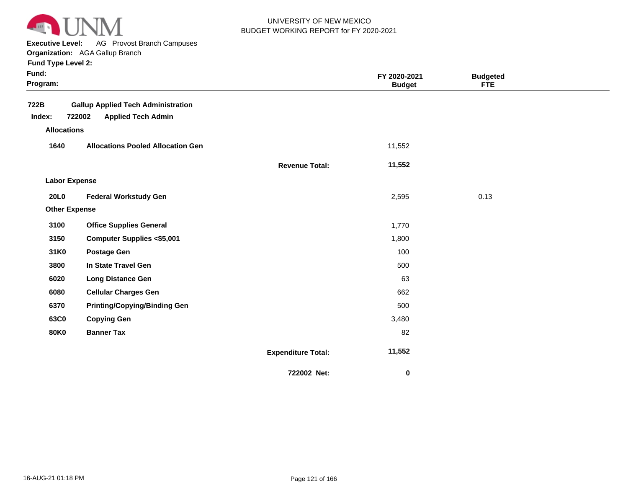

**Executive Level:** AG Provost Branch Campuses

**Organization:**  AGA Gallup Branch

|  |  | <b>Fund Type Level 2:</b> |  |
|--|--|---------------------------|--|
|--|--|---------------------------|--|

| Fund:<br>Program:    |                                                                                  |                           | FY 2020-2021<br><b>Budget</b> | <b>Budgeted</b><br>FTE |  |
|----------------------|----------------------------------------------------------------------------------|---------------------------|-------------------------------|------------------------|--|
| 722B<br>Index:       | <b>Gallup Applied Tech Administration</b><br>722002<br><b>Applied Tech Admin</b> |                           |                               |                        |  |
| <b>Allocations</b>   |                                                                                  |                           |                               |                        |  |
| 1640                 | <b>Allocations Pooled Allocation Gen</b>                                         |                           | 11,552                        |                        |  |
|                      |                                                                                  | <b>Revenue Total:</b>     | 11,552                        |                        |  |
| <b>Labor Expense</b> |                                                                                  |                           |                               |                        |  |
| <b>20L0</b>          | <b>Federal Workstudy Gen</b>                                                     |                           | 2,595                         | 0.13                   |  |
| <b>Other Expense</b> |                                                                                  |                           |                               |                        |  |
| 3100                 | <b>Office Supplies General</b>                                                   |                           | 1,770                         |                        |  |
| 3150                 | <b>Computer Supplies &lt;\$5,001</b>                                             |                           | 1,800                         |                        |  |
| 31K0                 | <b>Postage Gen</b>                                                               |                           | 100                           |                        |  |
| 3800                 | In State Travel Gen                                                              |                           | 500                           |                        |  |
| 6020                 | <b>Long Distance Gen</b>                                                         |                           | 63                            |                        |  |
| 6080                 | <b>Cellular Charges Gen</b>                                                      |                           | 662                           |                        |  |
| 6370                 | <b>Printing/Copying/Binding Gen</b>                                              |                           | 500                           |                        |  |
| 63C0                 | <b>Copying Gen</b>                                                               |                           | 3,480                         |                        |  |
| <b>80K0</b>          | <b>Banner Tax</b>                                                                |                           | 82                            |                        |  |
|                      |                                                                                  | <b>Expenditure Total:</b> | 11,552                        |                        |  |
|                      |                                                                                  | 722002 Net:               | $\bf{0}$                      |                        |  |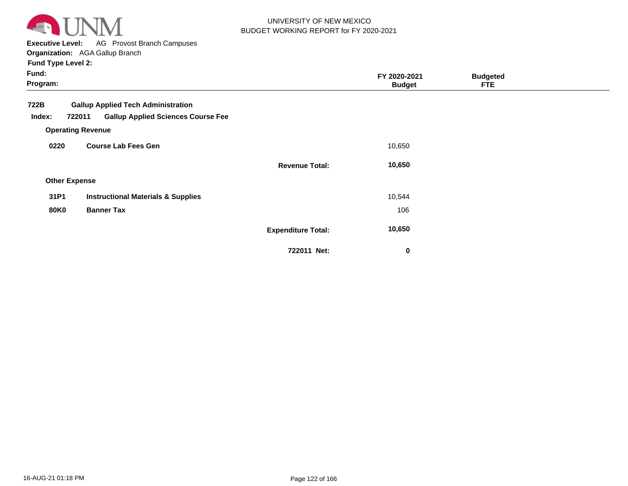

**Executive Level:** AG Provost Branch Campuses

**Organization:**  AGA Gallup Branch **Fund Type Level 2:**

| Fund:<br>Program:    |                                                                                 |                           | FY 2020-2021<br><b>Budget</b> | <b>Budgeted</b><br><b>FTE</b> |  |
|----------------------|---------------------------------------------------------------------------------|---------------------------|-------------------------------|-------------------------------|--|
| 722B                 | <b>Gallup Applied Tech Administration</b>                                       |                           |                               |                               |  |
| Index:               | <b>Gallup Applied Sciences Course Fee</b><br>722011<br><b>Operating Revenue</b> |                           |                               |                               |  |
| 0220                 | <b>Course Lab Fees Gen</b>                                                      |                           | 10,650                        |                               |  |
|                      |                                                                                 | <b>Revenue Total:</b>     | 10,650                        |                               |  |
| <b>Other Expense</b> |                                                                                 |                           |                               |                               |  |
| 31P1                 | <b>Instructional Materials &amp; Supplies</b>                                   |                           | 10,544                        |                               |  |
| <b>80K0</b>          | <b>Banner Tax</b>                                                               |                           | 106                           |                               |  |
|                      |                                                                                 | <b>Expenditure Total:</b> | 10,650                        |                               |  |

**722011 Net:**

 **0**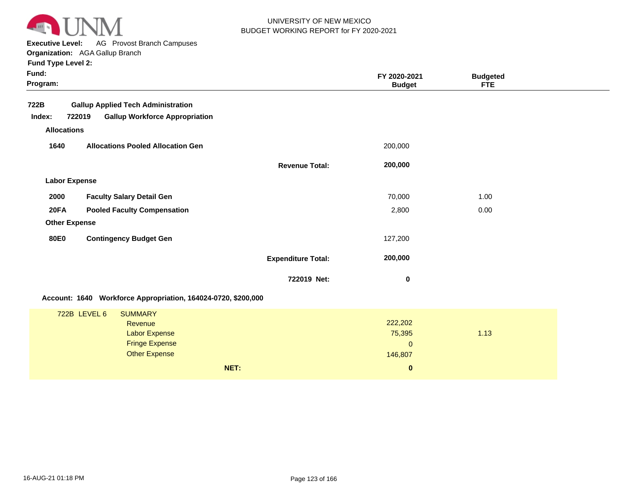

**Executive Level:** AG Provost Branch Campuses

| Fund:<br>Program:    |                                                               |                           | FY 2020-2021<br><b>Budget</b> | <b>Budgeted</b><br><b>FTE</b> |
|----------------------|---------------------------------------------------------------|---------------------------|-------------------------------|-------------------------------|
| 722B                 | <b>Gallup Applied Tech Administration</b>                     |                           |                               |                               |
| Index:               | 722019<br><b>Gallup Workforce Appropriation</b>               |                           |                               |                               |
| <b>Allocations</b>   |                                                               |                           |                               |                               |
| 1640                 | <b>Allocations Pooled Allocation Gen</b>                      |                           | 200,000                       |                               |
|                      |                                                               | <b>Revenue Total:</b>     | 200,000                       |                               |
| <b>Labor Expense</b> |                                                               |                           |                               |                               |
| 2000                 | <b>Faculty Salary Detail Gen</b>                              |                           | 70,000                        | 1.00                          |
| 20FA                 | <b>Pooled Faculty Compensation</b>                            |                           | 2,800                         | 0.00                          |
| <b>Other Expense</b> |                                                               |                           |                               |                               |
| <b>80E0</b>          | <b>Contingency Budget Gen</b>                                 |                           | 127,200                       |                               |
|                      |                                                               | <b>Expenditure Total:</b> | 200,000                       |                               |
|                      |                                                               | 722019 Net:               | 0                             |                               |
|                      | Account: 1640 Workforce Appropriation, 164024-0720, \$200,000 |                           |                               |                               |
|                      | 722B LEVEL 6<br><b>SUMMARY</b>                                |                           |                               |                               |
|                      | Revenue                                                       |                           | 222,202                       |                               |
|                      | <b>Labor Expense</b>                                          |                           | 75,395                        | 1.13                          |
|                      | <b>Fringe Expense</b>                                         |                           | $\mathbf{0}$                  |                               |
|                      | <b>Other Expense</b>                                          |                           | 146,807                       |                               |
|                      | NET:                                                          |                           | $\bf{0}$                      |                               |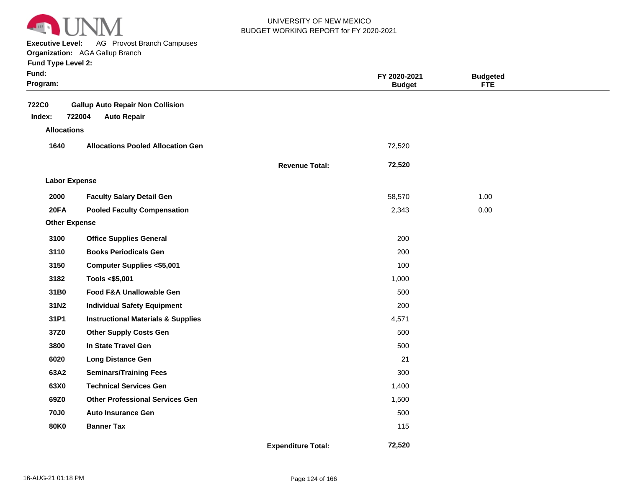

**Executive Level:** AG Provost Branch Campuses

**Organization:**  AGA Gallup Branch

|  | <b>Fund Type Level 2:</b> |  |  |
|--|---------------------------|--|--|
|  |                           |  |  |

| Fund:<br>Program:                            |                                                                         |                           | FY 2020-2021<br><b>Budget</b> | <b>Budgeted</b><br><b>FTE</b> |  |
|----------------------------------------------|-------------------------------------------------------------------------|---------------------------|-------------------------------|-------------------------------|--|
| <b>722C0</b><br>Index:<br><b>Allocations</b> | <b>Gallup Auto Repair Non Collision</b><br>722004<br><b>Auto Repair</b> |                           |                               |                               |  |
|                                              | <b>Allocations Pooled Allocation Gen</b>                                |                           |                               |                               |  |
| 1640                                         |                                                                         |                           | 72,520                        |                               |  |
|                                              |                                                                         | <b>Revenue Total:</b>     | 72,520                        |                               |  |
| <b>Labor Expense</b>                         |                                                                         |                           |                               |                               |  |
| 2000                                         | <b>Faculty Salary Detail Gen</b>                                        |                           | 58,570                        | 1.00                          |  |
| 20FA                                         | <b>Pooled Faculty Compensation</b>                                      |                           | 2,343                         | 0.00                          |  |
| <b>Other Expense</b>                         |                                                                         |                           |                               |                               |  |
| 3100                                         | <b>Office Supplies General</b>                                          |                           | 200                           |                               |  |
| 3110                                         | <b>Books Periodicals Gen</b>                                            |                           | 200                           |                               |  |
| 3150                                         | <b>Computer Supplies &lt;\$5,001</b>                                    |                           | 100                           |                               |  |
| 3182                                         | Tools <\$5,001                                                          |                           | 1,000                         |                               |  |
| 31B0                                         | Food F&A Unallowable Gen                                                |                           | 500                           |                               |  |
| 31N2                                         | <b>Individual Safety Equipment</b>                                      |                           | 200                           |                               |  |
| 31P1                                         | <b>Instructional Materials &amp; Supplies</b>                           |                           | 4,571                         |                               |  |
| 37Z0                                         | <b>Other Supply Costs Gen</b>                                           |                           | 500                           |                               |  |
| 3800                                         | In State Travel Gen                                                     |                           | 500                           |                               |  |
| 6020                                         | <b>Long Distance Gen</b>                                                |                           | 21                            |                               |  |
| 63A2                                         | <b>Seminars/Training Fees</b>                                           |                           | 300                           |                               |  |
| 63X0                                         | <b>Technical Services Gen</b>                                           |                           | 1,400                         |                               |  |
| 69Z0                                         | <b>Other Professional Services Gen</b>                                  |                           | 1,500                         |                               |  |
| <b>70J0</b>                                  | <b>Auto Insurance Gen</b>                                               |                           | 500                           |                               |  |
| <b>80K0</b>                                  | <b>Banner Tax</b>                                                       |                           | 115                           |                               |  |
|                                              |                                                                         | <b>Expenditure Total:</b> | 72,520                        |                               |  |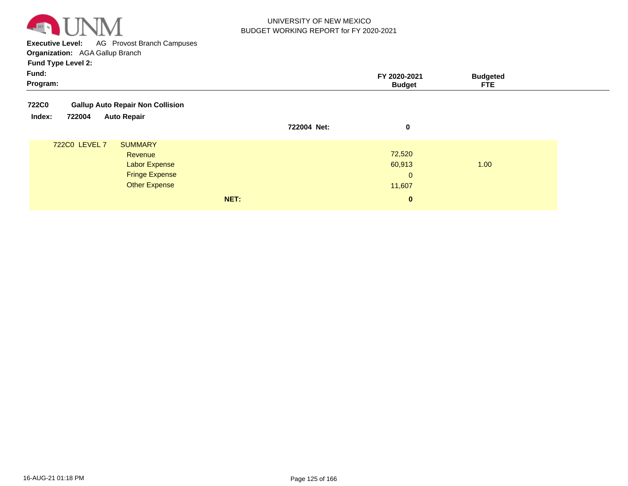

**Executive Level:** AG Provost Branch Campuses **Organization:**  AGA Gallup Branch

| <b>Fund Type Level 2:</b>                               |             |                               |                               |
|---------------------------------------------------------|-------------|-------------------------------|-------------------------------|
| Fund:<br>Program:                                       |             | FY 2020-2021<br><b>Budget</b> | <b>Budgeted</b><br><b>FTE</b> |
| <b>Gallup Auto Repair Non Collision</b><br><b>722C0</b> |             |                               |                               |
| 722004<br><b>Auto Repair</b><br>Index:                  | 722004 Net: | 0                             |                               |
| 722C0 LEVEL 7<br><b>SUMMARY</b>                         |             |                               |                               |
| Revenue                                                 |             | 72,520                        |                               |
| <b>Labor Expense</b>                                    |             | 60,913                        | 1.00                          |
| <b>Fringe Expense</b>                                   |             | $\mathbf{0}$                  |                               |
| <b>Other Expense</b>                                    |             | 11,607                        |                               |
|                                                         | NET:        | $\bf{0}$                      |                               |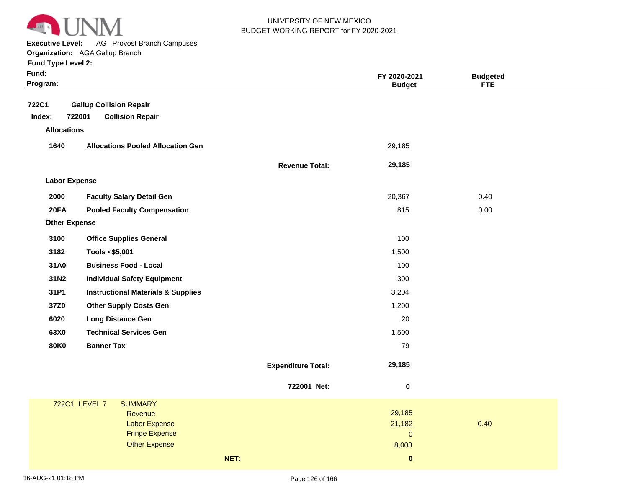

**Executive Level:** AG Provost Branch Campuses

**Organization:**  AGA Gallup Branch

| <b>Fund Type Level 2:</b> |  |  |  |
|---------------------------|--|--|--|
|---------------------------|--|--|--|

| Fund:<br>Program:    |                                               |                           | FY 2020-2021<br><b>Budget</b> | <b>Budgeted</b><br>FTE |
|----------------------|-----------------------------------------------|---------------------------|-------------------------------|------------------------|
| <b>722C1</b>         | <b>Gallup Collision Repair</b>                |                           |                               |                        |
| Index:               | 722001<br><b>Collision Repair</b>             |                           |                               |                        |
| <b>Allocations</b>   |                                               |                           |                               |                        |
| 1640                 | <b>Allocations Pooled Allocation Gen</b>      |                           | 29,185                        |                        |
|                      |                                               | <b>Revenue Total:</b>     | 29,185                        |                        |
| <b>Labor Expense</b> |                                               |                           |                               |                        |
| 2000                 | <b>Faculty Salary Detail Gen</b>              |                           | 20,367                        | 0.40                   |
| 20FA                 | <b>Pooled Faculty Compensation</b>            |                           | 815                           | 0.00                   |
| <b>Other Expense</b> |                                               |                           |                               |                        |
| 3100                 | <b>Office Supplies General</b>                |                           | 100                           |                        |
| 3182                 | Tools <\$5,001                                |                           | 1,500                         |                        |
| 31A0                 | <b>Business Food - Local</b>                  |                           | 100                           |                        |
| 31N2                 | <b>Individual Safety Equipment</b>            |                           | 300                           |                        |
| 31P1                 | <b>Instructional Materials &amp; Supplies</b> |                           | 3,204                         |                        |
| 37Z0                 | <b>Other Supply Costs Gen</b>                 |                           | 1,200                         |                        |
| 6020                 | <b>Long Distance Gen</b>                      |                           | 20                            |                        |
| 63X0                 | <b>Technical Services Gen</b>                 |                           | 1,500                         |                        |
| <b>80K0</b>          | <b>Banner Tax</b>                             |                           | 79                            |                        |
|                      |                                               | <b>Expenditure Total:</b> | 29,185                        |                        |
|                      |                                               | 722001 Net:               | $\pmb{0}$                     |                        |
|                      | 722C1 LEVEL 7<br><b>SUMMARY</b>               |                           |                               |                        |
|                      | Revenue                                       |                           | 29,185                        |                        |
|                      | <b>Labor Expense</b><br><b>Fringe Expense</b> |                           | 21,182<br>$\mathsf{O}\xspace$ | 0.40                   |
|                      | <b>Other Expense</b>                          |                           | 8,003                         |                        |
|                      |                                               | NET:                      | $\mathbf 0$                   |                        |
|                      |                                               |                           |                               |                        |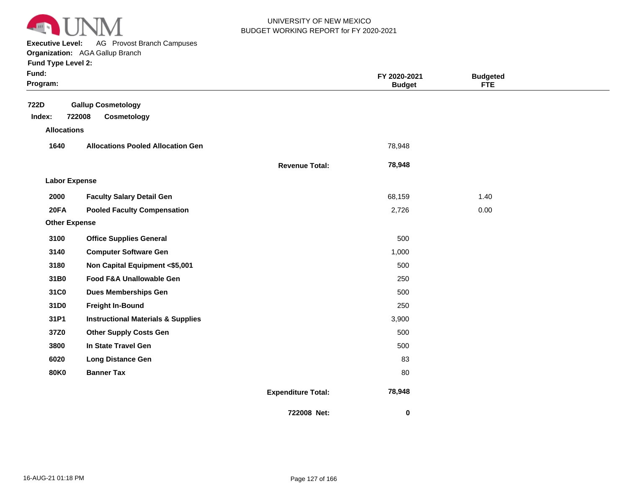

**Executive Level:** AG Provost Branch Campuses

#### **Organization:**  AGA Gallup Branch

| <b>Fund Type Level 2:</b> |  |  |  |
|---------------------------|--|--|--|
|---------------------------|--|--|--|

| Fund:<br>Program:    |                                                    |                           | FY 2020-2021<br><b>Budget</b> | <b>Budgeted</b><br><b>FTE</b> |  |
|----------------------|----------------------------------------------------|---------------------------|-------------------------------|-------------------------------|--|
| 722D<br>Index:       | <b>Gallup Cosmetology</b><br>722008<br>Cosmetology |                           |                               |                               |  |
| <b>Allocations</b>   |                                                    |                           |                               |                               |  |
| 1640                 | <b>Allocations Pooled Allocation Gen</b>           |                           | 78,948                        |                               |  |
|                      |                                                    | <b>Revenue Total:</b>     | 78,948                        |                               |  |
| <b>Labor Expense</b> |                                                    |                           |                               |                               |  |
| 2000                 | <b>Faculty Salary Detail Gen</b>                   |                           | 68,159                        | 1.40                          |  |
| 20FA                 | <b>Pooled Faculty Compensation</b>                 |                           | 2,726                         | 0.00                          |  |
| <b>Other Expense</b> |                                                    |                           |                               |                               |  |
| 3100                 | <b>Office Supplies General</b>                     |                           | 500                           |                               |  |
| 3140                 | <b>Computer Software Gen</b>                       |                           | 1,000                         |                               |  |
| 3180                 | Non Capital Equipment <\$5,001                     |                           | 500                           |                               |  |
| 31B0                 | Food F&A Unallowable Gen                           |                           | 250                           |                               |  |
| 31C0                 | <b>Dues Memberships Gen</b>                        |                           | 500                           |                               |  |
| 31D0                 | <b>Freight In-Bound</b>                            |                           | 250                           |                               |  |
| 31P1                 | <b>Instructional Materials &amp; Supplies</b>      |                           | 3,900                         |                               |  |
| 37Z0                 | <b>Other Supply Costs Gen</b>                      |                           | 500                           |                               |  |
| 3800                 | In State Travel Gen                                |                           | 500                           |                               |  |
| 6020                 | <b>Long Distance Gen</b>                           |                           | 83                            |                               |  |
| <b>80K0</b>          | <b>Banner Tax</b>                                  |                           | 80                            |                               |  |
|                      |                                                    | <b>Expenditure Total:</b> | 78,948                        |                               |  |
|                      |                                                    | 722008 Net:               | 0                             |                               |  |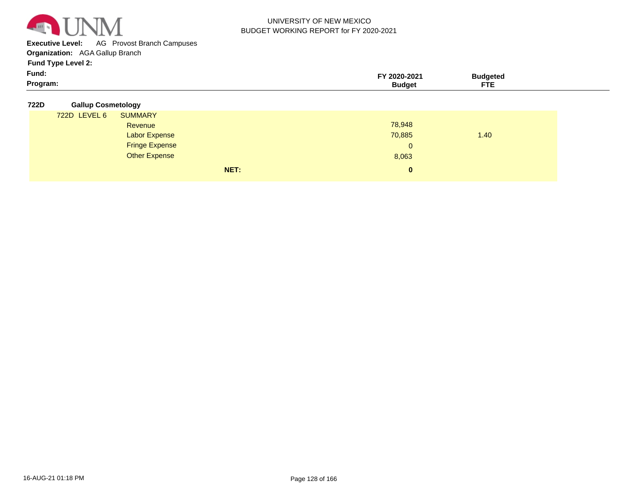

**Executive Level:** AG Provost Branch Campuses

**Organization:**  AGA Gallup Branch

| Program: | <b>Budget</b> | <b>FTE</b>      |  |
|----------|---------------|-----------------|--|
| Fund:    | 2020-2021     | <b>Budaetea</b> |  |
| ___      |               |                 |  |

|  | 722D | <b>Gallup Cosmetology</b> |
|--|------|---------------------------|
|--|------|---------------------------|

| 722D LEVEL 6 | <b>SUMMARY</b>        |      |              |      |  |
|--------------|-----------------------|------|--------------|------|--|
|              | Revenue               |      | 78,948       |      |  |
|              | <b>Labor Expense</b>  |      | 70,885       | 1.40 |  |
|              | <b>Fringe Expense</b> |      | $\Omega$     |      |  |
|              | <b>Other Expense</b>  |      | 8,063        |      |  |
|              |                       | NET: | $\mathbf{0}$ |      |  |
|              |                       |      |              |      |  |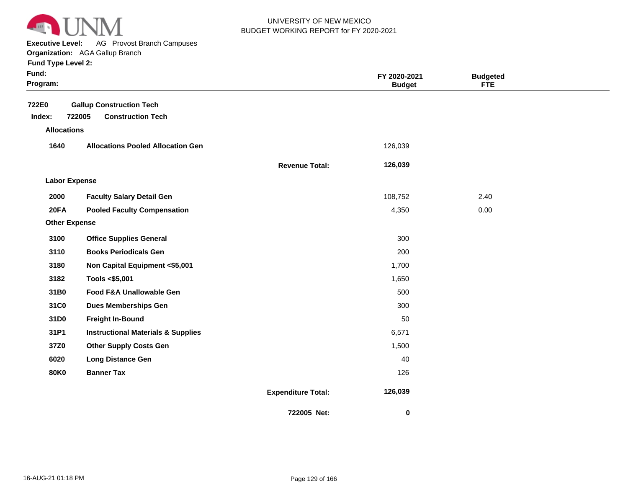

**Executive Level:** AG Provost Branch Campuses

#### **Organization:**  AGA Gallup Branch

|  | <b>Fund Type Level 2:</b> |  |
|--|---------------------------|--|
|--|---------------------------|--|

| ×<br>× |
|--------|
|--------|

| Fund:<br>Program:    |                                               |                           | FY 2020-2021<br><b>Budget</b> | <b>Budgeted</b><br><b>FTE</b> |  |
|----------------------|-----------------------------------------------|---------------------------|-------------------------------|-------------------------------|--|
| 722E0                | <b>Gallup Construction Tech</b>               |                           |                               |                               |  |
| Index:               | 722005<br><b>Construction Tech</b>            |                           |                               |                               |  |
| <b>Allocations</b>   |                                               |                           |                               |                               |  |
| 1640                 | <b>Allocations Pooled Allocation Gen</b>      |                           | 126,039                       |                               |  |
|                      |                                               | <b>Revenue Total:</b>     | 126,039                       |                               |  |
| <b>Labor Expense</b> |                                               |                           |                               |                               |  |
| 2000                 | <b>Faculty Salary Detail Gen</b>              |                           | 108,752                       | 2.40                          |  |
| 20FA                 | <b>Pooled Faculty Compensation</b>            |                           | 4,350                         | 0.00                          |  |
| <b>Other Expense</b> |                                               |                           |                               |                               |  |
| 3100                 | <b>Office Supplies General</b>                |                           | 300                           |                               |  |
| 3110                 | <b>Books Periodicals Gen</b>                  |                           | 200                           |                               |  |
| 3180                 | Non Capital Equipment <\$5,001                |                           | 1,700                         |                               |  |
| 3182                 | Tools <\$5,001                                |                           | 1,650                         |                               |  |
| 31B0                 | Food F&A Unallowable Gen                      |                           | 500                           |                               |  |
| 31C0                 | <b>Dues Memberships Gen</b>                   |                           | 300                           |                               |  |
| 31D0                 | <b>Freight In-Bound</b>                       |                           | 50                            |                               |  |
| 31P1                 | <b>Instructional Materials &amp; Supplies</b> |                           | 6,571                         |                               |  |
| 37Z0                 | <b>Other Supply Costs Gen</b>                 |                           | 1,500                         |                               |  |
| 6020                 | <b>Long Distance Gen</b>                      |                           | 40                            |                               |  |
| <b>80K0</b>          | <b>Banner Tax</b>                             |                           | 126                           |                               |  |
|                      |                                               | <b>Expenditure Total:</b> | 126,039                       |                               |  |
|                      |                                               | 722005 Net:               | 0                             |                               |  |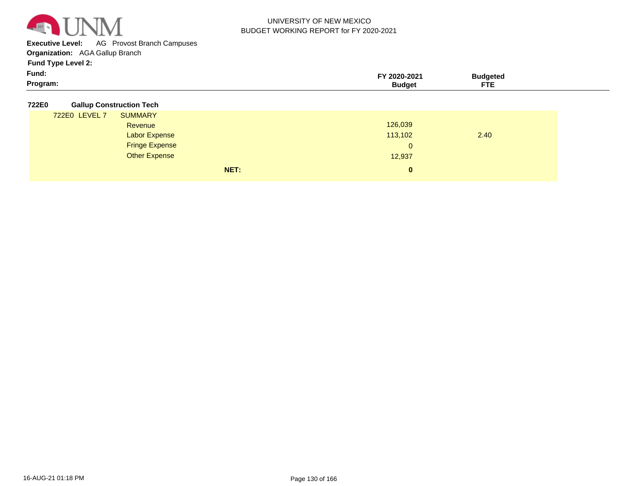

**Executive Level:** AG Provost Branch Campuses

**Organization:**  AGA Gallup Branch

**Fund Type Level 2:**

| Program:<br>ETE<br>3udaet | Fund: | 2020-2021 | 'daete⊾ |  |
|---------------------------|-------|-----------|---------|--|
|                           |       |           |         |  |

#### **722E0 Gallup Construction Tech**

| ----- |               |                       |      |              |      |  |
|-------|---------------|-----------------------|------|--------------|------|--|
|       | 722E0 LEVEL 7 | <b>SUMMARY</b>        |      |              |      |  |
|       |               | Revenue               |      | 126,039      |      |  |
|       |               | <b>Labor Expense</b>  |      | 113,102      | 2.40 |  |
|       |               | <b>Fringe Expense</b> |      | $\mathbf{0}$ |      |  |
|       |               | <b>Other Expense</b>  |      | 12,937       |      |  |
|       |               |                       | NET: | $\mathbf{0}$ |      |  |
|       |               |                       |      |              |      |  |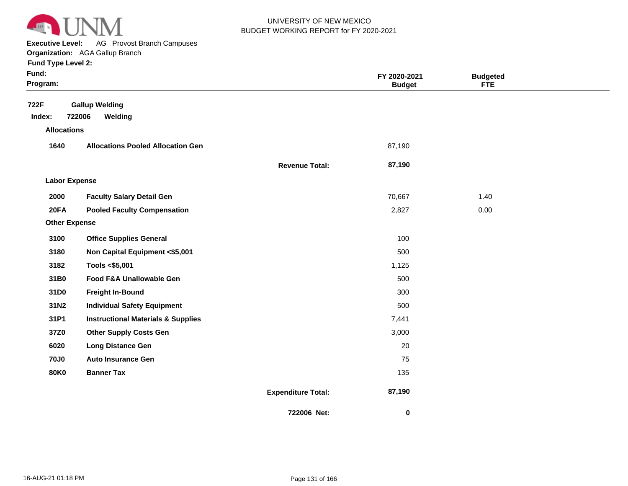

**Executive Level:** AG Provost Branch Campuses

| Funa Type Level 2: |  |  |  |
|--------------------|--|--|--|
|                    |  |  |  |

| Fund:<br>Program:                    |                                               |                           | FY 2020-2021<br><b>Budget</b> | <b>Budgeted</b><br><b>FTE</b> |  |
|--------------------------------------|-----------------------------------------------|---------------------------|-------------------------------|-------------------------------|--|
| 722F<br>Index:<br><b>Allocations</b> | <b>Gallup Welding</b><br>722006<br>Welding    |                           |                               |                               |  |
| 1640                                 | <b>Allocations Pooled Allocation Gen</b>      |                           | 87,190                        |                               |  |
|                                      |                                               | <b>Revenue Total:</b>     | 87,190                        |                               |  |
| <b>Labor Expense</b>                 |                                               |                           |                               |                               |  |
| 2000                                 | <b>Faculty Salary Detail Gen</b>              |                           | 70,667                        | 1.40                          |  |
| 20FA                                 | <b>Pooled Faculty Compensation</b>            |                           | 2,827                         | 0.00                          |  |
| <b>Other Expense</b>                 |                                               |                           |                               |                               |  |
| 3100                                 | <b>Office Supplies General</b>                |                           | 100                           |                               |  |
| 3180                                 | Non Capital Equipment <\$5,001                |                           | 500                           |                               |  |
| 3182                                 | Tools <\$5,001                                |                           | 1,125                         |                               |  |
| 31B0                                 | Food F&A Unallowable Gen                      |                           | 500                           |                               |  |
| 31D0                                 | <b>Freight In-Bound</b>                       |                           | 300                           |                               |  |
| 31N2                                 | <b>Individual Safety Equipment</b>            |                           | 500                           |                               |  |
| 31P1                                 | <b>Instructional Materials &amp; Supplies</b> |                           | 7,441                         |                               |  |
| 37Z0                                 | <b>Other Supply Costs Gen</b>                 |                           | 3,000                         |                               |  |
| 6020                                 | <b>Long Distance Gen</b>                      |                           | 20                            |                               |  |
| <b>70J0</b>                          | <b>Auto Insurance Gen</b>                     |                           | 75                            |                               |  |
| <b>80K0</b>                          | <b>Banner Tax</b>                             |                           | 135                           |                               |  |
|                                      |                                               | <b>Expenditure Total:</b> | 87,190                        |                               |  |
|                                      |                                               | 722006 Net:               | 0                             |                               |  |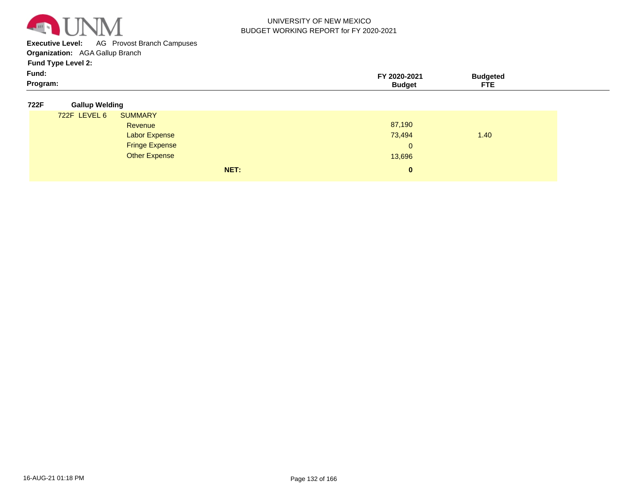

**Executive Level:** AG Provost Branch Campuses

**Organization:**  AGA Gallup Branch

| Program: | ____<br>---<br>1 E |
|----------|--------------------|

| 722F | <b>Gallup Welding</b> |
|------|-----------------------|
|      |                       |

|              | __                    |      |              |      |  |
|--------------|-----------------------|------|--------------|------|--|
| 722F LEVEL 6 | <b>SUMMARY</b>        |      |              |      |  |
|              | Revenue               |      | 87,190       |      |  |
|              | <b>Labor Expense</b>  |      | 73,494       | 1.40 |  |
|              | <b>Fringe Expense</b> |      | $\mathbf{0}$ |      |  |
|              | <b>Other Expense</b>  |      | 13,696       |      |  |
|              |                       | NET: | $\mathbf{0}$ |      |  |
|              |                       |      |              |      |  |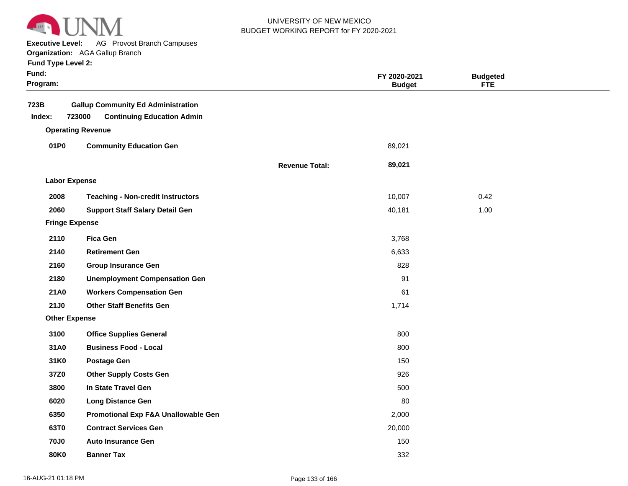

**Executive Level:** AG Provost Branch Campuses

**Organization:**  AGA Gallup Branch

|  | <b>Fund Type Level 2:</b> |  |  |
|--|---------------------------|--|--|
|--|---------------------------|--|--|

| Fund:<br>Program:     |                                                                                          |                       | FY 2020-2021<br><b>Budget</b> | <b>Budgeted</b><br><b>FTE</b> |  |
|-----------------------|------------------------------------------------------------------------------------------|-----------------------|-------------------------------|-------------------------------|--|
| 723B<br>Index:        | <b>Gallup Community Ed Administration</b><br>723000<br><b>Continuing Education Admin</b> |                       |                               |                               |  |
|                       | <b>Operating Revenue</b>                                                                 |                       |                               |                               |  |
| 01P0                  | <b>Community Education Gen</b>                                                           |                       | 89,021                        |                               |  |
|                       |                                                                                          | <b>Revenue Total:</b> | 89,021                        |                               |  |
| <b>Labor Expense</b>  |                                                                                          |                       |                               |                               |  |
| 2008                  | <b>Teaching - Non-credit Instructors</b>                                                 |                       | 10,007                        | 0.42                          |  |
| 2060                  | <b>Support Staff Salary Detail Gen</b>                                                   |                       | 40,181                        | 1.00                          |  |
| <b>Fringe Expense</b> |                                                                                          |                       |                               |                               |  |
| 2110                  | <b>Fica Gen</b>                                                                          |                       | 3,768                         |                               |  |
| 2140                  | <b>Retirement Gen</b>                                                                    |                       | 6,633                         |                               |  |
| 2160                  | <b>Group Insurance Gen</b>                                                               |                       | 828                           |                               |  |
| 2180                  | <b>Unemployment Compensation Gen</b>                                                     |                       | 91                            |                               |  |
| <b>21A0</b>           | <b>Workers Compensation Gen</b>                                                          |                       | 61                            |                               |  |
| 21J0                  | <b>Other Staff Benefits Gen</b>                                                          |                       | 1,714                         |                               |  |
| <b>Other Expense</b>  |                                                                                          |                       |                               |                               |  |
| 3100                  | <b>Office Supplies General</b>                                                           |                       | 800                           |                               |  |
| 31A0                  | <b>Business Food - Local</b>                                                             |                       | 800                           |                               |  |
| 31K0                  | <b>Postage Gen</b>                                                                       |                       | 150                           |                               |  |
| 37Z0                  | <b>Other Supply Costs Gen</b>                                                            |                       | 926                           |                               |  |
| 3800                  | In State Travel Gen                                                                      |                       | 500                           |                               |  |
| 6020                  | <b>Long Distance Gen</b>                                                                 |                       | 80                            |                               |  |
| 6350                  | Promotional Exp F&A Unallowable Gen                                                      |                       | 2,000                         |                               |  |
| 63T0                  | <b>Contract Services Gen</b>                                                             |                       | 20,000                        |                               |  |
| <b>70J0</b>           | <b>Auto Insurance Gen</b>                                                                |                       | 150                           |                               |  |
| <b>80K0</b>           | <b>Banner Tax</b>                                                                        |                       | 332                           |                               |  |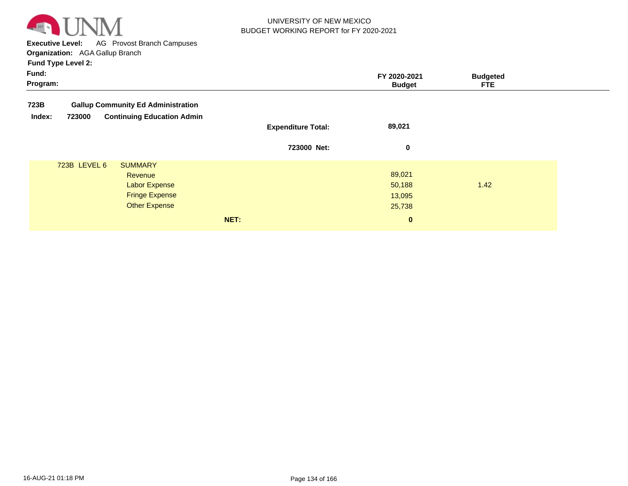

**Executive Level:** AG Provost Branch Campuses **Organization:**  AGA Gallup Branch

| Fund:<br>Program: |                                             |                           | FY 2020-2021<br><b>Budget</b> | <b>Budgeted</b><br>FTE. |
|-------------------|---------------------------------------------|---------------------------|-------------------------------|-------------------------|
| 723B              | <b>Gallup Community Ed Administration</b>   |                           |                               |                         |
| Index:            | <b>Continuing Education Admin</b><br>723000 | <b>Expenditure Total:</b> | 89,021                        |                         |
|                   |                                             | 723000 Net:               | 0                             |                         |
|                   | 723B LEVEL 6<br><b>SUMMARY</b><br>Revenue   |                           | 89,021                        |                         |
|                   | <b>Labor Expense</b>                        |                           | 50,188                        | 1.42                    |
|                   | <b>Fringe Expense</b>                       |                           | 13,095                        |                         |
|                   | <b>Other Expense</b>                        |                           | 25,738                        |                         |
|                   |                                             | NET:                      | $\mathbf{0}$                  |                         |
|                   |                                             |                           |                               |                         |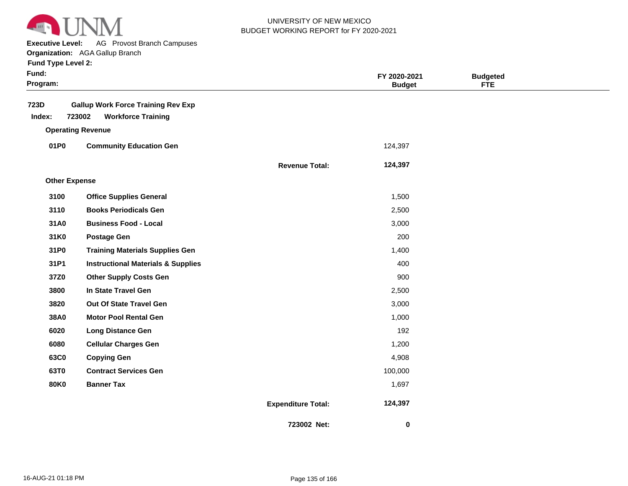

**Executive Level:** AG Provost Branch Campuses

| Fund:<br>Program:    |                                               |                           | FY 2020-2021<br><b>Budget</b> | <b>Budgeted</b><br><b>FTE</b> |  |
|----------------------|-----------------------------------------------|---------------------------|-------------------------------|-------------------------------|--|
| 723D                 | <b>Gallup Work Force Training Rev Exp</b>     |                           |                               |                               |  |
| Index:               | 723002<br><b>Workforce Training</b>           |                           |                               |                               |  |
|                      | <b>Operating Revenue</b>                      |                           |                               |                               |  |
| 01P0                 | <b>Community Education Gen</b>                |                           | 124,397                       |                               |  |
|                      |                                               | <b>Revenue Total:</b>     | 124,397                       |                               |  |
| <b>Other Expense</b> |                                               |                           |                               |                               |  |
| 3100                 | <b>Office Supplies General</b>                |                           | 1,500                         |                               |  |
| 3110                 | <b>Books Periodicals Gen</b>                  |                           | 2,500                         |                               |  |
| 31A0                 | <b>Business Food - Local</b>                  |                           | 3,000                         |                               |  |
| 31K0                 | <b>Postage Gen</b>                            |                           | 200                           |                               |  |
| 31P0                 | <b>Training Materials Supplies Gen</b>        |                           | 1,400                         |                               |  |
| 31P1                 | <b>Instructional Materials &amp; Supplies</b> |                           | 400                           |                               |  |
| 37Z0                 | <b>Other Supply Costs Gen</b>                 |                           | 900                           |                               |  |
| 3800                 | In State Travel Gen                           |                           | 2,500                         |                               |  |
| 3820                 | Out Of State Travel Gen                       |                           | 3,000                         |                               |  |
| 38A0                 | <b>Motor Pool Rental Gen</b>                  |                           | 1,000                         |                               |  |
| 6020                 | <b>Long Distance Gen</b>                      |                           | 192                           |                               |  |
| 6080                 | <b>Cellular Charges Gen</b>                   |                           | 1,200                         |                               |  |
| 63C0                 | <b>Copying Gen</b>                            |                           | 4,908                         |                               |  |
| 63T0                 | <b>Contract Services Gen</b>                  |                           | 100,000                       |                               |  |
| <b>80K0</b>          | <b>Banner Tax</b>                             |                           | 1,697                         |                               |  |
|                      |                                               | <b>Expenditure Total:</b> | 124,397                       |                               |  |
|                      |                                               | 723002 Net:               | $\bf{0}$                      |                               |  |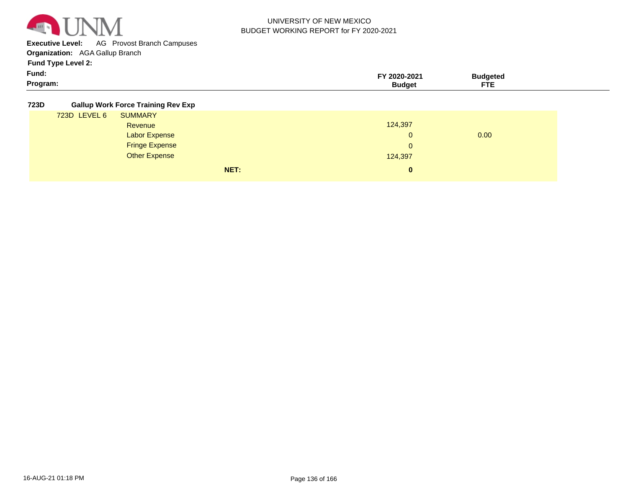

**Executive Level:** AG Provost Branch Campuses

**Organization:**  AGA Gallup Branch

**Fund Type Level 2:**

| Fund:    | FY 2020-2021 | sudaeted |
|----------|--------------|----------|
| Program: | sudaet       | ---      |

#### **723D Gallup Work Force Training Rev Exp**

| 723D LEVEL 6 | <b>SUMMARY</b>        |              |      |
|--------------|-----------------------|--------------|------|
|              | Revenue               | 124,397      |      |
|              | <b>Labor Expense</b>  | $\Omega$     | 0.00 |
|              | <b>Fringe Expense</b> | $\mathbf{0}$ |      |
|              | <b>Other Expense</b>  | 124,397      |      |
|              | NET:                  | $\bf{0}$     |      |
|              |                       |              |      |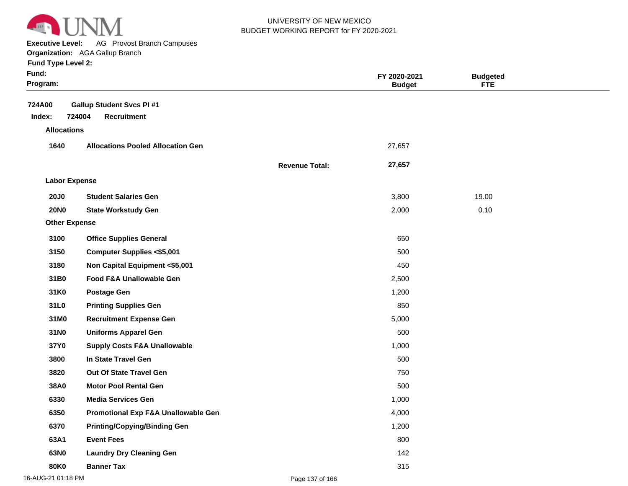

**Executive Level:** AG Provost Branch Campuses

**Organization:**  AGA Gallup Branch

| Fund:<br>Program:    |                                                                  |                       | FY 2020-2021<br><b>Budget</b> | <b>Budgeted</b><br><b>FTE</b> |  |
|----------------------|------------------------------------------------------------------|-----------------------|-------------------------------|-------------------------------|--|
| 724A00<br>Index:     | <b>Gallup Student Svcs PI #1</b><br>724004<br><b>Recruitment</b> |                       |                               |                               |  |
| <b>Allocations</b>   |                                                                  |                       |                               |                               |  |
| 1640                 | <b>Allocations Pooled Allocation Gen</b>                         |                       | 27,657                        |                               |  |
|                      |                                                                  | <b>Revenue Total:</b> | 27,657                        |                               |  |
| <b>Labor Expense</b> |                                                                  |                       |                               |                               |  |
| <b>20J0</b>          | <b>Student Salaries Gen</b>                                      |                       | 3,800                         | 19.00                         |  |
| <b>20NO</b>          | <b>State Workstudy Gen</b>                                       |                       | 2,000                         | 0.10                          |  |
| <b>Other Expense</b> |                                                                  |                       |                               |                               |  |
| 3100                 | <b>Office Supplies General</b>                                   |                       | 650                           |                               |  |
| 3150                 | <b>Computer Supplies &lt;\$5,001</b>                             |                       | 500                           |                               |  |
| 3180                 | Non Capital Equipment <\$5,001                                   |                       | 450                           |                               |  |
| 31B0                 | Food F&A Unallowable Gen                                         |                       | 2,500                         |                               |  |
| 31K0                 | <b>Postage Gen</b>                                               |                       | 1,200                         |                               |  |
| 31L0                 | <b>Printing Supplies Gen</b>                                     |                       | 850                           |                               |  |
| 31M0                 | <b>Recruitment Expense Gen</b>                                   |                       | 5,000                         |                               |  |
| 31N0                 | <b>Uniforms Apparel Gen</b>                                      |                       | 500                           |                               |  |
| 37Y0                 | <b>Supply Costs F&amp;A Unallowable</b>                          |                       | 1,000                         |                               |  |
| 3800                 | In State Travel Gen                                              |                       | 500                           |                               |  |
| 3820                 | Out Of State Travel Gen                                          |                       | 750                           |                               |  |
| 38A0                 | <b>Motor Pool Rental Gen</b>                                     |                       | 500                           |                               |  |
| 6330                 | <b>Media Services Gen</b>                                        |                       | 1,000                         |                               |  |
| 6350                 | Promotional Exp F&A Unallowable Gen                              |                       | 4,000                         |                               |  |
| 6370                 | <b>Printing/Copying/Binding Gen</b>                              |                       | 1,200                         |                               |  |
| 63A1                 | <b>Event Fees</b>                                                |                       | 800                           |                               |  |
| 63N0                 | <b>Laundry Dry Cleaning Gen</b>                                  |                       | 142                           |                               |  |
| <b>80K0</b>          | <b>Banner Tax</b>                                                |                       | 315                           |                               |  |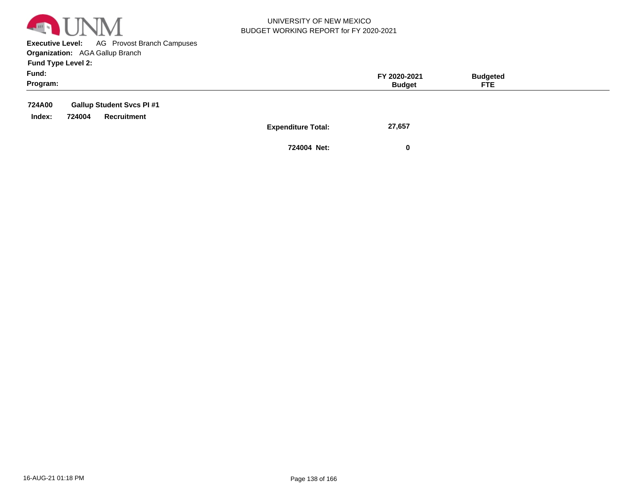

**Executive Level:** AG Provost Branch Campuses **Organization:**  AGA Gallup Branch

**Fund Type Level 2:**

| Fund:<br>Program: |        |                                                | FY 2020-2021<br><b>Budget</b>       | <b>Budgeted</b><br><b>FTE</b> |  |
|-------------------|--------|------------------------------------------------|-------------------------------------|-------------------------------|--|
| 724A00<br>Index:  | 724004 | <b>Gallup Student Svcs PI#1</b><br>Recruitment |                                     |                               |  |
|                   |        |                                                | 27,657<br><b>Expenditure Total:</b> |                               |  |

**724004 Net: 0**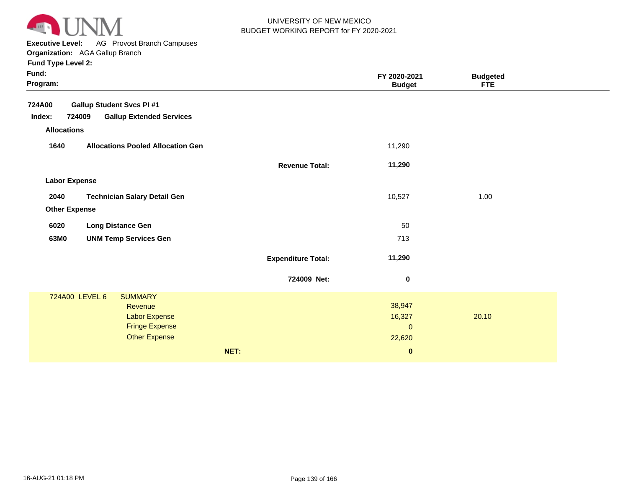

**Executive Level:** AG Provost Branch Campuses

**Organization:**  AGA Gallup Branch

|  |  | <b>Fund Type Level 2:</b> |  |
|--|--|---------------------------|--|
|--|--|---------------------------|--|

| Fund:<br><b>Budgeted</b><br>FY 2020-2021<br>Program:<br><b>Budget</b><br><b>FTE</b><br>724A00<br><b>Gallup Student Svcs PI#1</b><br>724009<br><b>Gallup Extended Services</b><br>Index:<br><b>Allocations</b><br><b>Allocations Pooled Allocation Gen</b><br>11,290<br>1640<br>11,290<br><b>Revenue Total:</b><br><b>Labor Expense</b><br>2040<br><b>Technician Salary Detail Gen</b><br>10,527<br>1.00<br><b>Other Expense</b><br><b>Long Distance Gen</b><br>50<br>6020<br>63M0<br><b>UNM Temp Services Gen</b><br>713<br>11,290<br><b>Expenditure Total:</b><br>724009 Net:<br>$\pmb{0}$ |
|---------------------------------------------------------------------------------------------------------------------------------------------------------------------------------------------------------------------------------------------------------------------------------------------------------------------------------------------------------------------------------------------------------------------------------------------------------------------------------------------------------------------------------------------------------------------------------------------|
|                                                                                                                                                                                                                                                                                                                                                                                                                                                                                                                                                                                             |
|                                                                                                                                                                                                                                                                                                                                                                                                                                                                                                                                                                                             |
|                                                                                                                                                                                                                                                                                                                                                                                                                                                                                                                                                                                             |
|                                                                                                                                                                                                                                                                                                                                                                                                                                                                                                                                                                                             |
|                                                                                                                                                                                                                                                                                                                                                                                                                                                                                                                                                                                             |
|                                                                                                                                                                                                                                                                                                                                                                                                                                                                                                                                                                                             |
|                                                                                                                                                                                                                                                                                                                                                                                                                                                                                                                                                                                             |
|                                                                                                                                                                                                                                                                                                                                                                                                                                                                                                                                                                                             |
|                                                                                                                                                                                                                                                                                                                                                                                                                                                                                                                                                                                             |
|                                                                                                                                                                                                                                                                                                                                                                                                                                                                                                                                                                                             |
|                                                                                                                                                                                                                                                                                                                                                                                                                                                                                                                                                                                             |
|                                                                                                                                                                                                                                                                                                                                                                                                                                                                                                                                                                                             |
|                                                                                                                                                                                                                                                                                                                                                                                                                                                                                                                                                                                             |
|                                                                                                                                                                                                                                                                                                                                                                                                                                                                                                                                                                                             |
| 724A00 LEVEL 6<br><b>SUMMARY</b>                                                                                                                                                                                                                                                                                                                                                                                                                                                                                                                                                            |
| 38,947<br>Revenue                                                                                                                                                                                                                                                                                                                                                                                                                                                                                                                                                                           |
| 16,327<br>20.10<br><b>Labor Expense</b>                                                                                                                                                                                                                                                                                                                                                                                                                                                                                                                                                     |
| <b>Fringe Expense</b><br>$\mathbf 0$                                                                                                                                                                                                                                                                                                                                                                                                                                                                                                                                                        |
| <b>Other Expense</b><br>22,620                                                                                                                                                                                                                                                                                                                                                                                                                                                                                                                                                              |

**NET: 0**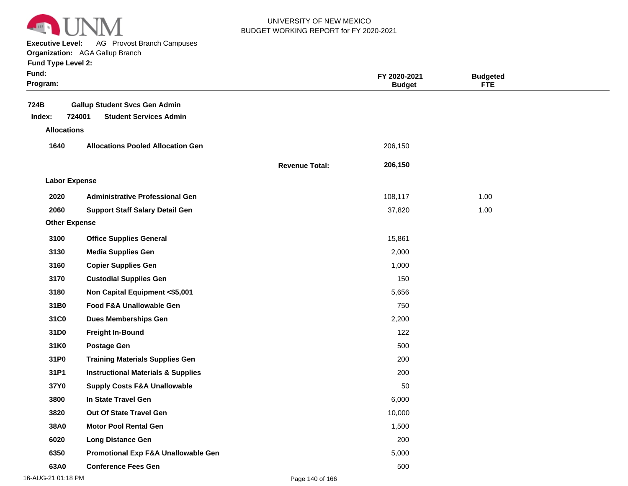

**Executive Level:** AG Provost Branch Campuses

#### **Organization:**  AGA Gallup Branch

|  |  | <b>Fund Type Level 2:</b> |  |
|--|--|---------------------------|--|
|--|--|---------------------------|--|

| Fund:<br>Program:    |                                               |                       | FY 2020-2021<br><b>Budget</b> | <b>Budgeted</b><br><b>FTE</b> |  |
|----------------------|-----------------------------------------------|-----------------------|-------------------------------|-------------------------------|--|
| 724B                 | <b>Gallup Student Svcs Gen Admin</b>          |                       |                               |                               |  |
| Index:               | 724001<br><b>Student Services Admin</b>       |                       |                               |                               |  |
| <b>Allocations</b>   |                                               |                       |                               |                               |  |
| 1640                 | <b>Allocations Pooled Allocation Gen</b>      |                       | 206,150                       |                               |  |
|                      |                                               | <b>Revenue Total:</b> | 206,150                       |                               |  |
| <b>Labor Expense</b> |                                               |                       |                               |                               |  |
| 2020                 | <b>Administrative Professional Gen</b>        |                       | 108,117                       | 1.00                          |  |
| 2060                 | <b>Support Staff Salary Detail Gen</b>        |                       | 37,820                        | 1.00                          |  |
| <b>Other Expense</b> |                                               |                       |                               |                               |  |
| 3100                 | <b>Office Supplies General</b>                |                       | 15,861                        |                               |  |
| 3130                 | <b>Media Supplies Gen</b>                     |                       | 2,000                         |                               |  |
| 3160                 | <b>Copier Supplies Gen</b>                    |                       | 1,000                         |                               |  |
| 3170                 | <b>Custodial Supplies Gen</b>                 |                       | 150                           |                               |  |
| 3180                 | Non Capital Equipment <\$5,001                |                       | 5,656                         |                               |  |
| 31B0                 | Food F&A Unallowable Gen                      |                       | 750                           |                               |  |
| 31C0                 | <b>Dues Memberships Gen</b>                   |                       | 2,200                         |                               |  |
| 31D0                 | <b>Freight In-Bound</b>                       |                       | 122                           |                               |  |
| 31K0                 | <b>Postage Gen</b>                            |                       | 500                           |                               |  |
| 31P0                 | <b>Training Materials Supplies Gen</b>        |                       | 200                           |                               |  |
| 31P1                 | <b>Instructional Materials &amp; Supplies</b> |                       | 200                           |                               |  |
| 37Y0                 | <b>Supply Costs F&amp;A Unallowable</b>       |                       | 50                            |                               |  |
| 3800                 | In State Travel Gen                           |                       | 6,000                         |                               |  |
| 3820                 | <b>Out Of State Travel Gen</b>                |                       | 10,000                        |                               |  |
| 38A0                 | <b>Motor Pool Rental Gen</b>                  |                       | 1,500                         |                               |  |
| 6020                 | <b>Long Distance Gen</b>                      |                       | 200                           |                               |  |
| 6350                 | Promotional Exp F&A Unallowable Gen           |                       | 5,000                         |                               |  |
| 63A0                 | <b>Conference Fees Gen</b>                    |                       | 500                           |                               |  |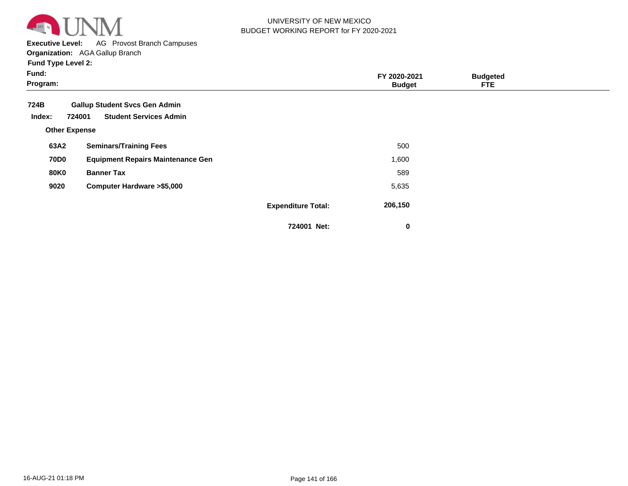

**Executive Level:** AG Provost Branch Campuses

**Organization:**  AGA Gallup Branch

| Fund:<br>Program:    |                                                                                 |                           | FY 2020-2021<br><b>Budget</b> | <b>Budgeted</b><br><b>FTE</b> |  |
|----------------------|---------------------------------------------------------------------------------|---------------------------|-------------------------------|-------------------------------|--|
| 724B<br>Index:       | <b>Gallup Student Svcs Gen Admin</b><br><b>Student Services Admin</b><br>724001 |                           |                               |                               |  |
| <b>Other Expense</b> |                                                                                 |                           |                               |                               |  |
| 63A2                 | <b>Seminars/Training Fees</b>                                                   |                           | 500                           |                               |  |
| <b>70D0</b>          | <b>Equipment Repairs Maintenance Gen</b>                                        |                           | 1,600                         |                               |  |
| 80K0                 | <b>Banner Tax</b>                                                               |                           | 589                           |                               |  |
| 9020                 | <b>Computer Hardware &gt;\$5,000</b>                                            |                           | 5,635                         |                               |  |
|                      |                                                                                 | <b>Expenditure Total:</b> | 206,150                       |                               |  |
|                      |                                                                                 | 724001 Net:               | 0                             |                               |  |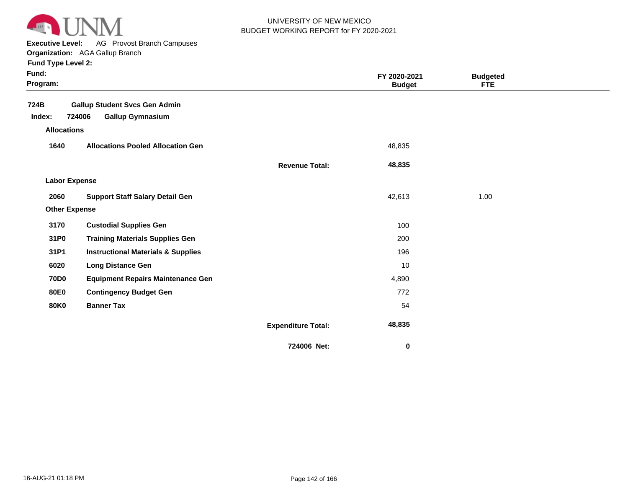

**Executive Level:** AG Provost Branch Campuses

**Organization:**  AGA Gallup Branch

| Fund:<br>Program:    |                                               |                           | FY 2020-2021<br><b>Budget</b> | <b>Budgeted</b><br><b>FTE</b> |  |
|----------------------|-----------------------------------------------|---------------------------|-------------------------------|-------------------------------|--|
| 724B                 | <b>Gallup Student Svcs Gen Admin</b>          |                           |                               |                               |  |
| Index:               | 724006<br><b>Gallup Gymnasium</b>             |                           |                               |                               |  |
| <b>Allocations</b>   |                                               |                           |                               |                               |  |
| 1640                 | <b>Allocations Pooled Allocation Gen</b>      |                           | 48,835                        |                               |  |
|                      |                                               | <b>Revenue Total:</b>     | 48,835                        |                               |  |
| <b>Labor Expense</b> |                                               |                           |                               |                               |  |
| 2060                 | <b>Support Staff Salary Detail Gen</b>        |                           | 42,613                        | 1.00                          |  |
| <b>Other Expense</b> |                                               |                           |                               |                               |  |
| 3170                 | <b>Custodial Supplies Gen</b>                 |                           | 100                           |                               |  |
| 31P0                 | <b>Training Materials Supplies Gen</b>        |                           | 200                           |                               |  |
| 31P1                 | <b>Instructional Materials &amp; Supplies</b> |                           | 196                           |                               |  |
| 6020                 | <b>Long Distance Gen</b>                      |                           | 10                            |                               |  |
| <b>70D0</b>          | <b>Equipment Repairs Maintenance Gen</b>      |                           | 4,890                         |                               |  |
| <b>80E0</b>          | <b>Contingency Budget Gen</b>                 |                           | 772                           |                               |  |
| <b>80K0</b>          | <b>Banner Tax</b>                             |                           | 54                            |                               |  |
|                      |                                               | <b>Expenditure Total:</b> | 48,835                        |                               |  |
|                      |                                               | 724006 Net:               | 0                             |                               |  |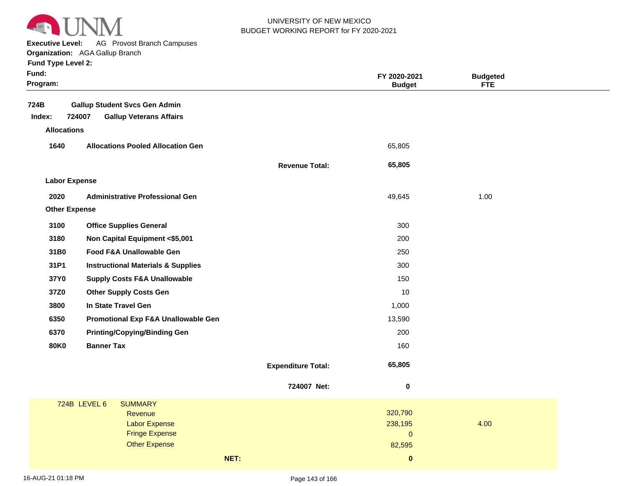

**Executive Level:** AG Provost Branch Campuses

**Organization:**  AGA Gallup Branch **Fund Type Level 2:**

| Fund Type Level 2:   |                                               |                           |                               |                               |
|----------------------|-----------------------------------------------|---------------------------|-------------------------------|-------------------------------|
| Fund:<br>Program:    |                                               |                           | FY 2020-2021<br><b>Budget</b> | <b>Budgeted</b><br><b>FTE</b> |
| 724B                 | <b>Gallup Student Svcs Gen Admin</b>          |                           |                               |                               |
| Index:               | 724007<br><b>Gallup Veterans Affairs</b>      |                           |                               |                               |
| <b>Allocations</b>   |                                               |                           |                               |                               |
| 1640                 | <b>Allocations Pooled Allocation Gen</b>      |                           | 65,805                        |                               |
|                      |                                               | <b>Revenue Total:</b>     | 65,805                        |                               |
| <b>Labor Expense</b> |                                               |                           |                               |                               |
| 2020                 | <b>Administrative Professional Gen</b>        |                           | 49,645                        | 1.00                          |
| <b>Other Expense</b> |                                               |                           |                               |                               |
| 3100                 | <b>Office Supplies General</b>                |                           | 300                           |                               |
| 3180                 | Non Capital Equipment <\$5,001                |                           | 200                           |                               |
| 31B0                 | Food F&A Unallowable Gen                      |                           | 250                           |                               |
| 31P1                 | <b>Instructional Materials &amp; Supplies</b> |                           | 300                           |                               |
| 37Y0                 | <b>Supply Costs F&amp;A Unallowable</b>       |                           | 150                           |                               |
| 37Z0                 | <b>Other Supply Costs Gen</b>                 |                           | 10                            |                               |
| 3800                 | In State Travel Gen                           |                           | 1,000                         |                               |
| 6350                 | Promotional Exp F&A Unallowable Gen           |                           | 13,590                        |                               |
| 6370                 | <b>Printing/Copying/Binding Gen</b>           |                           | 200                           |                               |
| <b>80K0</b>          | <b>Banner Tax</b>                             |                           | 160                           |                               |
|                      |                                               | <b>Expenditure Total:</b> | 65,805                        |                               |
|                      |                                               | 724007 Net:               | $\bf{0}$                      |                               |
|                      | <b>SUMMARY</b><br>724B LEVEL 6                |                           |                               |                               |
|                      | Revenue                                       |                           | 320,790                       |                               |
|                      | <b>Labor Expense</b><br><b>Fringe Expense</b> |                           | 238,195<br>$\Omega$           | 4.00                          |

Other Expense

**NET: 0** 

82,595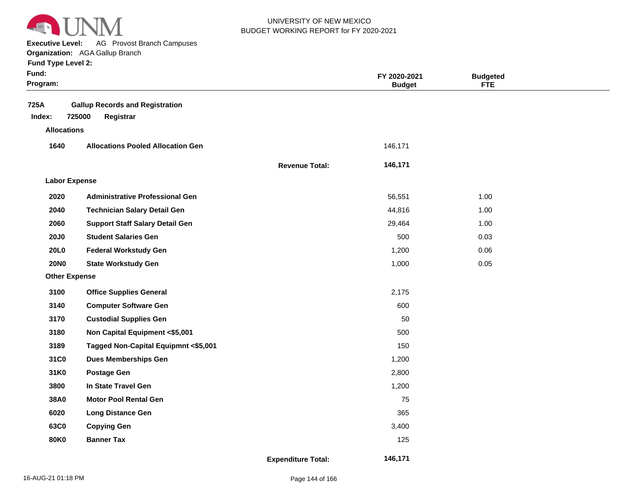

**Executive Level:** AG Provost Branch Campuses **Organization:**  AGA Gallup Branch

| Fund:<br>Program:    |                                                               |                           | FY 2020-2021<br><b>Budget</b> | <b>Budgeted</b><br><b>FTE</b> |  |
|----------------------|---------------------------------------------------------------|---------------------------|-------------------------------|-------------------------------|--|
| 725A<br>Index:       | <b>Gallup Records and Registration</b><br>725000<br>Registrar |                           |                               |                               |  |
| <b>Allocations</b>   | <b>Allocations Pooled Allocation Gen</b>                      |                           |                               |                               |  |
| 1640                 |                                                               |                           | 146,171                       |                               |  |
|                      |                                                               | <b>Revenue Total:</b>     | 146,171                       |                               |  |
| <b>Labor Expense</b> |                                                               |                           |                               |                               |  |
| 2020                 | <b>Administrative Professional Gen</b>                        |                           | 56,551                        | 1.00                          |  |
| 2040                 | <b>Technician Salary Detail Gen</b>                           |                           | 44,816                        | 1.00                          |  |
| 2060                 | <b>Support Staff Salary Detail Gen</b>                        |                           | 29,464                        | 1.00                          |  |
| <b>20J0</b>          | <b>Student Salaries Gen</b>                                   |                           | 500                           | 0.03                          |  |
| 20L0                 | <b>Federal Workstudy Gen</b>                                  |                           | 1,200                         | 0.06                          |  |
| <b>20NO</b>          | <b>State Workstudy Gen</b>                                    |                           | 1,000                         | 0.05                          |  |
| <b>Other Expense</b> |                                                               |                           |                               |                               |  |
| 3100                 | <b>Office Supplies General</b>                                |                           | 2,175                         |                               |  |
| 3140                 | <b>Computer Software Gen</b>                                  |                           | 600                           |                               |  |
| 3170                 | <b>Custodial Supplies Gen</b>                                 |                           | 50                            |                               |  |
| 3180                 | Non Capital Equipment <\$5,001                                |                           | 500                           |                               |  |
| 3189                 | Tagged Non-Capital Equipmnt <\$5,001                          |                           | 150                           |                               |  |
| 31C0                 | <b>Dues Memberships Gen</b>                                   |                           | 1,200                         |                               |  |
| 31K0                 | <b>Postage Gen</b>                                            |                           | 2,800                         |                               |  |
| 3800                 | In State Travel Gen                                           |                           | 1,200                         |                               |  |
| 38A0                 | <b>Motor Pool Rental Gen</b>                                  |                           | 75                            |                               |  |
| 6020                 | <b>Long Distance Gen</b>                                      |                           | 365                           |                               |  |
| 63C0                 | <b>Copying Gen</b>                                            |                           | 3,400                         |                               |  |
| <b>80K0</b>          | <b>Banner Tax</b>                                             |                           | 125                           |                               |  |
|                      |                                                               | <b>Expenditure Total:</b> | 146,171                       |                               |  |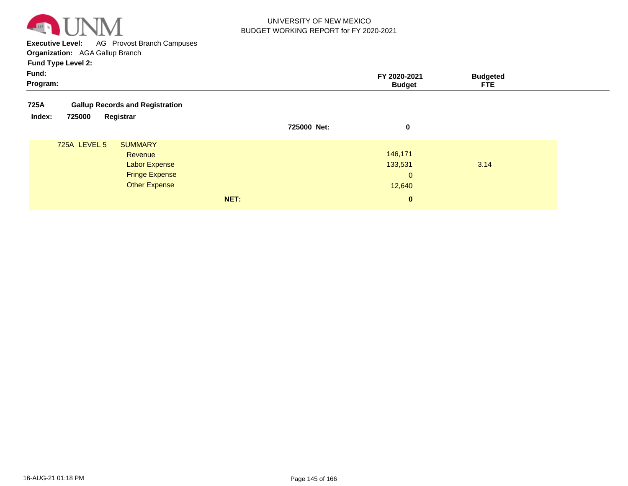

**Executive Level:** AG Provost Branch Campuses **Organization:**  AGA Gallup Branch

| Fund:<br>Program: |                                                                                                    |      |             | FY 2020-2021<br><b>Budget</b>                | <b>Budgeted</b><br><b>FTE</b> |  |
|-------------------|----------------------------------------------------------------------------------------------------|------|-------------|----------------------------------------------|-------------------------------|--|
| 725A              | <b>Gallup Records and Registration</b>                                                             |      |             |                                              |                               |  |
| Index:<br>725000  | Registrar                                                                                          |      | 725000 Net: | 0                                            |                               |  |
| 725A LEVEL 5      | <b>SUMMARY</b><br>Revenue<br><b>Labor Expense</b><br><b>Fringe Expense</b><br><b>Other Expense</b> |      |             | 146,171<br>133,531<br>$\mathbf{0}$<br>12,640 | 3.14                          |  |
|                   |                                                                                                    | NET: |             | $\mathbf{0}$                                 |                               |  |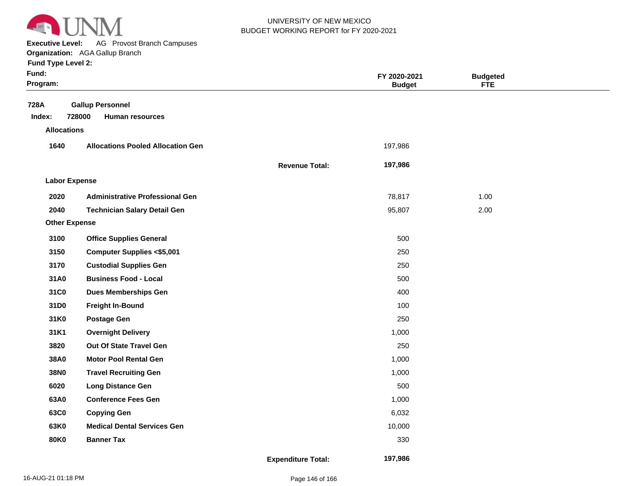

**Executive Level:** AG Provost Branch Campuses

**Organization:**  AGA Gallup Branch

| Fund:<br>Program:    |                                                             |                           | FY 2020-2021<br><b>Budget</b> | <b>Budgeted</b><br><b>FTE</b> |  |
|----------------------|-------------------------------------------------------------|---------------------------|-------------------------------|-------------------------------|--|
| 728A<br>Index:       | <b>Gallup Personnel</b><br>728000<br><b>Human resources</b> |                           |                               |                               |  |
| <b>Allocations</b>   |                                                             |                           |                               |                               |  |
| 1640                 | <b>Allocations Pooled Allocation Gen</b>                    |                           | 197,986                       |                               |  |
|                      |                                                             | <b>Revenue Total:</b>     | 197,986                       |                               |  |
| <b>Labor Expense</b> |                                                             |                           |                               |                               |  |
| 2020                 | <b>Administrative Professional Gen</b>                      |                           | 78,817                        | 1.00                          |  |
| 2040                 | <b>Technician Salary Detail Gen</b>                         |                           | 95,807                        | 2.00                          |  |
| <b>Other Expense</b> |                                                             |                           |                               |                               |  |
| 3100                 | <b>Office Supplies General</b>                              |                           | 500                           |                               |  |
| 3150                 | <b>Computer Supplies &lt;\$5,001</b>                        |                           | 250                           |                               |  |
| 3170                 | <b>Custodial Supplies Gen</b>                               |                           | 250                           |                               |  |
| 31A0                 | <b>Business Food - Local</b>                                |                           | 500                           |                               |  |
| 31C0                 | <b>Dues Memberships Gen</b>                                 |                           | 400                           |                               |  |
| 31D0                 | Freight In-Bound                                            |                           | 100                           |                               |  |
| 31K0                 | <b>Postage Gen</b>                                          |                           | 250                           |                               |  |
| 31K1                 | <b>Overnight Delivery</b>                                   |                           | 1,000                         |                               |  |
| 3820                 | Out Of State Travel Gen                                     |                           | 250                           |                               |  |
| 38A0                 | <b>Motor Pool Rental Gen</b>                                |                           | 1,000                         |                               |  |
| 38N0                 | <b>Travel Recruiting Gen</b>                                |                           | 1,000                         |                               |  |
| 6020                 | <b>Long Distance Gen</b>                                    |                           | 500                           |                               |  |
| 63A0                 | <b>Conference Fees Gen</b>                                  |                           | 1,000                         |                               |  |
| 63C0                 | <b>Copying Gen</b>                                          |                           | 6,032                         |                               |  |
| 63K0                 | <b>Medical Dental Services Gen</b>                          |                           | 10,000                        |                               |  |
| <b>80K0</b>          | <b>Banner Tax</b>                                           |                           | 330                           |                               |  |
|                      |                                                             | <b>Expenditure Total:</b> | 197,986                       |                               |  |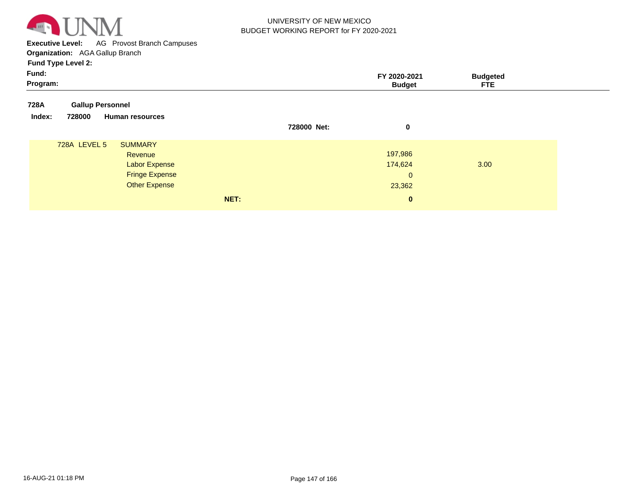

**Executive Level:** AG Provost Branch Campuses **Organization:**  AGA Gallup Branch

| Fund:<br>Program: |                         |                                 |      |             | FY 2020-2021<br><b>Budget</b> | <b>Budgeted</b><br><b>FTE</b> |  |
|-------------------|-------------------------|---------------------------------|------|-------------|-------------------------------|-------------------------------|--|
| 728A              | <b>Gallup Personnel</b> |                                 |      |             |                               |                               |  |
| Index:            | 728000                  | <b>Human resources</b>          |      | 728000 Net: |                               |                               |  |
|                   |                         |                                 |      |             | 0                             |                               |  |
|                   | 728A LEVEL 5            | <b>SUMMARY</b>                  |      |             | 197,986                       |                               |  |
|                   |                         | Revenue<br><b>Labor Expense</b> |      |             | 174,624                       | 3.00                          |  |
|                   |                         | <b>Fringe Expense</b>           |      |             | $\mathbf{0}$                  |                               |  |
|                   |                         | Other Expense                   |      |             | 23,362                        |                               |  |
|                   |                         |                                 | NET: |             | $\bf{0}$                      |                               |  |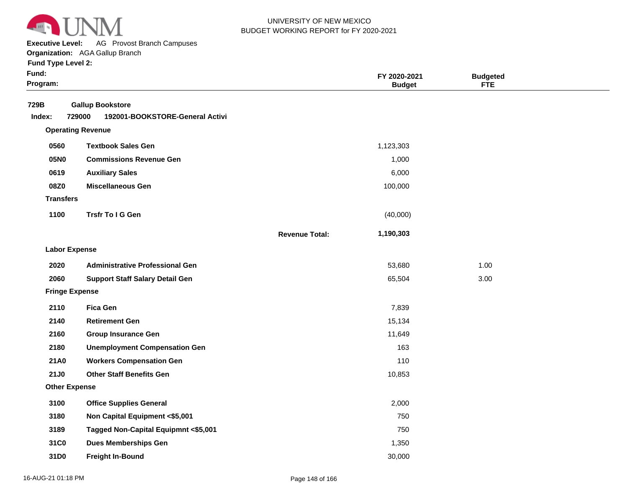

**Executive Level:** AG Provost Branch Campuses

**Organization:**  AGA Gallup Branch

|  |  | <b>Fund Type Level 2:</b> |  |
|--|--|---------------------------|--|
|--|--|---------------------------|--|

| Fund:<br>Program:     |                                                                      |                       | FY 2020-2021<br><b>Budget</b> | <b>Budgeted</b><br><b>FTE</b> |
|-----------------------|----------------------------------------------------------------------|-----------------------|-------------------------------|-------------------------------|
| 729B<br>Index:        | <b>Gallup Bookstore</b><br>729000<br>192001-BOOKSTORE-General Activi |                       |                               |                               |
|                       | <b>Operating Revenue</b>                                             |                       |                               |                               |
| 0560                  | <b>Textbook Sales Gen</b>                                            |                       | 1,123,303                     |                               |
| 05N0                  | <b>Commissions Revenue Gen</b>                                       |                       | 1,000                         |                               |
| 0619                  | <b>Auxiliary Sales</b>                                               |                       | 6,000                         |                               |
| 08Z0                  | <b>Miscellaneous Gen</b>                                             |                       | 100,000                       |                               |
| <b>Transfers</b>      |                                                                      |                       |                               |                               |
| 1100                  | <b>Trsfr To I G Gen</b>                                              |                       | (40,000)                      |                               |
|                       |                                                                      | <b>Revenue Total:</b> | 1,190,303                     |                               |
| <b>Labor Expense</b>  |                                                                      |                       |                               |                               |
| 2020                  | <b>Administrative Professional Gen</b>                               |                       | 53,680                        | 1.00                          |
| 2060                  | <b>Support Staff Salary Detail Gen</b>                               |                       | 65,504                        | 3.00                          |
| <b>Fringe Expense</b> |                                                                      |                       |                               |                               |
| 2110                  | <b>Fica Gen</b>                                                      |                       | 7,839                         |                               |
| 2140                  | <b>Retirement Gen</b>                                                |                       | 15,134                        |                               |
| 2160                  | <b>Group Insurance Gen</b>                                           |                       | 11,649                        |                               |
| 2180                  | <b>Unemployment Compensation Gen</b>                                 |                       | 163                           |                               |
| 21A0                  | <b>Workers Compensation Gen</b>                                      |                       | 110                           |                               |
| 21J0                  | <b>Other Staff Benefits Gen</b>                                      |                       | 10,853                        |                               |
| <b>Other Expense</b>  |                                                                      |                       |                               |                               |
| 3100                  | <b>Office Supplies General</b>                                       |                       | 2,000                         |                               |
| 3180                  | Non Capital Equipment <\$5,001                                       |                       | 750                           |                               |
| 3189                  | Tagged Non-Capital Equipmnt <\$5,001                                 |                       | 750                           |                               |
| 31C0                  | <b>Dues Memberships Gen</b>                                          |                       | 1,350                         |                               |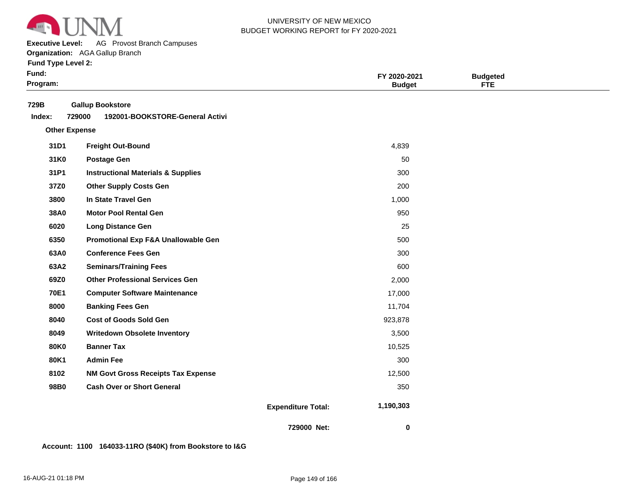

**Executive Level:** AG Provost Branch Campuses

**Organization:**  AGA Gallup Branch

**Fund Type Level 2:**

| Fund:<br>Program:    |                                                                      |                           | FY 2020-2021<br><b>Budget</b> | <b>Budgeted</b><br><b>FTE</b> |  |
|----------------------|----------------------------------------------------------------------|---------------------------|-------------------------------|-------------------------------|--|
| 729B<br>Index:       | <b>Gallup Bookstore</b><br>729000<br>192001-BOOKSTORE-General Activi |                           |                               |                               |  |
| <b>Other Expense</b> |                                                                      |                           |                               |                               |  |
| 31D1                 | <b>Freight Out-Bound</b>                                             |                           | 4,839                         |                               |  |
| 31K0                 | <b>Postage Gen</b>                                                   |                           | 50                            |                               |  |
| 31P1                 | <b>Instructional Materials &amp; Supplies</b>                        |                           | 300                           |                               |  |
| 37Z0                 | <b>Other Supply Costs Gen</b>                                        |                           | 200                           |                               |  |
| 3800                 | In State Travel Gen                                                  |                           | 1,000                         |                               |  |
| 38A0                 | <b>Motor Pool Rental Gen</b>                                         |                           | 950                           |                               |  |
| 6020                 | <b>Long Distance Gen</b>                                             |                           | 25                            |                               |  |
| 6350                 | Promotional Exp F&A Unallowable Gen                                  |                           | 500                           |                               |  |
| 63A0                 | <b>Conference Fees Gen</b>                                           |                           | 300                           |                               |  |
| 63A2                 | <b>Seminars/Training Fees</b>                                        |                           | 600                           |                               |  |
| 69Z0                 | <b>Other Professional Services Gen</b>                               |                           | 2,000                         |                               |  |
| <b>70E1</b>          | <b>Computer Software Maintenance</b>                                 |                           | 17,000                        |                               |  |
| 8000                 | <b>Banking Fees Gen</b>                                              |                           | 11,704                        |                               |  |
| 8040                 | <b>Cost of Goods Sold Gen</b>                                        |                           | 923,878                       |                               |  |
| 8049                 | <b>Writedown Obsolete Inventory</b>                                  |                           | 3,500                         |                               |  |
| <b>80K0</b>          | <b>Banner Tax</b>                                                    |                           | 10,525                        |                               |  |
| 80K1                 | <b>Admin Fee</b>                                                     |                           | 300                           |                               |  |
| 8102                 | <b>NM Govt Gross Receipts Tax Expense</b>                            |                           | 12,500                        |                               |  |
| 98B0                 | <b>Cash Over or Short General</b>                                    |                           | 350                           |                               |  |
|                      |                                                                      | <b>Expenditure Total:</b> | 1,190,303                     |                               |  |
|                      |                                                                      | 729000 Net:               | $\mathbf 0$                   |                               |  |

**Account: 1100 164033-11RO (\$40K) from Bookstore to I&G**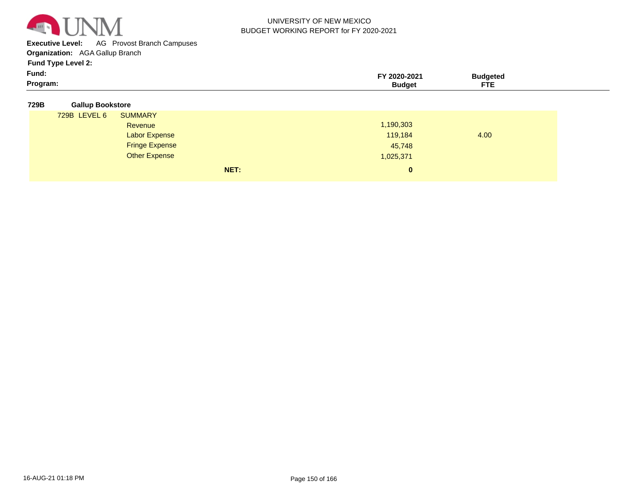

**Executive Level:** AG Provost Branch Campuses

**Organization:**  AGA Gallup Branch

| Program: |        | --- |  |
|----------|--------|-----|--|
| Fund:    | ירים ה |     |  |
| . .      |        |     |  |

| 729B | <b>Gallup Bookstore</b> |
|------|-------------------------|

| 729B LEVEL 6 | <b>SUMMARY</b>        |      |           |      |
|--------------|-----------------------|------|-----------|------|
|              | Revenue               |      | 1,190,303 |      |
|              | <b>Labor Expense</b>  |      | 119,184   | 4.00 |
|              | <b>Fringe Expense</b> |      | 45,748    |      |
|              | <b>Other Expense</b>  |      | 1,025,371 |      |
|              |                       | NET: | $\bf{0}$  |      |
|              |                       |      |           |      |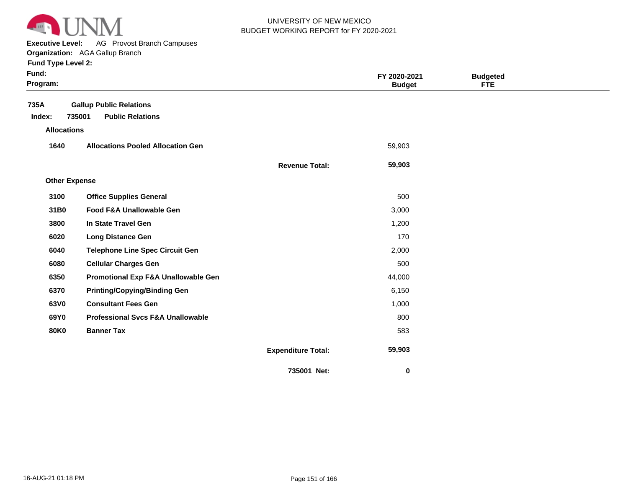

**Executive Level:** AG Provost Branch Campuses

#### **Organization:**  AGA Gallup Branch **Fund Type Level 2:**

| Fund:<br>Program:    |                                              |                           | FY 2020-2021<br><b>Budget</b> | <b>Budgeted</b><br><b>FTE</b> |  |
|----------------------|----------------------------------------------|---------------------------|-------------------------------|-------------------------------|--|
| 735A                 | <b>Gallup Public Relations</b>               |                           |                               |                               |  |
| Index:               | 735001<br><b>Public Relations</b>            |                           |                               |                               |  |
| <b>Allocations</b>   |                                              |                           |                               |                               |  |
| 1640                 | <b>Allocations Pooled Allocation Gen</b>     |                           | 59,903                        |                               |  |
|                      |                                              | <b>Revenue Total:</b>     | 59,903                        |                               |  |
| <b>Other Expense</b> |                                              |                           |                               |                               |  |
| 3100                 | <b>Office Supplies General</b>               |                           | 500                           |                               |  |
| 31B0                 | Food F&A Unallowable Gen                     |                           | 3,000                         |                               |  |
| 3800                 | In State Travel Gen                          |                           | 1,200                         |                               |  |
| 6020                 | <b>Long Distance Gen</b>                     |                           | 170                           |                               |  |
| 6040                 | <b>Telephone Line Spec Circuit Gen</b>       |                           | 2,000                         |                               |  |
| 6080                 | <b>Cellular Charges Gen</b>                  |                           | 500                           |                               |  |
| 6350                 | Promotional Exp F&A Unallowable Gen          |                           | 44,000                        |                               |  |
| 6370                 | <b>Printing/Copying/Binding Gen</b>          |                           | 6,150                         |                               |  |
| 63V0                 | <b>Consultant Fees Gen</b>                   |                           | 1,000                         |                               |  |
| 69Y0                 | <b>Professional Svcs F&amp;A Unallowable</b> |                           | 800                           |                               |  |
| <b>80K0</b>          | <b>Banner Tax</b>                            |                           | 583                           |                               |  |
|                      |                                              | <b>Expenditure Total:</b> | 59,903                        |                               |  |
|                      |                                              | 735001 Net:               | 0                             |                               |  |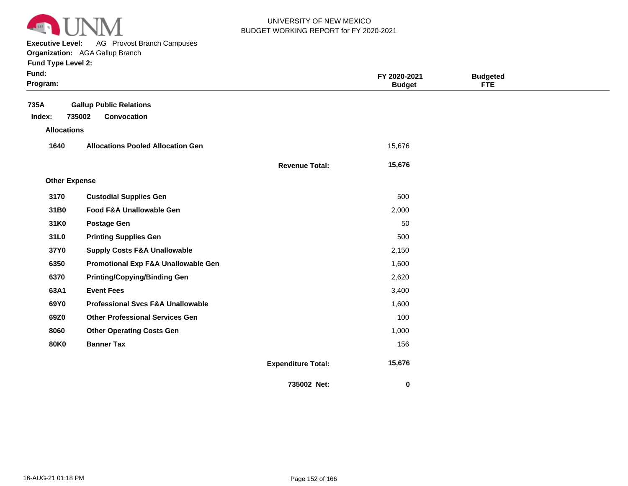

**Executive Level:** AG Provost Branch Campuses

**Organization:**  AGA Gallup Branch **Fund Type Level 2:**

| Fund:<br>Program:    |                                                |                           | FY 2020-2021<br><b>Budget</b> | <b>Budgeted</b><br>FTE |  |
|----------------------|------------------------------------------------|---------------------------|-------------------------------|------------------------|--|
| 735A                 | <b>Gallup Public Relations</b>                 |                           |                               |                        |  |
| Index:               | 735002<br>Convocation                          |                           |                               |                        |  |
| <b>Allocations</b>   |                                                |                           |                               |                        |  |
| 1640                 | <b>Allocations Pooled Allocation Gen</b>       |                           | 15,676                        |                        |  |
|                      |                                                | <b>Revenue Total:</b>     | 15,676                        |                        |  |
| <b>Other Expense</b> |                                                |                           |                               |                        |  |
| 3170                 | <b>Custodial Supplies Gen</b>                  |                           | 500                           |                        |  |
| 31B0                 | <b>Food F&amp;A Unallowable Gen</b>            |                           | 2,000                         |                        |  |
| 31K0                 | <b>Postage Gen</b>                             |                           | 50                            |                        |  |
| 31L0                 | <b>Printing Supplies Gen</b>                   |                           | 500                           |                        |  |
| 37Y0                 | <b>Supply Costs F&amp;A Unallowable</b>        |                           | 2,150                         |                        |  |
| 6350                 | <b>Promotional Exp F&amp;A Unallowable Gen</b> |                           | 1,600                         |                        |  |
| 6370                 | <b>Printing/Copying/Binding Gen</b>            |                           | 2,620                         |                        |  |
| 63A1                 | <b>Event Fees</b>                              |                           | 3,400                         |                        |  |
| 69Y0                 | <b>Professional Svcs F&amp;A Unallowable</b>   |                           | 1,600                         |                        |  |
| 69Z0                 | <b>Other Professional Services Gen</b>         |                           | 100                           |                        |  |
| 8060                 | <b>Other Operating Costs Gen</b>               |                           | 1,000                         |                        |  |
| <b>80K0</b>          | <b>Banner Tax</b>                              |                           | 156                           |                        |  |
|                      |                                                | <b>Expenditure Total:</b> | 15,676                        |                        |  |
|                      |                                                | 735002 Net:               | 0                             |                        |  |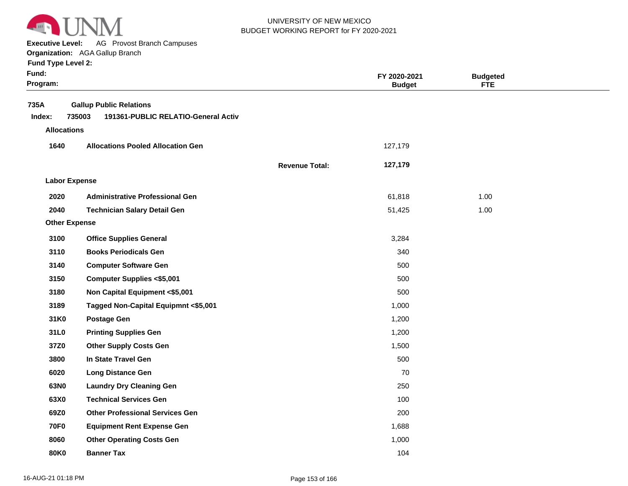

**Executive Level:** AG Provost Branch Campuses

#### **Organization:**  AGA Gallup Branch

| Fund:<br>Program:                    |                                                                                 |                       | FY 2020-2021<br><b>Budget</b> | <b>Budgeted</b><br><b>FTE</b> |  |
|--------------------------------------|---------------------------------------------------------------------------------|-----------------------|-------------------------------|-------------------------------|--|
| 735A<br>Index:<br><b>Allocations</b> | <b>Gallup Public Relations</b><br>735003<br>191361-PUBLIC RELATIO-General Activ |                       |                               |                               |  |
| 1640                                 | <b>Allocations Pooled Allocation Gen</b>                                        |                       | 127,179                       |                               |  |
|                                      |                                                                                 | <b>Revenue Total:</b> | 127,179                       |                               |  |
| <b>Labor Expense</b>                 |                                                                                 |                       |                               |                               |  |
| 2020                                 | <b>Administrative Professional Gen</b>                                          |                       | 61,818                        | 1.00                          |  |
| 2040                                 | <b>Technician Salary Detail Gen</b>                                             |                       | 51,425                        | 1.00                          |  |
| <b>Other Expense</b>                 |                                                                                 |                       |                               |                               |  |
| 3100                                 | <b>Office Supplies General</b>                                                  |                       | 3,284                         |                               |  |
| 3110                                 | <b>Books Periodicals Gen</b>                                                    |                       | 340                           |                               |  |
| 3140                                 | <b>Computer Software Gen</b>                                                    |                       | 500                           |                               |  |
| 3150                                 | <b>Computer Supplies &lt;\$5,001</b>                                            |                       | 500                           |                               |  |
| 3180                                 | Non Capital Equipment <\$5,001                                                  |                       | 500                           |                               |  |
| 3189                                 | Tagged Non-Capital Equipmnt <\$5,001                                            |                       | 1,000                         |                               |  |
| 31K0                                 | <b>Postage Gen</b>                                                              |                       | 1,200                         |                               |  |
| 31L0                                 | <b>Printing Supplies Gen</b>                                                    |                       | 1,200                         |                               |  |
| 37Z0                                 | <b>Other Supply Costs Gen</b>                                                   |                       | 1,500                         |                               |  |
| 3800                                 | In State Travel Gen                                                             |                       | 500                           |                               |  |
| 6020                                 | <b>Long Distance Gen</b>                                                        |                       | 70                            |                               |  |
| 63N0                                 | <b>Laundry Dry Cleaning Gen</b>                                                 |                       | 250                           |                               |  |
| 63X0                                 | <b>Technical Services Gen</b>                                                   |                       | 100                           |                               |  |
| 69Z0                                 | <b>Other Professional Services Gen</b>                                          |                       | 200                           |                               |  |
| <b>70F0</b>                          | <b>Equipment Rent Expense Gen</b>                                               |                       | 1,688                         |                               |  |
| 8060                                 | <b>Other Operating Costs Gen</b>                                                |                       | 1,000                         |                               |  |
| <b>80K0</b>                          | <b>Banner Tax</b>                                                               |                       | 104                           |                               |  |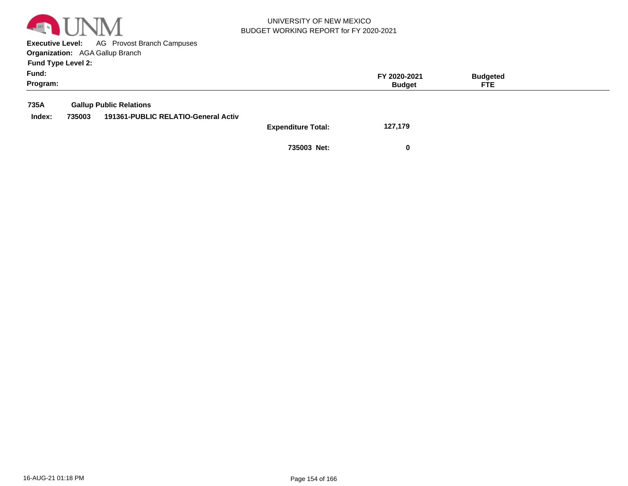

**Executive Level:** AG Provost Branch Campuses **Organization:**  AGA Gallup Branch

| Fund:<br>Program: |        |                                     |                           | FY 2020-2021<br><b>Budget</b> | <b>Budgeted</b><br><b>FTE</b> |  |
|-------------------|--------|-------------------------------------|---------------------------|-------------------------------|-------------------------------|--|
| 735A              |        | <b>Gallup Public Relations</b>      |                           |                               |                               |  |
| Index:            | 735003 | 191361-PUBLIC RELATIO-General Activ |                           |                               |                               |  |
|                   |        |                                     | <b>Expenditure Total:</b> | 127,179                       |                               |  |
|                   |        |                                     | 735003 Net:               | $\bf{0}$                      |                               |  |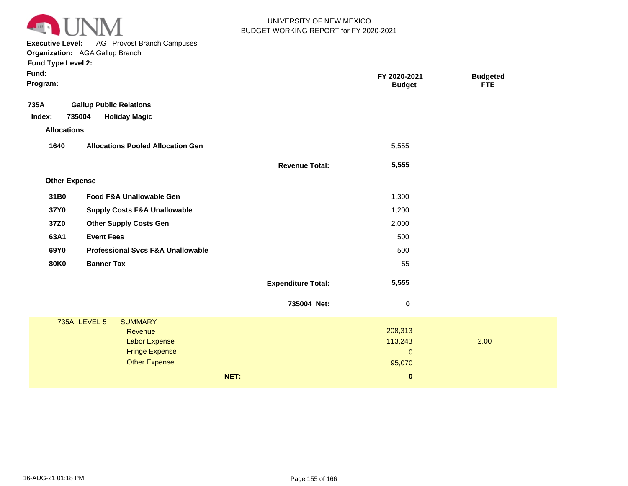

**Executive Level:** AG Provost Branch Campuses

#### **Organization:**  AGA Gallup Branch **Fund Type Level 2:**

| Fund:<br>Program:    |                                               |                           | FY 2020-2021<br><b>Budget</b> | <b>Budgeted</b><br><b>FTE</b> |  |
|----------------------|-----------------------------------------------|---------------------------|-------------------------------|-------------------------------|--|
| 735A                 | <b>Gallup Public Relations</b>                |                           |                               |                               |  |
| Index:               | 735004<br><b>Holiday Magic</b>                |                           |                               |                               |  |
| <b>Allocations</b>   |                                               |                           |                               |                               |  |
| 1640                 | <b>Allocations Pooled Allocation Gen</b>      |                           | 5,555                         |                               |  |
|                      |                                               | <b>Revenue Total:</b>     | 5,555                         |                               |  |
| <b>Other Expense</b> |                                               |                           |                               |                               |  |
| 31B0                 | Food F&A Unallowable Gen                      |                           | 1,300                         |                               |  |
| 37Y0                 | <b>Supply Costs F&amp;A Unallowable</b>       |                           | 1,200                         |                               |  |
| 37Z0                 | <b>Other Supply Costs Gen</b>                 |                           | 2,000                         |                               |  |
| 63A1                 | <b>Event Fees</b>                             |                           | 500                           |                               |  |
| 69Y0                 | <b>Professional Svcs F&amp;A Unallowable</b>  |                           | 500                           |                               |  |
| <b>80K0</b>          | <b>Banner Tax</b>                             |                           | 55                            |                               |  |
|                      |                                               | <b>Expenditure Total:</b> | 5,555                         |                               |  |
|                      |                                               | 735004 Net:               | $\pmb{0}$                     |                               |  |
|                      | <b>735A LEVEL 5</b><br><b>SUMMARY</b>         |                           |                               |                               |  |
|                      | Revenue                                       |                           | 208,313                       |                               |  |
|                      | <b>Labor Expense</b><br><b>Fringe Expense</b> |                           | 113,243<br>$\mathbf 0$        | 2.00                          |  |
|                      | <b>Other Expense</b>                          |                           | 95,070                        |                               |  |
|                      |                                               | NET:                      | $\pmb{0}$                     |                               |  |
|                      |                                               |                           |                               |                               |  |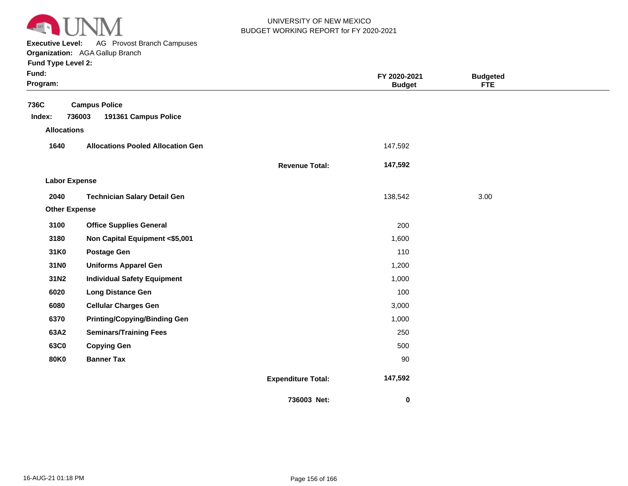

**Executive Level:** AG Provost Branch Campuses **Organization:**  AGA Gallup Branch

| Fund:<br>Program:    |                                          |                           | FY 2020-2021<br><b>Budget</b> | <b>Budgeted</b><br><b>FTE</b> |  |
|----------------------|------------------------------------------|---------------------------|-------------------------------|-------------------------------|--|
| 736C                 | <b>Campus Police</b><br>736003           |                           |                               |                               |  |
| Index:               | 191361 Campus Police                     |                           |                               |                               |  |
| <b>Allocations</b>   |                                          |                           |                               |                               |  |
| 1640                 | <b>Allocations Pooled Allocation Gen</b> |                           | 147,592                       |                               |  |
|                      |                                          | <b>Revenue Total:</b>     | 147,592                       |                               |  |
| <b>Labor Expense</b> |                                          |                           |                               |                               |  |
| 2040                 | <b>Technician Salary Detail Gen</b>      |                           | 138,542                       | 3.00                          |  |
| <b>Other Expense</b> |                                          |                           |                               |                               |  |
| 3100                 | <b>Office Supplies General</b>           |                           | 200                           |                               |  |
| 3180                 | Non Capital Equipment <\$5,001           |                           | 1,600                         |                               |  |
| 31K0                 | <b>Postage Gen</b>                       |                           | 110                           |                               |  |
| 31N0                 | <b>Uniforms Apparel Gen</b>              |                           | 1,200                         |                               |  |
| 31N2                 | <b>Individual Safety Equipment</b>       |                           | 1,000                         |                               |  |
| 6020                 | <b>Long Distance Gen</b>                 |                           | 100                           |                               |  |
| 6080                 | <b>Cellular Charges Gen</b>              |                           | 3,000                         |                               |  |
| 6370                 | <b>Printing/Copying/Binding Gen</b>      |                           | 1,000                         |                               |  |
| 63A2                 | <b>Seminars/Training Fees</b>            |                           | 250                           |                               |  |
| 63C0                 | <b>Copying Gen</b>                       |                           | 500                           |                               |  |
| <b>80K0</b>          | <b>Banner Tax</b>                        |                           | 90                            |                               |  |
|                      |                                          | <b>Expenditure Total:</b> | 147,592                       |                               |  |
|                      |                                          | 736003 Net:               | $\bf{0}$                      |                               |  |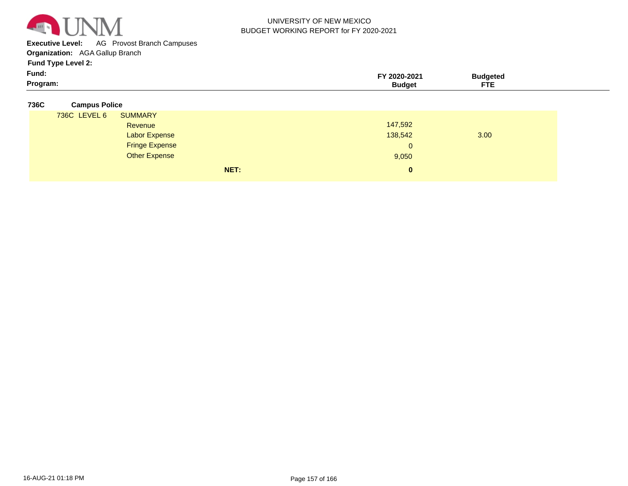

**Executive Level:** AG Provost Branch Campuses

**Organization:**  AGA Gallup Branch

**Fund Type Level 2:**

| Program: | Budaet    | ETE     |  |
|----------|-----------|---------|--|
| Fund:    | 2020-2021 | 'ddeter |  |
| - -      |           |         |  |

#### **736C Campus Police**

| Revenue               | 147,592                |              |
|-----------------------|------------------------|--------------|
| <b>Labor Expense</b>  | 138,542                | 3.00         |
| <b>Fringe Expense</b> | $\mathbf{0}$           |              |
| <b>Other Expense</b>  | 9,050                  |              |
|                       |                        |              |
|                       | <b>SUMMARY</b><br>NET: | $\mathbf{0}$ |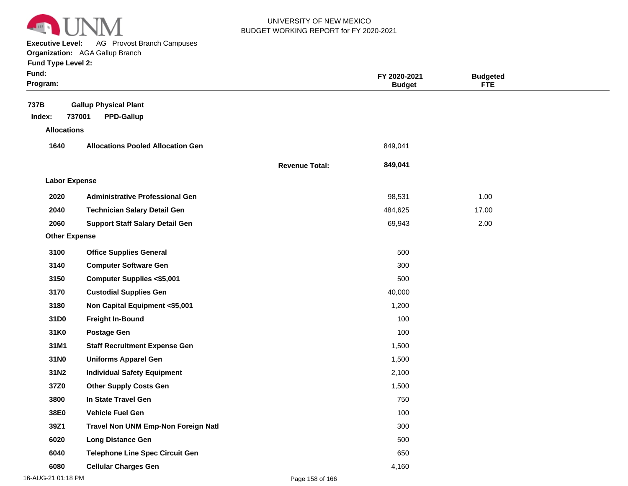

**Executive Level:** AG Provost Branch Campuses

#### **Organization:**  AGA Gallup Branch **Fund Type Level 2:**

| Fund Type Level 2: |  |
|--------------------|--|
|--------------------|--|

| Fund:<br>Program:    |                                                             |                       | FY 2020-2021<br><b>Budget</b> | <b>Budgeted</b><br><b>FTE</b> |  |
|----------------------|-------------------------------------------------------------|-----------------------|-------------------------------|-------------------------------|--|
| 737B<br>Index:       | <b>Gallup Physical Plant</b><br>737001<br><b>PPD-Gallup</b> |                       |                               |                               |  |
| <b>Allocations</b>   |                                                             |                       |                               |                               |  |
| 1640                 | <b>Allocations Pooled Allocation Gen</b>                    |                       | 849,041                       |                               |  |
|                      |                                                             | <b>Revenue Total:</b> | 849,041                       |                               |  |
| <b>Labor Expense</b> |                                                             |                       |                               |                               |  |
| 2020                 | <b>Administrative Professional Gen</b>                      |                       | 98,531                        | 1.00                          |  |
| 2040                 | <b>Technician Salary Detail Gen</b>                         |                       | 484,625                       | 17.00                         |  |
| 2060                 | <b>Support Staff Salary Detail Gen</b>                      |                       | 69,943                        | 2.00                          |  |
| <b>Other Expense</b> |                                                             |                       |                               |                               |  |
| 3100                 | <b>Office Supplies General</b>                              |                       | 500                           |                               |  |
| 3140                 | <b>Computer Software Gen</b>                                |                       | 300                           |                               |  |
| 3150                 | <b>Computer Supplies &lt;\$5,001</b>                        |                       | 500                           |                               |  |
| 3170                 | <b>Custodial Supplies Gen</b>                               |                       | 40,000                        |                               |  |
| 3180                 | Non Capital Equipment <\$5,001                              |                       | 1,200                         |                               |  |
| 31D0                 | <b>Freight In-Bound</b>                                     |                       | 100                           |                               |  |
| 31K0                 | <b>Postage Gen</b>                                          |                       | 100                           |                               |  |
| 31M1                 | <b>Staff Recruitment Expense Gen</b>                        |                       | 1,500                         |                               |  |
| 31N0                 | <b>Uniforms Apparel Gen</b>                                 |                       | 1,500                         |                               |  |
| 31N2                 | <b>Individual Safety Equipment</b>                          |                       | 2,100                         |                               |  |
| 37Z0                 | <b>Other Supply Costs Gen</b>                               |                       | 1,500                         |                               |  |
| 3800                 | In State Travel Gen                                         |                       | 750                           |                               |  |
| 38E0                 | <b>Vehicle Fuel Gen</b>                                     |                       | 100                           |                               |  |
| 39Z1                 | Travel Non UNM Emp-Non Foreign Natl                         |                       | 300                           |                               |  |
| 6020                 | <b>Long Distance Gen</b>                                    |                       | 500                           |                               |  |
| 6040                 | <b>Telephone Line Spec Circuit Gen</b>                      |                       | 650                           |                               |  |

**6080 Cellular Charges Gen** 4,160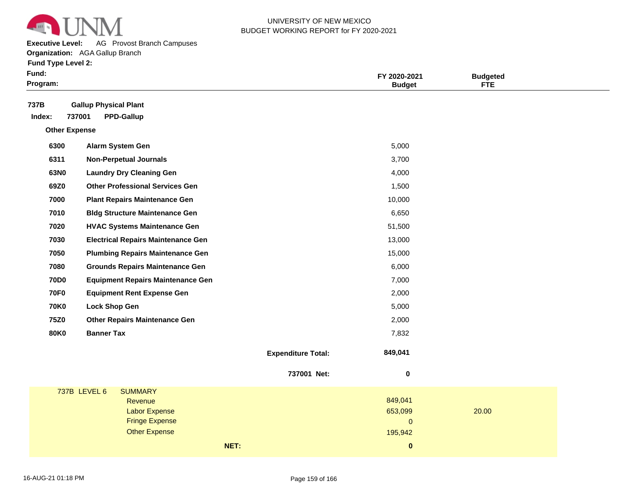

**Executive Level:** AG Provost Branch Campuses

#### **Organization:**  AGA Gallup Branch

|  |  | <b>Fund Type Level 2:</b> |  |
|--|--|---------------------------|--|
|--|--|---------------------------|--|

| Fund:<br>Program:                                                             |                           | FY 2020-2021<br><b>Budget</b> | <b>Budgeted</b><br><b>FTE</b> |
|-------------------------------------------------------------------------------|---------------------------|-------------------------------|-------------------------------|
| 737B<br><b>Gallup Physical Plant</b><br>737001<br><b>PPD-Gallup</b><br>Index: |                           |                               |                               |
| <b>Other Expense</b>                                                          |                           |                               |                               |
| 6300<br>Alarm System Gen                                                      |                           | 5,000                         |                               |
| 6311<br><b>Non-Perpetual Journals</b>                                         |                           | 3,700                         |                               |
| 63N0<br><b>Laundry Dry Cleaning Gen</b>                                       |                           | 4,000                         |                               |
| 69Z0<br><b>Other Professional Services Gen</b>                                |                           | 1,500                         |                               |
| 7000<br><b>Plant Repairs Maintenance Gen</b>                                  |                           | 10,000                        |                               |
| 7010<br><b>Bldg Structure Maintenance Gen</b>                                 |                           | 6,650                         |                               |
| 7020<br><b>HVAC Systems Maintenance Gen</b>                                   |                           | 51,500                        |                               |
| 7030<br><b>Electrical Repairs Maintenance Gen</b>                             |                           | 13,000                        |                               |
| 7050<br><b>Plumbing Repairs Maintenance Gen</b>                               |                           | 15,000                        |                               |
| 7080<br><b>Grounds Repairs Maintenance Gen</b>                                |                           | 6,000                         |                               |
| <b>70D0</b><br><b>Equipment Repairs Maintenance Gen</b>                       |                           | 7,000                         |                               |
| <b>70F0</b><br><b>Equipment Rent Expense Gen</b>                              |                           | 2,000                         |                               |
| <b>70K0</b><br><b>Lock Shop Gen</b>                                           |                           | 5,000                         |                               |
| <b>75Z0</b><br><b>Other Repairs Maintenance Gen</b>                           |                           | 2,000                         |                               |
| <b>80K0</b><br><b>Banner Tax</b>                                              |                           | 7,832                         |                               |
|                                                                               | <b>Expenditure Total:</b> | 849,041                       |                               |
|                                                                               | 737001 Net:               | $\pmb{0}$                     |                               |
| 737B LEVEL 6<br><b>SUMMARY</b>                                                |                           |                               |                               |
| Revenue<br><b>Labor Expense</b>                                               |                           | 849,041<br>653,099            | 20.00                         |
| <b>Fringe Expense</b>                                                         |                           | $\pmb{0}$                     |                               |
| <b>Other Expense</b>                                                          |                           | 195,942                       |                               |
|                                                                               | NET:                      | $\pmb{0}$                     |                               |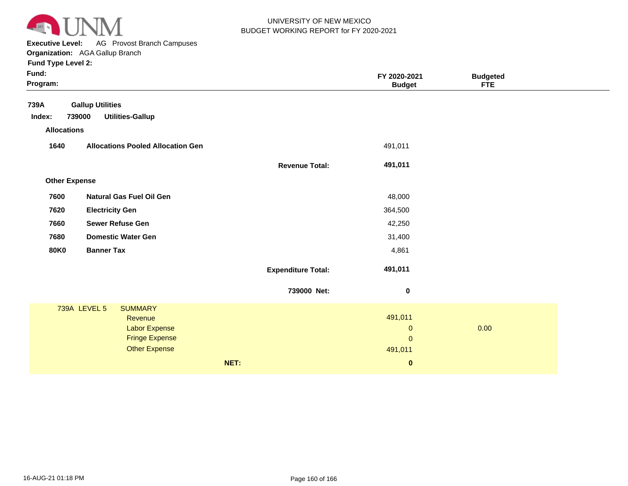

**Executive Level:** AG Provost Branch Campuses **Organization:**  AGA Gallup Branch

| 739A<br><b>Gallup Utilities</b><br><b>Utilities-Gallup</b><br>739000<br>Index:<br><b>Allocations</b><br>1640<br><b>Allocations Pooled Allocation Gen</b><br>491,011 |  |
|---------------------------------------------------------------------------------------------------------------------------------------------------------------------|--|
|                                                                                                                                                                     |  |
|                                                                                                                                                                     |  |
|                                                                                                                                                                     |  |
|                                                                                                                                                                     |  |
| 491,011<br><b>Revenue Total:</b>                                                                                                                                    |  |
| <b>Other Expense</b>                                                                                                                                                |  |
| 7600<br><b>Natural Gas Fuel Oil Gen</b><br>48,000                                                                                                                   |  |
| <b>Electricity Gen</b><br>364,500<br>7620                                                                                                                           |  |
| <b>Sewer Refuse Gen</b><br>7660<br>42,250                                                                                                                           |  |
| <b>Domestic Water Gen</b><br>31,400<br>7680                                                                                                                         |  |
| <b>Banner Tax</b><br><b>80K0</b><br>4,861                                                                                                                           |  |
| 491,011<br><b>Expenditure Total:</b>                                                                                                                                |  |
| 739000 Net:<br>$\boldsymbol{0}$                                                                                                                                     |  |
| <b>739A LEVEL 5</b><br><b>SUMMARY</b>                                                                                                                               |  |
| 491,011<br>Revenue<br>Labor Expense<br>0.00<br>$\mathbf 0$                                                                                                          |  |
| <b>Fringe Expense</b><br>$\mathbf{0}$                                                                                                                               |  |
| <b>Other Expense</b><br>491,011                                                                                                                                     |  |
| NET:<br>$\bf{0}$                                                                                                                                                    |  |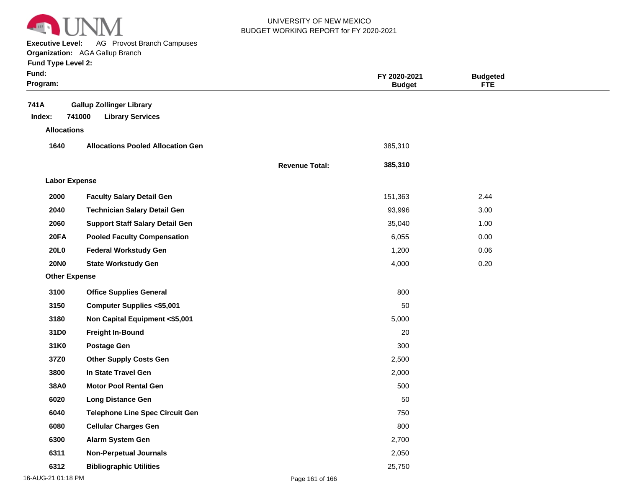

**Executive Level:** AG Provost Branch Campuses

#### **Organization:**  AGA Gallup Branch

| <b>Fund Type Level 2:</b> |  |  |  |
|---------------------------|--|--|--|
|---------------------------|--|--|--|

| Fund:<br>Program:    |                                                                      | FY 2020-2021<br><b>Budget</b> | <b>Budgeted</b><br><b>FTE</b> |      |  |
|----------------------|----------------------------------------------------------------------|-------------------------------|-------------------------------|------|--|
| 741A<br>Index:       | <b>Gallup Zollinger Library</b><br>741000<br><b>Library Services</b> |                               |                               |      |  |
| <b>Allocations</b>   |                                                                      |                               |                               |      |  |
| 1640                 | <b>Allocations Pooled Allocation Gen</b>                             |                               | 385,310                       |      |  |
|                      |                                                                      | <b>Revenue Total:</b>         | 385,310                       |      |  |
| <b>Labor Expense</b> |                                                                      |                               |                               |      |  |
| 2000                 | <b>Faculty Salary Detail Gen</b>                                     |                               | 151,363                       | 2.44 |  |
| 2040                 | <b>Technician Salary Detail Gen</b>                                  |                               | 93,996                        | 3.00 |  |
| 2060                 | <b>Support Staff Salary Detail Gen</b>                               |                               | 35,040                        | 1.00 |  |
| 20FA                 | <b>Pooled Faculty Compensation</b>                                   |                               | 6,055                         | 0.00 |  |
| <b>20L0</b>          | <b>Federal Workstudy Gen</b>                                         |                               | 1,200                         | 0.06 |  |
| <b>20NO</b>          | <b>State Workstudy Gen</b>                                           |                               | 4,000                         | 0.20 |  |
| <b>Other Expense</b> |                                                                      |                               |                               |      |  |
| 3100                 | <b>Office Supplies General</b>                                       |                               | 800                           |      |  |
| 3150                 | <b>Computer Supplies &lt;\$5,001</b>                                 |                               | 50                            |      |  |
| 3180                 | Non Capital Equipment <\$5,001                                       |                               | 5,000                         |      |  |
| 31D0                 | <b>Freight In-Bound</b>                                              |                               | 20                            |      |  |
| 31K0                 | <b>Postage Gen</b>                                                   |                               | 300                           |      |  |
| 37Z0                 | <b>Other Supply Costs Gen</b>                                        |                               | 2,500                         |      |  |
| 3800                 | In State Travel Gen                                                  |                               | 2,000                         |      |  |
| 38A0                 | <b>Motor Pool Rental Gen</b>                                         |                               | 500                           |      |  |
| 6020                 | <b>Long Distance Gen</b>                                             |                               | 50                            |      |  |
| 6040                 | <b>Telephone Line Spec Circuit Gen</b>                               |                               | 750                           |      |  |
| 6080                 | <b>Cellular Charges Gen</b>                                          |                               | 800                           |      |  |
| 6300                 | Alarm System Gen                                                     |                               | 2,700                         |      |  |
| 6311                 | <b>Non-Perpetual Journals</b>                                        |                               | 2,050                         |      |  |
| 6312                 | <b>Bibliographic Utilities</b>                                       |                               | 25,750                        |      |  |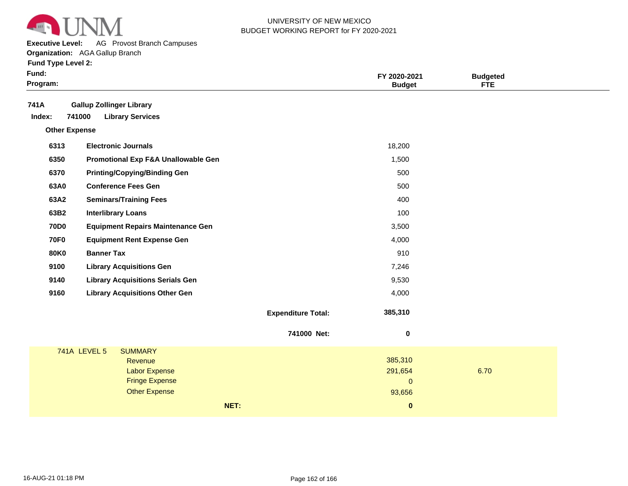

**Executive Level:** AG Provost Branch Campuses

**Organization:**  AGA Gallup Branch

| Fund:<br>Program:    |                                                                                                                           |                           | FY 2020-2021<br><b>Budget</b>                | <b>Budgeted</b><br><b>FTE</b> |
|----------------------|---------------------------------------------------------------------------------------------------------------------------|---------------------------|----------------------------------------------|-------------------------------|
| 741A<br>Index:       | <b>Gallup Zollinger Library</b><br>741000<br><b>Library Services</b>                                                      |                           |                                              |                               |
| <b>Other Expense</b> |                                                                                                                           |                           |                                              |                               |
| 6313                 | <b>Electronic Journals</b>                                                                                                |                           | 18,200                                       |                               |
| 6350                 | Promotional Exp F&A Unallowable Gen                                                                                       |                           | 1,500                                        |                               |
| 6370                 | <b>Printing/Copying/Binding Gen</b>                                                                                       |                           | 500                                          |                               |
| 63A0                 | <b>Conference Fees Gen</b>                                                                                                |                           | 500                                          |                               |
| 63A2                 | <b>Seminars/Training Fees</b>                                                                                             |                           | 400                                          |                               |
| 63B2                 | <b>Interlibrary Loans</b>                                                                                                 |                           | 100                                          |                               |
| <b>70D0</b>          | <b>Equipment Repairs Maintenance Gen</b>                                                                                  |                           | 3,500                                        |                               |
| <b>70F0</b>          | <b>Equipment Rent Expense Gen</b>                                                                                         |                           | 4,000                                        |                               |
| <b>80K0</b>          | <b>Banner Tax</b>                                                                                                         |                           | 910                                          |                               |
| 9100                 | <b>Library Acquisitions Gen</b>                                                                                           |                           | 7,246                                        |                               |
| 9140                 | <b>Library Acquisitions Serials Gen</b>                                                                                   |                           | 9,530                                        |                               |
| 9160                 | <b>Library Acquisitions Other Gen</b>                                                                                     |                           | 4,000                                        |                               |
|                      |                                                                                                                           | <b>Expenditure Total:</b> | 385,310                                      |                               |
|                      |                                                                                                                           | 741000 Net:               | $\bf{0}$                                     |                               |
|                      | <b>741A LEVEL 5</b><br><b>SUMMARY</b><br>Revenue<br><b>Labor Expense</b><br><b>Fringe Expense</b><br><b>Other Expense</b> |                           | 385,310<br>291,654<br>$\mathbf{0}$<br>93,656 | 6.70                          |
|                      |                                                                                                                           | NET:                      | $\bf{0}$                                     |                               |
|                      |                                                                                                                           |                           |                                              |                               |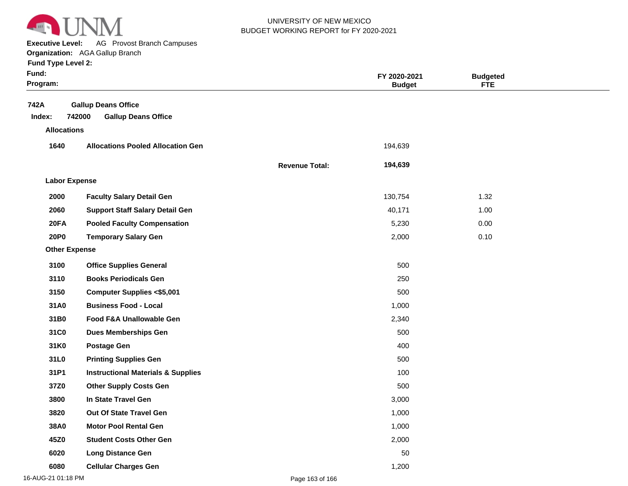

**Executive Level:** AG Provost Branch Campuses

**Organization:**  AGA Gallup Branch

|  | <b>Fund Type Level 2:</b> |  |  |
|--|---------------------------|--|--|
|  |                           |  |  |

| Fund:<br>Program:    |                                                                    |                       | FY 2020-2021<br><b>Budget</b> | <b>Budgeted</b><br><b>FTE</b> |  |
|----------------------|--------------------------------------------------------------------|-----------------------|-------------------------------|-------------------------------|--|
| 742A<br>Index:       | <b>Gallup Deans Office</b><br>742000<br><b>Gallup Deans Office</b> |                       |                               |                               |  |
| <b>Allocations</b>   |                                                                    |                       |                               |                               |  |
| 1640                 | <b>Allocations Pooled Allocation Gen</b>                           |                       | 194,639                       |                               |  |
|                      |                                                                    | <b>Revenue Total:</b> | 194,639                       |                               |  |
| <b>Labor Expense</b> |                                                                    |                       |                               |                               |  |
| 2000                 | <b>Faculty Salary Detail Gen</b>                                   |                       | 130,754                       | 1.32                          |  |
| 2060                 | <b>Support Staff Salary Detail Gen</b>                             |                       | 40,171                        | 1.00                          |  |
| 20FA                 | <b>Pooled Faculty Compensation</b>                                 |                       | 5,230                         | 0.00                          |  |
| <b>20P0</b>          | <b>Temporary Salary Gen</b>                                        |                       | 2,000                         | 0.10                          |  |
| <b>Other Expense</b> |                                                                    |                       |                               |                               |  |
| 3100                 | <b>Office Supplies General</b>                                     |                       | 500                           |                               |  |
| 3110                 | <b>Books Periodicals Gen</b>                                       |                       | 250                           |                               |  |
| 3150                 | <b>Computer Supplies &lt;\$5,001</b>                               |                       | 500                           |                               |  |
| 31A0                 | <b>Business Food - Local</b>                                       |                       | 1,000                         |                               |  |
| 31B0                 | <b>Food F&amp;A Unallowable Gen</b>                                |                       | 2,340                         |                               |  |
| 31C0                 | <b>Dues Memberships Gen</b>                                        |                       | 500                           |                               |  |
| 31K0                 | <b>Postage Gen</b>                                                 |                       | 400                           |                               |  |
| 31L0                 | <b>Printing Supplies Gen</b>                                       |                       | 500                           |                               |  |
| 31P1                 | <b>Instructional Materials &amp; Supplies</b>                      |                       | 100                           |                               |  |
| 37Z0                 | <b>Other Supply Costs Gen</b>                                      |                       | 500                           |                               |  |
| 3800                 | In State Travel Gen                                                |                       | 3,000                         |                               |  |
| 3820                 | Out Of State Travel Gen                                            |                       | 1,000                         |                               |  |
| 38A0                 | <b>Motor Pool Rental Gen</b>                                       |                       | 1,000                         |                               |  |
| 45Z0                 | <b>Student Costs Other Gen</b>                                     |                       | 2,000                         |                               |  |
| 6020                 | <b>Long Distance Gen</b>                                           |                       | 50                            |                               |  |
| 6080                 | <b>Cellular Charges Gen</b>                                        |                       | 1,200                         |                               |  |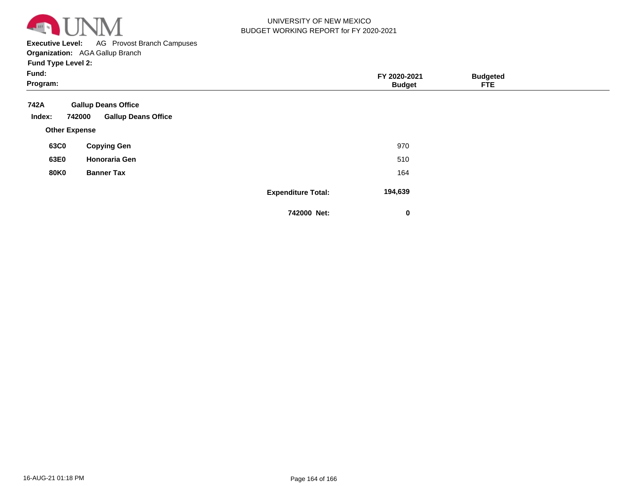

**Executive Level:** AG Provost Branch Campuses

**Organization:**  AGA Gallup Branch

| Fund:<br>Program:    |                                                                    |                           | FY 2020-2021<br><b>Budget</b> | <b>Budgeted</b><br><b>FTE</b> |  |
|----------------------|--------------------------------------------------------------------|---------------------------|-------------------------------|-------------------------------|--|
| 742A<br>Index:       | <b>Gallup Deans Office</b><br><b>Gallup Deans Office</b><br>742000 |                           |                               |                               |  |
| <b>Other Expense</b> |                                                                    |                           |                               |                               |  |
| 63C0                 | <b>Copying Gen</b>                                                 |                           | 970                           |                               |  |
| 63E0                 | <b>Honoraria Gen</b>                                               |                           | 510                           |                               |  |
| <b>80K0</b>          | <b>Banner Tax</b>                                                  |                           | 164                           |                               |  |
|                      |                                                                    | <b>Expenditure Total:</b> | 194,639                       |                               |  |
|                      |                                                                    | 742000 Net:               | 0                             |                               |  |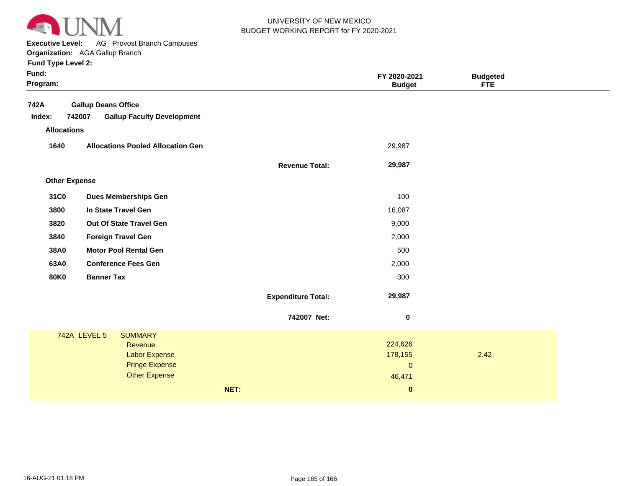

**Executive Level:** AG Provost Branch Campuses

**Organization:**  AGA Gallup Branch

| Fund:<br>Program: |                      |                              |                                                                                                    |      |                           | FY 2020-2021<br><b>Budget</b>               | <b>Budgeted</b><br><b>FTE</b> |  |
|-------------------|----------------------|------------------------------|----------------------------------------------------------------------------------------------------|------|---------------------------|---------------------------------------------|-------------------------------|--|
| 742A<br>Index:    | 742007               | <b>Gallup Deans Office</b>   | <b>Gallup Faculty Development</b>                                                                  |      |                           |                                             |                               |  |
|                   | <b>Allocations</b>   |                              |                                                                                                    |      |                           |                                             |                               |  |
| 1640              |                      |                              | <b>Allocations Pooled Allocation Gen</b>                                                           |      |                           | 29,987                                      |                               |  |
|                   |                      |                              |                                                                                                    |      | <b>Revenue Total:</b>     | 29,987                                      |                               |  |
|                   | <b>Other Expense</b> |                              |                                                                                                    |      |                           |                                             |                               |  |
| 31C0              |                      |                              | <b>Dues Memberships Gen</b>                                                                        |      |                           | 100                                         |                               |  |
| 3800              |                      |                              | In State Travel Gen                                                                                |      |                           | 16,087                                      |                               |  |
| 3820              |                      | Out Of State Travel Gen      |                                                                                                    |      |                           | 9,000                                       |                               |  |
| 3840              |                      | <b>Foreign Travel Gen</b>    |                                                                                                    |      |                           | 2,000                                       |                               |  |
| 38A0              |                      | <b>Motor Pool Rental Gen</b> |                                                                                                    |      |                           | 500                                         |                               |  |
| 63A0              |                      |                              | <b>Conference Fees Gen</b>                                                                         |      |                           | 2,000                                       |                               |  |
| <b>80K0</b>       |                      | <b>Banner Tax</b>            |                                                                                                    |      |                           | 300                                         |                               |  |
|                   |                      |                              |                                                                                                    |      | <b>Expenditure Total:</b> | 29,987                                      |                               |  |
|                   |                      |                              |                                                                                                    |      | 742007 Net:               | $\mathbf 0$                                 |                               |  |
|                   | 742A LEVEL 5         |                              | <b>SUMMARY</b><br>Revenue<br><b>Labor Expense</b><br><b>Fringe Expense</b><br><b>Other Expense</b> |      |                           | 224,626<br>178,155<br>$\mathbf 0$<br>46,471 | 2.42                          |  |
|                   |                      |                              |                                                                                                    | NET: |                           | $\pmb{0}$                                   |                               |  |
|                   |                      |                              |                                                                                                    |      |                           |                                             |                               |  |